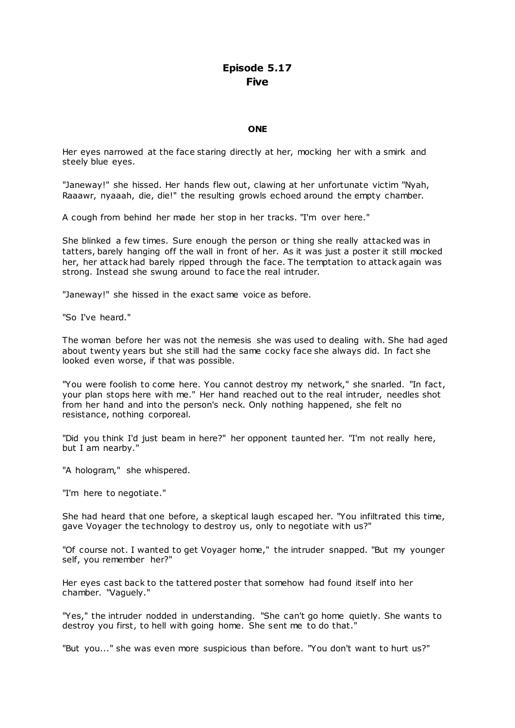# **Episode 5.17 Five**

### **ONE**

Her eyes narrowed at the face staring directly at her, mocking her with a smirk and steely blue eyes.

"Janeway!" she hissed. Her hands flew out, clawing at her unfortunate victim "Nyah, Raaawr, nyaaah, die, die!" the resulting growls echoed around the empty chamber.

A cough from behind her made her stop in her tracks. "I'm over here."

She blinked a few times. Sure enough the person or thing she really attacked was in tatters, barely hanging off the wall in front of her. As it was just a poster it still mocked her, her attack had barely ripped through the face. The temptation to attack again was strong. Instead she swung around to face the real intruder.

"Janeway!" she hissed in the exact same voice as before.

"So I've heard."

The woman before her was not the nemesis she was used to dealing with. She had aged about twenty years but she still had the same cocky face she always did. In fact she looked even worse, if that was possible.

"You were foolish to come here. You cannot destroy my network," she snarled. "In fact, your plan stops here with me." Her hand reached out to the real intruder, needles shot from her hand and into the person's neck. Only nothing happened, she felt no resistance, nothing corporeal.

"Did you think I'd just beam in here?" her opponent taunted her. "I'm not really here, but I am nearby."

"A hologram," she whispered.

"I'm here to negotiate."

She had heard that one before, a skeptical laugh escaped her. "You infiltrated this time, gave Voyager the technology to destroy us, only to negotiate with us?"

"Of course not. I wanted to get Voyager home," the intruder snapped. "But my younger self, you remember her?"

Her eyes cast back to the tattered poster that somehow had found itself into her chamber. "Vaguely."

"Yes," the intruder nodded in understanding. "She can't go home quietly. She wants to destroy you first, to hell with going home. She sent me to do that."

"But you..." she was even more suspicious than before. "You don't want to hurt us?"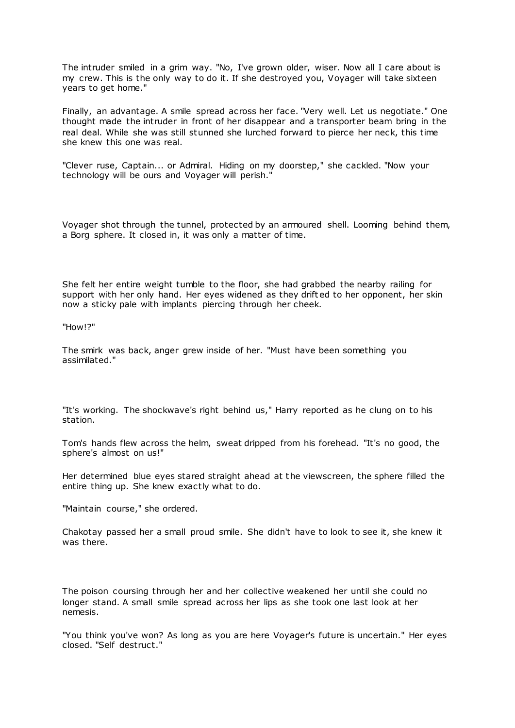The intruder smiled in a grim way. "No, I've grown older, wiser. Now all I care about is my crew. This is the only way to do it. If she destroyed you, Voyager will take sixteen years to get home."

Finally, an advantage. A smile spread across her face. "Very well. Let us negotiate." One thought made the intruder in front of her disappear and a transporter beam bring in the real deal. While she was still stunned she lurched forward to pierce her neck, this time she knew this one was real.

"Clever ruse, Captain... or Admiral. Hiding on my doorstep," she cackled. "Now your technology will be ours and Voyager will perish."

Voyager shot through the tunnel, protected by an armoured shell. Looming behind them, a Borg sphere. It closed in, it was only a matter of time.

She felt her entire weight tumble to the floor, she had grabbed the nearby railing for support with her only hand. Her eyes widened as they drifted to her opponent, her skin now a sticky pale with implants piercing through her cheek.

"How!?"

The smirk was back, anger grew inside of her. "Must have been something you assimilated."

"It's working. The shockwave's right behind us," Harry reported as he clung on to his station.

Tom's hands flew across the helm, sweat dripped from his forehead. "It's no good, the sphere's almost on us!"

Her determined blue eyes stared straight ahead at the viewscreen, the sphere filled the entire thing up. She knew exactly what to do.

"Maintain course," she ordered.

Chakotay passed her a small proud smile. She didn't have to look to see it, she knew it was there.

The poison coursing through her and her collective weakened her until she could no longer stand. A small smile spread across her lips as she took one last look at her nemesis.

"You think you've won? As long as you are here Voyager's future is uncertain." Her eyes closed. "Self destruct."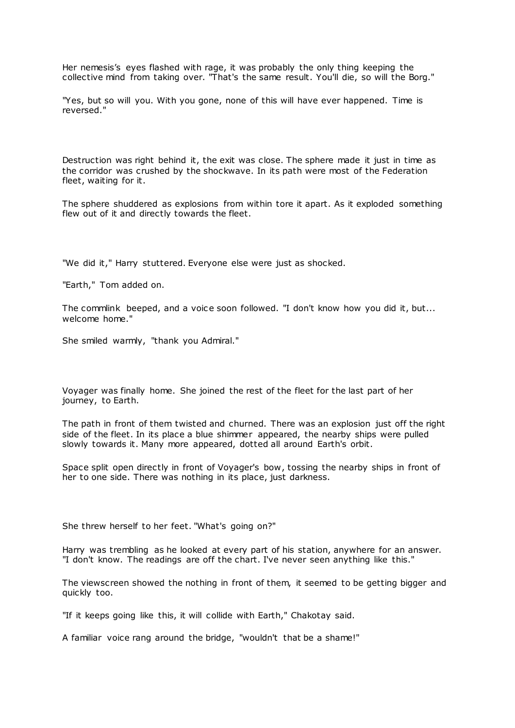Her nemesis's eyes flashed with rage, it was probably the only thing keeping the collective mind from taking over. "That's the same result. You'll die, so will the Borg."

"Yes, but so will you. With you gone, none of this will have ever happened. Time is reversed."

Destruction was right behind it, the exit was close. The sphere made it just in time as the corridor was crushed by the shockwave. In its path were most of the Federation fleet, waiting for it.

The sphere shuddered as explosions from within tore it apart. As it exploded something flew out of it and directly towards the fleet.

"We did it," Harry stuttered. Everyone else were just as shocked.

"Earth," Tom added on.

The commlink beeped, and a voice soon followed. "I don't know how you did it, but... welcome home."

She smiled warmly, "thank you Admiral."

Voyager was finally home. She joined the rest of the fleet for the last part of her journey, to Earth.

The path in front of them twisted and churned. There was an explosion just off the right side of the fleet. In its place a blue shimmer appeared, the nearby ships were pulled slowly towards it. Many more appeared, dotted all around Earth's orbit.

Space split open directly in front of Voyager's bow, tossing the nearby ships in front of her to one side. There was nothing in its place, just darkness.

She threw herself to her feet. "What's going on?"

Harry was trembling as he looked at every part of his station, anywhere for an answer. "I don't know. The readings are off the chart. I've never seen anything like this."

The viewscreen showed the nothing in front of them, it seemed to be getting bigger and quickly too.

"If it keeps going like this, it will collide with Earth," Chakotay said.

A familiar voice rang around the bridge, "wouldn't that be a shame!"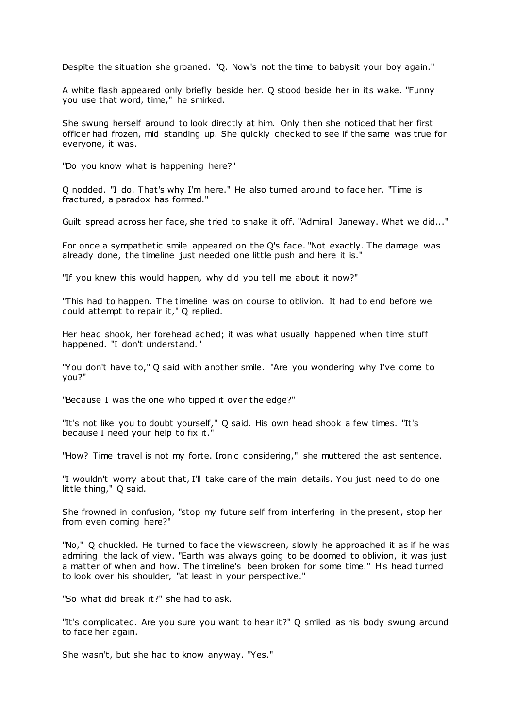Despite the situation she groaned. "Q. Now's not the time to babysit your boy again."

A white flash appeared only briefly beside her. Q stood beside her in its wake. "Funny you use that word, time," he smirked.

She swung herself around to look directly at him. Only then she noticed that her first officer had frozen, mid standing up. She quickly checked to see if the same was true for everyone, it was.

"Do you know what is happening here?"

Q nodded. "I do. That's why I'm here." He also turned around to face her. "Time is fractured, a paradox has formed."

Guilt spread across her face, she tried to shake it off. "Admiral Janeway. What we did..."

For once a sympathetic smile appeared on the Q's face. "Not exactly. The damage was already done, the timeline just needed one little push and here it is."

"If you knew this would happen, why did you tell me about it now?"

"This had to happen. The timeline was on course to oblivion. It had to end before we could attempt to repair it," Q replied.

Her head shook, her forehead ached; it was what usually happened when time stuff happened. "I don't understand."

"You don't have to," Q said with another smile. "Are you wondering why I've come to you?"

"Because I was the one who tipped it over the edge?"

"It's not like you to doubt yourself," Q said. His own head shook a few times. "It's because I need your help to fix it."

"How? Time travel is not my forte. Ironic considering," she muttered the last sentence.

"I wouldn't worry about that, I'll take care of the main details. You just need to do one little thing," Q said.

She frowned in confusion, "stop my future self from interfering in the present, stop her from even coming here?"

"No," Q chuckled. He turned to face the viewscreen, slowly he approached it as if he was admiring the lack of view. "Earth was always going to be doomed to oblivion, it was just a matter of when and how. The timeline's been broken for some time." His head turned to look over his shoulder, "at least in your perspective."

"So what did break it?" she had to ask.

"It's complicated. Are you sure you want to hear it?" Q smiled as his body swung around to face her again.

She wasn't, but she had to know anyway. "Yes."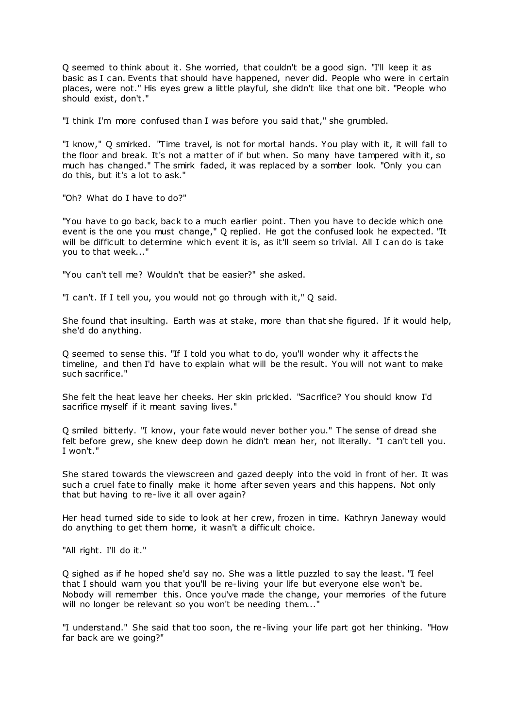Q seemed to think about it. She worried, that couldn't be a good sign. "I'll keep it as basic as I can. Events that should have happened, never did. People who were in certain places, were not." His eyes grew a little playful, she didn't like that one bit. "People who should exist, don't."

"I think I'm more confused than I was before you said that," she grumbled.

"I know," Q smirked. "Time travel, is not for mortal hands. You play with it, it will fall to the floor and break. It's not a matter of if but when. So many have tampered with it, so much has changed." The smirk faded, it was replaced by a somber look. "Only you can do this, but it's a lot to ask."

"Oh? What do I have to do?"

"You have to go back, back to a much earlier point. Then you have to decide which one event is the one you must change," Q replied. He got the confused look he expected. "It will be difficult to determine which event it is, as it'll seem so trivial. All I c an do is take you to that week..."

"You can't tell me? Wouldn't that be easier?" she asked.

"I can't. If I tell you, you would not go through with it," Q said.

She found that insulting. Earth was at stake, more than that she figured. If it would help, she'd do anything.

Q seemed to sense this. "If I told you what to do, you'll wonder why it affects the timeline, and then I'd have to explain what will be the result. You will not want to make such sacrifice."

She felt the heat leave her cheeks. Her skin prickled. "Sacrifice? You should know I'd sacrifice myself if it meant saving lives."

Q smiled bitterly. "I know, your fate would never bother you." The sense of dread she felt before grew, she knew deep down he didn't mean her, not literally. "I can't tell you. I won't."

She stared towards the viewscreen and gazed deeply into the void in front of her. It was such a cruel fate to finally make it home after seven years and this happens. Not only that but having to re-live it all over again?

Her head turned side to side to look at her crew, frozen in time. Kathryn Janeway would do anything to get them home, it wasn't a difficult choice.

"All right. I'll do it."

Q sighed as if he hoped she'd say no. She was a little puzzled to say the least. "I feel that I should warn you that you'll be re-living your life but everyone else won't be. Nobody will remember this. Once you've made the change, your memories of the future will no longer be relevant so you won't be needing them...'

"I understand." She said that too soon, the re-living your life part got her thinking. "How far back are we going?"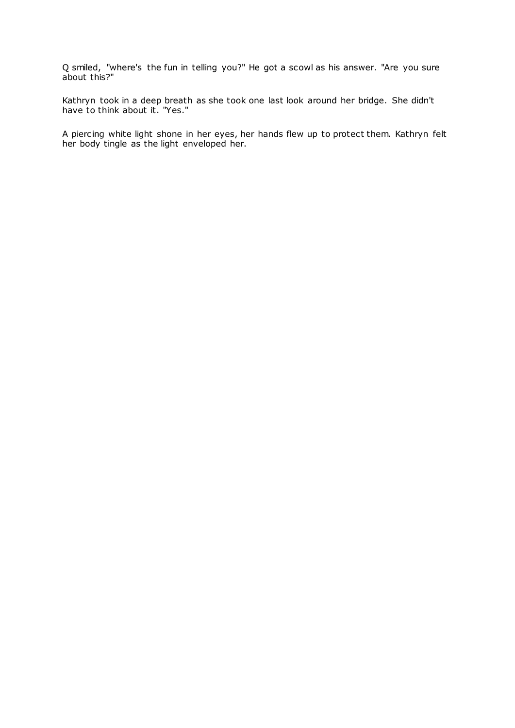Q smiled, "where's the fun in telling you?" He got a scowl as his answer. "Are you sure about this?"

Kathryn took in a deep breath as she took one last look around her bridge. She didn't have to think about it. "Yes."

A piercing white light shone in her eyes, her hands flew up to protect them. Kathryn felt her body tingle as the light enveloped her.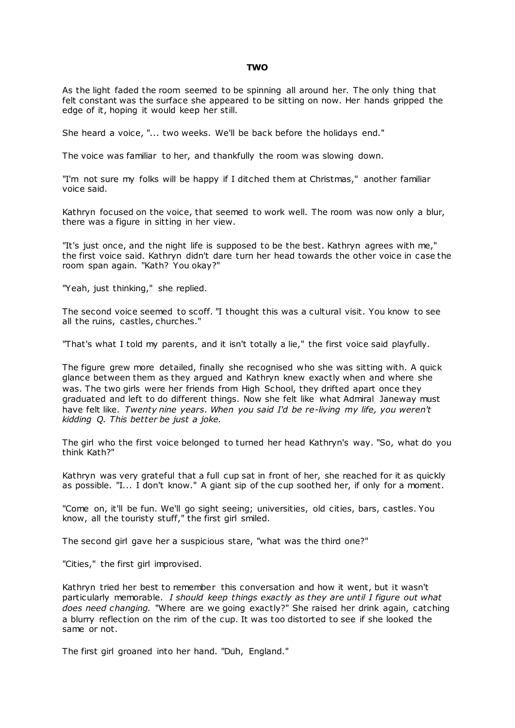#### **TWO**

As the light faded the room seemed to be spinning all around her. The only thing that felt constant was the surface she appeared to be sitting on now. Her hands gripped the edge of it, hoping it would keep her still.

She heard a voice, "... two weeks. We'll be back before the holidays end."

The voice was familiar to her, and thankfully the room was slowing down.

"I'm not sure my folks will be happy if I ditched them at Christmas," another familiar voice said.

Kathryn focused on the voice, that seemed to work well. The room was now only a blur, there was a figure in sitting in her view.

"It's just once, and the night life is supposed to be the best. Kathryn agrees with me," the first voice said. Kathryn didn't dare turn her head towards the other voice in case the room span again. "Kath? You okay?"

"Yeah, just thinking," she replied.

The second voice seemed to scoff. "I thought this was a cultural visit. You know to see all the ruins, castles, churches."

"That's what I told my parents, and it isn't totally a lie," the first voice said playfully.

The figure grew more detailed, finally she recognised who she was sitting with. A quick glance between them as they argued and Kathryn knew exactly when and where she was. The two girls were her friends from High School, they drifted apart once they graduated and left to do different things. Now she felt like what Admiral Janeway must have felt like. *Twenty nine years. When you said I'd be re-living my life, you weren't kidding Q. This better be just a joke.*

The girl who the first voice belonged to turned her head Kathryn's way. "So, what do you think Kath?"

Kathryn was very grateful that a full cup sat in front of her, she reached for it as quickly as possible. "I... I don't know." A giant sip of the cup soothed her, if only for a moment.

"Come on, it'll be fun. We'll go sight seeing; universities, old cities, bars, castles. You know, all the touristy stuff," the first girl smiled.

The second girl gave her a suspicious stare, "what was the third one?"

"Cities," the first girl improvised.

Kathryn tried her best to remember this conversation and how it went, but it wasn't particularly memorable. *I should keep things exactly as they are until I figure out what does need changing.* "Where are we going exactly?" She raised her drink again, catching a blurry reflection on the rim of the cup. It was too distorted to see if she looked the same or not.

The first girl groaned into her hand. "Duh, England."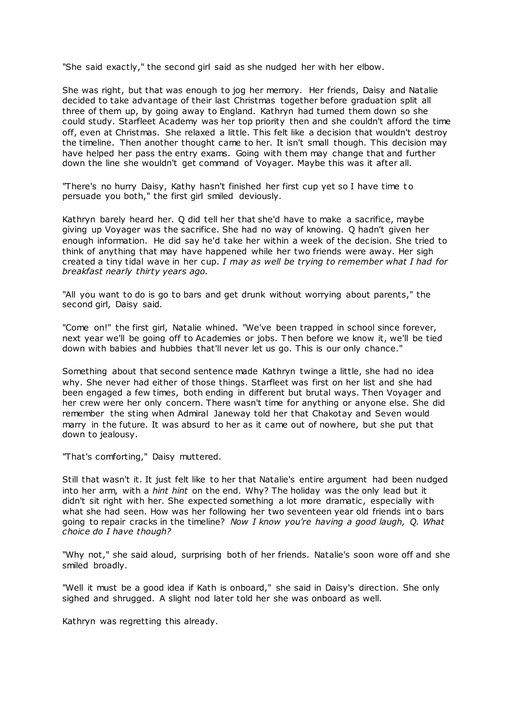"She said exactly," the second girl said as she nudged her with her elbow.

She was right, but that was enough to jog her memory. Her friends, Daisy and Natalie decided to take advantage of their last Christmas together before graduation split all three of them up, by going away to England. Kathryn had turned them down so she could study. Starfleet Academy was her top priority then and she couldn't afford the time off, even at Christmas. She relaxed a little. This felt like a decision that wouldn't destroy the timeline. Then another thought came to her. It isn't small though. This decision may have helped her pass the entry exams. Going with them may change that and further down the line she wouldn't get command of Voyager. Maybe this was it after all.

"There's no hurry Daisy, Kathy hasn't finished her first cup yet so I have time t o persuade you both," the first girl smiled deviously.

Kathryn barely heard her. Q did tell her that she'd have to make a sacrifice, maybe giving up Voyager was the sacrifice. She had no way of knowing. Q hadn't given her enough information. He did say he'd take her within a week of the decision. She tried to think of anything that may have happened while her two friends were away. Her sigh created a tiny tidal wave in her cup. *I may as well be trying to remember what I had for breakfast nearly thirty years ago.*

"All you want to do is go to bars and get drunk without worrying about parents," the second girl, Daisy said.

"Come on!" the first girl, Natalie whined. "We've been trapped in school since forever, next year we'll be going off to Academies or jobs. Then before we know it, we'll be tied down with babies and hubbies that'll never let us go. This is our only chance."

Something about that second sentence made Kathryn twinge a little, she had no idea why. She never had either of those things. Starfleet was first on her list and she had been engaged a few times, both ending in different but brutal ways. Then Voyager and her crew were her only concern. There wasn't time for anything or anyone else. She did remember the sting when Admiral Janeway told her that Chakotay and Seven would marry in the future. It was absurd to her as it came out of nowhere, but she put that down to jealousy.

"That's comforting," Daisy muttered.

Still that wasn't it. It just felt like to her that Natalie's entire argument had been nudged into her arm, with a *hint hint* on the end. Why? The holiday was the only lead but it didn't sit right with her. She expected something a lot more dramatic, especially with what she had seen. How was her following her two seventeen year old friends int o bars going to repair cracks in the timeline? *Now I know you're having a good laugh, Q. What choice do I have though?*

"Why not," she said aloud, surprising both of her friends. Natalie's soon wore off and she smiled broadly.

"Well it must be a good idea if Kath is onboard," she said in Daisy's direction. She only sighed and shrugged. A slight nod later told her she was onboard as well.

Kathryn was regretting this already.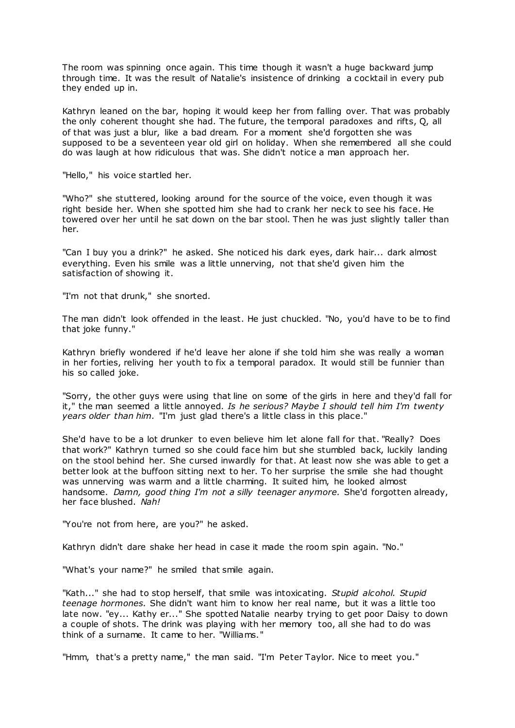The room was spinning once again. This time though it wasn't a huge backward jump through time. It was the result of Natalie's insistence of drinking a cocktail in every pub they ended up in.

Kathryn leaned on the bar, hoping it would keep her from falling over. That was probably the only coherent thought she had. The future, the temporal paradoxes and rifts, Q, all of that was just a blur, like a bad dream. For a moment she'd forgotten she was supposed to be a seventeen year old girl on holiday. When she remembered all she could do was laugh at how ridiculous that was. She didn't notice a man approach her.

"Hello," his voice startled her.

"Who?" she stuttered, looking around for the source of the voice, even though it was right beside her. When she spotted him she had to crank her neck to see his face. He towered over her until he sat down on the bar stool. Then he was just slightly taller than her.

"Can I buy you a drink?" he asked. She noticed his dark eyes, dark hair... dark almost everything. Even his smile was a little unnerving, not that she'd given him the satisfaction of showing it.

"I'm not that drunk," she snorted.

The man didn't look offended in the least. He just chuckled. "No, you'd have to be to find that joke funny."

Kathryn briefly wondered if he'd leave her alone if she told him she was really a woman in her forties, reliving her youth to fix a temporal paradox. It would still be funnier than his so called joke.

"Sorry, the other guys were using that line on some of the girls in here and they'd fall for it," the man seemed a little annoyed. *Is he serious? Maybe I should tell him I'm twenty years older than him.* "I'm just glad there's a little class in this place."

She'd have to be a lot drunker to even believe him let alone fall for that. "Really? Does that work?" Kathryn turned so she could face him but she stumbled back, luckily landing on the stool behind her. She cursed inwardly for that. At least now she was able to get a better look at the buffoon sitting next to her. To her surprise the smile she had thought was unnerving was warm and a little charming. It suited him, he looked almost handsome. *Damn, good thing I'm not a silly teenager anymore.* She'd forgotten already, her face blushed. *Nah!*

"You're not from here, are you?" he asked.

Kathryn didn't dare shake her head in case it made the room spin again. "No."

"What's your name?" he smiled that smile again.

"Kath..." she had to stop herself, that smile was intoxicating. *Stupid alcohol. Stupid teenage hormones.* She didn't want him to know her real name, but it was a little too late now. "ey... Kathy er..." She spotted Natalie nearby trying to get poor Daisy to down a couple of shots. The drink was playing with her memory too, all she had to do was think of a surname. It came to her. "Williams."

"Hmm, that's a pretty name," the man said. "I'm Peter Taylor. Nice to meet you."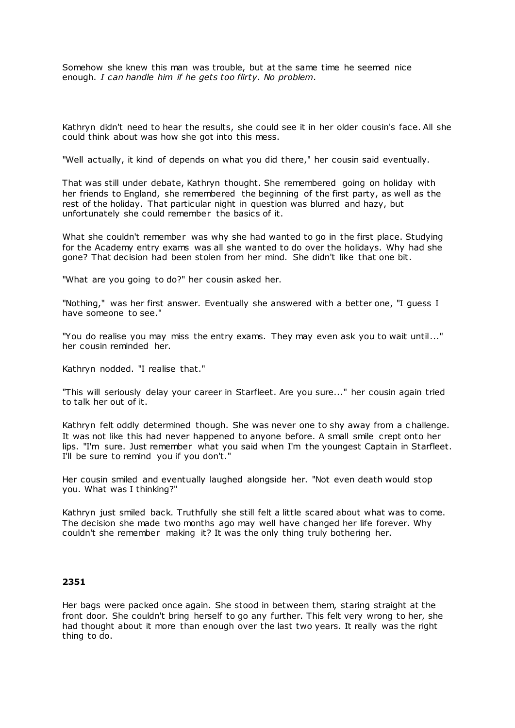Somehow she knew this man was trouble, but at the same time he seemed nice enough. *I can handle him if he gets too flirty. No problem.*

Kathryn didn't need to hear the results, she could see it in her older cousin's face. All she could think about was how she got into this mess.

"Well actually, it kind of depends on what you did there," her cousin said eventually.

That was still under debate, Kathryn thought. She remembered going on holiday with her friends to England, she remembered the beginning of the first party, as well as the rest of the holiday. That particular night in question was blurred and hazy, but unfortunately she could remember the basics of it.

What she couldn't remember was why she had wanted to go in the first place. Studying for the Academy entry exams was all she wanted to do over the holidays. Why had she gone? That decision had been stolen from her mind. She didn't like that one bit.

"What are you going to do?" her cousin asked her.

"Nothing," was her first answer. Eventually she answered with a better one, "I guess I have someone to see."

"You do realise you may miss the entry exams. They may even ask you to wait until..." her cousin reminded her.

Kathryn nodded. "I realise that."

"This will seriously delay your career in Starfleet. Are you sure..." her cousin again tried to talk her out of it.

Kathryn felt oddly determined though. She was never one to shy away from a c hallenge. It was not like this had never happened to anyone before. A small smile crept onto her lips. "I'm sure. Just remember what you said when I'm the youngest Captain in Starfleet. I'll be sure to remind you if you don't."

Her cousin smiled and eventually laughed alongside her. "Not even death would stop you. What was I thinking?"

Kathryn just smiled back. Truthfully she still felt a little scared about what was to come. The decision she made two months ago may well have changed her life forever. Why couldn't she remember making it? It was the only thing truly bothering her.

# **2351**

Her bags were packed once again. She stood in between them, staring straight at the front door. She couldn't bring herself to go any further. This felt very wrong to her, she had thought about it more than enough over the last two years. It really was the right thing to do.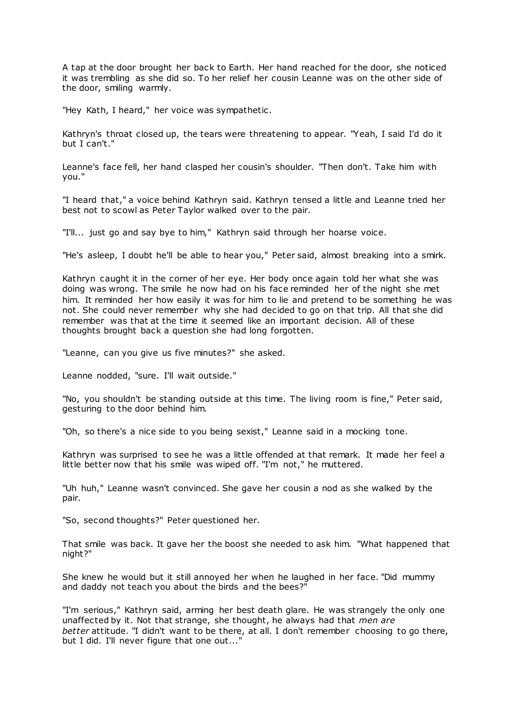A tap at the door brought her back to Earth. Her hand reached for the door, she noticed it was trembling as she did so. To her relief her cousin Leanne was on the other side of the door, smiling warmly.

"Hey Kath, I heard," her voice was sympathetic .

Kathryn's throat closed up, the tears were threatening to appear. "Yeah, I said I'd do it but I can't."

Leanne's face fell, her hand clasped her cousin's shoulder. "Then don't. Take him with you."

"I heard that," a voice behind Kathryn said. Kathryn tensed a little and Leanne tried her best not to scowl as Peter Taylor walked over to the pair.

"I'll... just go and say bye to him," Kathryn said through her hoarse voice.

"He's asleep, I doubt he'll be able to hear you," Peter said, almost breaking into a smirk.

Kathryn caught it in the corner of her eye. Her body once again told her what she was doing was wrong. The smile he now had on his face reminded her of the night she met him. It reminded her how easily it was for him to lie and pretend to be something he was not. She could never remember why she had decided to go on that trip. All that she did remember was that at the time it seemed like an important decision. All of these thoughts brought back a question she had long forgotten.

"Leanne, can you give us five minutes?" she asked.

Leanne nodded, "sure. I'll wait outside."

"No, you shouldn't be standing outside at this time. The living room is fine," Peter said, gesturing to the door behind him.

"Oh, so there's a nice side to you being sexist," Leanne said in a mocking tone.

Kathryn was surprised to see he was a little offended at that remark. It made her feel a little better now that his smile was wiped off. "I'm not," he muttered.

"Uh huh," Leanne wasn't convinced. She gave her cousin a nod as she walked by the pair.

"So, second thoughts?" Peter questioned her.

That smile was back. It gave her the boost she needed to ask him. "What happened that night?"

She knew he would but it still annoyed her when he laughed in her face. "Did mummy and daddy not teach you about the birds and the bees?"

"I'm serious," Kathryn said, arming her best death glare. He was strangely the only one unaffected by it. Not that strange, she thought, he always had that *men are better* attitude. "I didn't want to be there, at all. I don't remember choosing to go there, but I did. I'll never figure that one out..."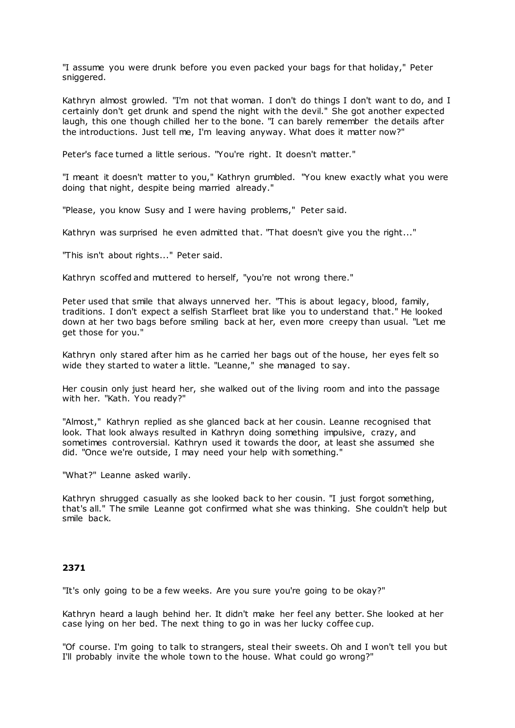"I assume you were drunk before you even packed your bags for that holiday," Peter sniggered.

Kathryn almost growled. "I'm not that woman. I don't do things I don't want to do, and I certainly don't get drunk and spend the night with the devil." She got another expected laugh, this one though chilled her to the bone. "I can barely remember the details after the introductions. Just tell me, I'm leaving anyway. What does it matter now?"

Peter's face turned a little serious. "You're right. It doesn't matter."

"I meant it doesn't matter to you," Kathryn grumbled. "You knew exactly what you were doing that night, despite being married already."

"Please, you know Susy and I were having problems," Peter said.

Kathryn was surprised he even admitted that. "That doesn't give you the right..."

"This isn't about rights..." Peter said.

Kathryn scoffed and muttered to herself, "you're not wrong there."

Peter used that smile that always unnerved her. "This is about legacy, blood, family, traditions. I don't expect a selfish Starfleet brat like you to understand that." He looked down at her two bags before smiling back at her, even more creepy than usual. "Let me get those for you."

Kathryn only stared after him as he carried her bags out of the house, her eyes felt so wide they started to water a little. "Leanne," she managed to say.

Her cousin only just heard her, she walked out of the living room and into the passage with her. "Kath. You ready?"

"Almost," Kathryn replied as she glanced back at her cousin. Leanne recognised that look. That look always resulted in Kathryn doing something impulsive, crazy, and sometimes controversial. Kathryn used it towards the door, at least she assumed she did. "Once we're outside, I may need your help with something."

"What?" Leanne asked warily.

Kathryn shrugged casually as she looked back to her cousin. "I just forgot something, that's all." The smile Leanne got confirmed what she was thinking. She couldn't help but smile back.

# **2371**

"It's only going to be a few weeks. Are you sure you're going to be okay?"

Kathryn heard a laugh behind her. It didn't make her feel any better. She looked at her case lying on her bed. The next thing to go in was her lucky coffee cup.

"Of course. I'm going to talk to strangers, steal their sweets. Oh and I won't tell you but I'll probably invite the whole town to the house. What could go wrong?"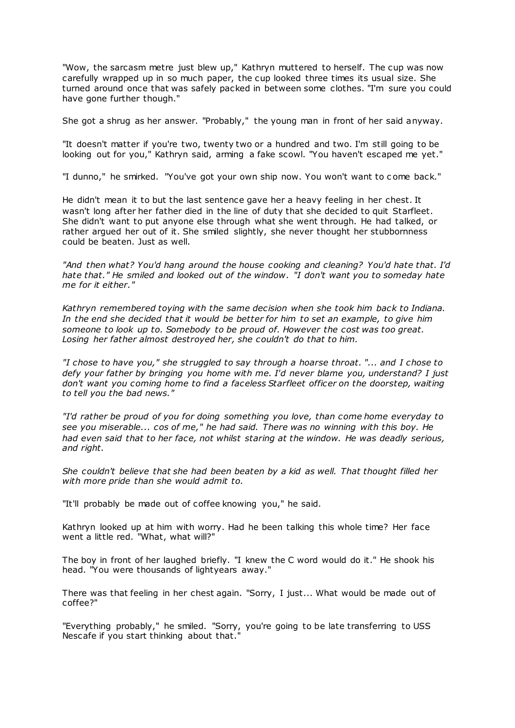"Wow, the sarcasm metre just blew up," Kathryn muttered to herself. The cup was now carefully wrapped up in so much paper, the cup looked three times its usual size. She turned around once that was safely packed in between some clothes. "I'm sure you could have gone further though."

She got a shrug as her answer. "Probably," the young man in front of her said anyway.

"It doesn't matter if you're two, twenty two or a hundred and two. I'm still going to be looking out for you," Kathryn said, arming a fake scowl. "You haven't escaped me yet."

"I dunno," he smirked. "You've got your own ship now. You won't want to c ome back."

He didn't mean it to but the last sentence gave her a heavy feeling in her chest. It wasn't long after her father died in the line of duty that she decided to quit Starfleet. She didn't want to put anyone else through what she went through. He had talked, or rather argued her out of it. She smiled slightly, she never thought her stubbornness could be beaten. Just as well.

*"And then what? You'd hang around the house cooking and cleaning? You'd hate that. I'd hate that." He smiled and looked out of the window. "I don't want you to someday hate me for it either."*

*Kathryn remembered toying with the same decision when she took him back to Indiana. In the end she decided that it would be better for him to set an example, to give him someone to look up to. Somebody to be proud of. However the cost was too great. Losing her father almost destroyed her, she couldn't do that to him.*

*"I chose to have you," she struggled to say through a hoarse throat. "... and I chose to defy your father by bringing you home with me. I'd never blame you, understand? I just don't want you coming home to find a faceless Starfleet officer on the doorstep, waiting to tell you the bad news."*

*"I'd rather be proud of you for doing something you love, than come home everyday to see you miserable... cos of me," he had said. There was no winning with this boy. He had even said that to her face, not whilst staring at the window. He was deadly serious, and right.*

*She couldn't believe that she had been beaten by a kid as well. That thought filled her with more pride than she would admit to.*

"It'll probably be made out of coffee knowing you," he said.

Kathryn looked up at him with worry. Had he been talking this whole time? Her face went a little red. "What, what will?"

The boy in front of her laughed briefly. "I knew the C word would do it." He shook his head. "You were thousands of lightyears away."

There was that feeling in her chest again. "Sorry, I just... What would be made out of coffee?"

"Everything probably," he smiled. "Sorry, you're going to be late transferring to USS Nescafe if you start thinking about that."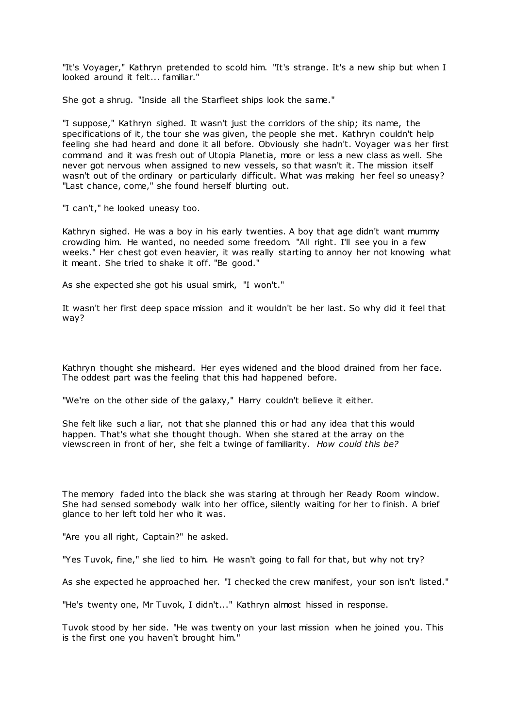"It's Voyager," Kathryn pretended to scold him. "It's strange. It's a new ship but when I looked around it felt... familiar."

She got a shrug. "Inside all the Starfleet ships look the same."

"I suppose," Kathryn sighed. It wasn't just the corridors of the ship; its name, the specifications of it, the tour she was given, the people she met. Kathryn couldn't help feeling she had heard and done it all before. Obviously she hadn't. Voyager was her first command and it was fresh out of Utopia Planetia, more or less a new class as well. She never got nervous when assigned to new vessels, so that wasn't it. The mission itself wasn't out of the ordinary or particularly difficult. What was making her feel so uneasy? "Last chance, come," she found herself blurting out.

"I can't," he looked uneasy too.

Kathryn sighed. He was a boy in his early twenties. A boy that age didn't want mummy crowding him. He wanted, no needed some freedom. "All right. I'll see you in a few weeks." Her chest got even heavier, it was really starting to annoy her not knowing what it meant. She tried to shake it off. "Be good."

As she expected she got his usual smirk, "I won't."

It wasn't her first deep space mission and it wouldn't be her last. So why did it feel that way?

Kathryn thought she misheard. Her eyes widened and the blood drained from her face. The oddest part was the feeling that this had happened before.

"We're on the other side of the galaxy," Harry couldn't believe it either.

She felt like such a liar, not that she planned this or had any idea that this would happen. That's what she thought though. When she stared at the array on the viewscreen in front of her, she felt a twinge of familiarity. *How could this be?*

The memory faded into the black she was staring at through her Ready Room window. She had sensed somebody walk into her office, silently waiting for her to finish. A brief glance to her left told her who it was.

"Are you all right, Captain?" he asked.

"Yes Tuvok, fine," she lied to him. He wasn't going to fall for that, but why not try?

As she expected he approached her. "I checked the crew manifest, your son isn't listed."

"He's twenty one, Mr Tuvok, I didn't..." Kathryn almost hissed in response.

Tuvok stood by her side. "He was twenty on your last mission when he joined you. This is the first one you haven't brought him."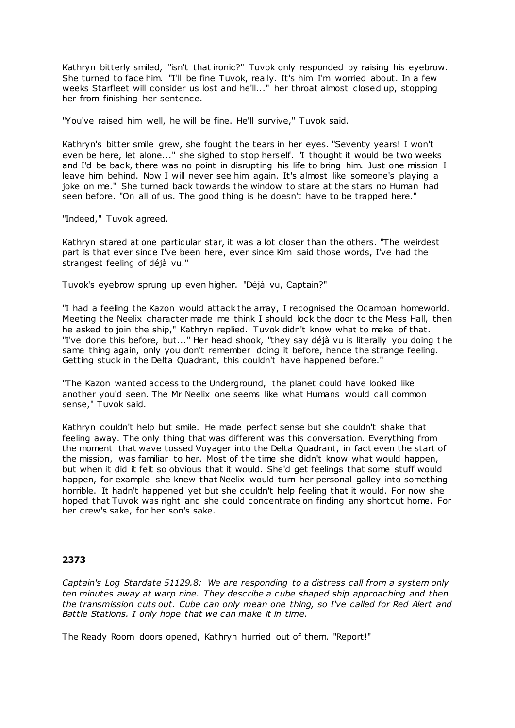Kathryn bitterly smiled, "isn't that ironic?" Tuvok only responded by raising his eyebrow. She turned to face him. "I'll be fine Tuvok, really. It's him I'm worried about. In a few weeks Starfleet will consider us lost and he'll..." her throat almost closed up, stopping her from finishing her sentence.

"You've raised him well, he will be fine. He'll survive," Tuvok said.

Kathryn's bitter smile grew, she fought the tears in her eyes. "Seventy years! I won't even be here, let alone..." she sighed to stop herself. "I thought it would be two weeks and I'd be back, there was no point in disrupting his life to bring him. Just one mission I leave him behind. Now I will never see him again. It's almost like someone's playing a joke on me." She turned back towards the window to stare at the stars no Human had seen before. "On all of us. The good thing is he doesn't have to be trapped here."

"Indeed," Tuvok agreed.

Kathryn stared at one particular star, it was a lot closer than the others. "The weirdest part is that ever since I've been here, ever since Kim said those words, I've had the strangest feeling of déjà vu."

Tuvok's eyebrow sprung up even higher. "Déjà vu, Captain?"

"I had a feeling the Kazon would attack the array, I recognised the Ocampan homeworld. Meeting the Neelix character made me think I should lock the door to the Mess Hall, then he asked to join the ship," Kathryn replied. Tuvok didn't know what to make of that. "I've done this before, but..." Her head shook, "they say déjà vu is literally you doing t he same thing again, only you don't remember doing it before, hence the strange feeling. Getting stuck in the Delta Quadrant, this couldn't have happened before."

"The Kazon wanted access to the Underground, the planet could have looked like another you'd seen. The Mr Neelix one seems like what Humans would call common sense," Tuvok said.

Kathryn couldn't help but smile. He made perfect sense but she couldn't shake that feeling away. The only thing that was different was this conversation. Everything from the moment that wave tossed Voyager into the Delta Quadrant, in fact even the start of the mission, was familiar to her. Most of the time she didn't know what would happen, but when it did it felt so obvious that it would. She'd get feelings that some stuff would happen, for example she knew that Neelix would turn her personal galley into something horrible. It hadn't happened yet but she couldn't help feeling that it would. For now she hoped that Tuvok was right and she could concentrate on finding any shortcut home. For her crew's sake, for her son's sake.

## **2373**

*Captain's Log Stardate 51129.8: We are responding to a distress call from a system only ten minutes away at warp nine. They describe a cube shaped ship approaching and then the transmission cuts out. Cube can only mean one thing, so I've called for Red Alert and Battle Stations. I only hope that we can make it in time.*

The Ready Room doors opened, Kathryn hurried out of them. "Report!"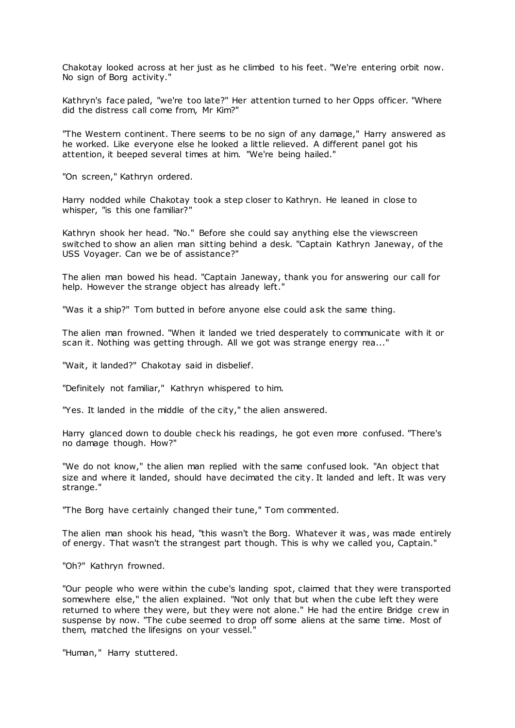Chakotay looked across at her just as he climbed to his feet. "We're entering orbit now. No sign of Borg activity."

Kathryn's face paled, "we're too late?" Her attention turned to her Opps officer. "Where did the distress call come from, Mr Kim?"

"The Western continent. There seems to be no sign of any damage," Harry answered as he worked. Like everyone else he looked a little relieved. A different panel got his attention, it beeped several times at him. "We're being hailed."

"On screen," Kathryn ordered.

Harry nodded while Chakotay took a step closer to Kathryn. He leaned in close to whisper, "is this one familiar?"

Kathryn shook her head. "No." Before she could say anything else the viewscreen switched to show an alien man sitting behind a desk. "Captain Kathryn Janeway, of the USS Voyager. Can we be of assistance?"

The alien man bowed his head. "Captain Janeway, thank you for answering our call for help. However the strange object has already left."

"Was it a ship?" Tom butted in before anyone else could ask the same thing.

The alien man frowned. "When it landed we tried desperately to communicate with it or scan it. Nothing was getting through. All we got was strange energy rea..."

"Wait, it landed?" Chakotay said in disbelief.

"Definitely not familiar," Kathryn whispered to him.

"Yes. It landed in the middle of the city," the alien answered.

Harry glanced down to double check his readings, he got even more confused. "There's no damage though. How?"

"We do not know," the alien man replied with the same confused look. "An object that size and where it landed, should have decimated the city. It landed and left. It was very strange."

"The Borg have certainly changed their tune," Tom commented.

The alien man shook his head, "this wasn't the Borg. Whatever it was, was made entirely of energy. That wasn't the strangest part though. This is why we called you, Captain."

"Oh?" Kathryn frowned.

"Our people who were within the cube's landing spot, claimed that they were transported somewhere else," the alien explained. "Not only that but when the cube left they were returned to where they were, but they were not alone." He had the entire Bridge crew in suspense by now. "The cube seemed to drop off some aliens at the same time. Most of them, matched the lifesigns on your vessel."

"Human," Harry stuttered.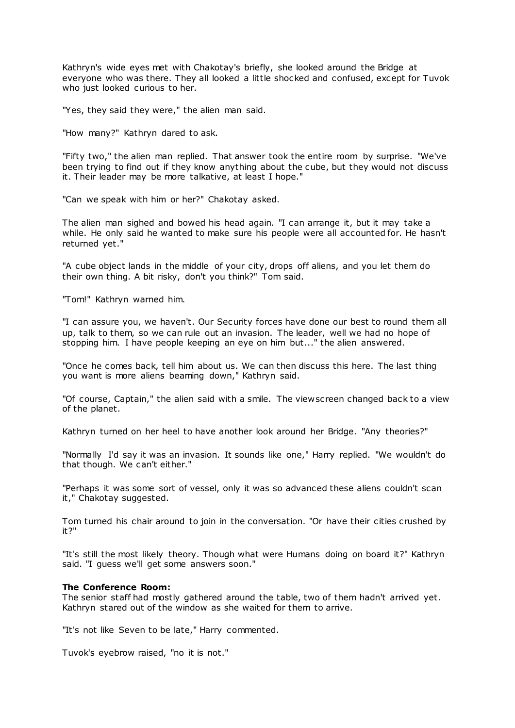Kathryn's wide eyes met with Chakotay's briefly, she looked around the Bridge at everyone who was there. They all looked a little shocked and confused, except for Tuvok who just looked curious to her.

"Yes, they said they were," the alien man said.

"How many?" Kathryn dared to ask.

"Fifty two," the alien man replied. That answer took the entire room by surprise. "We've been trying to find out if they know anything about the cube, but they would not discuss it. Their leader may be more talkative, at least I hope."

"Can we speak with him or her?" Chakotay asked.

The alien man sighed and bowed his head again. "I can arrange it, but it may take a while. He only said he wanted to make sure his people were all accounted for. He hasn't returned yet."

"A cube object lands in the middle of your city, drops off aliens, and you let them do their own thing. A bit risky, don't you think?" Tom said.

"Tom!" Kathryn warned him.

"I can assure you, we haven't. Our Security forces have done our best to round them all up, talk to them, so we can rule out an invasion. The leader, well we had no hope of stopping him. I have people keeping an eye on him but..." the alien answered.

"Once he comes back, tell him about us. We can then discuss this here. The last thing you want is more aliens beaming down," Kathryn said.

"Of course, Captain," the alien said with a smile. The viewscreen changed back to a view of the planet.

Kathryn turned on her heel to have another look around her Bridge. "Any theories?"

"Normally I'd say it was an invasion. It sounds like one," Harry replied. "We wouldn't do that though. We can't either."

"Perhaps it was some sort of vessel, only it was so advanced these aliens couldn't scan it," Chakotay suggested.

Tom turned his chair around to join in the conversation. "Or have their cities crushed by it?"

"It's still the most likely theory. Though what were Humans doing on board it?" Kathryn said. "I guess we'll get some answers soon."

### **The Conference Room:**

The senior staff had mostly gathered around the table, two of them hadn't arrived yet. Kathryn stared out of the window as she waited for them to arrive.

"It's not like Seven to be late," Harry commented.

Tuvok's eyebrow raised, "no it is not."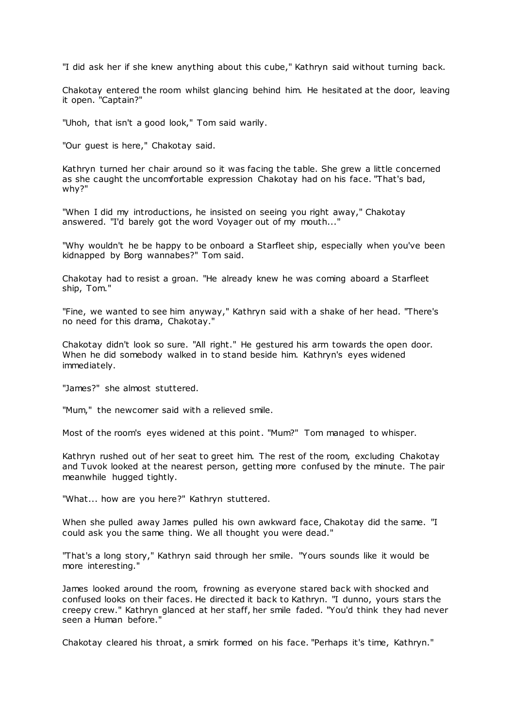"I did ask her if she knew anything about this cube," Kathryn said without turning back.

Chakotay entered the room whilst glancing behind him. He hesitated at the door, leaving it open. "Captain?"

"Uhoh, that isn't a good look," Tom said warily.

"Our guest is here," Chakotay said.

Kathryn turned her chair around so it was facing the table. She grew a little concerned as she caught the uncomfortable expression Chakotay had on his face. "That's bad, why?"

"When I did my introductions, he insisted on seeing you right away," Chakotay answered. "I'd barely got the word Voyager out of my mouth..."

"Why wouldn't he be happy to be onboard a Starfleet ship, especially when you've been kidnapped by Borg wannabes?" Tom said.

Chakotay had to resist a groan. "He already knew he was coming aboard a Starfleet ship, Tom."

"Fine, we wanted to see him anyway," Kathryn said with a shake of her head. "There's no need for this drama, Chakotay."

Chakotay didn't look so sure. "All right." He gestured his arm towards the open door. When he did somebody walked in to stand beside him. Kathryn's eyes widened immediately.

"James?" she almost stuttered.

"Mum," the newcomer said with a relieved smile.

Most of the room's eyes widened at this point. "Mum?" Tom managed to whisper.

Kathryn rushed out of her seat to greet him. The rest of the room, excluding Chakotay and Tuvok looked at the nearest person, getting more confused by the minute. The pair meanwhile hugged tightly.

"What... how are you here?" Kathryn stuttered.

When she pulled away James pulled his own awkward face, Chakotay did the same. "I could ask you the same thing. We all thought you were dead."

"That's a long story," Kathryn said through her smile. "Yours sounds like it would be more interesting."

James looked around the room, frowning as everyone stared back with shocked and confused looks on their faces. He directed it back to Kathryn. "I dunno, yours stars the creepy crew." Kathryn glanced at her staff, her smile faded. "You'd think they had never seen a Human before."

Chakotay cleared his throat, a smirk formed on his face. "Perhaps it's time, Kathryn."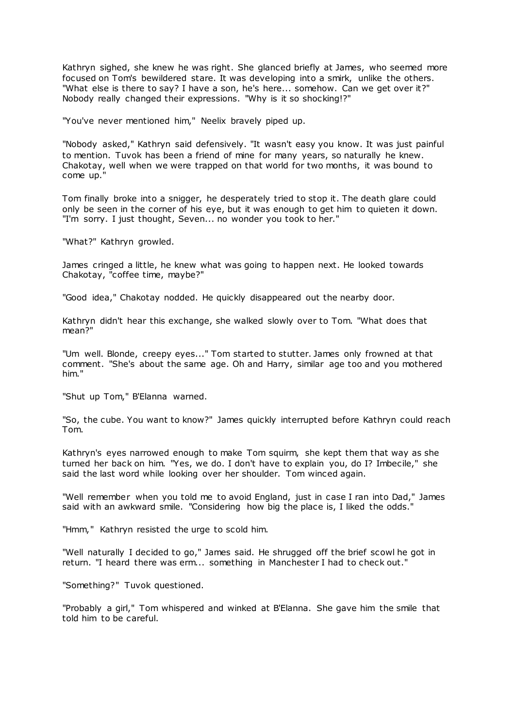Kathryn sighed, she knew he was right. She glanced briefly at James, who seemed more focused on Tom's bewildered stare. It was developing into a smirk, unlike the others. "What else is there to say? I have a son, he's here... somehow. Can we get over it?" Nobody really changed their expressions. "Why is it so shocking!?"

"You've never mentioned him," Neelix bravely piped up.

"Nobody asked," Kathryn said defensively. "It wasn't easy you know. It was just painful to mention. Tuvok has been a friend of mine for many years, so naturally he knew. Chakotay, well when we were trapped on that world for two months, it was bound to come up."

Tom finally broke into a snigger, he desperately tried to stop it. The death glare could only be seen in the corner of his eye, but it was enough to get him to quieten it down. "I'm sorry. I just thought, Seven... no wonder you took to her."

"What?" Kathryn growled.

James cringed a little, he knew what was going to happen next. He looked towards Chakotay, "coffee time, maybe?"

"Good idea," Chakotay nodded. He quickly disappeared out the nearby door.

Kathryn didn't hear this exchange, she walked slowly over to Tom. "What does that mean?"

"Um well. Blonde, creepy eyes..." Tom started to stutter. James only frowned at that comment. "She's about the same age. Oh and Harry, similar age too and you mothered him."

"Shut up Tom," B'Elanna warned.

"So, the cube. You want to know?" James quickly interrupted before Kathryn could reach Tom.

Kathryn's eyes narrowed enough to make Tom squirm, she kept them that way as she turned her back on him. "Yes, we do. I don't have to explain you, do I? Imbecile," she said the last word while looking over her shoulder. Tom winced again.

"Well remember when you told me to avoid England, just in case I ran into Dad," James said with an awkward smile. "Considering how big the place is, I liked the odds."

"Hmm," Kathryn resisted the urge to scold him.

"Well naturally I decided to go," James said. He shrugged off the brief scowl he got in return. "I heard there was erm... something in Manchester I had to check out."

"Something?" Tuvok questioned.

"Probably a girl," Tom whispered and winked at B'Elanna. She gave him the smile that told him to be careful.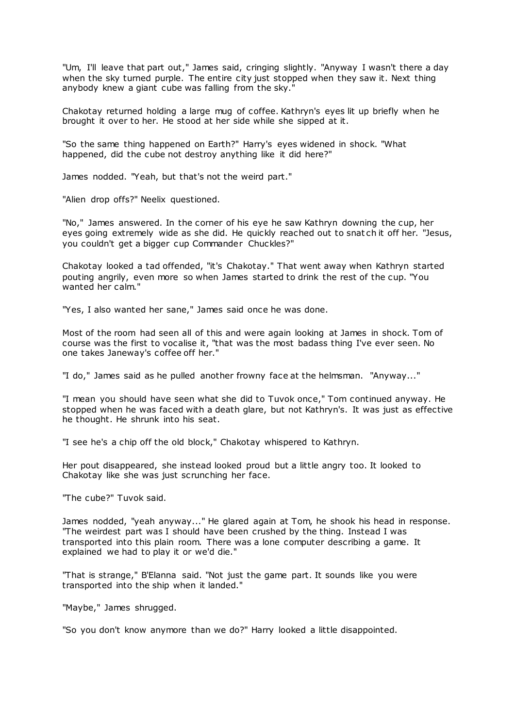"Um, I'll leave that part out," James said, cringing slightly. "Anyway I wasn't there a day when the sky turned purple. The entire city just stopped when they saw it. Next thing anybody knew a giant cube was falling from the sky."

Chakotay returned holding a large mug of coffee. Kathryn's eyes lit up briefly when he brought it over to her. He stood at her side while she sipped at it.

"So the same thing happened on Earth?" Harry's eyes widened in shock. "What happened, did the cube not destroy anything like it did here?"

James nodded. "Yeah, but that's not the weird part."

"Alien drop offs?" Neelix questioned.

"No," James answered. In the corner of his eye he saw Kathryn downing the cup, her eyes going extremely wide as she did. He quickly reached out to snat ch it off her. "Jesus, you couldn't get a bigger cup Commander Chuckles?"

Chakotay looked a tad offended, "it's Chakotay." That went away when Kathryn started pouting angrily, even more so when James started to drink the rest of the cup. "You wanted her calm."

"Yes, I also wanted her sane," James said once he was done.

Most of the room had seen all of this and were again looking at James in shock. Tom of course was the first to vocalise it, "that was the most badass thing I've ever seen. No one takes Janeway's coffee off her."

"I do," James said as he pulled another frowny face at the helmsman. "Anyway..."

"I mean you should have seen what she did to Tuvok once," Tom continued anyway. He stopped when he was faced with a death glare, but not Kathryn's. It was just as effective he thought. He shrunk into his seat.

"I see he's a chip off the old block," Chakotay whispered to Kathryn.

Her pout disappeared, she instead looked proud but a little angry too. It looked to Chakotay like she was just scrunching her face.

"The cube?" Tuvok said.

James nodded, "yeah anyway..." He glared again at Tom, he shook his head in response. "The weirdest part was I should have been crushed by the thing. Instead I was transported into this plain room. There was a lone computer describing a game. It explained we had to play it or we'd die."

"That is strange," B'Elanna said. "Not just the game part. It sounds like you were transported into the ship when it landed."

"Maybe," James shrugged.

"So you don't know anymore than we do?" Harry looked a little disappointed.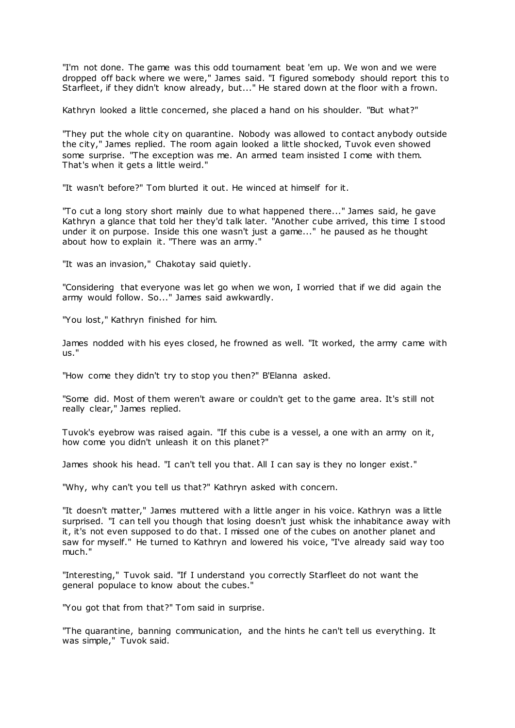"I'm not done. The game was this odd tournament beat 'em up. We won and we were dropped off back where we were," James said. "I figured somebody should report this to Starfleet, if they didn't know already, but..." He stared down at the floor with a frown.

Kathryn looked a little concerned, she placed a hand on his shoulder. "But what?"

"They put the whole city on quarantine. Nobody was allowed to contact anybody outside the city," James replied. The room again looked a little shocked, Tuvok even showed some surprise. "The exception was me. An armed team insisted I come with them. That's when it gets a little weird."

"It wasn't before?" Tom blurted it out. He winced at himself for it.

"To cut a long story short mainly due to what happened there..." James said, he gave Kathryn a glance that told her they'd talk later. "Another cube arrived, this time I stood under it on purpose. Inside this one wasn't just a game..." he paused as he thought about how to explain it. "There was an army."

"It was an invasion," Chakotay said quietly.

"Considering that everyone was let go when we won, I worried that if we did again the army would follow. So..." James said awkwardly.

"You lost," Kathryn finished for him.

James nodded with his eyes closed, he frowned as well. "It worked, the army came with us."

"How come they didn't try to stop you then?" B'Elanna asked.

"Some did. Most of them weren't aware or couldn't get to the game area. It's still not really clear," James replied.

Tuvok's eyebrow was raised again. "If this cube is a vessel, a one with an army on it, how come you didn't unleash it on this planet?"

James shook his head. "I can't tell you that. All I can say is they no longer exist."

"Why, why can't you tell us that?" Kathryn asked with concern.

"It doesn't matter," James muttered with a little anger in his voice. Kathryn was a little surprised. "I can tell you though that losing doesn't just whisk the inhabitance away with it, it's not even supposed to do that. I missed one of the cubes on another planet and saw for myself." He turned to Kathryn and lowered his voice, "I've already said way too much."

"Interesting," Tuvok said. "If I understand you correctly Starfleet do not want the general populace to know about the cubes."

"You got that from that?" Tom said in surprise.

"The quarantine, banning communication, and the hints he can't tell us everything. It was simple," Tuvok said.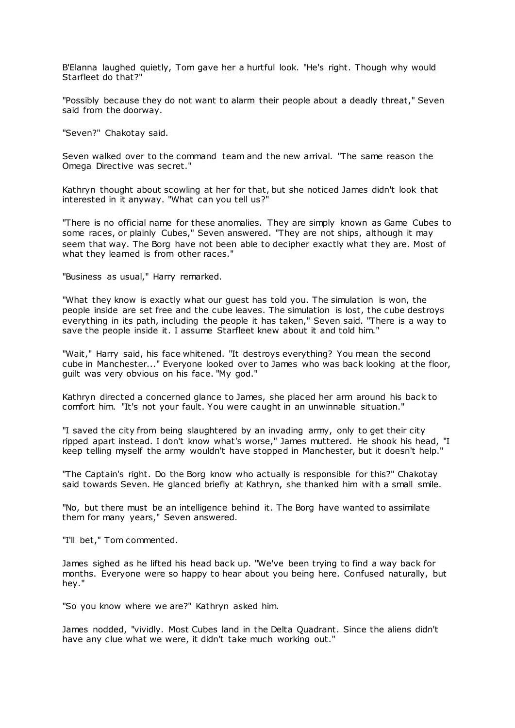B'Elanna laughed quietly, Tom gave her a hurtful look. "He's right. Though why would Starfleet do that?"

"Possibly because they do not want to alarm their people about a deadly threat," Seven said from the doorway.

"Seven?" Chakotay said.

Seven walked over to the command team and the new arrival. "The same reason the Omega Directive was secret."

Kathryn thought about scowling at her for that, but she noticed James didn't look that interested in it anyway. "What can you tell us?"

"There is no official name for these anomalies. They are simply known as Game Cubes to some races, or plainly Cubes," Seven answered. "They are not ships, although it may seem that way. The Borg have not been able to decipher exactly what they are. Most of what they learned is from other races."

"Business as usual," Harry remarked.

"What they know is exactly what our guest has told you. The simulation is won, the people inside are set free and the cube leaves. The simulation is lost, the cube destroys everything in its path, including the people it has taken," Seven said. "There is a way to save the people inside it. I assume Starfleet knew about it and told him."

"Wait," Harry said, his face whitened. "It destroys everything? You mean the second cube in Manchester..." Everyone looked over to James who was back looking at the floor, guilt was very obvious on his face. "My god."

Kathryn directed a concerned glance to James, she placed her arm around his back to comfort him. "It's not your fault. You were caught in an unwinnable situation."

"I saved the city from being slaughtered by an invading army, only to get their city ripped apart instead. I don't know what's worse," James muttered. He shook his head, "I keep telling myself the army wouldn't have stopped in Manchester, but it doesn't help."

"The Captain's right. Do the Borg know who actually is responsible for this?" Chakotay said towards Seven. He glanced briefly at Kathryn, she thanked him with a small smile.

"No, but there must be an intelligence behind it. The Borg have wanted to assimilate them for many years," Seven answered.

"I'll bet," Tom commented.

James sighed as he lifted his head back up. "We've been trying to find a way back for months. Everyone were so happy to hear about you being here. Confused naturally, but hey."

"So you know where we are?" Kathryn asked him.

James nodded, "vividly. Most Cubes land in the Delta Quadrant. Since the aliens didn't have any clue what we were, it didn't take much working out."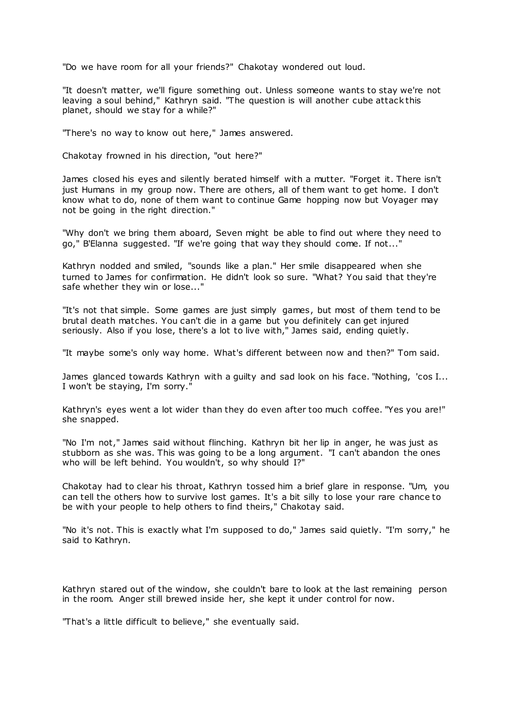"Do we have room for all your friends?" Chakotay wondered out loud.

"It doesn't matter, we'll figure something out. Unless someone wants to stay we're not leaving a soul behind," Kathryn said. "The question is will another cube attack this planet, should we stay for a while?"

"There's no way to know out here," James answered.

Chakotay frowned in his direction, "out here?"

James closed his eyes and silently berated himself with a mutter. "Forget it. There isn't just Humans in my group now. There are others, all of them want to get home. I don't know what to do, none of them want to continue Game hopping now but Voyager may not be going in the right direction."

"Why don't we bring them aboard, Seven might be able to find out where they need to go," B'Elanna suggested. "If we're going that way they should come. If not..."

Kathryn nodded and smiled, "sounds like a plan." Her smile disappeared when she turned to James for confirmation. He didn't look so sure. "What? You said that they're safe whether they win or lose..."

"It's not that simple. Some games are just simply games, but most of them tend to be brutal death matches. You can't die in a game but you definitely can get injured seriously. Also if you lose, there's a lot to live with," James said, ending quietly.

"It maybe some's only way home. What's different between now and then?" Tom said.

James glanced towards Kathryn with a guilty and sad look on his face. "Nothing, 'cos I... I won't be staying, I'm sorry."

Kathryn's eyes went a lot wider than they do even after too much coffee. "Yes you are!" she snapped.

"No I'm not," James said without flinching. Kathryn bit her lip in anger, he was just as stubborn as she was. This was going to be a long argument. "I can't abandon the ones who will be left behind. You wouldn't, so why should I?"

Chakotay had to clear his throat, Kathryn tossed him a brief glare in response. "Um, you can tell the others how to survive lost games. It's a bit silly to lose your rare chance to be with your people to help others to find theirs," Chakotay said.

"No it's not. This is exactly what I'm supposed to do," James said quietly. "I'm sorry," he said to Kathryn.

Kathryn stared out of the window, she couldn't bare to look at the last remaining person in the room. Anger still brewed inside her, she kept it under control for now.

"That's a little difficult to believe," she eventually said.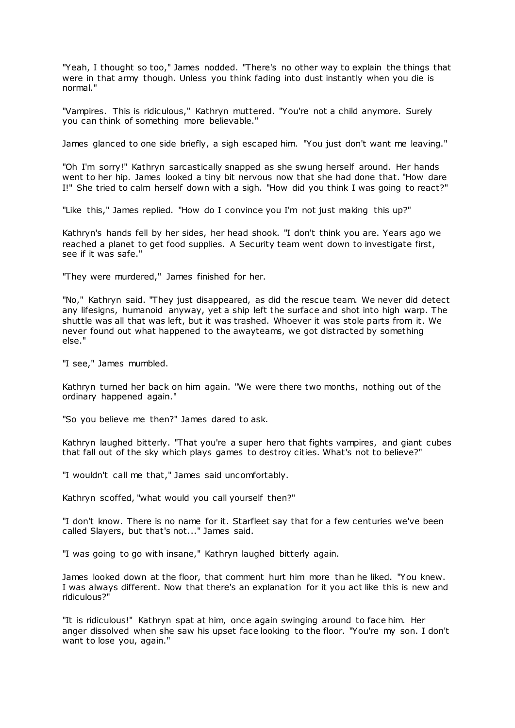"Yeah, I thought so too," James nodded. "There's no other way to explain the things that were in that army though. Unless you think fading into dust instantly when you die is normal."

"Vampires. This is ridiculous," Kathryn muttered. "You're not a child anymore. Surely you can think of something more believable."

James glanced to one side briefly, a sigh escaped him. "You just don't want me leaving."

"Oh I'm sorry!" Kathryn sarcastically snapped as she swung herself around. Her hands went to her hip. James looked a tiny bit nervous now that she had done that. "How dare I!" She tried to calm herself down with a sigh. "How did you think I was going to react?"

"Like this," James replied. "How do I convince you I'm not just making this up?"

Kathryn's hands fell by her sides, her head shook. "I don't think you are. Years ago we reached a planet to get food supplies. A Security team went down to investigate first, see if it was safe."

"They were murdered," James finished for her.

"No," Kathryn said. "They just disappeared, as did the rescue team. We never did detect any lifesigns, humanoid anyway, yet a ship left the surface and shot into high warp. The shuttle was all that was left, but it was trashed. Whoever it was stole parts from it. We never found out what happened to the awayteams, we got distracted by something else."

"I see," James mumbled.

Kathryn turned her back on him again. "We were there two months, nothing out of the ordinary happened again."

"So you believe me then?" James dared to ask.

Kathryn laughed bitterly. "That you're a super hero that fights vampires, and giant cubes that fall out of the sky which plays games to destroy cities. What's not to believe?"

"I wouldn't call me that," James said uncomfortably.

Kathryn scoffed, "what would you call yourself then?"

"I don't know. There is no name for it. Starfleet say that for a few centuries we've been called Slayers, but that's not..." James said.

"I was going to go with insane," Kathryn laughed bitterly again.

James looked down at the floor, that comment hurt him more than he liked. "You knew. I was always different. Now that there's an explanation for it you act like this is new and ridiculous?"

"It is ridiculous!" Kathryn spat at him, once again swinging around to face him. Her anger dissolved when she saw his upset face looking to the floor. "You're my son. I don't want to lose you, again."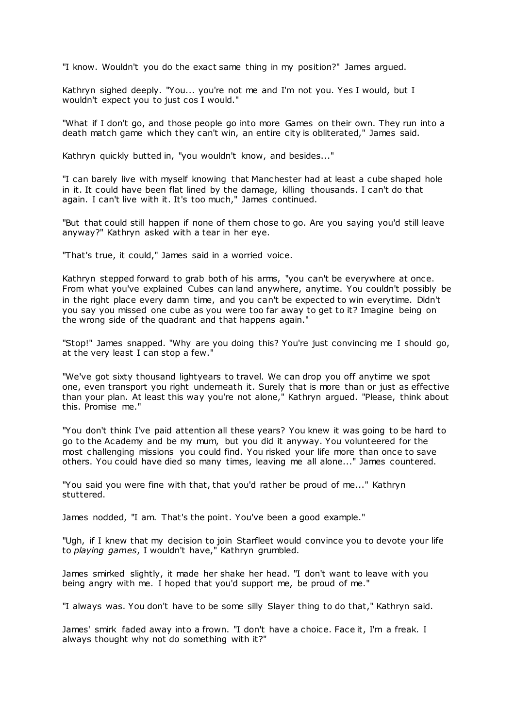"I know. Wouldn't you do the exact same thing in my position?" James argued.

Kathryn sighed deeply. "You... you're not me and I'm not you. Yes I would, but I wouldn't expect you to just cos I would."

"What if I don't go, and those people go into more Games on their own. They run into a death match game which they can't win, an entire city is obliterated," James said.

Kathryn quickly butted in, "you wouldn't know, and besides..."

"I can barely live with myself knowing that Manchester had at least a cube shaped hole in it. It could have been flat lined by the damage, killing thousands. I can't do that again. I can't live with it. It's too much," James continued.

"But that could still happen if none of them chose to go. Are you saying you'd still leave anyway?" Kathryn asked with a tear in her eye.

"That's true, it could," James said in a worried voice.

Kathryn stepped forward to grab both of his arms, "you can't be everywhere at once. From what you've explained Cubes can land anywhere, anytime. You couldn't possibly be in the right place every damn time, and you can't be expected to win everytime. Didn't you say you missed one cube as you were too far away to get to it? Imagine being on the wrong side of the quadrant and that happens again."

"Stop!" James snapped. "Why are you doing this? You're just convincing me I should go, at the very least I can stop a few."

"We've got sixty thousand lightyears to travel. We can drop you off anytime we spot one, even transport you right underneath it. Surely that is more than or just as effective than your plan. At least this way you're not alone," Kathryn argued. "Please, think about this. Promise me."

"You don't think I've paid attention all these years? You knew it was going to be hard to go to the Academy and be my mum, but you did it anyway. You volunteered for the most challenging missions you could find. You risked your life more than once to save others. You could have died so many times, leaving me all alone..." James countered.

"You said you were fine with that, that you'd rather be proud of me..." Kathryn stuttered.

James nodded, "I am. That's the point. You've been a good example."

"Ugh, if I knew that my decision to join Starfleet would convince you to devote your life to *playing games*, I wouldn't have," Kathryn grumbled.

James smirked slightly, it made her shake her head. "I don't want to leave with you being angry with me. I hoped that you'd support me, be proud of me."

"I always was. You don't have to be some silly Slayer thing to do that," Kathryn said.

James' smirk faded away into a frown. "I don't have a choice. Face it, I'm a freak. I always thought why not do something with it?"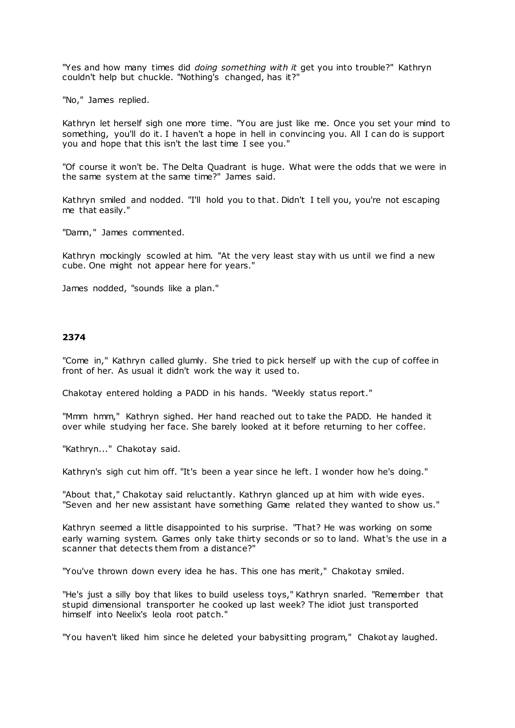"Yes and how many times did *doing something with it* get you into trouble?" Kathryn couldn't help but chuckle. "Nothing's changed, has it?"

"No," James replied.

Kathryn let herself sigh one more time. "You are just like me. Once you set your mind to something, you'll do it. I haven't a hope in hell in convincing you. All I can do is support you and hope that this isn't the last time I see you."

"Of course it won't be. The Delta Quadrant is huge. What were the odds that we were in the same system at the same time?" James said.

Kathryn smiled and nodded. "I'll hold you to that. Didn't I tell you, you're not escaping me that easily."

"Damn," James commented.

Kathryn mockingly scowled at him. "At the very least stay with us until we find a new cube. One might not appear here for years."

James nodded, "sounds like a plan."

# **2374**

"Come in," Kathryn called glumly. She tried to pick herself up with the cup of coffee in front of her. As usual it didn't work the way it used to.

Chakotay entered holding a PADD in his hands. "Weekly status report."

"Mmm hmm," Kathryn sighed. Her hand reached out to take the PADD. He handed it over while studying her face. She barely looked at it before returning to her coffee.

"Kathryn..." Chakotay said.

Kathryn's sigh cut him off. "It's been a year since he left. I wonder how he's doing."

"About that," Chakotay said reluctantly. Kathryn glanced up at him with wide eyes. "Seven and her new assistant have something Game related they wanted to show us."

Kathryn seemed a little disappointed to his surprise. "That? He was working on some early warning system. Games only take thirty seconds or so to land. What's the use in a scanner that detects them from a distance?"

"You've thrown down every idea he has. This one has merit," Chakotay smiled.

"He's just a silly boy that likes to build useless toys," Kathryn snarled. "Remember that stupid dimensional transporter he cooked up last week? The idiot just transported himself into Neelix's leola root patch."

"You haven't liked him since he deleted your babysitting program," Chakot ay laughed.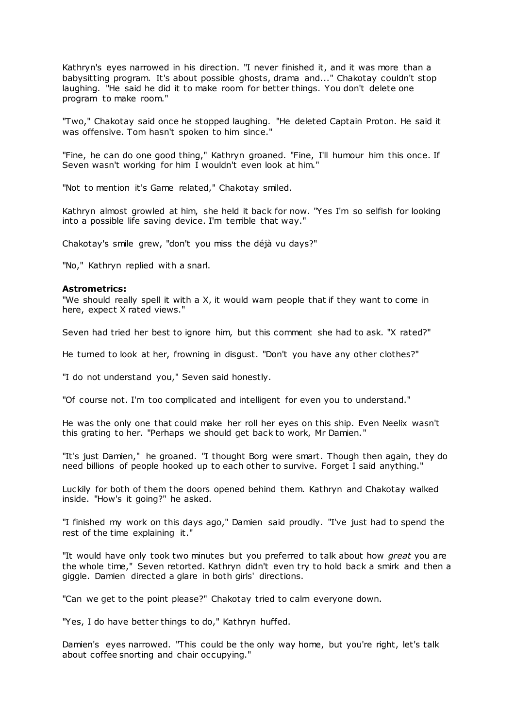Kathryn's eyes narrowed in his direction. "I never finished it, and it was more than a babysitting program. It's about possible ghosts, drama and..." Chakotay couldn't stop laughing. "He said he did it to make room for better things. You don't delete one program to make room."

"Two," Chakotay said once he stopped laughing. "He deleted Captain Proton. He said it was offensive. Tom hasn't spoken to him since."

"Fine, he can do one good thing," Kathryn groaned. "Fine, I'll humour him this once. If Seven wasn't working for him I wouldn't even look at him."

"Not to mention it's Game related," Chakotay smiled.

Kathryn almost growled at him, she held it back for now. "Yes I'm so selfish for looking into a possible life saving device. I'm terrible that way."

Chakotay's smile grew, "don't you miss the déjà vu days?"

"No," Kathryn replied with a snarl.

#### **Astrometrics:**

"We should really spell it with a X, it would warn people that if they want to come in here, expect X rated views."

Seven had tried her best to ignore him, but this comment she had to ask. "X rated?"

He turned to look at her, frowning in disgust. "Don't you have any other clothes?"

"I do not understand you," Seven said honestly.

"Of course not. I'm too complicated and intelligent for even you to understand."

He was the only one that could make her roll her eyes on this ship. Even Neelix wasn't this grating to her. "Perhaps we should get back to work, Mr Damien."

"It's just Damien," he groaned. "I thought Borg were smart. Though then again, they do need billions of people hooked up to each other to survive. Forget I said anything."

Luckily for both of them the doors opened behind them. Kathryn and Chakotay walked inside. "How's it going?" he asked.

"I finished my work on this days ago," Damien said proudly. "I've just had to spend the rest of the time explaining it."

"It would have only took two minutes but you preferred to talk about how *great* you are the whole time," Seven retorted. Kathryn didn't even try to hold back a smirk and then a giggle. Damien directed a glare in both girls' directions.

"Can we get to the point please?" Chakotay tried to calm everyone down.

"Yes, I do have better things to do," Kathryn huffed.

Damien's eyes narrowed. "This could be the only way home, but you're right, let's talk about coffee snorting and chair occupying."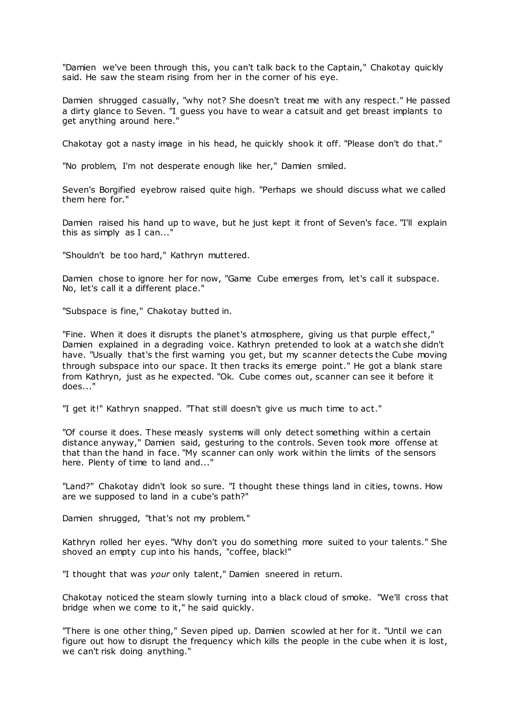"Damien we've been through this, you can't talk back to the Captain," Chakotay quickly said. He saw the steam rising from her in the corner of his eye.

Damien shrugged casually, "why not? She doesn't treat me with any respect." He passed a dirty glance to Seven. "I guess you have to wear a catsuit and get breast implants to get anything around here."

Chakotay got a nasty image in his head, he quickly shook it off. "Please don't do that."

"No problem, I'm not desperate enough like her," Damien smiled.

Seven's Borgified eyebrow raised quite high. "Perhaps we should discuss what we called them here for."

Damien raised his hand up to wave, but he just kept it front of Seven's face. "I'll explain this as simply as I can...'

"Shouldn't be too hard," Kathryn muttered.

Damien chose to ignore her for now, "Game Cube emerges from, let's call it subspace. No, let's call it a different place."

"Subspace is fine," Chakotay butted in.

"Fine. When it does it disrupts the planet's atmosphere, giving us that purple effect," Damien explained in a degrading voice. Kathryn pretended to look at a watch she didn't have. "Usually that's the first warning you get, but my scanner detects the Cube moving through subspace into our space. It then tracks its emerge point." He got a blank stare from Kathryn, just as he expected. "Ok. Cube comes out, scanner can see it before it does..."

"I get it!" Kathryn snapped. "That still doesn't give us much time to act."

"Of course it does. These measly systems will only detect something within a certain distance anyway," Damien said, gesturing to the controls. Seven took more offense at that than the hand in face. "My scanner can only work within the limits of the sensors here. Plenty of time to land and..."

"Land?" Chakotay didn't look so sure. "I thought these things land in cities, towns. How are we supposed to land in a cube's path?"

Damien shrugged, "that's not my problem."

Kathryn rolled her eyes. "Why don't you do something more suited to your talents." She shoved an empty cup into his hands, "coffee, black!"

"I thought that was *your* only talent," Damien sneered in return.

Chakotay noticed the steam slowly turning into a black cloud of smoke. "We'll cross that bridge when we come to it," he said quickly.

"There is one other thing," Seven piped up. Damien scowled at her for it. "Until we can figure out how to disrupt the frequency which kills the people in the cube when it is lost, we can't risk doing anything."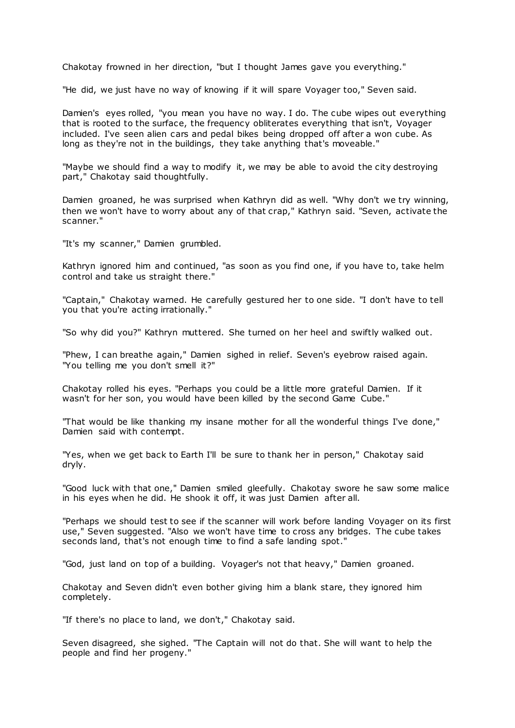Chakotay frowned in her direction, "but I thought James gave you everything."

"He did, we just have no way of knowing if it will spare Voyager too," Seven said.

Damien's eyes rolled, "you mean you have no way. I do. The cube wipes out everything that is rooted to the surface, the frequency obliterates everything that isn't, Voyager included. I've seen alien cars and pedal bikes being dropped off after a won cube. As long as they're not in the buildings, they take anything that's moveable."

"Maybe we should find a way to modify it, we may be able to avoid the city destroying part," Chakotay said thoughtfully.

Damien groaned, he was surprised when Kathryn did as well. "Why don't we try winning, then we won't have to worry about any of that crap," Kathryn said. "Seven, activate the scanner."

"It's my scanner," Damien grumbled.

Kathryn ignored him and continued, "as soon as you find one, if you have to, take helm control and take us straight there."

"Captain," Chakotay warned. He carefully gestured her to one side. "I don't have to tell you that you're acting irrationally."

"So why did you?" Kathryn muttered. She turned on her heel and swiftly walked out.

"Phew, I can breathe again," Damien sighed in relief. Seven's eyebrow raised again. "You telling me you don't smell it?"

Chakotay rolled his eyes. "Perhaps you could be a little more grateful Damien. If it wasn't for her son, you would have been killed by the second Game Cube."

"That would be like thanking my insane mother for all the wonderful things I've done," Damien said with contempt.

"Yes, when we get back to Earth I'll be sure to thank her in person," Chakotay said dryly.

"Good luck with that one," Damien smiled gleefully. Chakotay swore he saw some malice in his eyes when he did. He shook it off, it was just Damien after all.

"Perhaps we should test to see if the scanner will work before landing Voyager on its first use," Seven suggested. "Also we won't have time to cross any bridges. The cube takes seconds land, that's not enough time to find a safe landing spot."

"God, just land on top of a building. Voyager's not that heavy," Damien groaned.

Chakotay and Seven didn't even bother giving him a blank stare, they ignored him completely.

"If there's no place to land, we don't," Chakotay said.

Seven disagreed, she sighed. "The Captain will not do that. She will want to help the people and find her progeny."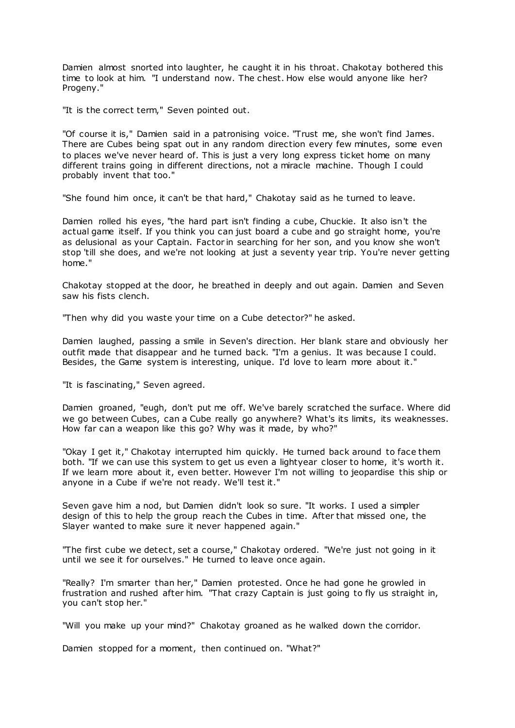Damien almost snorted into laughter, he caught it in his throat. Chakotay bothered this time to look at him. "I understand now. The chest. How else would anyone like her? Progeny."

"It is the correct term," Seven pointed out.

"Of course it is," Damien said in a patronising voice. "Trust me, she won't find James. There are Cubes being spat out in any random direction every few minutes, some even to places we've never heard of. This is just a very long express ticket home on many different trains going in different directions, not a miracle machine. Though I could probably invent that too."

"She found him once, it can't be that hard," Chakotay said as he turned to leave.

Damien rolled his eyes, "the hard part isn't finding a cube, Chuckie. It also isn't the actual game itself. If you think you can just board a cube and go straight home, you're as delusional as your Captain. Factor in searching for her son, and you know she won't stop 'till she does, and we're not looking at just a seventy year trip. You're never getting home."

Chakotay stopped at the door, he breathed in deeply and out again. Damien and Seven saw his fists clench.

"Then why did you waste your time on a Cube detector?" he asked.

Damien laughed, passing a smile in Seven's direction. Her blank stare and obviously her outfit made that disappear and he turned back. "I'm a genius. It was because I could. Besides, the Game system is interesting, unique. I'd love to learn more about it."

"It is fascinating," Seven agreed.

Damien groaned, "eugh, don't put me off. We've barely scratched the surface. Where did we go between Cubes, can a Cube really go anywhere? What's its limits, its weaknesses. How far can a weapon like this go? Why was it made, by who?"

"Okay I get it," Chakotay interrupted him quickly. He turned back around to face them both. "If we can use this system to get us even a lightyear closer to home, it's worth it. If we learn more about it, even better. However I'm not willing to jeopardise this ship or anyone in a Cube if we're not ready. We'll test it."

Seven gave him a nod, but Damien didn't look so sure. "It works. I used a simpler design of this to help the group reach the Cubes in time. After that missed one, the Slayer wanted to make sure it never happened again."

"The first cube we detect, set a course," Chakotay ordered. "We're just not going in it until we see it for ourselves." He turned to leave once again.

"Really? I'm smarter than her," Damien protested. Once he had gone he growled in frustration and rushed after him. "That crazy Captain is just going to fly us straight in, you can't stop her."

"Will you make up your mind?" Chakotay groaned as he walked down the corridor.

Damien stopped for a moment, then continued on. "What?"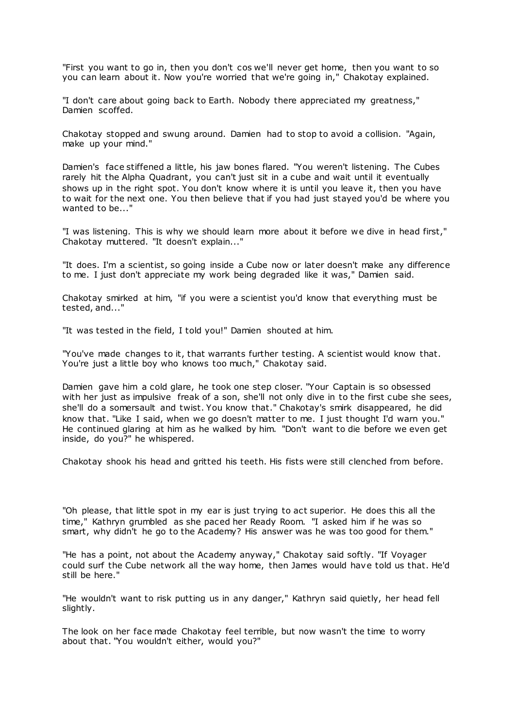"First you want to go in, then you don't cos we'll never get home, then you want to so you can learn about it. Now you're worried that we're going in," Chakotay explained.

"I don't care about going back to Earth. Nobody there appreciated my greatness," Damien scoffed.

Chakotay stopped and swung around. Damien had to stop to avoid a collision. "Again, make up your mind."

Damien's face stiffened a little, his jaw bones flared. "You weren't listening. The Cubes rarely hit the Alpha Quadrant, you can't just sit in a cube and wait until it eventually shows up in the right spot. You don't know where it is until you leave it, then you have to wait for the next one. You then believe that if you had just stayed you'd be where you wanted to be..."

"I was listening. This is why we should learn more about it before we dive in head first," Chakotay muttered. "It doesn't explain..."

"It does. I'm a scientist, so going inside a Cube now or later doesn't make any difference to me. I just don't appreciate my work being degraded like it was," Damien said.

Chakotay smirked at him, "if you were a scientist you'd know that everything must be tested, and..."

"It was tested in the field, I told you!" Damien shouted at him.

"You've made changes to it, that warrants further testing. A scientist would know that. You're just a little boy who knows too much," Chakotay said.

Damien gave him a cold glare, he took one step closer. "Your Captain is so obsessed with her just as impulsive freak of a son, she'll not only dive in to the first cube she sees, she'll do a somersault and twist. You know that." Chakotay's smirk disappeared, he did know that. "Like I said, when we go doesn't matter to me. I just thought I'd warn you." He continued glaring at him as he walked by him. "Don't want to die before we even get inside, do you?" he whispered.

Chakotay shook his head and gritted his teeth. His fists were still clenched from before.

"Oh please, that little spot in my ear is just trying to act superior. He does this all the time," Kathryn grumbled as she paced her Ready Room. "I asked him if he was so smart, why didn't he go to the Academy? His answer was he was too good for them."

"He has a point, not about the Academy anyway," Chakotay said softly. "If Voyager could surf the Cube network all the way home, then James would have told us that. He'd still be here."

"He wouldn't want to risk putting us in any danger," Kathryn said quietly, her head fell slightly.

The look on her face made Chakotay feel terrible, but now wasn't the time to worry about that. "You wouldn't either, would you?"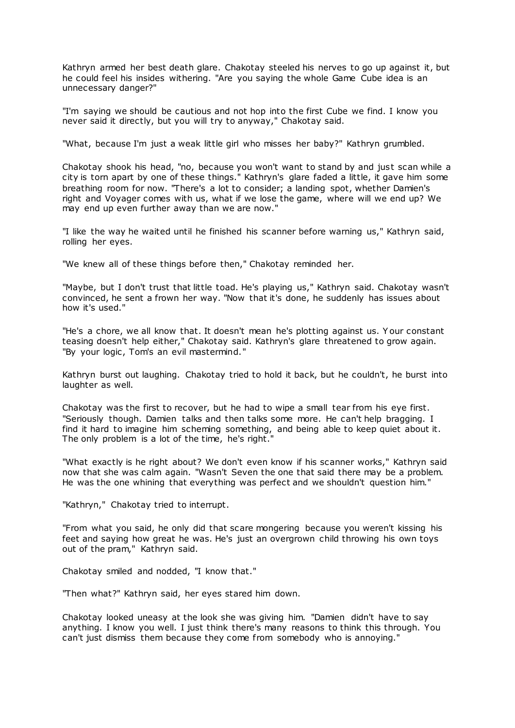Kathryn armed her best death glare. Chakotay steeled his nerves to go up against it, but he could feel his insides withering. "Are you saying the whole Game Cube idea is an unnecessary danger?"

"I'm saying we should be cautious and not hop into the first Cube we find. I know you never said it directly, but you will try to anyway," Chakotay said.

"What, because I'm just a weak little girl who misses her baby?" Kathryn grumbled.

Chakotay shook his head, "no, because you won't want to stand by and just scan while a city is torn apart by one of these things." Kathryn's glare faded a little, it gave him some breathing room for now. "There's a lot to consider; a landing spot, whether Damien's right and Voyager comes with us, what if we lose the game, where will we end up? We may end up even further away than we are now."

"I like the way he waited until he finished his scanner before warning us," Kathryn said, rolling her eyes.

"We knew all of these things before then," Chakotay reminded her.

"Maybe, but I don't trust that little toad. He's playing us," Kathryn said. Chakotay wasn't convinced, he sent a frown her way. "Now that it's done, he suddenly has issues about how it's used."

"He's a chore, we all know that. It doesn't mean he's plotting against us. Y our constant teasing doesn't help either," Chakotay said. Kathryn's glare threatened to grow again. "By your logic, Tom's an evil mastermind."

Kathryn burst out laughing. Chakotay tried to hold it back, but he couldn't, he burst into laughter as well.

Chakotay was the first to recover, but he had to wipe a small tear from his eye first. "Seriously though. Damien talks and then talks some more. He can't help bragging. I find it hard to imagine him scheming something, and being able to keep quiet about it. The only problem is a lot of the time, he's right."

"What exactly is he right about? We don't even know if his scanner works," Kathryn said now that she was calm again. "Wasn't Seven the one that said there may be a problem. He was the one whining that everything was perfect and we shouldn't question him."

"Kathryn," Chakotay tried to interrupt.

"From what you said, he only did that scare mongering because you weren't kissing his feet and saying how great he was. He's just an overgrown child throwing his own toys out of the pram," Kathryn said.

Chakotay smiled and nodded, "I know that."

"Then what?" Kathryn said, her eyes stared him down.

Chakotay looked uneasy at the look she was giving him. "Damien didn't have to say anything. I know you well. I just think there's many reasons to think this through. You can't just dismiss them because they come from somebody who is annoying."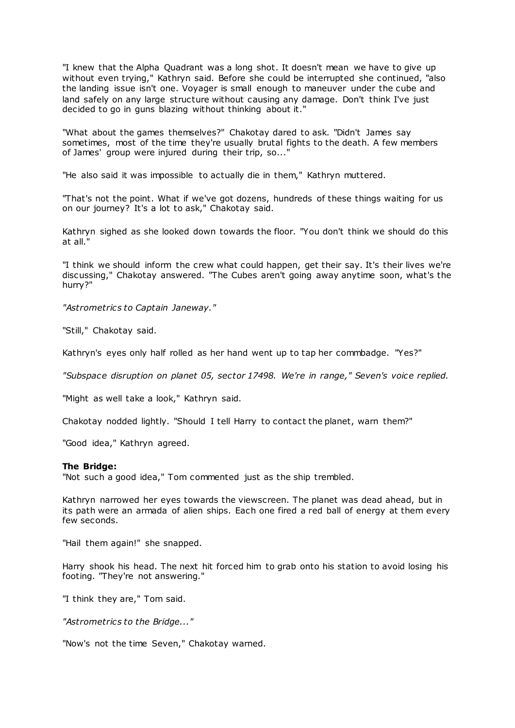"I knew that the Alpha Quadrant was a long shot. It doesn't mean we have to give up without even trying," Kathryn said. Before she could be interrupted she continued, "also the landing issue isn't one. Voyager is small enough to maneuver under the cube and land safely on any large structure without causing any damage. Don't think I've just decided to go in guns blazing without thinking about it."

"What about the games themselves?" Chakotay dared to ask. "Didn't James say sometimes, most of the time they're usually brutal fights to the death. A few members of James' group were injured during their trip, so..."

"He also said it was impossible to actually die in them," Kathryn muttered.

"That's not the point. What if we've got dozens, hundreds of these things waiting for us on our journey? It's a lot to ask," Chakotay said.

Kathryn sighed as she looked down towards the floor. "You don't think we should do this at all."

"I think we should inform the crew what could happen, get their say. It's their lives we're discussing," Chakotay answered. "The Cubes aren't going away anytime soon, what's the hurry?"

*"Astrometrics to Captain Janeway."*

"Still," Chakotay said.

Kathryn's eyes only half rolled as her hand went up to tap her commbadge. "Yes?"

*"Subspace disruption on planet 05, sector 17498. We're in range," Seven's voice replied.*

"Might as well take a look," Kathryn said.

Chakotay nodded lightly. "Should I tell Harry to contact the planet, warn them?"

"Good idea," Kathryn agreed.

#### **The Bridge:**

"Not such a good idea," Tom commented just as the ship trembled.

Kathryn narrowed her eyes towards the viewscreen. The planet was dead ahead, but in its path were an armada of alien ships. Each one fired a red ball of energy at them every few seconds.

"Hail them again!" she snapped.

Harry shook his head. The next hit forced him to grab onto his station to avoid losing his footing. "They're not answering."

"I think they are," Tom said.

*"Astrometrics to the Bridge..."*

"Now's not the time Seven," Chakotay warned.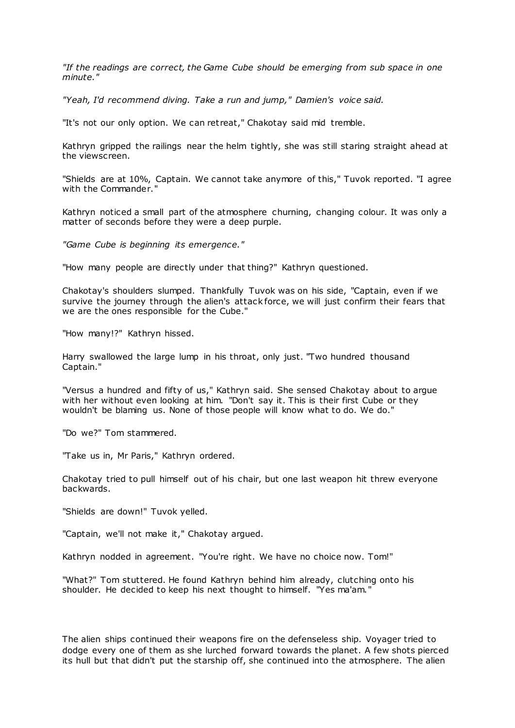*"If the readings are correct, the Game Cube should be emerging from sub space in one minute."*

*"Yeah, I'd recommend diving. Take a run and jump," Damien's voice said.*

"It's not our only option. We can ret reat," Chakotay said mid tremble.

Kathryn gripped the railings near the helm tightly, she was still staring straight ahead at the viewscreen.

"Shields are at 10%, Captain. We cannot take anymore of this," Tuvok reported. "I agree with the Commander.

Kathryn noticed a small part of the atmosphere churning, changing colour. It was only a matter of seconds before they were a deep purple.

*"Game Cube is beginning its emergence."*

"How many people are directly under that thing?" Kathryn questioned.

Chakotay's shoulders slumped. Thankfully Tuvok was on his side, "Captain, even if we survive the journey through the alien's attack force, we will just confirm their fears that we are the ones responsible for the Cube."

"How many!?" Kathryn hissed.

Harry swallowed the large lump in his throat, only just. "Two hundred thousand Captain."

"Versus a hundred and fifty of us," Kathryn said. She sensed Chakotay about to argue with her without even looking at him. "Don't say it. This is their first Cube or they wouldn't be blaming us. None of those people will know what to do. We do."

"Do we?" Tom stammered.

"Take us in, Mr Paris," Kathryn ordered.

Chakotay tried to pull himself out of his chair, but one last weapon hit threw everyone backwards.

"Shields are down!" Tuvok yelled.

"Captain, we'll not make it," Chakotay argued.

Kathryn nodded in agreement. "You're right. We have no choice now. Tom!"

"What?" Tom stuttered. He found Kathryn behind him already, clutching onto his shoulder. He decided to keep his next thought to himself. "Yes ma'am."

The alien ships continued their weapons fire on the defenseless ship. Voyager tried to dodge every one of them as she lurched forward towards the planet. A few shots pierced its hull but that didn't put the starship off, she continued into the atmosphere. The alien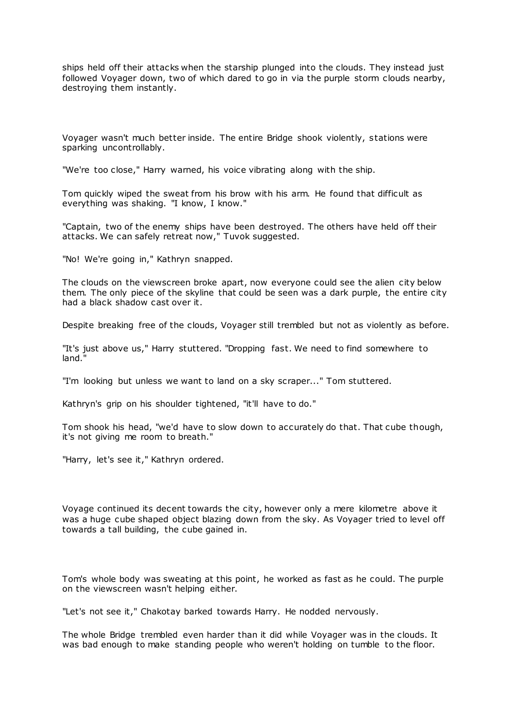ships held off their attacks when the starship plunged into the clouds. They instead just followed Voyager down, two of which dared to go in via the purple storm clouds nearby, destroying them instantly.

Voyager wasn't much better inside. The entire Bridge shook violently, stations were sparking uncontrollably.

"We're too close," Harry warned, his voice vibrating along with the ship.

Tom quickly wiped the sweat from his brow with his arm. He found that difficult as everything was shaking. "I know, I know."

"Captain, two of the enemy ships have been destroyed. The others have held off their attacks. We can safely retreat now," Tuvok suggested.

"No! We're going in," Kathryn snapped.

The clouds on the viewscreen broke apart, now everyone could see the alien city below them. The only piece of the skyline that could be seen was a dark purple, the entire city had a black shadow cast over it.

Despite breaking free of the clouds, Voyager still trembled but not as violently as before.

"It's just above us," Harry stuttered. "Dropping fast. We need to find somewhere to land."

"I'm looking but unless we want to land on a sky scraper..." Tom stuttered.

Kathryn's grip on his shoulder tightened, "it'll have to do."

Tom shook his head, "we'd have to slow down to accurately do that. That cube though, it's not giving me room to breath."

"Harry, let's see it," Kathryn ordered.

Voyage continued its decent towards the city, however only a mere kilometre above it was a huge cube shaped object blazing down from the sky. As Voyager tried to level off towards a tall building, the cube gained in.

Tom's whole body was sweating at this point, he worked as fast as he could. The purple on the viewscreen wasn't helping either.

"Let's not see it," Chakotay barked towards Harry. He nodded nervously.

The whole Bridge trembled even harder than it did while Voyager was in the clouds. It was bad enough to make standing people who weren't holding on tumble to the floor.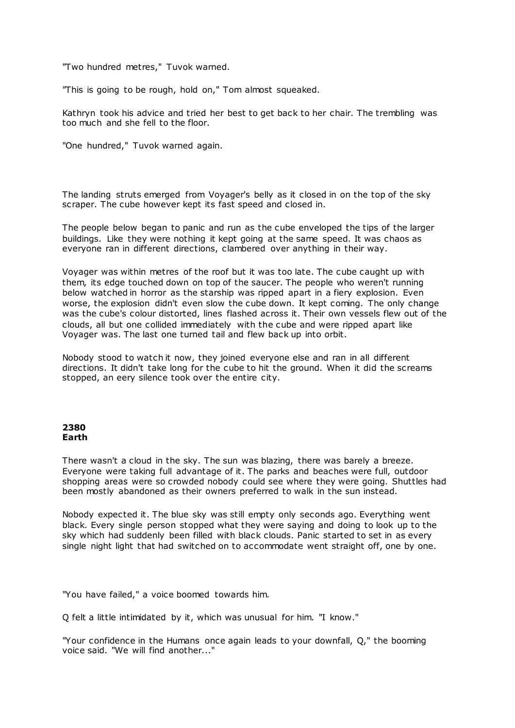"Two hundred metres," Tuvok warned.

"This is going to be rough, hold on," Tom almost squeaked.

Kathryn took his advice and tried her best to get back to her chair. The trembling was too much and she fell to the floor.

"One hundred," Tuvok warned again.

The landing struts emerged from Voyager's belly as it closed in on the top of the sky scraper. The cube however kept its fast speed and closed in.

The people below began to panic and run as the cube enveloped the tips of the larger buildings. Like they were nothing it kept going at the same speed. It was chaos as everyone ran in different directions, clambered over anything in their way.

Voyager was within metres of the roof but it was too late. The cube caught up with them, its edge touched down on top of the saucer. The people who weren't running below watched in horror as the starship was ripped apart in a fiery explosion. Even worse, the explosion didn't even slow the cube down. It kept coming. The only change was the cube's colour distorted, lines flashed across it. Their own vessels flew out of the clouds, all but one collided immediately with the cube and were ripped apart like Voyager was. The last one turned tail and flew back up into orbit.

Nobody stood to watch it now, they joined everyone else and ran in all different directions. It didn't take long for the cube to hit the ground. When it did the screams stopped, an eery silence took over the entire city.

## **2380 Earth**

There wasn't a cloud in the sky. The sun was blazing, there was barely a breeze. Everyone were taking full advantage of it. The parks and beaches were full, outdoor shopping areas were so crowded nobody could see where they were going. Shuttles had been mostly abandoned as their owners preferred to walk in the sun instead.

Nobody expected it. The blue sky was still empty only seconds ago. Everything went black. Every single person stopped what they were saying and doing to look up to the sky which had suddenly been filled with black clouds. Panic started to set in as every single night light that had switched on to accommodate went straight off, one by one.

"You have failed," a voice boomed towards him.

Q felt a little intimidated by it, which was unusual for him. "I know."

"Your confidence in the Humans once again leads to your downfall, Q," the booming voice said. "We will find another..."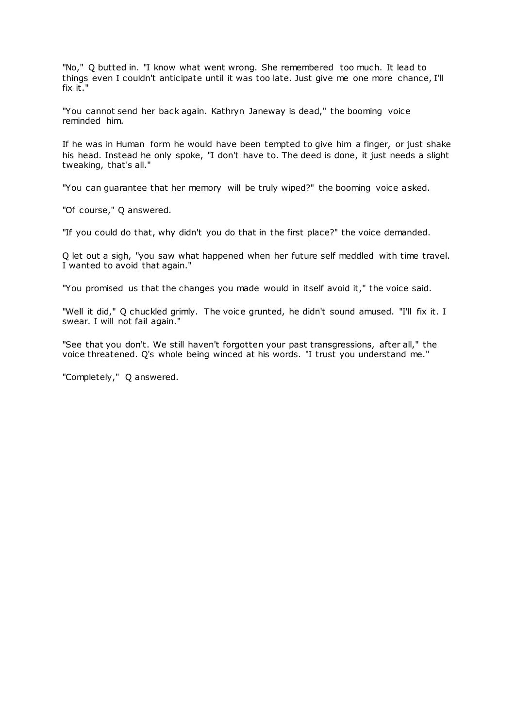"No," Q butted in. "I know what went wrong. She remembered too much. It lead to things even I couldn't anticipate until it was too late. Just give me one more chance, I'll fix it."

"You cannot send her back again. Kathryn Janeway is dead," the booming voice reminded him.

If he was in Human form he would have been tempted to give him a finger, or just shake his head. Instead he only spoke, "I don't have to. The deed is done, it just needs a slight tweaking, that's all."

"You can guarantee that her memory will be truly wiped?" the booming voice asked.

"Of course," Q answered.

"If you could do that, why didn't you do that in the first place?" the voice demanded.

Q let out a sigh, "you saw what happened when her future self meddled with time travel. I wanted to avoid that again."

"You promised us that the changes you made would in itself avoid it," the voice said.

"Well it did," Q chuckled grimly. The voice grunted, he didn't sound amused. "I'll fix it. I swear. I will not fail again."

"See that you don't. We still haven't forgotten your past transgressions, after all," the voice threatened. Q's whole being winced at his words. "I trust you understand me."

"Completely," Q answered.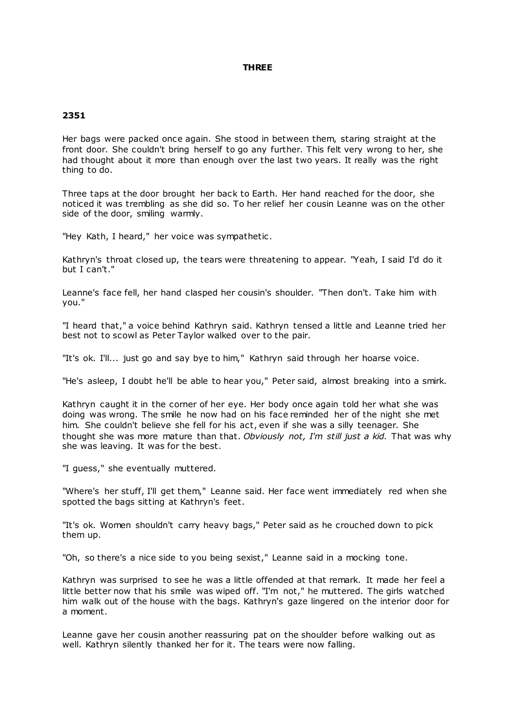# **THREE**

# **2351**

Her bags were packed once again. She stood in between them, staring straight at the front door. She couldn't bring herself to go any further. This felt very wrong to her, she had thought about it more than enough over the last two years. It really was the right thing to do.

Three taps at the door brought her back to Earth. Her hand reached for the door, she noticed it was trembling as she did so. To her relief her cousin Leanne was on the other side of the door, smiling warmly.

"Hey Kath, I heard," her voice was sympathetic.

Kathryn's throat closed up, the tears were threatening to appear. "Yeah, I said I'd do it but I can't."

Leanne's face fell, her hand clasped her cousin's shoulder. "Then don't. Take him with you."

"I heard that," a voice behind Kathryn said. Kathryn tensed a little and Leanne tried her best not to scowl as Peter Taylor walked over to the pair.

"It's ok. I'll... just go and say bye to him," Kathryn said through her hoarse voice.

"He's asleep, I doubt he'll be able to hear you," Peter said, almost breaking into a smirk.

Kathryn caught it in the corner of her eye. Her body once again told her what she was doing was wrong. The smile he now had on his face reminded her of the night she met him. She couldn't believe she fell for his act, even if she was a silly teenager. She thought she was more mature than that. *Obviously not, I'm still just a kid.* That was why she was leaving. It was for the best.

"I guess," she eventually muttered.

"Where's her stuff, I'll get them," Leanne said. Her face went immediately red when she spotted the bags sitting at Kathryn's feet.

"It's ok. Women shouldn't carry heavy bags," Peter said as he crouched down to pick them up.

"Oh, so there's a nice side to you being sexist," Leanne said in a mocking tone.

Kathryn was surprised to see he was a little offended at that remark. It made her feel a little better now that his smile was wiped off. "I'm not," he muttered. The girls watched him walk out of the house with the bags. Kathryn's gaze lingered on the interior door for a moment.

Leanne gave her cousin another reassuring pat on the shoulder before walking out as well. Kathryn silently thanked her for it. The tears were now falling.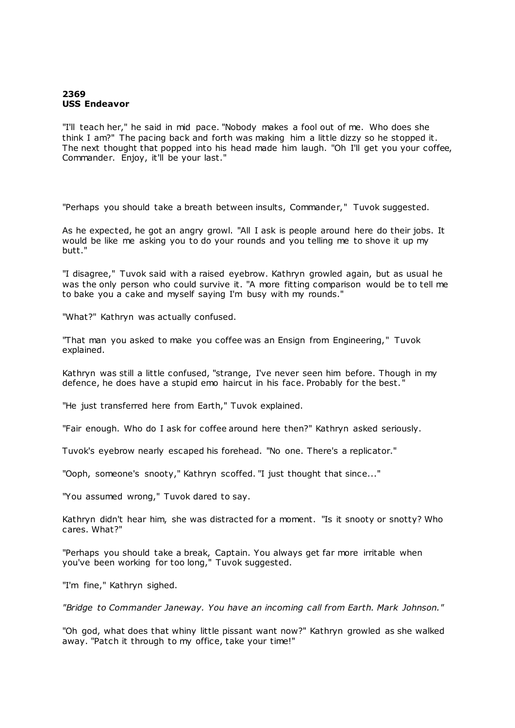# **2369 USS Endeavor**

"I'll teach her," he said in mid pace. "Nobody makes a fool out of me. Who does she think I am?" The pacing back and forth was making him a little dizzy so he stopped it. The next thought that popped into his head made him laugh. "Oh I'll get you your coffee, Commander. Enjoy, it'll be your last."

"Perhaps you should take a breath between insults, Commander," Tuvok suggested.

As he expected, he got an angry growl. "All I ask is people around here do their jobs. It would be like me asking you to do your rounds and you telling me to shove it up my butt."

"I disagree," Tuvok said with a raised eyebrow. Kathryn growled again, but as usual he was the only person who could survive it. "A more fitting comparison would be to tell me to bake you a cake and myself saying I'm busy with my rounds."

"What?" Kathryn was actually confused.

"That man you asked to make you coffee was an Ensign from Engineering," Tuvok explained.

Kathryn was still a little confused, "strange, I've never seen him before. Though in my defence, he does have a stupid emo haircut in his face. Probably for the best. "

"He just transferred here from Earth," Tuvok explained.

"Fair enough. Who do I ask for coffee around here then?" Kathryn asked seriously.

Tuvok's eyebrow nearly escaped his forehead. "No one. There's a replicator."

"Ooph, someone's snooty," Kathryn scoffed. "I just thought that since..."

"You assumed wrong," Tuvok dared to say.

Kathryn didn't hear him, she was distracted for a moment. "Is it snooty or snotty? Who cares. What?"

"Perhaps you should take a break, Captain. You always get far more irritable when you've been working for too long," Tuvok suggested.

"I'm fine," Kathryn sighed.

*"Bridge to Commander Janeway. You have an incoming call from Earth. Mark Johnson."*

"Oh god, what does that whiny little pissant want now?" Kathryn growled as she walked away. "Patch it through to my office, take your time!"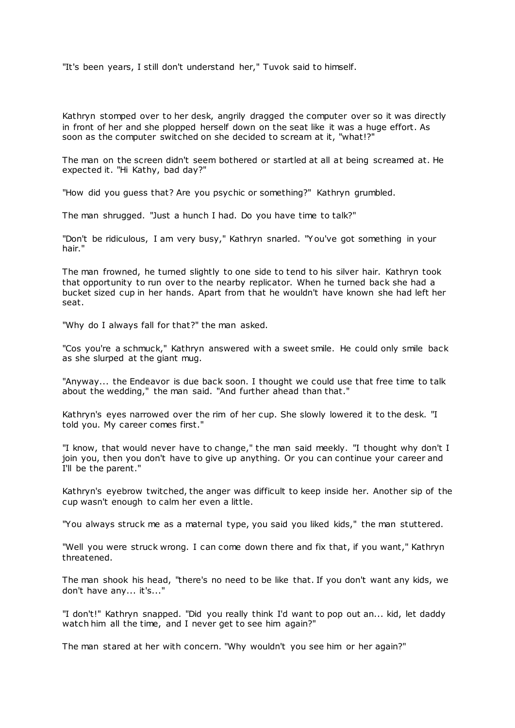"It's been years, I still don't understand her," Tuvok said to himself.

Kathryn stomped over to her desk, angrily dragged the computer over so it was directly in front of her and she plopped herself down on the seat like it was a huge effort. As soon as the computer switched on she decided to scream at it, "what!?"

The man on the screen didn't seem bothered or startled at all at being screamed at. He expected it. "Hi Kathy, bad day?"

"How did you guess that? Are you psychic or something?" Kathryn grumbled.

The man shrugged. "Just a hunch I had. Do you have time to talk?"

"Don't be ridiculous, I am very busy," Kathryn snarled. "You've got something in your hair."

The man frowned, he turned slightly to one side to tend to his silver hair. Kathryn took that opportunity to run over to the nearby replicator. When he turned back she had a bucket sized cup in her hands. Apart from that he wouldn't have known she had left her seat.

"Why do I always fall for that?" the man asked.

"Cos you're a schmuck," Kathryn answered with a sweet smile. He could only smile back as she slurped at the giant mug.

"Anyway... the Endeavor is due back soon. I thought we could use that free time to talk about the wedding," the man said. "And further ahead than that."

Kathryn's eyes narrowed over the rim of her cup. She slowly lowered it to the desk. "I told you. My career comes first."

"I know, that would never have to change," the man said meekly. "I thought why don't I join you, then you don't have to give up anything. Or you can continue your career and I'll be the parent."

Kathryn's eyebrow twitched, the anger was difficult to keep inside her. Another sip of the cup wasn't enough to calm her even a little.

"You always struck me as a maternal type, you said you liked kids," the man stuttered.

"Well you were struck wrong. I can come down there and fix that, if you want," Kathryn threatened.

The man shook his head, "there's no need to be like that. If you don't want any kids, we don't have any... it's..."

"I don't!" Kathryn snapped. "Did you really think I'd want to pop out an... kid, let daddy watch him all the time, and I never get to see him again?"

The man stared at her with concern. "Why wouldn't you see him or her again?"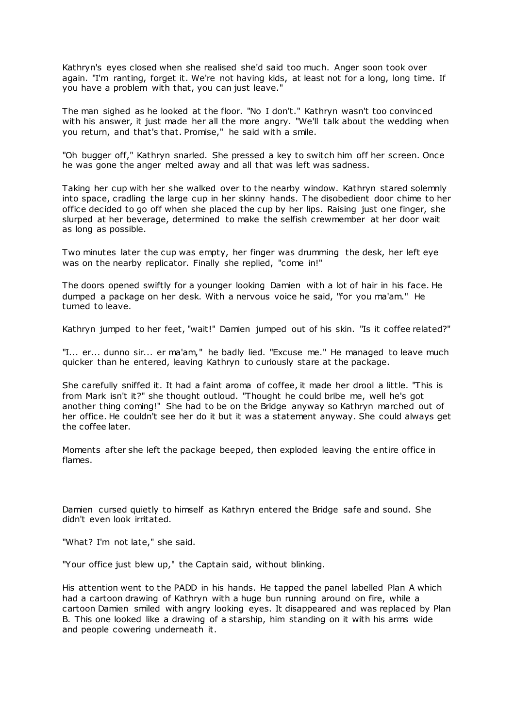Kathryn's eyes closed when she realised she'd said too much. Anger soon took over again. "I'm ranting, forget it. We're not having kids, at least not for a long, long time. If you have a problem with that, you can just leave."

The man sighed as he looked at the floor. "No I don't." Kathryn wasn't too convinced with his answer, it just made her all the more angry. "We'll talk about the wedding when you return, and that's that. Promise," he said with a smile.

"Oh bugger off," Kathryn snarled. She pressed a key to switch him off her screen. Once he was gone the anger melted away and all that was left was sadness.

Taking her cup with her she walked over to the nearby window. Kathryn stared solemnly into space, cradling the large cup in her skinny hands. The disobedient door chime to her office decided to go off when she placed the cup by her lips. Raising just one finger, she slurped at her beverage, determined to make the selfish crewmember at her door wait as long as possible.

Two minutes later the cup was empty, her finger was drumming the desk, her left eye was on the nearby replicator. Finally she replied, "come in!"

The doors opened swiftly for a younger looking Damien with a lot of hair in his face. He dumped a package on her desk. With a nervous voice he said, "for you ma'am." He turned to leave.

Kathryn jumped to her feet, "wait!" Damien jumped out of his skin. "Is it coffee related?"

"I... er... dunno sir... er ma'am," he badly lied. "Excuse me." He managed to leave much quicker than he entered, leaving Kathryn to curiously stare at the package.

She carefully sniffed it. It had a faint aroma of coffee, it made her drool a little. "This is from Mark isn't it?" she thought outloud. "Thought he could bribe me, well he's got another thing coming!" She had to be on the Bridge anyway so Kathryn marched out of her office. He couldn't see her do it but it was a statement anyway. She could always get the coffee later.

Moments after she left the package beeped, then exploded leaving the entire office in flames.

Damien cursed quietly to himself as Kathryn entered the Bridge safe and sound. She didn't even look irritated.

"What? I'm not late," she said.

"Your office just blew up," the Captain said, without blinking.

His attention went to the PADD in his hands. He tapped the panel labelled Plan A which had a cartoon drawing of Kathryn with a huge bun running around on fire, while a cartoon Damien smiled with angry looking eyes. It disappeared and was replaced by Plan B. This one looked like a drawing of a starship, him standing on it with his arms wide and people cowering underneath it.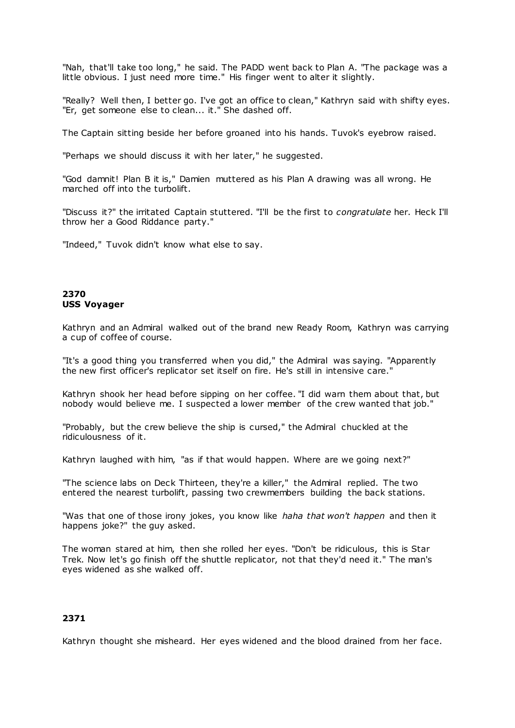"Nah, that'll take too long," he said. The PADD went back to Plan A. "The package was a little obvious. I just need more time." His finger went to alter it slightly.

"Really? Well then, I better go. I've got an office to clean," Kathryn said with shifty eyes. "Er, get someone else to clean... it." She dashed off.

The Captain sitting beside her before groaned into his hands. Tuvok's eyebrow raised.

"Perhaps we should discuss it with her later," he suggested.

"God damnit! Plan B it is," Damien muttered as his Plan A drawing was all wrong. He marched off into the turbolift.

"Discuss it?" the irritated Captain stuttered. "I'll be the first to *congratulate* her. Heck I'll throw her a Good Riddance party."

"Indeed," Tuvok didn't know what else to say.

# **2370 USS Voyager**

Kathryn and an Admiral walked out of the brand new Ready Room, Kathryn was carrying a cup of coffee of course.

"It's a good thing you transferred when you did," the Admiral was saying. "Apparently the new first officer's replicator set itself on fire. He's still in intensive care."

Kathryn shook her head before sipping on her coffee. "I did warn them about that, but nobody would believe me. I suspected a lower member of the crew wanted that job."

"Probably, but the crew believe the ship is cursed," the Admiral chuckled at the ridiculousness of it.

Kathryn laughed with him, "as if that would happen. Where are we going next?"

"The science labs on Deck Thirteen, they're a killer," the Admiral replied. The two entered the nearest turbolift, passing two crewmembers building the back stations.

"Was that one of those irony jokes, you know like *haha that won't happen* and then it happens joke?" the guy asked.

The woman stared at him, then she rolled her eyes. "Don't be ridiculous, this is Star Trek. Now let's go finish off the shuttle replicator, not that they'd need it." The man's eyes widened as she walked off.

# **2371**

Kathryn thought she misheard. Her eyes widened and the blood drained from her face.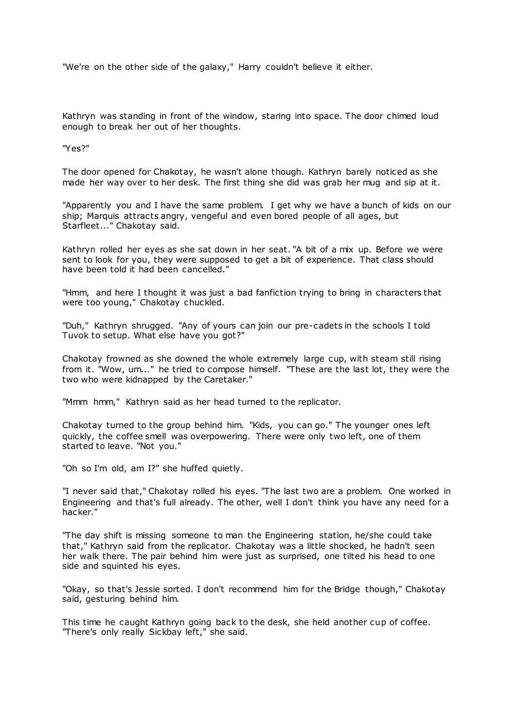"We're on the other side of the galaxy," Harry couldn't believe it either.

Kathryn was standing in front of the window, staring into space. The door chimed loud enough to break her out of her thoughts.

"Yes?"

The door opened for Chakotay, he wasn't alone though. Kathryn barely noticed as she made her way over to her desk. The first thing she did was grab her mug and sip at it.

"Apparently you and I have the same problem. I get why we have a bunch of kids on our ship; Marquis attracts angry, vengeful and even bored people of all ages, but Starfleet..." Chakotay said.

Kathryn rolled her eyes as she sat down in her seat. "A bit of a mix up. Before we were sent to look for you, they were supposed to get a bit of experience. That class should have been told it had been cancelled."

"Hmm, and here I thought it was just a bad fanfiction trying to bring in characters that were too young," Chakotay chuckled.

"Duh," Kathryn shrugged. "Any of yours can join our pre-cadets in the schools I told Tuvok to setup. What else have you got?"

Chakotay frowned as she downed the whole extremely large cup, with steam still rising from it. "Wow, um..." he tried to compose himself. "These are the last lot, they were the two who were kidnapped by the Caretaker."

"Mmm hmm," Kathryn said as her head turned to the replicator.

Chakotay turned to the group behind him. "Kids, you can go." The younger ones left quickly, the coffee smell was overpowering. There were only two left, one of them started to leave. "Not you."

"Oh so I'm old, am I?" she huffed quietly.

"I never said that," Chakotay rolled his eyes. "The last two are a problem. One worked in Engineering and that's full already. The other, well I don't think you have any need for a hacker."

"The day shift is missing someone to man the Engineering station, he/she could take that," Kathryn said from the replicator. Chakotay was a little shocked, he hadn't seen her walk there. The pair behind him were just as surprised, one tilted his head to one side and squinted his eyes.

"Okay, so that's Jessie sorted. I don't recommend him for the Bridge though," Chakotay said, gesturing behind him.

This time he caught Kathryn going back to the desk, she held another cup of coffee. "There's only really Sickbay left," she said.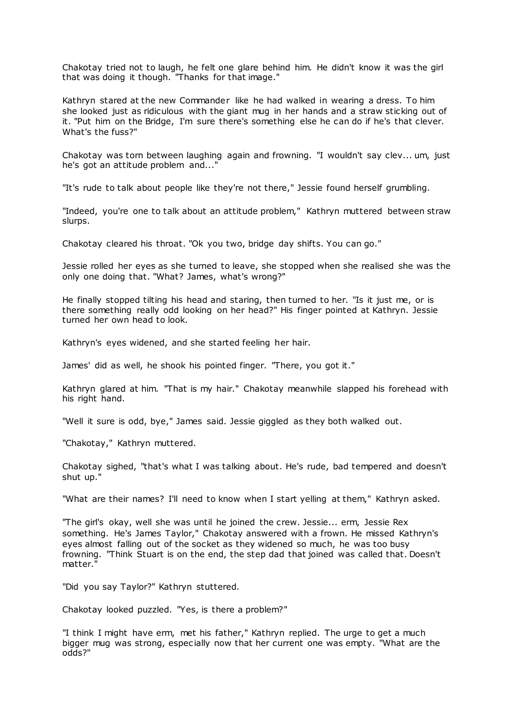Chakotay tried not to laugh, he felt one glare behind him. He didn't know it was the girl that was doing it though. "Thanks for that image."

Kathryn stared at the new Commander like he had walked in wearing a dress. To him she looked just as ridiculous with the giant mug in her hands and a straw sticking out of it. "Put him on the Bridge, I'm sure there's something else he can do if he's that clever. What's the fuss?"

Chakotay was torn between laughing again and frowning. "I wouldn't say clev... um, just he's got an attitude problem and..."

"It's rude to talk about people like they're not there," Jessie found herself grumbling.

"Indeed, you're one to talk about an attitude problem," Kathryn muttered between straw slurps.

Chakotay cleared his throat. "Ok you two, bridge day shifts. You can go."

Jessie rolled her eyes as she turned to leave, she stopped when she realised she was the only one doing that. "What? James, what's wrong?"

He finally stopped tilting his head and staring, then turned to her. "Is it just me, or is there something really odd looking on her head?" His finger pointed at Kathryn. Jessie turned her own head to look.

Kathryn's eyes widened, and she started feeling her hair.

James' did as well, he shook his pointed finger. "There, you got it."

Kathryn glared at him. "That is my hair." Chakotay meanwhile slapped his forehead with his right hand.

"Well it sure is odd, bye," James said. Jessie giggled as they both walked out.

"Chakotay," Kathryn muttered.

Chakotay sighed, "that's what I was talking about. He's rude, bad tempered and doesn't shut up."

"What are their names? I'll need to know when I start yelling at them," Kathryn asked.

"The girl's okay, well she was until he joined the crew. Jessie... erm, Jessie Rex something. He's James Taylor," Chakotay answered with a frown. He missed Kathryn's eyes almost falling out of the socket as they widened so much, he was too busy frowning. "Think Stuart is on the end, the step dad that joined was called that. Doesn't matter."

"Did you say Taylor?" Kathryn stuttered.

Chakotay looked puzzled. "Yes, is there a problem?"

"I think I might have erm, met his father," Kathryn replied. The urge to get a much bigger mug was strong, espec ially now that her current one was empty. "What are the odds?"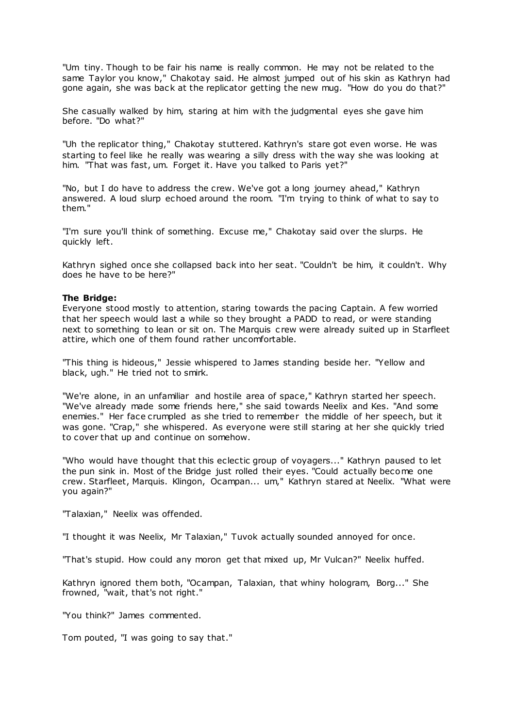"Um tiny. Though to be fair his name is really common. He may not be related to the same Taylor you know," Chakotay said. He almost jumped out of his skin as Kathryn had gone again, she was back at the replicator getting the new mug. "How do you do that?"

She casually walked by him, staring at him with the judgmental eyes she gave him before. "Do what?"

"Uh the replicator thing," Chakotay stuttered. Kathryn's stare got even worse. He was starting to feel like he really was wearing a silly dress with the way she was looking at him. "That was fast, um. Forget it. Have you talked to Paris yet?"

"No, but I do have to address the crew. We've got a long journey ahead," Kathryn answered. A loud slurp echoed around the room. "I'm trying to think of what to say to them."

"I'm sure you'll think of something. Excuse me," Chakotay said over the slurps. He quickly left.

Kathryn sighed once she collapsed back into her seat. "Couldn't be him, it couldn't. Why does he have to be here?"

## **The Bridge:**

Everyone stood mostly to attention, staring towards the pacing Captain. A few worried that her speech would last a while so they brought a PADD to read, or were standing next to something to lean or sit on. The Marquis c rew were already suited up in Starfleet attire, which one of them found rather uncomfortable.

"This thing is hideous," Jessie whispered to James standing beside her. "Yellow and black, ugh." He tried not to smirk.

"We're alone, in an unfamiliar and hostile area of space," Kathryn started her speech. "We've already made some friends here," she said towards Neelix and Kes. "And some enemies." Her face crumpled as she tried to remember the middle of her speech, but it was gone. "Crap," she whispered. As everyone were still staring at her she quickly tried to cover that up and continue on somehow.

"Who would have thought that this eclectic group of voyagers..." Kathryn paused to let the pun sink in. Most of the Bridge just rolled their eyes. "Could actually become one crew. Starfleet, Marquis. Klingon, Ocampan... um," Kathryn stared at Neelix. "What were you again?"

"Talaxian," Neelix was offended.

"I thought it was Neelix, Mr Talaxian," Tuvok actually sounded annoyed for once.

"That's stupid. How could any moron get that mixed up, Mr Vulcan?" Neelix huffed.

Kathryn ignored them both, "Ocampan, Talaxian, that whiny hologram, Borg..." She frowned, "wait, that's not right."

"You think?" James commented.

Tom pouted, "I was going to say that."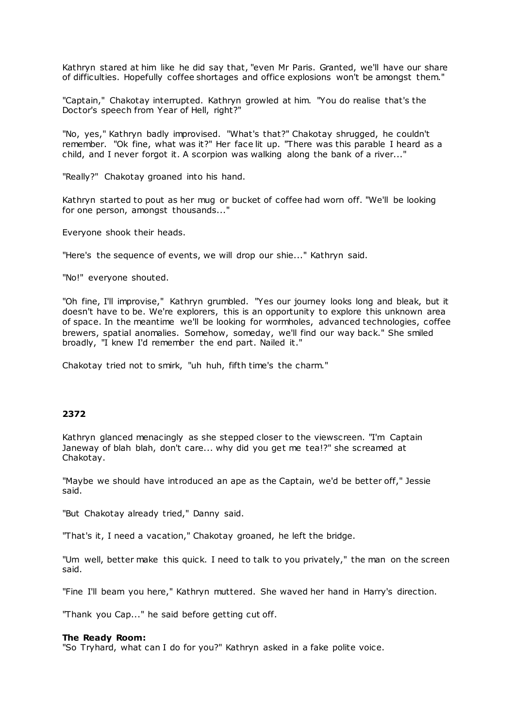Kathryn stared at him like he did say that, "even Mr Paris. Granted, we'll have our share of difficulties. Hopefully coffee shortages and office explosions won't be amongst them."

"Captain," Chakotay interrupted. Kathryn growled at him. "You do realise that's the Doctor's speech from Year of Hell, right?"

"No, yes," Kathryn badly improvised. "What's that?" Chakotay shrugged, he couldn't remember. "Ok fine, what was it?" Her face lit up. "There was this parable I heard as a child, and I never forgot it. A scorpion was walking along the bank of a river..."

"Really?" Chakotay groaned into his hand.

Kathryn started to pout as her mug or bucket of coffee had worn off. "We'll be looking for one person, amongst thousands..."

Everyone shook their heads.

"Here's the sequence of events, we will drop our shie..." Kathryn said.

"No!" everyone shouted.

"Oh fine, I'll improvise," Kathryn grumbled. "Yes our journey looks long and bleak, but it doesn't have to be. We're explorers, this is an opportunity to explore this unknown area of space. In the meantime we'll be looking for wormholes, advanced technologies, coffee brewers, spatial anomalies. Somehow, someday, we'll find our way back." She smiled broadly, "I knew I'd remember the end part. Nailed it."

Chakotay tried not to smirk, "uh huh, fifth time's the charm."

# **2372**

Kathryn glanced menacingly as she stepped closer to the viewscreen. "I'm Captain Janeway of blah blah, don't care... why did you get me tea!?" she screamed at Chakotay.

"Maybe we should have introduced an ape as the Captain, we'd be better off," Jessie said.

"But Chakotay already tried," Danny said.

"That's it, I need a vacation," Chakotay groaned, he left the bridge.

"Um well, better make this quick. I need to talk to you privately," the man on the screen said.

"Fine I'll beam you here," Kathryn muttered. She waved her hand in Harry's direction.

"Thank you Cap..." he said before getting cut off.

#### **The Ready Room:**

"So Tryhard, what can I do for you?" Kathryn asked in a fake polite voice.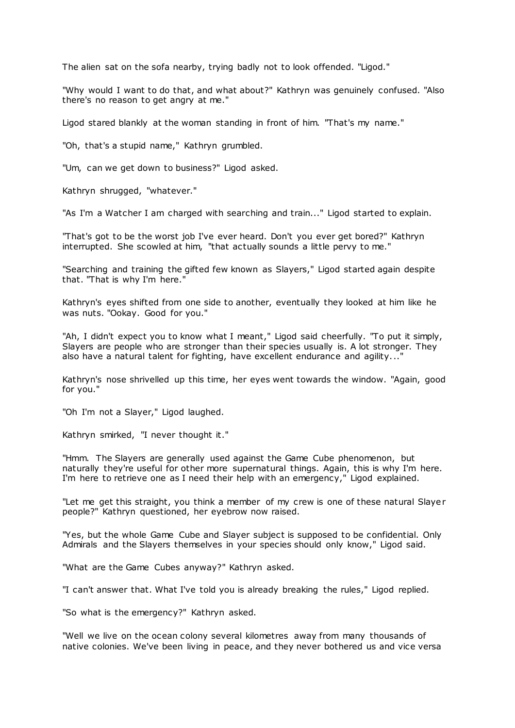The alien sat on the sofa nearby, trying badly not to look offended. "Ligod."

"Why would I want to do that, and what about?" Kathryn was genuinely confused. "Also there's no reason to get angry at me."

Ligod stared blankly at the woman standing in front of him. "That's my name."

"Oh, that's a stupid name," Kathryn grumbled.

"Um, can we get down to business?" Ligod asked.

Kathryn shrugged, "whatever."

"As I'm a Watcher I am charged with searching and train..." Ligod started to explain.

"That's got to be the worst job I've ever heard. Don't you ever get bored?" Kathryn interrupted. She scowled at him, "that actually sounds a little pervy to me."

"Searching and training the gifted few known as Slayers," Ligod started again despite that. "That is why I'm here."

Kathryn's eyes shifted from one side to another, eventually they looked at him like he was nuts. "Ookay. Good for you."

"Ah, I didn't expect you to know what I meant," Ligod said cheerfully. "To put it simply, Slayers are people who are stronger than their species usually is. A lot stronger. They also have a natural talent for fighting, have excellent endurance and agility..."

Kathryn's nose shrivelled up this time, her eyes went towards the window. "Again, good for you."

"Oh I'm not a Slayer," Ligod laughed.

Kathryn smirked, "I never thought it."

"Hmm. The Slayers are generally used against the Game Cube phenomenon, but naturally they're useful for other more supernatural things. Again, this is why I'm here. I'm here to retrieve one as I need their help with an emergency," Ligod explained.

"Let me get this straight, you think a member of my crew is one of these natural Slayer people?" Kathryn questioned, her eyebrow now raised.

"Yes, but the whole Game Cube and Slayer subject is supposed to be confidential. Only Admirals and the Slayers themselves in your species should only know," Ligod said.

"What are the Game Cubes anyway?" Kathryn asked.

"I can't answer that. What I've told you is already breaking the rules," Ligod replied.

"So what is the emergency?" Kathryn asked.

"Well we live on the ocean colony several kilometres away from many thousands of native colonies. We've been living in peace, and they never bothered us and vice versa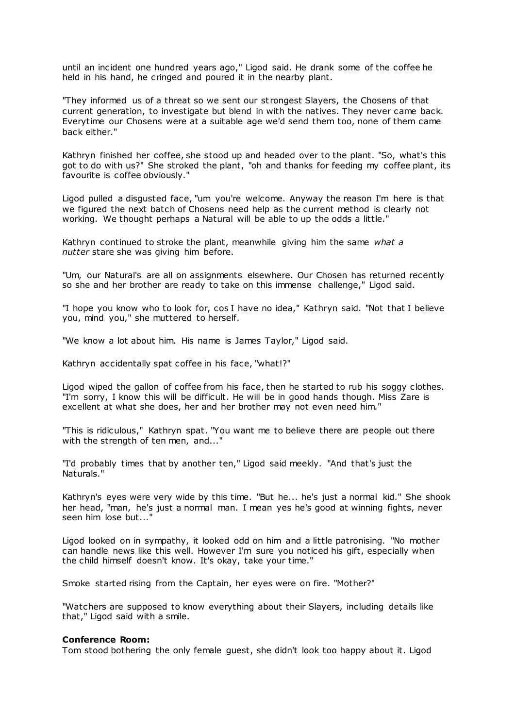until an incident one hundred years ago," Ligod said. He drank some of the coffee he held in his hand, he cringed and poured it in the nearby plant.

"They informed us of a threat so we sent our st rongest Slayers, the Chosens of that current generation, to investigate but blend in with the natives. They never came back. Everytime our Chosens were at a suitable age we'd send them too, none of them came back either."

Kathryn finished her coffee, she stood up and headed over to the plant. "So, what's this got to do with us?" She stroked the plant, "oh and thanks for feeding my coffee plant, its favourite is coffee obviously."

Ligod pulled a disgusted face, "um you're welcome. Anyway the reason I'm here is that we figured the next batch of Chosens need help as the current method is clearly not working. We thought perhaps a Natural will be able to up the odds a little."

Kathryn continued to stroke the plant, meanwhile giving him the same *what a nutter* stare she was giving him before.

"Um, our Natural's are all on assignments elsewhere. Our Chosen has returned recently so she and her brother are ready to take on this immense challenge," Ligod said.

"I hope you know who to look for, cos I have no idea," Kathryn said. "Not that I believe you, mind you," she muttered to herself.

"We know a lot about him. His name is James Taylor," Ligod said.

Kathryn accidentally spat coffee in his face, "what!?"

Ligod wiped the gallon of coffee from his face, then he started to rub his soggy clothes. "I'm sorry, I know this will be difficult. He will be in good hands though. Miss Zare is excellent at what she does, her and her brother may not even need him."

"This is ridiculous," Kathryn spat. "You want me to believe there are people out there with the strength of ten men, and..."

"I'd probably times that by another ten," Ligod said meekly. "And that's just the Naturals."

Kathryn's eyes were very wide by this time. "But he... he's just a normal kid." She shook her head, "man, he's just a normal man. I mean yes he's good at winning fights, never seen him lose but..."

Ligod looked on in sympathy, it looked odd on him and a little patronising. "No mother can handle news like this well. However I'm sure you noticed his gift, especially when the child himself doesn't know. It's okay, take your time."

Smoke started rising from the Captain, her eyes were on fire. "Mother?"

"Watchers are supposed to know everything about their Slayers, including details like that," Ligod said with a smile.

#### **Conference Room:**

Tom stood bothering the only female guest, she didn't look too happy about it. Ligod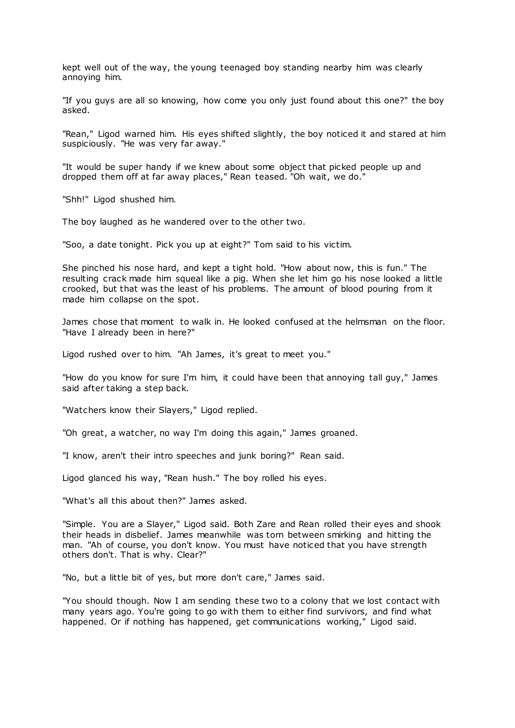kept well out of the way, the young teenaged boy standing nearby him was clearly annoying him.

"If you guys are all so knowing, how come you only just found about this one?" the boy asked.

"Rean," Ligod warned him. His eyes shifted slightly, the boy noticed it and stared at him suspiciously. "He was very far away."

"It would be super handy if we knew about some object that picked people up and dropped them off at far away places," Rean teased. "Oh wait, we do."

"Shh!" Ligod shushed him.

The boy laughed as he wandered over to the other two.

"Soo, a date tonight. Pick you up at eight?" Tom said to his victim.

She pinched his nose hard, and kept a tight hold. "How about now, this is fun." The resulting crack made him squeal like a pig. When she let him go his nose looked a little crooked, but that was the least of his problems. The amount of blood pouring from it made him collapse on the spot.

James chose that moment to walk in. He looked confused at the helmsman on the floor. "Have I already been in here?"

Ligod rushed over to him. "Ah James, it's great to meet you."

"How do you know for sure I'm him, it could have been that annoying tall guy," James said after taking a step back.

"Watchers know their Slayers," Ligod replied.

"Oh great, a watcher, no way I'm doing this again," James groaned.

"I know, aren't their intro speeches and junk boring?" Rean said.

Ligod glanced his way, "Rean hush." The boy rolled his eyes.

"What's all this about then?" James asked.

"Simple. You are a Slayer," Ligod said. Both Zare and Rean rolled their eyes and shook their heads in disbelief. James meanwhile was torn between smirking and hitting the man. "Ah of course, you don't know. You must have noticed that you have strength others don't. That is why. Clear?"

"No, but a little bit of yes, but more don't care," James said.

"You should though. Now I am sending these two to a colony that we lost contact with many years ago. You're going to go with them to either find survivors, and find what happened. Or if nothing has happened, get communications working," Ligod said.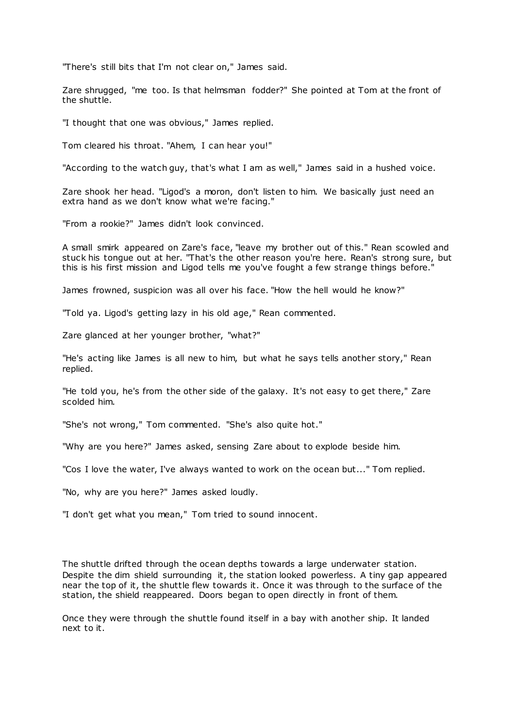"There's still bits that I'm not clear on," James said.

Zare shrugged, "me too. Is that helmsman fodder?" She pointed at Tom at the front of the shuttle.

"I thought that one was obvious," James replied.

Tom cleared his throat. "Ahem, I can hear you!"

"According to the watch guy, that's what I am as well," James said in a hushed voice.

Zare shook her head. "Ligod's a moron, don't listen to him. We basically just need an extra hand as we don't know what we're facing."

"From a rookie?" James didn't look convinced.

A small smirk appeared on Zare's face, "leave my brother out of this." Rean scowled and stuck his tongue out at her. "That's the other reason you're here. Rean's strong sure, but this is his first mission and Ligod tells me you've fought a few strange things before."

James frowned, suspicion was all over his face. "How the hell would he know?"

"Told ya. Ligod's getting lazy in his old age," Rean commented.

Zare glanced at her younger brother, "what?"

"He's acting like James is all new to him, but what he says tells another story," Rean replied.

"He told you, he's from the other side of the galaxy. It's not easy to get there," Zare scolded him.

"She's not wrong," Tom commented. "She's also quite hot."

"Why are you here?" James asked, sensing Zare about to explode beside him.

"Cos I love the water, I've always wanted to work on the ocean but..." Tom replied.

"No, why are you here?" James asked loudly.

"I don't get what you mean," Tom tried to sound innocent.

The shuttle drifted through the ocean depths towards a large underwater station. Despite the dim shield surrounding it, the station looked powerless. A tiny gap appeared near the top of it, the shuttle flew towards it. Once it was through to the surface of the station, the shield reappeared. Doors began to open directly in front of them.

Once they were through the shuttle found itself in a bay with another ship. It landed next to it.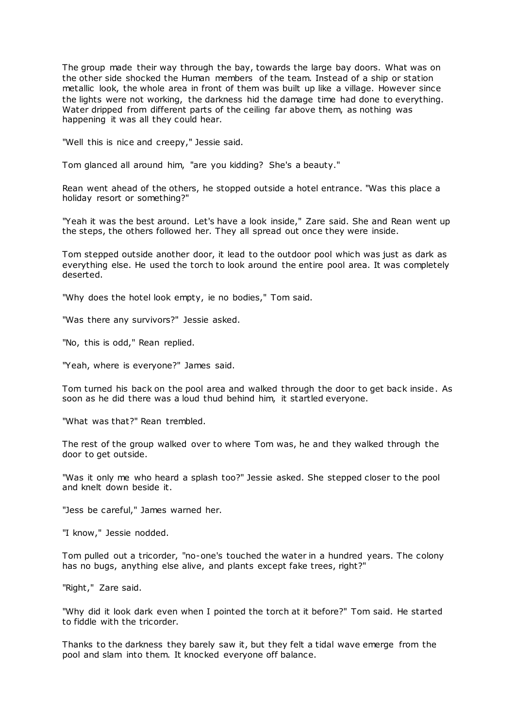The group made their way through the bay, towards the large bay doors. What was on the other side shocked the Human members of the team. Instead of a ship or station metallic look, the whole area in front of them was built up like a village. However since the lights were not working, the darkness hid the damage time had done to everything. Water dripped from different parts of the ceiling far above them, as nothing was happening it was all they could hear.

"Well this is nice and creepy," Jessie said.

Tom glanced all around him, "are you kidding? She's a beauty."

Rean went ahead of the others, he stopped outside a hotel entrance. "Was this place a holiday resort or something?"

"Yeah it was the best around. Let's have a look inside," Zare said. She and Rean went up the steps, the others followed her. They all spread out once they were inside.

Tom stepped outside another door, it lead to the outdoor pool which was just as dark as everything else. He used the torch to look around the entire pool area. It was completely deserted.

"Why does the hotel look empty, ie no bodies," Tom said.

"Was there any survivors?" Jessie asked.

"No, this is odd," Rean replied.

"Yeah, where is everyone?" James said.

Tom turned his back on the pool area and walked through the door to get back inside. As soon as he did there was a loud thud behind him, it startled everyone.

"What was that?" Rean trembled.

The rest of the group walked over to where Tom was, he and they walked through the door to get outside.

"Was it only me who heard a splash too?" Jessie asked. She stepped closer to the pool and knelt down beside it.

"Jess be careful," James warned her.

"I know," Jessie nodded.

Tom pulled out a tricorder, "no-one's touched the water in a hundred years. The colony has no bugs, anything else alive, and plants except fake trees, right?"

"Right," Zare said.

"Why did it look dark even when I pointed the torch at it before?" Tom said. He started to fiddle with the tricorder.

Thanks to the darkness they barely saw it, but they felt a tidal wave emerge from the pool and slam into them. It knocked everyone off balance.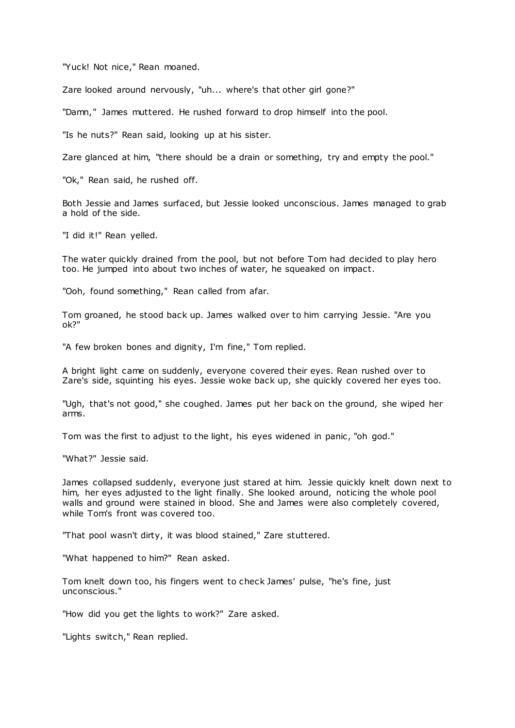"Yuck! Not nice," Rean moaned.

Zare looked around nervously, "uh... where's that other girl gone?"

"Damn," James muttered. He rushed forward to drop himself into the pool.

"Is he nuts?" Rean said, looking up at his sister.

Zare glanced at him, "there should be a drain or something, try and empty the pool."

"Ok," Rean said, he rushed off.

Both Jessie and James surfaced, but Jessie looked unconscious. James managed to grab a hold of the side.

"I did it!" Rean yelled.

The water quickly drained from the pool, but not before Tom had decided to play hero too. He jumped into about two inches of water, he squeaked on impact.

"Ooh, found something," Rean called from afar.

Tom groaned, he stood back up. James walked over to him carrying Jessie. "Are you ok?"

"A few broken bones and dignity, I'm fine," Tom replied.

A bright light came on suddenly, everyone covered their eyes. Rean rushed over to Zare's side, squinting his eyes. Jessie woke back up, she quickly covered her eyes too.

"Ugh, that's not good," she coughed. James put her back on the ground, she wiped her arms.

Tom was the first to adjust to the light, his eyes widened in panic , "oh god."

"What?" Jessie said.

James collapsed suddenly, everyone just stared at him. Jessie quickly knelt down next to him, her eyes adjusted to the light finally. She looked around, noticing the whole pool walls and ground were stained in blood. She and James were also completely covered, while Tom's front was covered too.

"That pool wasn't dirty, it was blood stained," Zare stuttered.

"What happened to him?" Rean asked.

Tom knelt down too, his fingers went to check James' pulse, "he's fine, just unconscious."

"How did you get the lights to work?" Zare asked.

"Lights switch," Rean replied.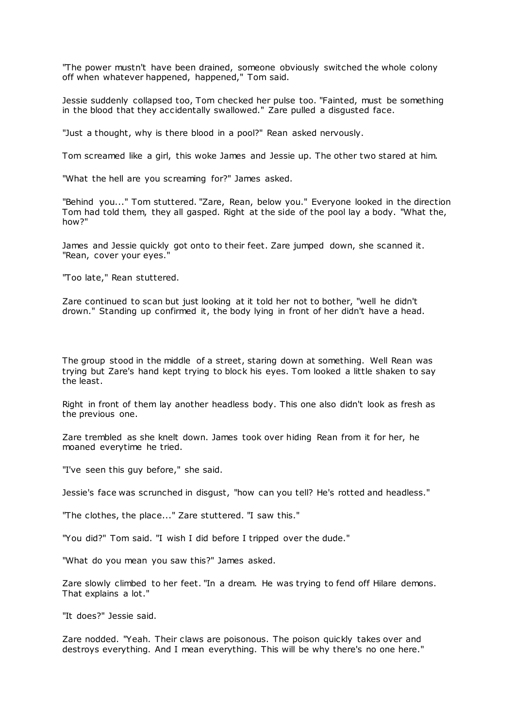"The power mustn't have been drained, someone obviously switched the whole colony off when whatever happened, happened," Tom said.

Jessie suddenly collapsed too, Tom checked her pulse too. "Fainted, must be something in the blood that they accidentally swallowed." Zare pulled a disgusted face.

"Just a thought, why is there blood in a pool?" Rean asked nervously.

Tom screamed like a girl, this woke James and Jessie up. The other two stared at him.

"What the hell are you screaming for?" James asked.

"Behind you..." Tom stuttered. "Zare, Rean, below you." Everyone looked in the direction Tom had told them, they all gasped. Right at the side of the pool lay a body. "What the, how?"

James and Jessie quickly got onto to their feet. Zare jumped down, she scanned it. "Rean, cover your eyes."

"Too late," Rean stuttered.

Zare continued to scan but just looking at it told her not to bother. "well he didn't drown." Standing up confirmed it, the body lying in front of her didn't have a head.

The group stood in the middle of a street, staring down at something. Well Rean was trying but Zare's hand kept trying to block his eyes. Tom looked a little shaken to say the least.

Right in front of them lay another headless body. This one also didn't look as fresh as the previous one.

Zare trembled as she knelt down. James took over hiding Rean from it for her, he moaned everytime he tried.

"I've seen this guy before," she said.

Jessie's face was scrunched in disgust, "how can you tell? He's rotted and headless."

"The clothes, the place..." Zare stuttered. "I saw this."

"You did?" Tom said. "I wish I did before I tripped over the dude."

"What do you mean you saw this?" James asked.

Zare slowly climbed to her feet. "In a dream. He was trying to fend off Hilare demons. That explains a lot."

"It does?" Jessie said.

Zare nodded. "Yeah. Their claws are poisonous. The poison quickly takes over and destroys everything. And I mean everything. This will be why there's no one here."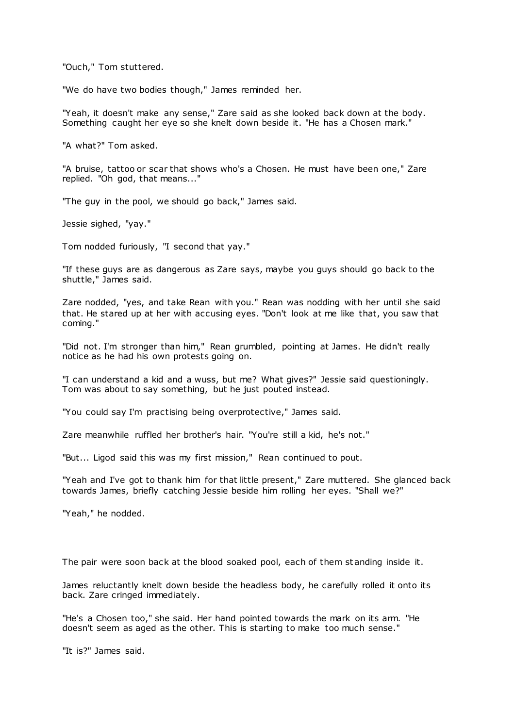"Ouch," Tom stuttered.

"We do have two bodies though," James reminded her.

"Yeah, it doesn't make any sense," Zare said as she looked back down at the body. Something caught her eye so she knelt down beside it. "He has a Chosen mark."

"A what?" Tom asked.

"A bruise, tattoo or scar that shows who's a Chosen. He must have been one," Zare replied. "Oh god, that means..."

"The guy in the pool, we should go back," James said.

Jessie sighed, "yay."

Tom nodded furiously, "I second that yay."

"If these guys are as dangerous as Zare says, maybe you guys should go back to the shuttle," James said.

Zare nodded, "yes, and take Rean with you." Rean was nodding with her until she said that. He stared up at her with accusing eyes. "Don't look at me like that, you saw that coming."

"Did not. I'm stronger than him," Rean grumbled, pointing at James. He didn't really notice as he had his own protests going on.

"I can understand a kid and a wuss, but me? What gives?" Jessie said questioningly. Tom was about to say something, but he just pouted instead.

"You could say I'm practising being overprotective," James said.

Zare meanwhile ruffled her brother's hair. "You're still a kid, he's not."

"But... Ligod said this was my first mission," Rean continued to pout.

"Yeah and I've got to thank him for that little present," Zare muttered. She glanced back towards James, briefly catching Jessie beside him rolling her eyes. "Shall we?"

"Yeah," he nodded.

The pair were soon back at the blood soaked pool, each of them st anding inside it.

James reluctantly knelt down beside the headless body, he carefully rolled it onto its back. Zare cringed immediately.

"He's a Chosen too," she said. Her hand pointed towards the mark on its arm. "He doesn't seem as aged as the other. This is starting to make too much sense."

"It is?" James said.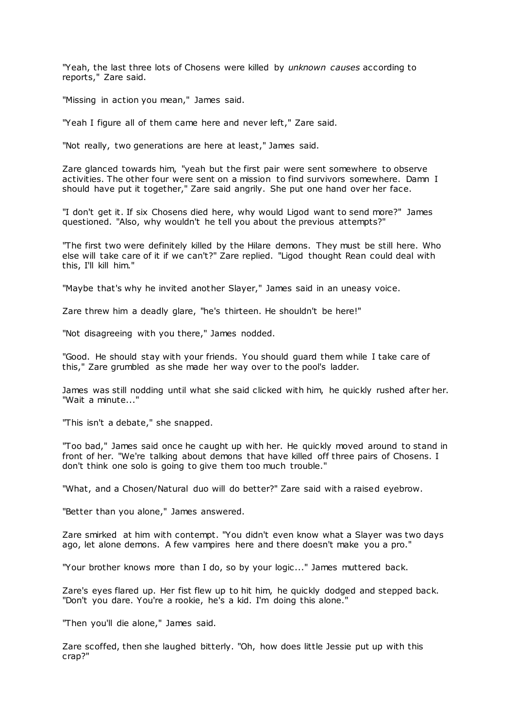"Yeah, the last three lots of Chosens were killed by *unknown causes* according to reports," Zare said.

"Missing in action you mean," James said.

"Yeah I figure all of them came here and never left," Zare said.

"Not really, two generations are here at least," James said.

Zare glanced towards him, "yeah but the first pair were sent somewhere to observe activities. The other four were sent on a mission to find survivors somewhere. Damn I should have put it together," Zare said angrily. She put one hand over her face.

"I don't get it. If six Chosens died here, why would Ligod want to send more?" James questioned. "Also, why wouldn't he tell you about the previous attempts?"

"The first two were definitely killed by the Hilare demons. They must be still here. Who else will take care of it if we can't?" Zare replied. "Ligod thought Rean could deal with this, I'll kill him."

"Maybe that's why he invited another Slayer," James said in an uneasy voice.

Zare threw him a deadly glare, "he's thirteen. He shouldn't be here!"

"Not disagreeing with you there," James nodded.

"Good. He should stay with your friends. You should guard them while I take care of this," Zare grumbled as she made her way over to the pool's ladder.

James was still nodding until what she said clicked with him, he quickly rushed after her. "Wait a minute..."

"This isn't a debate," she snapped.

"Too bad," James said once he caught up with her. He quickly moved around to stand in front of her. "We're talking about demons that have killed off three pairs of Chosens. I don't think one solo is going to give them too much trouble."

"What, and a Chosen/Natural duo will do better?" Zare said with a raised eyebrow.

"Better than you alone," James answered.

Zare smirked at him with contempt. "You didn't even know what a Slayer was two days ago, let alone demons. A few vampires here and there doesn't make you a pro."

"Your brother knows more than I do, so by your logic ..." James muttered back.

Zare's eyes flared up. Her fist flew up to hit him, he quickly dodged and stepped back. "Don't you dare. You're a rookie, he's a kid. I'm doing this alone."

"Then you'll die alone," James said.

Zare scoffed, then she laughed bitterly. "Oh, how does little Jessie put up with this crap?"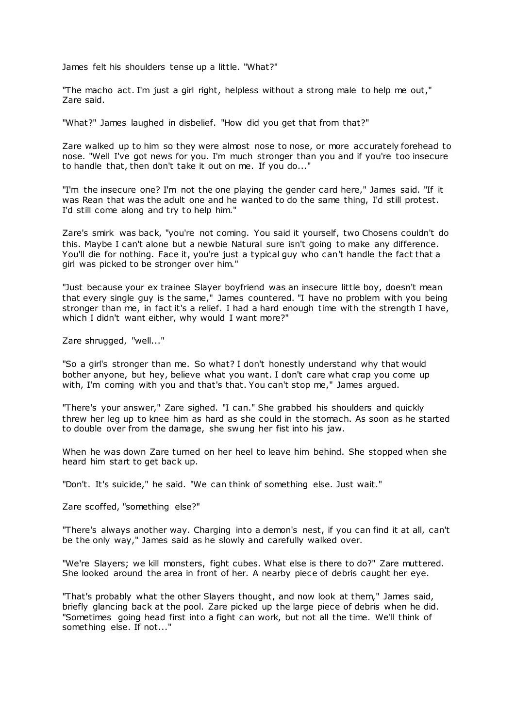James felt his shoulders tense up a little. "What?"

"The macho act. I'm just a girl right, helpless without a strong male to help me out," Zare said.

"What?" James laughed in disbelief. "How did you get that from that?"

Zare walked up to him so they were almost nose to nose, or more accurately forehead to nose. "Well I've got news for you. I'm much stronger than you and if you're too insecure to handle that, then don't take it out on me. If you do..."

"I'm the insecure one? I'm not the one playing the gender card here," James said. "If it was Rean that was the adult one and he wanted to do the same thing, I'd still protest. I'd still come along and try to help him."

Zare's smirk was back, "you're not coming. You said it yourself, two Chosens couldn't do this. Maybe I can't alone but a newbie Natural sure isn't going to make any difference. You'll die for nothing. Face it, you're just a typical guy who can't handle the fact that a girl was picked to be stronger over him."

"Just because your ex trainee Slayer boyfriend was an insecure little boy, doesn't mean that every single guy is the same," James countered. "I have no problem with you being stronger than me, in fact it's a relief. I had a hard enough time with the strength I have, which I didn't want either, why would I want more?"

Zare shrugged, "well..."

"So a girl's stronger than me. So what? I don't honestly understand why that would bother anyone, but hey, believe what you want. I don't care what crap you come up with, I'm coming with you and that's that. You can't stop me," James argued.

"There's your answer," Zare sighed. "I can." She grabbed his shoulders and quickly threw her leg up to knee him as hard as she could in the stomach. As soon as he started to double over from the damage, she swung her fist into his jaw.

When he was down Zare turned on her heel to leave him behind. She stopped when she heard him start to get back up.

"Don't. It's suicide," he said. "We can think of something else. Just wait."

Zare scoffed, "something else?"

"There's always another way. Charging into a demon's nest, if you can find it at all, can't be the only way," James said as he slowly and carefully walked over.

"We're Slayers; we kill monsters, fight cubes. What else is there to do?" Zare muttered. She looked around the area in front of her. A nearby piece of debris caught her eye.

"That's probably what the other Slayers thought, and now look at them," James said, briefly glancing back at the pool. Zare picked up the large piece of debris when he did. "Sometimes going head first into a fight can work, but not all the time. We'll think of something else. If not..."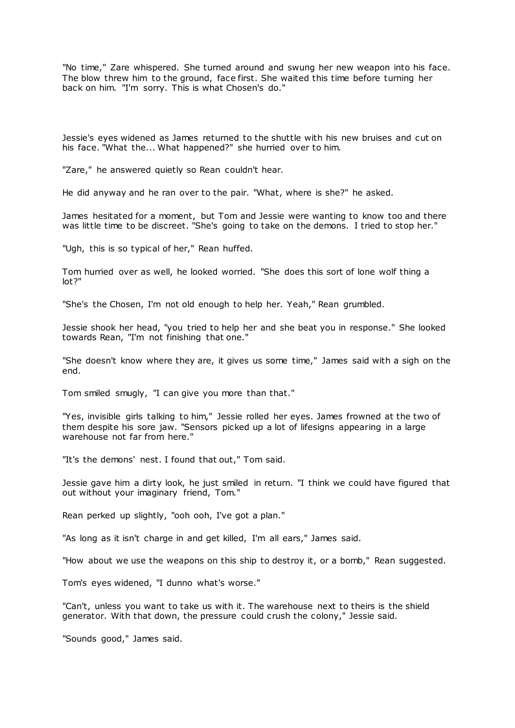"No time," Zare whispered. She turned around and swung her new weapon into his face. The blow threw him to the ground, face first. She waited this time before turning her back on him. "I'm sorry. This is what Chosen's do."

Jessie's eyes widened as James returned to the shuttle with his new bruises and cut on his face. "What the... What happened?" she hurried over to him.

"Zare," he answered quietly so Rean couldn't hear.

He did anyway and he ran over to the pair. "What, where is she?" he asked.

James hesitated for a moment, but Tom and Jessie were wanting to know too and there was little time to be discreet. "She's going to take on the demons. I tried to stop her."

"Ugh, this is so typical of her," Rean huffed.

Tom hurried over as well, he looked worried. "She does this sort of lone wolf thing a lot?"

"She's the Chosen, I'm not old enough to help her. Yeah," Rean grumbled.

Jessie shook her head, "you tried to help her and she beat you in response." She looked towards Rean, "I'm not finishing that one."

"She doesn't know where they are, it gives us some time," James said with a sigh on the end.

Tom smiled smugly, "I can give you more than that."

"Yes, invisible girls talking to him," Jessie rolled her eyes. James frowned at the two of them despite his sore jaw. "Sensors picked up a lot of lifesigns appearing in a large warehouse not far from here."

"It's the demons' nest. I found that out," Tom said.

Jessie gave him a dirty look, he just smiled in return. "I think we could have figured that out without your imaginary friend, Tom."

Rean perked up slightly, "ooh ooh, I've got a plan."

"As long as it isn't charge in and get killed, I'm all ears," James said.

"How about we use the weapons on this ship to destroy it, or a bomb," Rean suggested.

Tom's eyes widened, "I dunno what's worse."

"Can't, unless you want to take us with it. The warehouse next to theirs is the shield generator. With that down, the pressure could crush the colony," Jessie said.

"Sounds good," James said.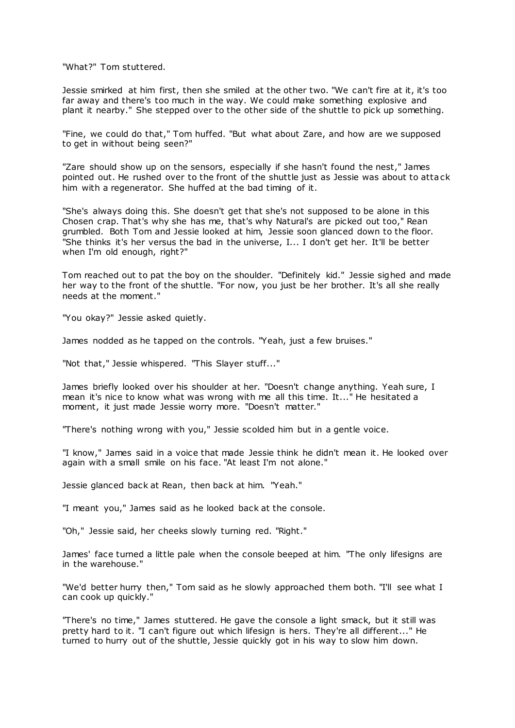"What?" Tom stuttered.

Jessie smirked at him first, then she smiled at the other two. "We can't fire at it, it's too far away and there's too much in the way. We could make something explosive and plant it nearby." She stepped over to the other side of the shuttle to pick up something.

"Fine, we could do that," Tom huffed. "But what about Zare, and how are we supposed to get in without being seen?"

"Zare should show up on the sensors, especially if she hasn't found the nest," James pointed out. He rushed over to the front of the shuttle just as Jessie was about to attack him with a regenerator. She huffed at the bad timing of it.

"She's always doing this. She doesn't get that she's not supposed to be alone in this Chosen crap. That's why she has me, that's why Natural's are picked out too," Rean grumbled. Both Tom and Jessie looked at him, Jessie soon glanced down to the floor. "She thinks it's her versus the bad in the universe, I... I don't get her. It'll be better when I'm old enough, right?"

Tom reached out to pat the boy on the shoulder. "Definitely kid." Jessie sighed and made her way to the front of the shuttle. "For now, you just be her brother. It's all she really needs at the moment."

"You okay?" Jessie asked quietly.

James nodded as he tapped on the controls. "Yeah, just a few bruises."

"Not that," Jessie whispered. "This Slayer stuff..."

James briefly looked over his shoulder at her. "Doesn't change anything. Yeah sure, I mean it's nice to know what was wrong with me all this time. It..." He hesitated a moment, it just made Jessie worry more. "Doesn't matter."

"There's nothing wrong with you," Jessie scolded him but in a gentle voice.

"I know," James said in a voice that made Jessie think he didn't mean it. He looked over again with a small smile on his face. "At least I'm not alone."

Jessie glanced back at Rean, then back at him. "Yeah."

"I meant you," James said as he looked back at the console.

"Oh," Jessie said, her cheeks slowly turning red. "Right."

James' face turned a little pale when the console beeped at him. "The only lifesigns are in the warehouse."

"We'd better hurry then," Tom said as he slowly approached them both. "I'll see what I can cook up quickly."

"There's no time," James stuttered. He gave the console a light smack, but it still was pretty hard to it. "I can't figure out which lifesign is hers. They're all different..." He turned to hurry out of the shuttle, Jessie quickly got in his way to slow him down.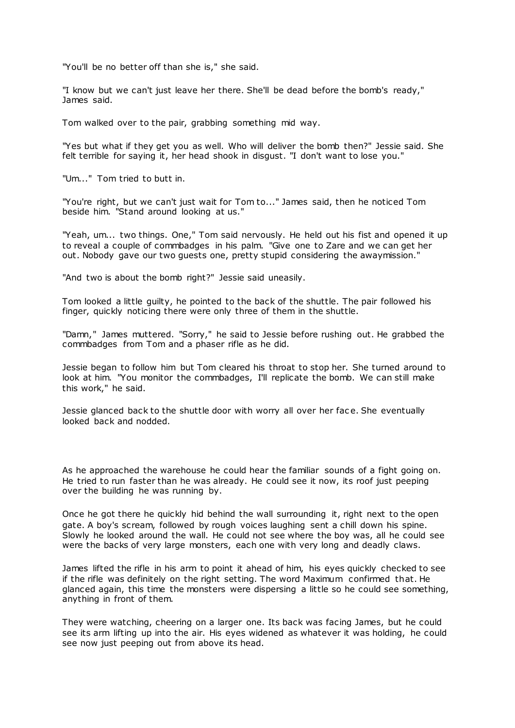"You'll be no better off than she is," she said.

"I know but we can't just leave her there. She'll be dead before the bomb's ready," James said.

Tom walked over to the pair, grabbing something mid way.

"Yes but what if they get you as well. Who will deliver the bomb then?" Jessie said. She felt terrible for saying it, her head shook in disgust. "I don't want to lose you."

"Um..." Tom tried to butt in.

"You're right, but we can't just wait for Tom to..." James said, then he noticed Tom beside him. "Stand around looking at us."

"Yeah, um... two things. One," Tom said nervously. He held out his fist and opened it up to reveal a couple of commbadges in his palm. "Give one to Zare and we can get her out. Nobody gave our two guests one, pretty stupid considering the awaymission."

"And two is about the bomb right?" Jessie said uneasily.

Tom looked a little guilty, he pointed to the back of the shuttle. The pair followed his finger, quickly noticing there were only three of them in the shuttle.

"Damn," James muttered. "Sorry," he said to Jessie before rushing out. He grabbed the commbadges from Tom and a phaser rifle as he did.

Jessie began to follow him but Tom cleared his throat to stop her. She turned around to look at him. "You monitor the commbadges, I'll replicate the bomb. We can still make this work," he said.

Jessie glanced back to the shuttle door with worry all over her face. She eventually looked back and nodded.

As he approached the warehouse he could hear the familiar sounds of a fight going on. He tried to run faster than he was already. He could see it now, its roof just peeping over the building he was running by.

Once he got there he quickly hid behind the wall surrounding it, right next to the open gate. A boy's scream, followed by rough voices laughing sent a chill down his spine. Slowly he looked around the wall. He could not see where the boy was, all he could see were the backs of very large monsters, each one with very long and deadly claws.

James lifted the rifle in his arm to point it ahead of him, his eyes quickly checked to see if the rifle was definitely on the right setting. The word Maximum confirmed that. He glanced again, this time the monsters were dispersing a little so he could see something, anything in front of them.

They were watching, cheering on a larger one. Its back was facing James, but he could see its arm lifting up into the air. His eyes widened as whatever it was holding, he could see now just peeping out from above its head.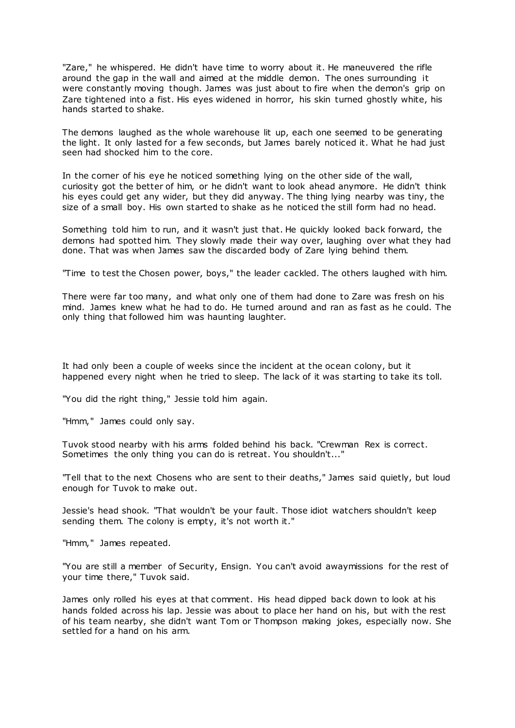"Zare," he whispered. He didn't have time to worry about it. He maneuvered the rifle around the gap in the wall and aimed at the middle demon. The ones surrounding it were constantly moving though. James was just about to fire when the demon's grip on Zare tightened into a fist. His eyes widened in horror, his skin turned ghostly white, his hands started to shake.

The demons laughed as the whole warehouse lit up, each one seemed to be generating the light. It only lasted for a few seconds, but James barely noticed it. What he had just seen had shocked him to the core.

In the corner of his eye he noticed something lying on the other side of the wall, curiosity got the better of him, or he didn't want to look ahead anymore. He didn't think his eyes could get any wider, but they did anyway. The thing lying nearby was tiny, the size of a small boy. His own started to shake as he noticed the still form had no head.

Something told him to run, and it wasn't just that. He quickly looked back forward, the demons had spotted him. They slowly made their way over, laughing over what they had done. That was when James saw the discarded body of Zare lying behind them.

"Time to test the Chosen power, boys," the leader cackled. The others laughed with him.

There were far too many, and what only one of them had done to Zare was fresh on his mind. James knew what he had to do. He turned around and ran as fast as he could. The only thing that followed him was haunting laughter.

It had only been a couple of weeks since the incident at the ocean colony, but it happened every night when he tried to sleep. The lack of it was starting to take its toll.

"You did the right thing," Jessie told him again.

"Hmm," James could only say.

Tuvok stood nearby with his arms folded behind his back. "Crewman Rex is correct. Sometimes the only thing you can do is retreat. You shouldn't..."

"Tell that to the next Chosens who are sent to their deaths," James said quietly, but loud enough for Tuvok to make out.

Jessie's head shook. "That wouldn't be your fault. Those idiot watchers shouldn't keep sending them. The colony is empty, it's not worth it."

"Hmm," James repeated.

"You are still a member of Security, Ensign. You can't avoid awaymissions for the rest of your time there," Tuvok said.

James only rolled his eyes at that comment. His head dipped back down to look at his hands folded across his lap. Jessie was about to place her hand on his, but with the rest of his team nearby, she didn't want Tom or Thompson making jokes, especially now. She settled for a hand on his arm.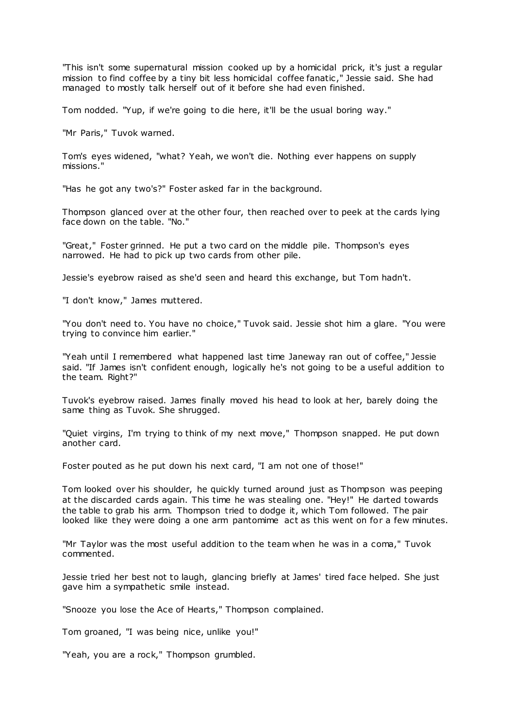"This isn't some supernatural mission cooked up by a homicidal prick, it's just a regular mission to find coffee by a tiny bit less homicidal coffee fanatic ," Jessie said. She had managed to mostly talk herself out of it before she had even finished.

Tom nodded. "Yup, if we're going to die here, it'll be the usual boring way."

"Mr Paris," Tuvok warned.

Tom's eyes widened, "what? Yeah, we won't die. Nothing ever happens on supply missions."

"Has he got any two's?" Foster asked far in the background.

Thompson glanced over at the other four, then reached over to peek at the cards lying face down on the table. "No."

"Great," Foster grinned. He put a two card on the middle pile. Thompson's eyes narrowed. He had to pick up two cards from other pile.

Jessie's eyebrow raised as she'd seen and heard this exchange, but Tom hadn't.

"I don't know," James muttered.

"You don't need to. You have no choice," Tuvok said. Jessie shot him a glare. "You were trying to convince him earlier."

"Yeah until I remembered what happened last time Janeway ran out of coffee," Jessie said. "If James isn't confident enough, logically he's not going to be a useful addition to the team. Right?"

Tuvok's eyebrow raised. James finally moved his head to look at her, barely doing the same thing as Tuvok. She shrugged.

"Quiet virgins, I'm trying to think of my next move," Thompson snapped. He put down another card.

Foster pouted as he put down his next card, "I am not one of those!"

Tom looked over his shoulder, he quickly turned around just as Thompson was peeping at the discarded cards again. This time he was stealing one. "Hey!" He darted towards the table to grab his arm. Thompson tried to dodge it, which Tom followed. The pair looked like they were doing a one arm pantomime act as this went on for a few minutes.

"Mr Taylor was the most useful addition to the team when he was in a coma," Tuvok commented.

Jessie tried her best not to laugh, glancing briefly at James' tired face helped. She just gave him a sympathetic smile instead.

"Snooze you lose the Ace of Hearts," Thompson complained.

Tom groaned, "I was being nice, unlike you!"

"Yeah, you are a rock," Thompson grumbled.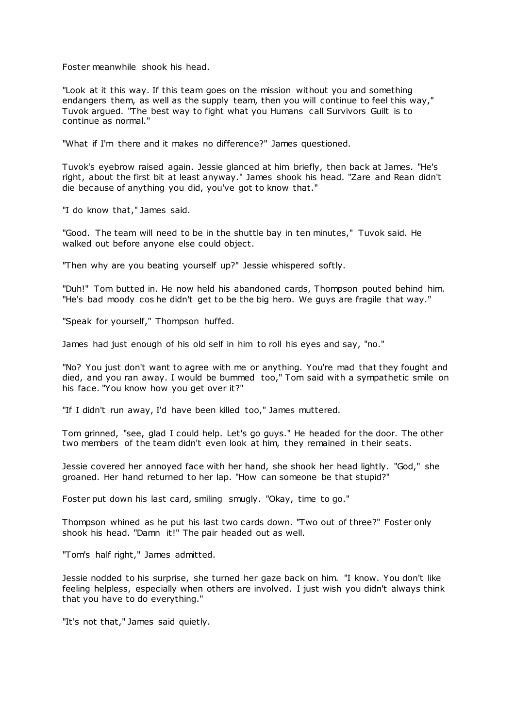Foster meanwhile shook his head.

"Look at it this way. If this team goes on the mission without you and something endangers them, as well as the supply team, then you will continue to feel this way," Tuvok argued. "The best way to fight what you Humans call Survivors Guilt is to continue as normal."

"What if I'm there and it makes no difference?" James questioned.

Tuvok's eyebrow raised again. Jessie glanced at him briefly, then back at James. "He's right, about the first bit at least anyway." James shook his head. "Zare and Rean didn't die because of anything you did, you've got to know that."

"I do know that," James said.

"Good. The team will need to be in the shuttle bay in ten minutes," Tuvok said. He walked out before anyone else could object.

"Then why are you beating yourself up?" Jessie whispered softly.

"Duh!" Tom butted in. He now held his abandoned cards, Thompson pouted behind him. "He's bad moody cos he didn't get to be the big hero. We guys are fragile that way."

"Speak for yourself," Thompson huffed.

James had just enough of his old self in him to roll his eyes and say, "no."

"No? You just don't want to agree with me or anything. You're mad that they fought and died, and you ran away. I would be bummed too," Tom said with a sympathetic smile on his face. "You know how you get over it?"

"If I didn't run away, I'd have been killed too," James muttered.

Tom grinned, "see, glad I could help. Let's go guys." He headed for the door. The other two members of the team didn't even look at him, they remained in their seats.

Jessie covered her annoyed face with her hand, she shook her head lightly. "God," she groaned. Her hand returned to her lap. "How can someone be that stupid?"

Foster put down his last card, smiling smugly. "Okay, time to go."

Thompson whined as he put his last two cards down. "Two out of three?" Foster only shook his head. "Damn it!" The pair headed out as well.

"Tom's half right," James admitted.

Jessie nodded to his surprise, she turned her gaze back on him. "I know. You don't like feeling helpless, especially when others are involved. I just wish you didn't always think that you have to do everything."

"It's not that," James said quietly.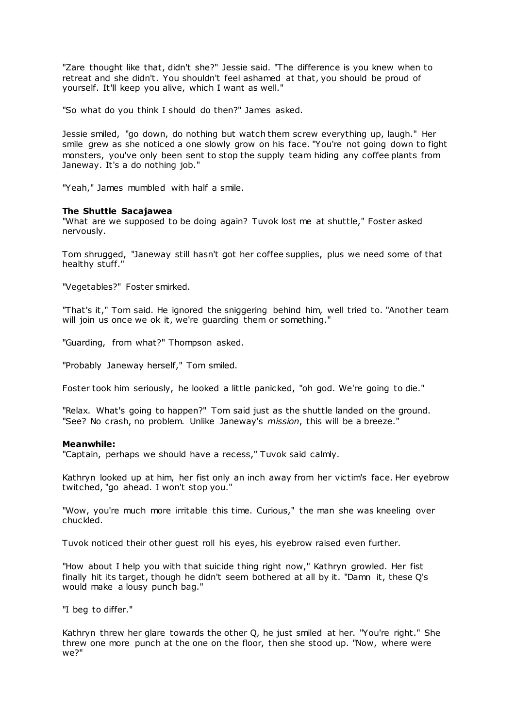"Zare thought like that, didn't she?" Jessie said. "The difference is you knew when to retreat and she didn't. You shouldn't feel ashamed at that, you should be proud of yourself. It'll keep you alive, which I want as well."

"So what do you think I should do then?" James asked.

Jessie smiled, "go down, do nothing but watch them screw everything up, laugh." Her smile grew as she noticed a one slowly grow on his face. "You're not going down to fight monsters, you've only been sent to stop the supply team hiding any coffee plants from Janeway. It's a do nothing job."

"Yeah," James mumbled with half a smile.

#### **The Shuttle Sacajawea**

"What are we supposed to be doing again? Tuvok lost me at shuttle," Foster asked nervously.

Tom shrugged, "Janeway still hasn't got her coffee supplies, plus we need some of that healthy stuff."

"Vegetables?" Foster smirked.

"That's it," Tom said. He ignored the sniggering behind him, well tried to. "Another team will join us once we ok it, we're quarding them or something."

"Guarding, from what?" Thompson asked.

"Probably Janeway herself," Tom smiled.

Foster took him seriously, he looked a little panicked, "oh god. We're going to die."

"Relax. What's going to happen?" Tom said just as the shuttle landed on the ground. "See? No crash, no problem. Unlike Janeway's *mission*, this will be a breeze."

#### **Meanwhile:**

"Captain, perhaps we should have a recess," Tuvok said calmly.

Kathryn looked up at him, her fist only an inch away from her victim's face. Her eyebrow twitched, "go ahead. I won't stop you."

"Wow, you're much more irritable this time. Curious," the man she was kneeling over chuckled.

Tuvok noticed their other guest roll his eyes, his eyebrow raised even further.

"How about I help you with that suicide thing right now," Kathryn growled. Her fist finally hit its target, though he didn't seem bothered at all by it. "Damn it, these Q's would make a lousy punch bag."

"I beg to differ."

Kathryn threw her glare towards the other Q, he just smiled at her. "You're right." She threw one more punch at the one on the floor, then she stood up. "Now, where were we?"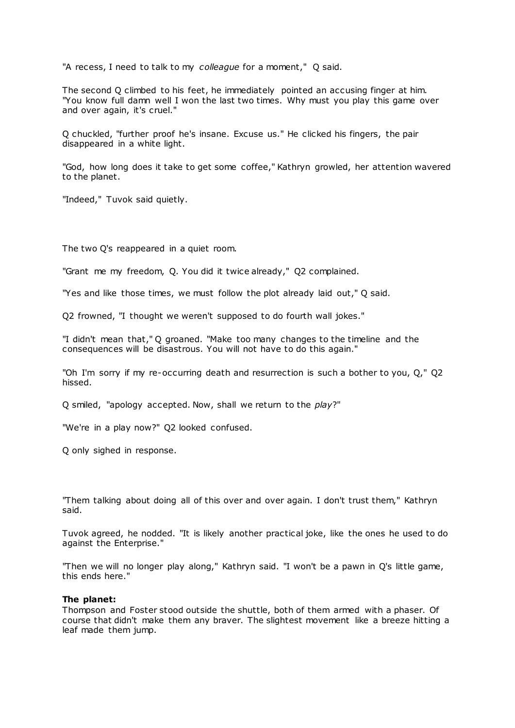"A recess, I need to talk to my *colleague* for a moment," Q said.

The second Q climbed to his feet, he immediately pointed an accusing finger at him. "You know full damn well I won the last two times. Why must you play this game over and over again, it's cruel."

Q chuckled, "further proof he's insane. Excuse us." He clicked his fingers, the pair disappeared in a white light.

"God, how long does it take to get some coffee," Kathryn growled, her attention wavered to the planet.

"Indeed," Tuvok said quietly.

The two Q's reappeared in a quiet room.

"Grant me my freedom, Q. You did it twice already," Q2 complained.

"Yes and like those times, we must follow the plot already laid out," Q said.

Q2 frowned, "I thought we weren't supposed to do fourth wall jokes."

"I didn't mean that," Q groaned. "Make too many changes to the timeline and the consequences will be disastrous. You will not have to do this again."

"Oh I'm sorry if my re-occurring death and resurrection is such a bother to you, Q," Q2 hissed.

Q smiled, "apology accepted. Now, shall we return to the *play*?"

"We're in a play now?" Q2 looked confused.

Q only sighed in response.

"Them talking about doing all of this over and over again. I don't trust them," Kathryn said.

Tuvok agreed, he nodded. "It is likely another practical joke, like the ones he used to do against the Enterprise."

"Then we will no longer play along," Kathryn said. "I won't be a pawn in Q's little game, this ends here."

#### **The planet:**

Thompson and Foster stood outside the shuttle, both of them armed with a phaser. Of course that didn't make them any braver. The slightest movement like a breeze hitting a leaf made them jump.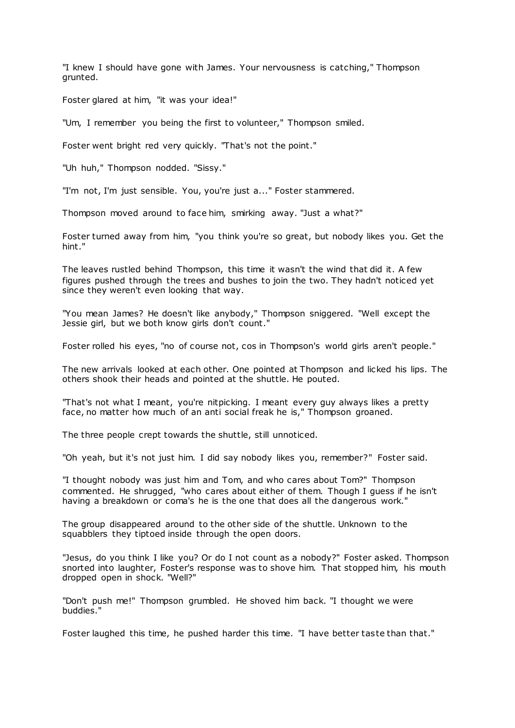"I knew I should have gone with James. Your nervousness is catching," Thompson grunted.

Foster glared at him, "it was your idea!"

"Um, I remember you being the first to volunteer," Thompson smiled.

Foster went bright red very quickly. "That's not the point."

"Uh huh," Thompson nodded. "Sissy."

"I'm not, I'm just sensible. You, you're just a..." Foster stammered.

Thompson moved around to face him, smirking away. "Just a what?"

Foster turned away from him, "you think you're so great, but nobody likes you. Get the hint."

The leaves rustled behind Thompson, this time it wasn't the wind that did it. A few figures pushed through the trees and bushes to join the two. They hadn't noticed yet since they weren't even looking that way.

"You mean James? He doesn't like anybody," Thompson sniggered. "Well except the Jessie girl, but we both know girls don't count."

Foster rolled his eyes, "no of course not, cos in Thompson's world girls aren't people."

The new arrivals looked at each other. One pointed at Thompson and licked his lips. The others shook their heads and pointed at the shuttle. He pouted.

"That's not what I meant, you're nitpicking. I meant every guy always likes a pretty face, no matter how much of an anti social freak he is," Thompson groaned.

The three people crept towards the shuttle, still unnoticed.

"Oh yeah, but it's not just him. I did say nobody likes you, remember?" Foster said.

"I thought nobody was just him and Tom, and who cares about Tom?" Thompson commented. He shrugged, "who cares about either of them. Though I guess if he isn't having a breakdown or coma's he is the one that does all the dangerous work."

The group disappeared around to the other side of the shuttle. Unknown to the squabblers they tiptoed inside through the open doors.

"Jesus, do you think I like you? Or do I not count as a nobody?" Foster asked. Thompson snorted into laughter, Foster's response was to shove him. That stopped him, his mouth dropped open in shock. "Well?"

"Don't push me!" Thompson grumbled. He shoved him back. "I thought we were buddies."

Foster laughed this time, he pushed harder this time. "I have better taste than that."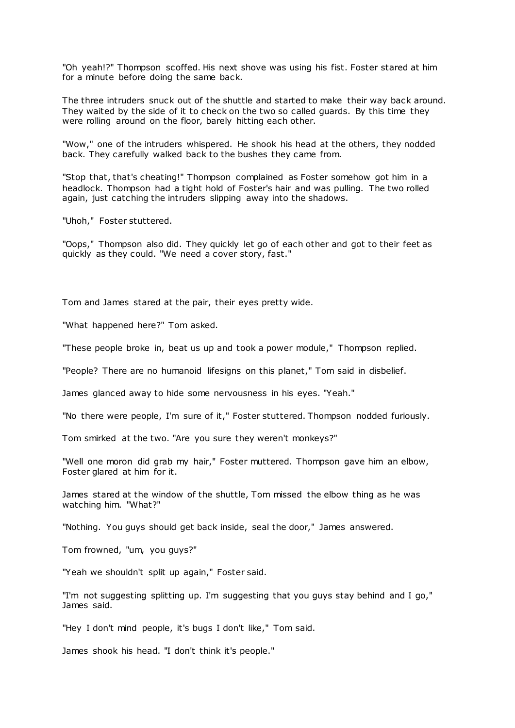"Oh yeah!?" Thompson scoffed. His next shove was using his fist. Foster stared at him for a minute before doing the same back.

The three intruders snuck out of the shuttle and started to make their way back around. They waited by the side of it to check on the two so called guards. By this time they were rolling around on the floor, barely hitting each other.

"Wow," one of the intruders whispered. He shook his head at the others, they nodded back. They carefully walked back to the bushes they came from.

"Stop that, that's cheating!" Thompson complained as Foster somehow got him in a headlock. Thompson had a tight hold of Foster's hair and was pulling. The two rolled again, just catching the intruders slipping away into the shadows.

"Uhoh," Foster stuttered.

"Oops," Thompson also did. They quickly let go of each other and got to their feet as quickly as they could. "We need a cover story, fast."

Tom and James stared at the pair, their eyes pretty wide.

"What happened here?" Tom asked.

"These people broke in, beat us up and took a power module," Thompson replied.

"People? There are no humanoid lifesigns on this planet," Tom said in disbelief.

James glanced away to hide some nervousness in his eyes. "Yeah."

"No there were people, I'm sure of it," Foster stuttered. Thompson nodded furiously.

Tom smirked at the two. "Are you sure they weren't monkeys?"

"Well one moron did grab my hair," Foster muttered. Thompson gave him an elbow, Foster glared at him for it.

James stared at the window of the shuttle, Tom missed the elbow thing as he was watching him. "What?"

"Nothing. You guys should get back inside, seal the door," James answered.

Tom frowned, "um, you guys?"

"Yeah we shouldn't split up again," Foster said.

"I'm not suggesting splitting up. I'm suggesting that you guys stay behind and I go," James said.

"Hey I don't mind people, it's bugs I don't like," Tom said.

James shook his head. "I don't think it's people."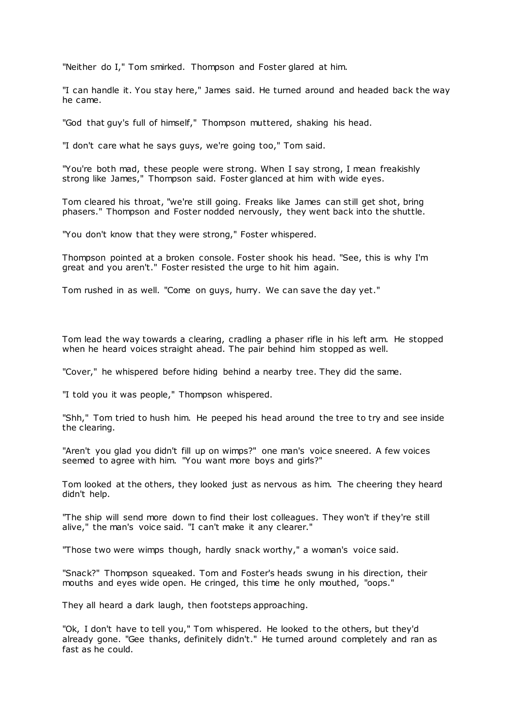"Neither do I," Tom smirked. Thompson and Foster glared at him.

"I can handle it. You stay here," James said. He turned around and headed back the way he came.

"God that guy's full of himself," Thompson muttered, shaking his head.

"I don't care what he says guys, we're going too," Tom said.

"You're both mad, these people were strong. When I say strong, I mean freakishly strong like James," Thompson said. Foster glanced at him with wide eyes.

Tom cleared his throat, "we're still going. Freaks like James can still get shot, bring phasers." Thompson and Foster nodded nervously, they went back into the shuttle.

"You don't know that they were strong," Foster whispered.

Thompson pointed at a broken console. Foster shook his head. "See, this is why I'm great and you aren't." Foster resisted the urge to hit him again.

Tom rushed in as well. "Come on guys, hurry. We can save the day yet."

Tom lead the way towards a clearing, cradling a phaser rifle in his left arm. He stopped when he heard voices straight ahead. The pair behind him stopped as well.

"Cover," he whispered before hiding behind a nearby tree. They did the same.

"I told you it was people," Thompson whispered.

"Shh," Tom tried to hush him. He peeped his head around the tree to try and see inside the clearing.

"Aren't you glad you didn't fill up on wimps?" one man's voice sneered. A few voices seemed to agree with him. "You want more boys and girls?"

Tom looked at the others, they looked just as nervous as him. The cheering they heard didn't help.

"The ship will send more down to find their lost colleagues. They won't if they're still alive," the man's voice said. "I can't make it any clearer."

"Those two were wimps though, hardly snack worthy," a woman's voice said.

"Snack?" Thompson squeaked. Tom and Foster's heads swung in his direction, their mouths and eyes wide open. He cringed, this time he only mouthed, "oops."

They all heard a dark laugh, then footsteps approaching.

"Ok, I don't have to tell you," Tom whispered. He looked to the others, but they'd already gone. "Gee thanks, definitely didn't." He turned around completely and ran as fast as he could.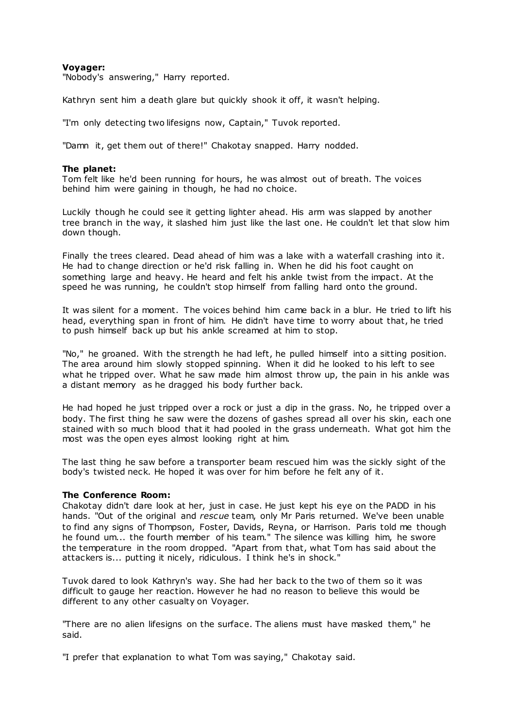# **Voyager:**

"Nobody's answering," Harry reported.

Kathryn sent him a death glare but quickly shook it off, it wasn't helping.

"I'm only detecting two lifesigns now, Captain," Tuvok reported.

"Damn it, get them out of there!" Chakotay snapped. Harry nodded.

# **The planet:**

Tom felt like he'd been running for hours, he was almost out of breath. The voices behind him were gaining in though, he had no choice.

Luckily though he could see it getting lighter ahead. His arm was slapped by another tree branch in the way, it slashed him just like the last one. He couldn't let that slow him down though.

Finally the trees cleared. Dead ahead of him was a lake with a waterfall crashing into it. He had to change direction or he'd risk falling in. When he did his foot caught on something large and heavy. He heard and felt his ankle twist from the impact. At the speed he was running, he couldn't stop himself from falling hard onto the ground.

It was silent for a moment. The voices behind him came back in a blur. He tried to lift his head, everything span in front of him. He didn't have time to worry about that, he tried to push himself back up but his ankle screamed at him to stop.

"No," he groaned. With the strength he had left, he pulled himself into a sitting position. The area around him slowly stopped spinning. When it did he looked to his left to see what he tripped over. What he saw made him almost throw up, the pain in his ankle was a distant memory as he dragged his body further back.

He had hoped he just tripped over a rock or just a dip in the grass. No, he tripped over a body. The first thing he saw were the dozens of gashes spread all over his skin, each one stained with so much blood that it had pooled in the grass underneath. What got him the most was the open eyes almost looking right at him.

The last thing he saw before a transporter beam rescued him was the sickly sight of the body's twisted neck. He hoped it was over for him before he felt any of it.

## **The Conference Room:**

Chakotay didn't dare look at her, just in case. He just kept his eye on the PADD in his hands. "Out of the original and *rescue* team, only Mr Paris returned. We've been unable to find any signs of Thompson, Foster, Davids, Reyna, or Harrison. Paris told me though he found um... the fourth member of his team." The silence was killing him, he swore the temperature in the room dropped. "Apart from that, what Tom has said about the attackers is... putting it nicely, ridiculous. I think he's in shock."

Tuvok dared to look Kathryn's way. She had her back to the two of them so it was difficult to gauge her reaction. However he had no reason to believe this would be different to any other casualty on Voyager.

"There are no alien lifesigns on the surface. The aliens must have masked them," he said.

"I prefer that explanation to what Tom was saying," Chakotay said.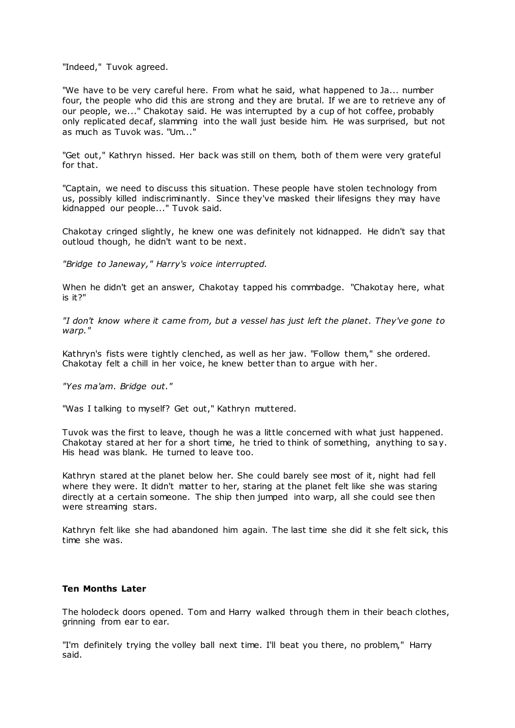"Indeed," Tuvok agreed.

"We have to be very careful here. From what he said, what happened to Ja... number four, the people who did this are strong and they are brutal. If we are to retrieve any of our people, we..." Chakotay said. He was interrupted by a cup of hot coffee, probably only replicated decaf, slamming into the wall just beside him. He was surprised, but not as much as Tuvok was. "Um..."

"Get out," Kathryn hissed. Her back was still on them, both of them were very grateful for that.

"Captain, we need to discuss this situation. These people have stolen technology from us, possibly killed indiscriminantly. Since they've masked their lifesigns they may have kidnapped our people..." Tuvok said.

Chakotay cringed slightly, he knew one was definitely not kidnapped. He didn't say that outloud though, he didn't want to be next.

*"Bridge to Janeway," Harry's voice interrupted.*

When he didn't get an answer, Chakotay tapped his commbadge. "Chakotay here, what is it?"

*"I don't know where it came from, but a vessel has just left the planet. They've gone to warp."*

Kathryn's fists were tightly clenched, as well as her jaw. "Follow them," she ordered. Chakotay felt a chill in her voice, he knew better than to argue with her.

*"Yes ma'am. Bridge out."*

"Was I talking to myself? Get out," Kathryn muttered.

Tuvok was the first to leave, though he was a little concerned with what just happened. Chakotay stared at her for a short time, he tried to think of something, anything to say. His head was blank. He turned to leave too.

Kathryn stared at the planet below her. She could barely see most of it, night had fell where they were. It didn't matter to her, staring at the planet felt like she was staring directly at a certain someone. The ship then jumped into warp, all she could see then were streaming stars.

Kathryn felt like she had abandoned him again. The last time she did it she felt sick, this time she was.

#### **Ten Months Later**

The holodeck doors opened. Tom and Harry walked through them in their beach clothes, grinning from ear to ear.

"I'm definitely trying the volley ball next time. I'll beat you there, no problem," Harry said.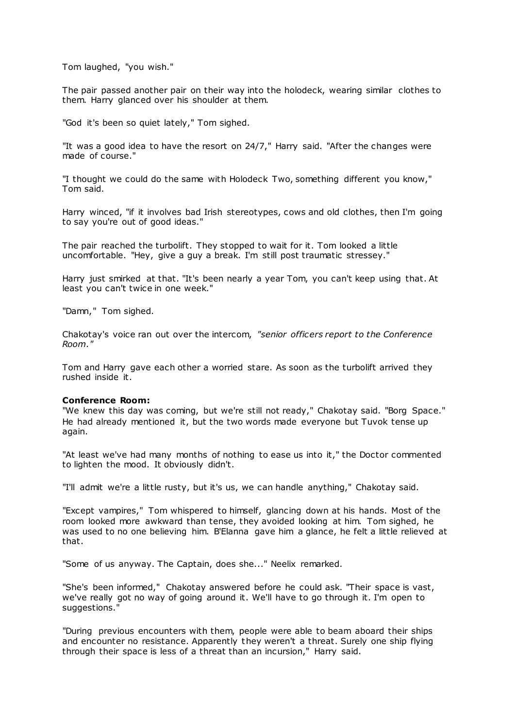Tom laughed, "you wish."

The pair passed another pair on their way into the holodeck, wearing similar clothes to them. Harry glanced over his shoulder at them.

"God it's been so quiet lately," Tom sighed.

"It was a good idea to have the resort on 24/7," Harry said. "After the changes were made of course."

"I thought we could do the same with Holodeck Two, something different you know," Tom said.

Harry winced, "if it involves bad Irish stereotypes, cows and old clothes, then I'm going to say you're out of good ideas."

The pair reached the turbolift. They stopped to wait for it. Tom looked a little uncomfortable. "Hey, give a guy a break. I'm still post traumatic stressey."

Harry just smirked at that. "It's been nearly a year Tom, you can't keep using that. At least you can't twice in one week."

"Damn," Tom sighed.

Chakotay's voice ran out over the intercom, *"senior officers report to the Conference Room."*

Tom and Harry gave each other a worried stare. As soon as the turbolift arrived they rushed inside it.

## **Conference Room:**

"We knew this day was coming, but we're still not ready," Chakotay said. "Borg Space." He had already mentioned it, but the two words made everyone but Tuvok tense up again.

"At least we've had many months of nothing to ease us into it," the Doctor commented to lighten the mood. It obviously didn't.

"I'll admit we're a little rusty, but it's us, we can handle anything," Chakotay said.

"Except vampires," Tom whispered to himself, glancing down at his hands. Most of the room looked more awkward than tense, they avoided looking at him. Tom sighed, he was used to no one believing him. B'Elanna gave him a glance, he felt a little relieved at that.

"Some of us anyway. The Captain, does she..." Neelix remarked.

"She's been informed," Chakotay answered before he could ask. "Their space is vast, we've really got no way of going around it. We'll have to go through it. I'm open to suggestions."

"During previous encounters with them, people were able to beam aboard their ships and encounter no resistance. Apparently they weren't a threat. Surely one ship flying through their space is less of a threat than an incursion," Harry said.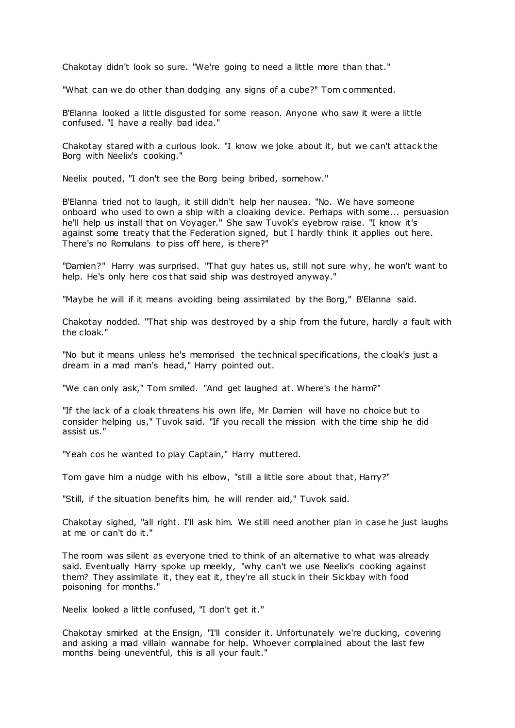Chakotay didn't look so sure. "We're going to need a little more than that."

"What can we do other than dodging any signs of a cube?" Tom c ommented.

B'Elanna looked a little disgusted for some reason. Anyone who saw it were a little confused. "I have a really bad idea."

Chakotay stared with a curious look. "I know we joke about it, but we can't attack the Borg with Neelix's cooking."

Neelix pouted, "I don't see the Borg being bribed, somehow."

B'Elanna tried not to laugh, it still didn't help her nausea. "No. We have someone onboard who used to own a ship with a cloaking device. Perhaps with some... persuasion he'll help us install that on Voyager." She saw Tuvok's eyebrow raise. "I know it's against some treaty that the Federation signed, but I hardly think it applies out here. There's no Romulans to piss off here, is there?"

"Damien?" Harry was surprised. "That guy hates us, still not sure why, he won't want to help. He's only here cos that said ship was destroyed anyway."

"Maybe he will if it means avoiding being assimilated by the Borg," B'Elanna said.

Chakotay nodded. "That ship was destroyed by a ship from the future, hardly a fault with the cloak."

"No but it means unless he's memorised the technical specifications, the cloak's just a dream in a mad man's head," Harry pointed out.

"We can only ask," Tom smiled. "And get laughed at. Where's the harm?"

"If the lack of a cloak threatens his own life, Mr Damien will have no choice but to consider helping us," Tuvok said. "If you recall the mission with the time ship he did assist us."

"Yeah cos he wanted to play Captain," Harry muttered.

Tom gave him a nudge with his elbow, "still a little sore about that, Harry?"

"Still, if the situation benefits him, he will render aid," Tuvok said.

Chakotay sighed, "all right. I'll ask him. We still need another plan in case he just laughs at me or can't do it."

The room was silent as everyone tried to think of an alternative to what was already said. Eventually Harry spoke up meekly, "why can't we use Neelix's cooking against them? They assimilate it, they eat it, they're all stuck in their Sickbay with food poisoning for months."

Neelix looked a little confused, "I don't get it."

Chakotay smirked at the Ensign, "I'll consider it. Unfortunately we're ducking, covering and asking a mad villain wannabe for help. Whoever complained about the last few months being uneventful, this is all your fault."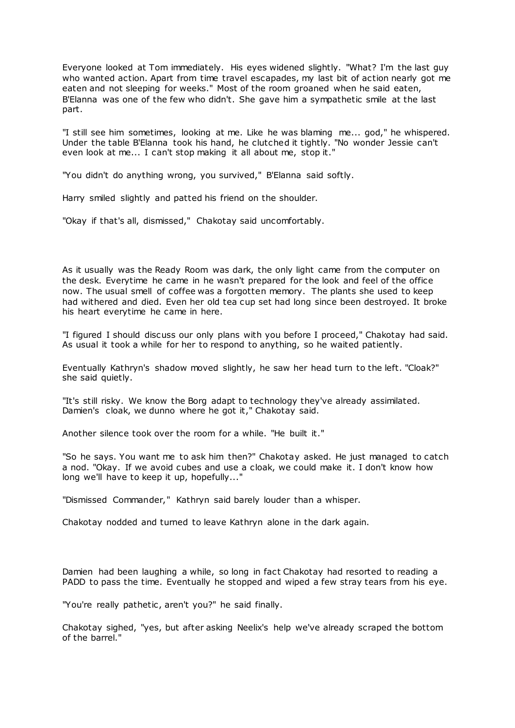Everyone looked at Tom immediately. His eyes widened slightly. "What? I'm the last guy who wanted action. Apart from time travel escapades, my last bit of action nearly got me eaten and not sleeping for weeks." Most of the room groaned when he said eaten, B'Elanna was one of the few who didn't. She gave him a sympathetic smile at the last part.

"I still see him sometimes, looking at me. Like he was blaming me... god," he whispered. Under the table B'Elanna took his hand, he clutched it tightly. "No wonder Jessie can't even look at me... I can't stop making it all about me, stop it."

"You didn't do anything wrong, you survived," B'Elanna said softly.

Harry smiled slightly and patted his friend on the shoulder.

"Okay if that's all, dismissed," Chakotay said uncomfortably.

As it usually was the Ready Room was dark, the only light came from the computer on the desk. Everytime he came in he wasn't prepared for the look and feel of the office now. The usual smell of coffee was a forgotten memory. The plants she used to keep had withered and died. Even her old tea cup set had long since been destroyed. It broke his heart everytime he came in here.

"I figured I should discuss our only plans with you before I proceed," Chakotay had said. As usual it took a while for her to respond to anything, so he waited patiently.

Eventually Kathryn's shadow moved slightly, he saw her head turn to the left. "Cloak?" she said quietly.

"It's still risky. We know the Borg adapt to technology they've already assimilated. Damien's cloak, we dunno where he got it," Chakotay said.

Another silence took over the room for a while. "He built it."

"So he says. You want me to ask him then?" Chakotay asked. He just managed to catch a nod. "Okay. If we avoid cubes and use a cloak, we could make it. I don't know how long we'll have to keep it up, hopefully..."

"Dismissed Commander," Kathryn said barely louder than a whisper.

Chakotay nodded and turned to leave Kathryn alone in the dark again.

Damien had been laughing a while, so long in fact Chakotay had resorted to reading a PADD to pass the time. Eventually he stopped and wiped a few stray tears from his eye.

"You're really pathetic, aren't you?" he said finally.

Chakotay sighed, "yes, but after asking Neelix's help we've already scraped the bottom of the barrel."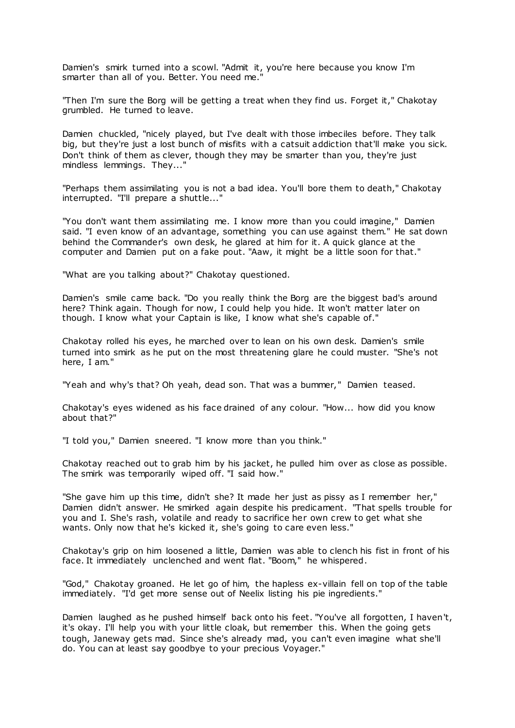Damien's smirk turned into a scowl. "Admit it, you're here because you know I'm smarter than all of you. Better. You need me.

"Then I'm sure the Borg will be getting a treat when they find us. Forget it," Chakotay grumbled. He turned to leave.

Damien chuckled, "nicely played, but I've dealt with those imbeciles before. They talk big, but they're just a lost bunch of misfits with a catsuit addiction that'll make you sick. Don't think of them as clever, though they may be smarter than you, they're just mindless lemmings. They...'

"Perhaps them assimilating you is not a bad idea. You'll bore them to death," Chakotay interrupted. "I'll prepare a shuttle..."

"You don't want them assimilating me. I know more than you could imagine," Damien said. "I even know of an advantage, something you can use against them." He sat down behind the Commander's own desk, he glared at him for it. A quick glance at the computer and Damien put on a fake pout. "Aaw, it might be a little soon for that."

"What are you talking about?" Chakotay questioned.

Damien's smile came back. "Do you really think the Borg are the biggest bad's around here? Think again. Though for now, I could help you hide. It won't matter later on though. I know what your Captain is like, I know what she's capable of."

Chakotay rolled his eyes, he marched over to lean on his own desk. Damien's smile turned into smirk as he put on the most threatening glare he could muster. "She's not here, I am."

"Yeah and why's that? Oh yeah, dead son. That was a bummer," Damien teased.

Chakotay's eyes widened as his face drained of any colour. "How... how did you know about that?"

"I told you," Damien sneered. "I know more than you think."

Chakotay reached out to grab him by his jacket, he pulled him over as close as possible. The smirk was temporarily wiped off. "I said how."

"She gave him up this time, didn't she? It made her just as pissy as I remember her," Damien didn't answer. He smirked again despite his predicament. "That spells trouble for you and I. She's rash, volatile and ready to sacrifice her own crew to get what she wants. Only now that he's kicked it, she's going to care even less."

Chakotay's grip on him loosened a little, Damien was able to clench his fist in front of his face. It immediately unclenched and went flat. "Boom," he whispered.

"God," Chakotay groaned. He let go of him, the hapless ex-villain fell on top of the table immediately. "I'd get more sense out of Neelix listing his pie ingredients."

Damien laughed as he pushed himself back onto his feet. "You've all forgotten, I haven't, it's okay. I'll help you with your little cloak, but remember this. When the going gets tough, Janeway gets mad. Since she's already mad, you can't even imagine what she'll do. You can at least say goodbye to your precious Voyager."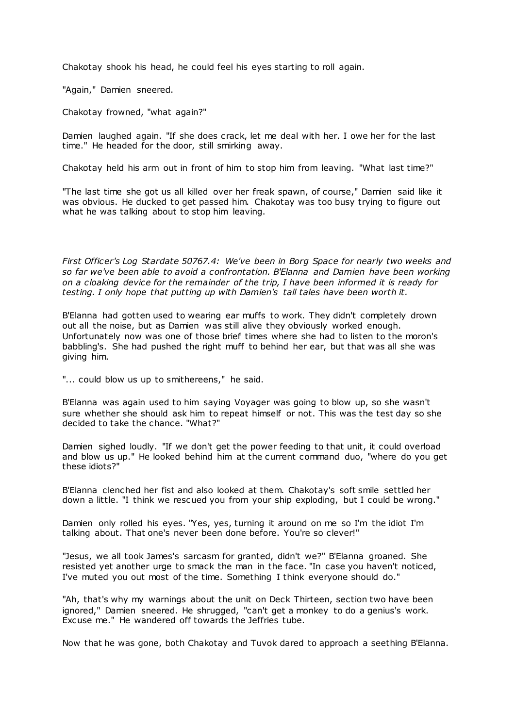Chakotay shook his head, he could feel his eyes starting to roll again.

"Again," Damien sneered.

Chakotay frowned, "what again?"

Damien laughed again. "If she does crack, let me deal with her. I owe her for the last time." He headed for the door, still smirking away.

Chakotay held his arm out in front of him to stop him from leaving. "What last time?"

"The last time she got us all killed over her freak spawn, of course," Damien said like it was obvious. He ducked to get passed him. Chakotay was too busy trying to figure out what he was talking about to stop him leaving.

*First Officer's Log Stardate 50767.4: We've been in Borg Space for nearly two weeks and so far we've been able to avoid a confrontation. B'Elanna and Damien have been working on a cloaking device for the remainder of the trip, I have been informed it is ready for testing. I only hope that putting up with Damien's tall tales have been worth it.*

B'Elanna had gotten used to wearing ear muffs to work. They didn't completely drown out all the noise, but as Damien was still alive they obviously worked enough. Unfortunately now was one of those brief times where she had to listen to the moron's babbling's. She had pushed the right muff to behind her ear, but that was all she was giving him.

"... could blow us up to smithereens," he said.

B'Elanna was again used to him saying Voyager was going to blow up, so she wasn't sure whether she should ask him to repeat himself or not. This was the test day so she decided to take the chance. "What?"

Damien sighed loudly. "If we don't get the power feeding to that unit, it could overload and blow us up." He looked behind him at the current command duo, "where do you get these idiots?"

B'Elanna clenched her fist and also looked at them. Chakotay's soft smile settled her down a little. "I think we rescued you from your ship exploding, but I could be wrong."

Damien only rolled his eyes. "Yes, yes, turning it around on me so I'm the idiot I'm talking about. That one's never been done before. You're so clever!"

"Jesus, we all took James's sarcasm for granted, didn't we?" B'Elanna groaned. She resisted yet another urge to smack the man in the face. "In case you haven't noticed, I've muted you out most of the time. Something I think everyone should do."

"Ah, that's why my warnings about the unit on Deck Thirteen, section two have been ignored," Damien sneered. He shrugged, "can't get a monkey to do a genius's work. Excuse me." He wandered off towards the Jeffries tube.

Now that he was gone, both Chakotay and Tuvok dared to approach a seething B'Elanna.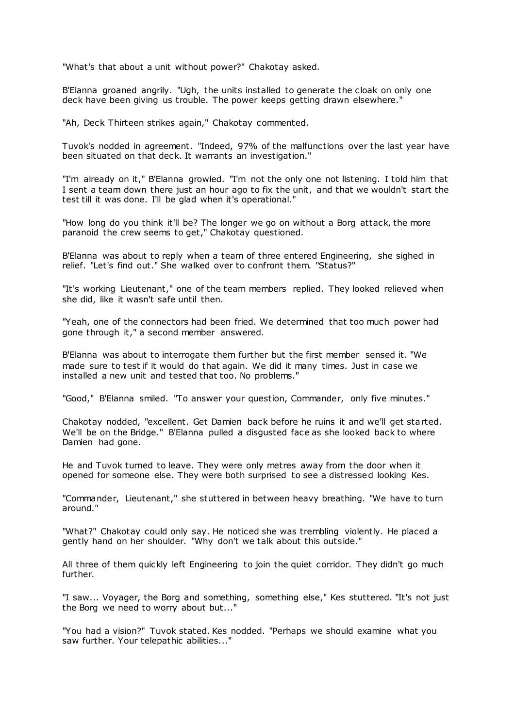"What's that about a unit without power?" Chakotay asked.

B'Elanna groaned angrily. "Ugh, the units installed to generate the cloak on only one deck have been giving us trouble. The power keeps getting drawn elsewhere."

"Ah, Deck Thirteen strikes again," Chakotay commented.

Tuvok's nodded in agreement. "Indeed, 97% of the malfunctions over the last year have been situated on that deck. It warrants an investigation."

"I'm already on it," B'Elanna growled. "I'm not the only one not listening. I told him that I sent a team down there just an hour ago to fix the unit, and that we wouldn't start the test till it was done. I'll be glad when it's operational."

"How long do you think it'll be? The longer we go on without a Borg attack, the more paranoid the crew seems to get," Chakotay questioned.

B'Elanna was about to reply when a team of three entered Engineering, she sighed in relief. "Let's find out." She walked over to confront them. "Status?"

"It's working Lieutenant," one of the team members replied. They looked relieved when she did, like it wasn't safe until then.

"Yeah, one of the connectors had been fried. We determined that too much power had gone through it," a second member answered.

B'Elanna was about to interrogate them further but the first member sensed it. "We made sure to test if it would do that again. We did it many times. Just in case we installed a new unit and tested that too. No problems."

"Good," B'Elanna smiled. "To answer your question, Commander, only five minutes."

Chakotay nodded, "excellent. Get Damien back before he ruins it and we'll get started. We'll be on the Bridge." B'Elanna pulled a disgusted face as she looked back to where Damien had gone.

He and Tuvok turned to leave. They were only metres away from the door when it opened for someone else. They were both surprised to see a distressed looking Kes.

"Commander, Lieutenant," she stuttered in between heavy breathing. "We have to turn around."

"What?" Chakotay could only say. He noticed she was trembling violently. He placed a gently hand on her shoulder. "Why don't we talk about this outside."

All three of them quickly left Engineering to join the quiet corridor. They didn't go much further.

"I saw... Voyager, the Borg and something, something else," Kes stuttered. "It's not just the Borg we need to worry about but..."

"You had a vision?" Tuvok stated. Kes nodded. "Perhaps we should examine what you saw further. Your telepathic abilities..."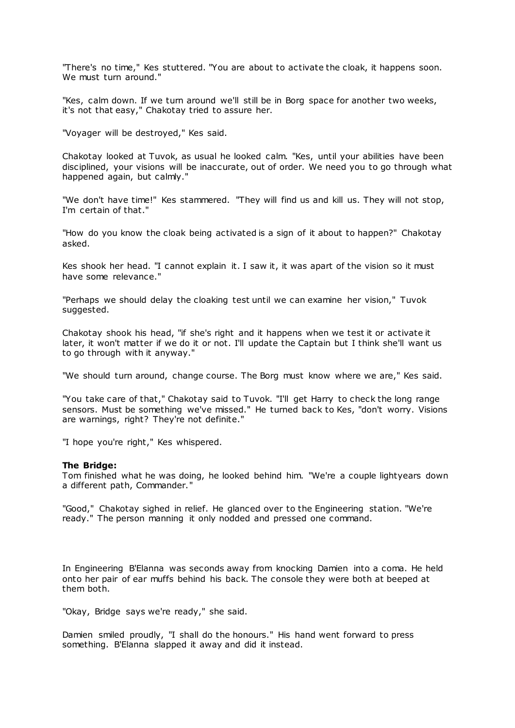"There's no time," Kes stuttered. "You are about to activate the cloak, it happens soon. We must turn around."

"Kes, calm down. If we turn around we'll still be in Borg space for another two weeks, it's not that easy," Chakotay tried to assure her.

"Voyager will be destroyed," Kes said.

Chakotay looked at Tuvok, as usual he looked calm. "Kes, until your abilities have been disciplined, your visions will be inaccurate, out of order. We need you to go through what happened again, but calmly."

"We don't have time!" Kes stammered. "They will find us and kill us. They will not stop, I'm certain of that."

"How do you know the cloak being activated is a sign of it about to happen?" Chakotay asked.

Kes shook her head. "I cannot explain it. I saw it, it was apart of the vision so it must have some relevance."

"Perhaps we should delay the cloaking test until we can examine her vision," Tuvok suggested.

Chakotay shook his head, "if she's right and it happens when we test it or activate it later, it won't matter if we do it or not. I'll update the Captain but I think she'll want us to go through with it anyway."

"We should turn around, change course. The Borg must know where we are," Kes said.

"You take care of that," Chakotay said to Tuvok. "I'll get Harry to check the long range sensors. Must be something we've missed." He turned back to Kes, "don't worry. Visions are warnings, right? They're not definite."

"I hope you're right," Kes whispered.

#### **The Bridge:**

Tom finished what he was doing, he looked behind him. "We're a couple lightyears down a different path, Commander."

"Good," Chakotay sighed in relief. He glanced over to the Engineering station. "We're ready." The person manning it only nodded and pressed one command.

In Engineering B'Elanna was seconds away from knocking Damien into a coma. He held onto her pair of ear muffs behind his back. The console they were both at beeped at them both.

"Okay, Bridge says we're ready," she said.

Damien smiled proudly, "I shall do the honours." His hand went forward to press something. B'Elanna slapped it away and did it instead.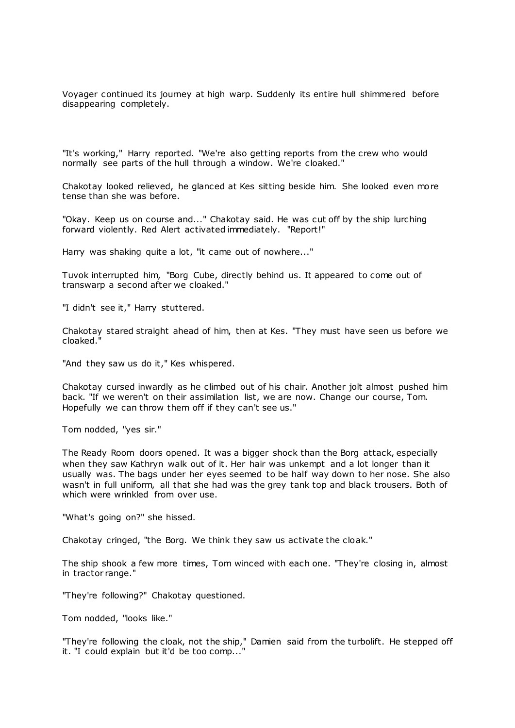Voyager continued its journey at high warp. Suddenly its entire hull shimmered before disappearing completely.

"It's working," Harry reported. "We're also getting reports from the crew who would normally see parts of the hull through a window. We're cloaked."

Chakotay looked relieved, he glanced at Kes sitting beside him. She looked even more tense than she was before.

"Okay. Keep us on course and..." Chakotay said. He was cut off by the ship lurching forward violently. Red Alert activated immediately. "Report!"

Harry was shaking quite a lot, "it came out of nowhere..."

Tuvok interrupted him, "Borg Cube, directly behind us. It appeared to come out of transwarp a second after we cloaked."

"I didn't see it," Harry stuttered.

Chakotay stared straight ahead of him, then at Kes. "They must have seen us before we cloaked."

"And they saw us do it," Kes whispered.

Chakotay cursed inwardly as he climbed out of his chair. Another jolt almost pushed him back. "If we weren't on their assimilation list, we are now. Change our course, Tom. Hopefully we can throw them off if they can't see us."

Tom nodded, "yes sir."

The Ready Room doors opened. It was a bigger shock than the Borg attack, especially when they saw Kathryn walk out of it. Her hair was unkempt and a lot longer than it usually was. The bags under her eyes seemed to be half way down to her nose. She also wasn't in full uniform, all that she had was the grey tank top and black trousers. Both of which were wrinkled from over use.

"What's going on?" she hissed.

Chakotay cringed, "the Borg. We think they saw us activate the cloak."

The ship shook a few more times, Tom winced with each one. "They're closing in, almost in tractor range."

"They're following?" Chakotay questioned.

Tom nodded, "looks like."

"They're following the cloak, not the ship," Damien said from the turbolift. He stepped off it. "I could explain but it'd be too comp..."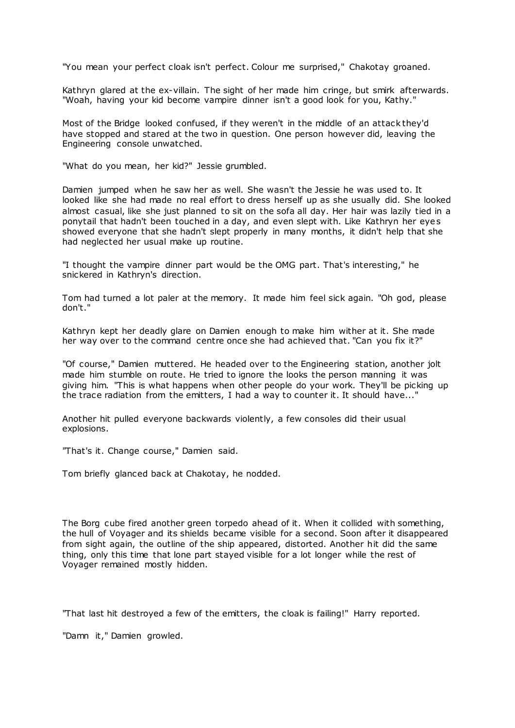"You mean your perfect cloak isn't perfect. Colour me surprised," Chakotay groaned.

Kathryn glared at the ex-villain. The sight of her made him cringe, but smirk afterwards. "Woah, having your kid become vampire dinner isn't a good look for you, Kathy."

Most of the Bridge looked confused, if they weren't in the middle of an attack they'd have stopped and stared at the two in question. One person however did, leaving the Engineering console unwatched.

"What do you mean, her kid?" Jessie grumbled.

Damien jumped when he saw her as well. She wasn't the Jessie he was used to. It looked like she had made no real effort to dress herself up as she usually did. She looked almost casual, like she just planned to sit on the sofa all day. Her hair was lazily tied in a ponytail that hadn't been touched in a day, and even slept with. Like Kathryn her eyes showed everyone that she hadn't slept properly in many months, it didn't help that she had neglected her usual make up routine.

"I thought the vampire dinner part would be the OMG part. That's interesting," he snickered in Kathryn's direction.

Tom had turned a lot paler at the memory. It made him feel sick again. "Oh god, please don't."

Kathryn kept her deadly glare on Damien enough to make him wither at it. She made her way over to the command centre once she had achieved that. "Can you fix it?"

"Of course," Damien muttered. He headed over to the Engineering station, another jolt made him stumble on route. He tried to ignore the looks the person manning it was giving him. "This is what happens when other people do your work. They'll be picking up the trace radiation from the emitters, I had a way to counter it. It should have..."

Another hit pulled everyone backwards violently, a few consoles did their usual explosions.

"That's it. Change course," Damien said.

Tom briefly glanced back at Chakotay, he nodded.

The Borg cube fired another green torpedo ahead of it. When it collided with something, the hull of Voyager and its shields became visible for a second. Soon after it disappeared from sight again, the outline of the ship appeared, distorted. Another hit did the same thing, only this time that lone part stayed visible for a lot longer while the rest of Voyager remained mostly hidden.

"That last hit destroyed a few of the emitters, the cloak is failing!" Harry reported.

"Damn it," Damien growled.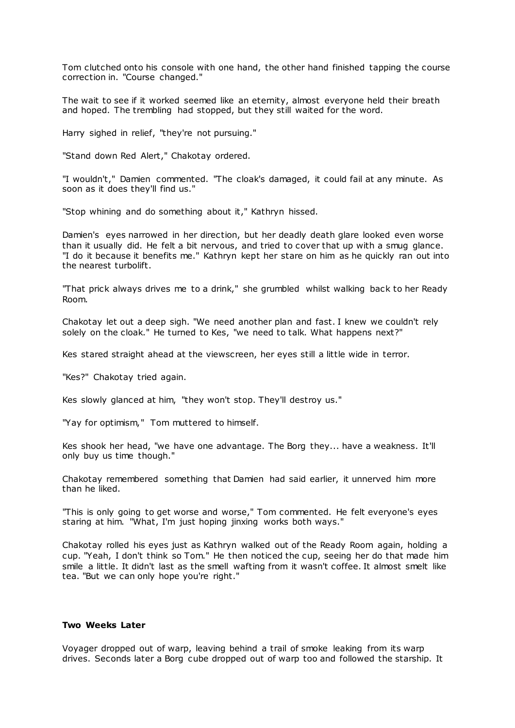Tom clutched onto his console with one hand, the other hand finished tapping the course correction in. "Course changed."

The wait to see if it worked seemed like an eternity, almost everyone held their breath and hoped. The trembling had stopped, but they still waited for the word.

Harry sighed in relief, "they're not pursuing."

"Stand down Red Alert," Chakotay ordered.

"I wouldn't," Damien commented. "The cloak's damaged, it could fail at any minute. As soon as it does they'll find us."

"Stop whining and do something about it," Kathryn hissed.

Damien's eyes narrowed in her direction, but her deadly death glare looked even worse than it usually did. He felt a bit nervous, and tried to cover that up with a smug glance. "I do it because it benefits me." Kathryn kept her stare on him as he quickly ran out into the nearest turbolift.

"That prick always drives me to a drink," she grumbled whilst walking back to her Ready Room.

Chakotay let out a deep sigh. "We need another plan and fast. I knew we couldn't rely solely on the cloak." He turned to Kes, "we need to talk. What happens next?"

Kes stared straight ahead at the viewscreen, her eyes still a little wide in terror.

"Kes?" Chakotay tried again.

Kes slowly glanced at him, "they won't stop. They'll destroy us."

"Yay for optimism," Tom muttered to himself.

Kes shook her head, "we have one advantage. The Borg they... have a weakness. It'll only buy us time though."

Chakotay remembered something that Damien had said earlier, it unnerved him more than he liked.

"This is only going to get worse and worse," Tom commented. He felt everyone's eyes staring at him. "What, I'm just hoping jinxing works both ways."

Chakotay rolled his eyes just as Kathryn walked out of the Ready Room again, holding a cup. "Yeah, I don't think so Tom." He then noticed the cup, seeing her do that made him smile a little. It didn't last as the smell wafting from it wasn't coffee. It almost smelt like tea. "But we can only hope you're right."

# **Two Weeks Later**

Voyager dropped out of warp, leaving behind a trail of smoke leaking from its warp drives. Seconds later a Borg cube dropped out of warp too and followed the starship. It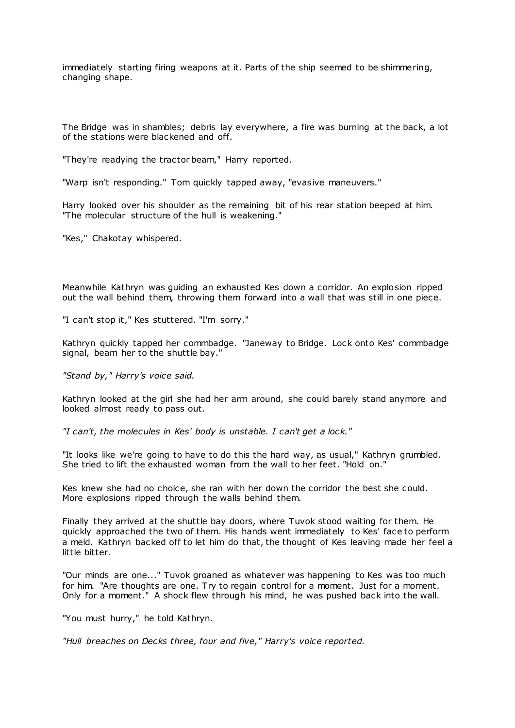immediately starting firing weapons at it. Parts of the ship seemed to be shimmering, changing shape.

The Bridge was in shambles; debris lay everywhere, a fire was burning at the back, a lot of the stations were blackened and off.

"They're readying the tractor beam," Harry reported.

"Warp isn't responding." Tom quickly tapped away, "evasive maneuvers."

Harry looked over his shoulder as the remaining bit of his rear station beeped at him. "The molecular structure of the hull is weakening."

"Kes," Chakotay whispered.

Meanwhile Kathryn was guiding an exhausted Kes down a corridor. An explosion ripped out the wall behind them, throwing them forward into a wall that was still in one piece.

"I can't stop it," Kes stuttered. "I'm sorry."

Kathryn quickly tapped her commbadge. "Janeway to Bridge. Lock onto Kes' commbadge signal, beam her to the shuttle bay."

*"Stand by," Harry's voice said.*

Kathryn looked at the girl she had her arm around, she could barely stand anymore and looked almost ready to pass out.

*"I can't, the molecules in Kes' body is unstable. I can't get a lock."*

"It looks like we're going to have to do this the hard way, as usual," Kathryn grumbled. She tried to lift the exhausted woman from the wall to her feet. "Hold on."

Kes knew she had no choice, she ran with her down the corridor the best she could. More explosions ripped through the walls behind them.

Finally they arrived at the shuttle bay doors, where Tuvok stood waiting for them. He quickly approached the two of them. His hands went immediately to Kes' face to perform a meld. Kathryn backed off to let him do that, the thought of Kes leaving made her feel a little bitter.

"Our minds are one..." Tuvok groaned as whatever was happening to Kes was too much for him. "Are thoughts are one. Try to regain control for a moment. Just for a moment. Only for a moment." A shock flew through his mind, he was pushed back into the wall.

"You must hurry," he told Kathryn.

*"Hull breaches on Decks three, four and five," Harry's voice reported.*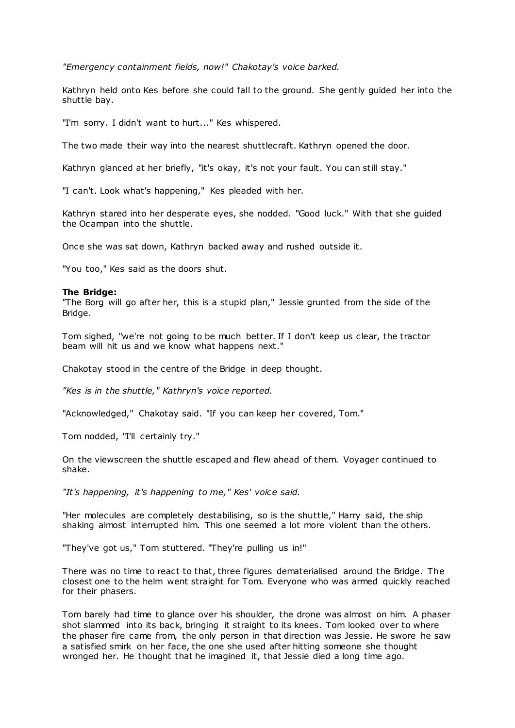*"Emergency containment fields, now!" Chakotay's voice barked.*

Kathryn held onto Kes before she could fall to the ground. She gently guided her into the shuttle bay.

"I'm sorry. I didn't want to hurt..." Kes whispered.

The two made their way into the nearest shuttlecraft. Kathryn opened the door.

Kathryn glanced at her briefly, "it's okay, it's not your fault. You can still stay."

"I can't. Look what's happening," Kes pleaded with her.

Kathryn stared into her desperate eyes, she nodded. "Good luck." With that she guided the Ocampan into the shuttle.

Once she was sat down, Kathryn backed away and rushed outside it.

"You too," Kes said as the doors shut.

### **The Bridge:**

"The Borg will go after her, this is a stupid plan," Jessie grunted from the side of the Bridge.

Tom sighed, "we're not going to be much better. If I don't keep us clear, the tractor beam will hit us and we know what happens next."

Chakotay stood in the centre of the Bridge in deep thought.

*"Kes is in the shuttle," Kathryn's voice reported.*

"Acknowledged," Chakotay said. "If you can keep her covered, Tom."

Tom nodded, "I'll certainly try."

On the viewscreen the shuttle escaped and flew ahead of them. Voyager continued to shake.

*"It's happening, it's happening to me," Kes' voice said.*

"Her molecules are completely destabilising, so is the shuttle," Harry said, the ship shaking almost interrupted him. This one seemed a lot more violent than the others.

"They've got us," Tom stuttered. "They're pulling us in!"

There was no time to react to that, three figures dematerialised around the Bridge. The closest one to the helm went straight for Tom. Everyone who was armed quickly reached for their phasers.

Tom barely had time to glance over his shoulder, the drone was almost on him. A phaser shot slammed into its back, bringing it straight to its knees. Tom looked over to where the phaser fire came from, the only person in that direction was Jessie. He swore he saw a satisfied smirk on her face, the one she used after hitting someone she thought wronged her. He thought that he imagined it, that Jessie died a long time ago.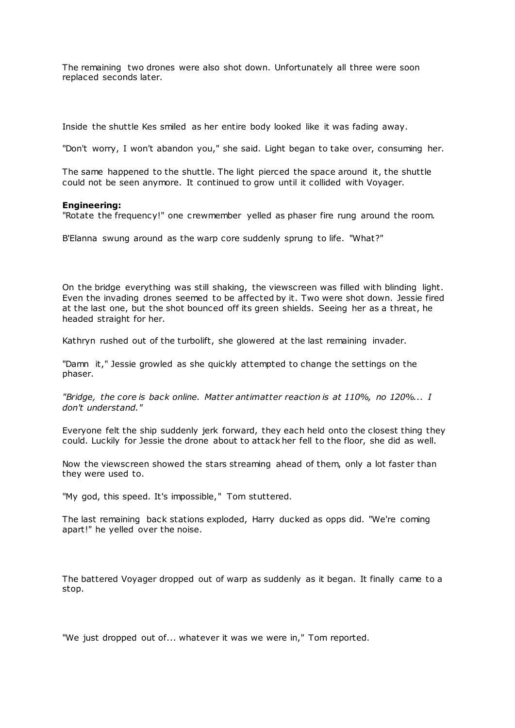The remaining two drones were also shot down. Unfortunately all three were soon replaced seconds later.

Inside the shuttle Kes smiled as her entire body looked like it was fading away.

"Don't worry, I won't abandon you," she said. Light began to take over, consuming her.

The same happened to the shuttle. The light pierced the space around it, the shuttle could not be seen anymore. It continued to grow until it collided with Voyager.

### **Engineering:**

"Rotate the frequency!" one crewmember yelled as phaser fire rung around the room.

B'Elanna swung around as the warp core suddenly sprung to life. "What?"

On the bridge everything was still shaking, the viewscreen was filled with blinding light. Even the invading drones seemed to be affected by it. Two were shot down. Jessie fired at the last one, but the shot bounced off its green shields. Seeing her as a threat, he headed straight for her.

Kathryn rushed out of the turbolift, she glowered at the last remaining invader.

"Damn it," Jessie growled as she quickly attempted to change the settings on the phaser.

*"Bridge, the core is back online. Matter antimatter reaction is at 110%, no 120%... I don't understand."*

Everyone felt the ship suddenly jerk forward, they each held onto the closest thing they could. Luckily for Jessie the drone about to attack her fell to the floor, she did as well.

Now the viewscreen showed the stars streaming ahead of them, only a lot faster than they were used to.

"My god, this speed. It's impossible," Tom stuttered.

The last remaining back stations exploded, Harry ducked as opps did. "We're coming apart!" he yelled over the noise.

The battered Voyager dropped out of warp as suddenly as it began. It finally came to a stop.

"We just dropped out of... whatever it was we were in," Tom reported.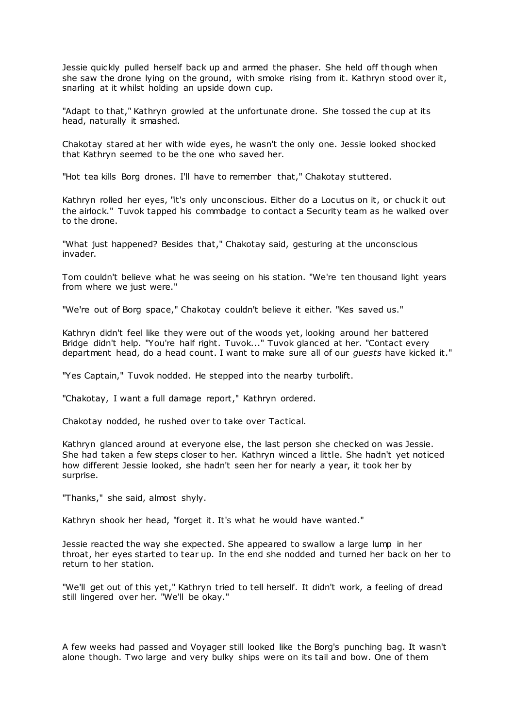Jessie quickly pulled herself back up and armed the phaser. She held off though when she saw the drone lying on the ground, with smoke rising from it. Kathryn stood over it, snarling at it whilst holding an upside down cup.

"Adapt to that," Kathryn growled at the unfortunate drone. She tossed the cup at its head, naturally it smashed.

Chakotay stared at her with wide eyes, he wasn't the only one. Jessie looked shocked that Kathryn seemed to be the one who saved her.

"Hot tea kills Borg drones. I'll have to remember that," Chakotay stuttered.

Kathryn rolled her eyes, "it's only unconscious. Either do a Locutus on it, or chuck it out the airlock." Tuvok tapped his commbadge to contact a Security team as he walked over to the drone.

"What just happened? Besides that," Chakotay said, gesturing at the unconscious invader.

Tom couldn't believe what he was seeing on his station. "We're ten thousand light years from where we just were."

"We're out of Borg space," Chakotay couldn't believe it either. "Kes saved us."

Kathryn didn't feel like they were out of the woods yet, looking around her battered Bridge didn't help. "You're half right. Tuvok..." Tuvok glanced at her. "Contact every department head, do a head count. I want to make sure all of our *guests* have kicked it."

"Yes Captain," Tuvok nodded. He stepped into the nearby turbolift.

"Chakotay, I want a full damage report," Kathryn ordered.

Chakotay nodded, he rushed over to take over Tactical.

Kathryn glanced around at everyone else, the last person she checked on was Jessie. She had taken a few steps closer to her. Kathryn winced a little. She hadn't yet noticed how different Jessie looked, she hadn't seen her for nearly a year, it took her by surprise.

"Thanks," she said, almost shyly.

Kathryn shook her head, "forget it. It's what he would have wanted."

Jessie reacted the way she expected. She appeared to swallow a large lump in her throat, her eyes started to tear up. In the end she nodded and turned her back on her to return to her station.

"We'll get out of this yet," Kathryn tried to tell herself. It didn't work, a feeling of dread still lingered over her. "We'll be okay."

A few weeks had passed and Voyager still looked like the Borg's punching bag. It wasn't alone though. Two large and very bulky ships were on its tail and bow. One of them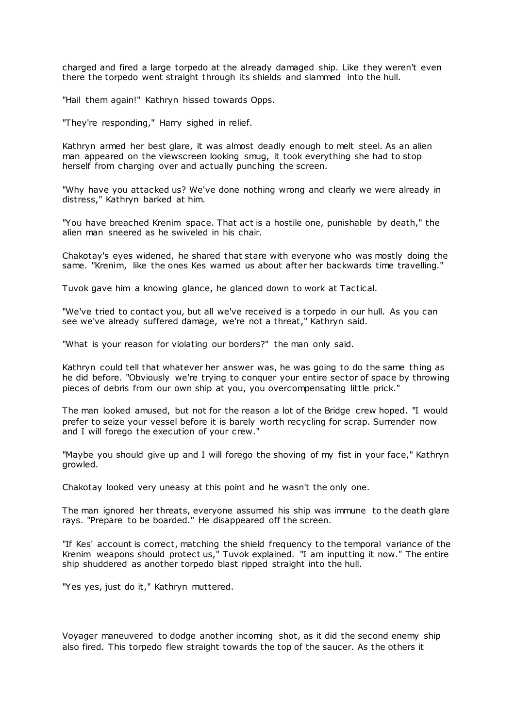charged and fired a large torpedo at the already damaged ship. Like they weren't even there the torpedo went straight through its shields and slammed into the hull.

"Hail them again!" Kathryn hissed towards Opps.

"They're responding," Harry sighed in relief.

Kathryn armed her best glare, it was almost deadly enough to melt steel. As an alien man appeared on the viewscreen looking smug, it took everything she had to stop herself from charging over and actually punching the screen.

"Why have you attacked us? We've done nothing wrong and clearly we were already in distress," Kathryn barked at him.

"You have breached Krenim space. That act is a hostile one, punishable by death," the alien man sneered as he swiveled in his chair.

Chakotay's eyes widened, he shared that stare with everyone who was mostly doing the same. "Krenim, like the ones Kes warned us about after her backwards time travelling."

Tuvok gave him a knowing glance, he glanced down to work at Tactical.

"We've tried to contact you, but all we've received is a torpedo in our hull. As you can see we've already suffered damage, we're not a threat," Kathryn said.

"What is your reason for violating our borders?" the man only said.

Kathryn could tell that whatever her answer was, he was going to do the same thing as he did before. "Obviously we're trying to conquer your entire sector of space by throwing pieces of debris from our own ship at you, you overcompensating little prick."

The man looked amused, but not for the reason a lot of the Bridge crew hoped. "I would prefer to seize your vessel before it is barely worth recycling for scrap. Surrender now and I will forego the execution of your crew.'

"Maybe you should give up and I will forego the shoving of my fist in your face," Kathryn growled.

Chakotay looked very uneasy at this point and he wasn't the only one.

The man ignored her threats, everyone assumed his ship was immune to the death glare rays. "Prepare to be boarded." He disappeared off the screen.

"If Kes' account is correct, matching the shield frequency to the temporal variance of the Krenim weapons should protect us," Tuvok explained. "I am inputting it now." The entire ship shuddered as another torpedo blast ripped straight into the hull.

"Yes yes, just do it," Kathryn muttered.

Voyager maneuvered to dodge another incoming shot, as it did the second enemy ship also fired. This torpedo flew straight towards the top of the saucer. As the others it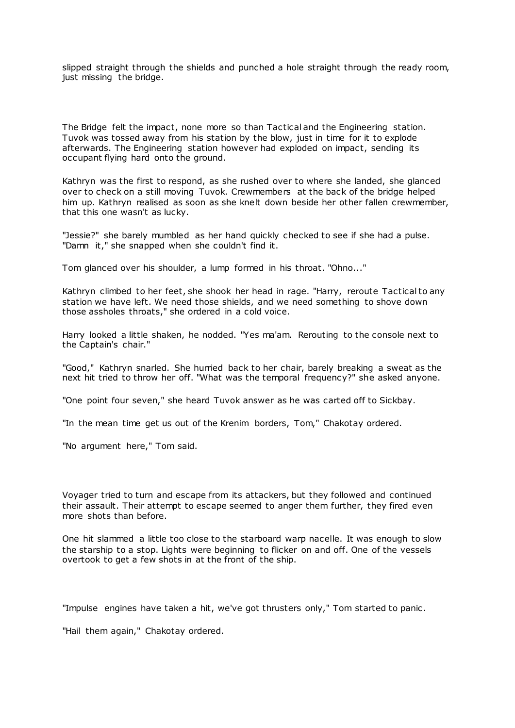slipped straight through the shields and punched a hole straight through the ready room, just missing the bridge.

The Bridge felt the impact, none more so than Tactical and the Engineering station. Tuvok was tossed away from his station by the blow, just in time for it to explode afterwards. The Engineering station however had exploded on impact, sending its occupant flying hard onto the ground.

Kathryn was the first to respond, as she rushed over to where she landed, she glanced over to check on a still moving Tuvok. Crewmembers at the back of the bridge helped him up. Kathryn realised as soon as she knelt down beside her other fallen crewmember, that this one wasn't as lucky.

"Jessie?" she barely mumbled as her hand quickly checked to see if she had a pulse. "Damn it," she snapped when she couldn't find it.

Tom glanced over his shoulder, a lump formed in his throat. "Ohno..."

Kathryn climbed to her feet, she shook her head in rage. "Harry, reroute Tactical to any station we have left. We need those shields, and we need something to shove down those assholes throats," she ordered in a cold voice.

Harry looked a little shaken, he nodded. "Yes ma'am. Rerouting to the console next to the Captain's chair."

"Good," Kathryn snarled. She hurried back to her chair, barely breaking a sweat as the next hit tried to throw her off. "What was the temporal frequency?" she asked anyone.

"One point four seven," she heard Tuvok answer as he was carted off to Sickbay.

"In the mean time get us out of the Krenim borders, Tom," Chakotay ordered.

"No argument here," Tom said.

Voyager tried to turn and escape from its attackers, but they followed and continued their assault. Their attempt to escape seemed to anger them further, they fired even more shots than before.

One hit slammed a little too close to the starboard warp nacelle. It was enough to slow the starship to a stop. Lights were beginning to flicker on and off. One of the vessels overtook to get a few shots in at the front of the ship.

"Impulse engines have taken a hit, we've got thrusters only," Tom started to panic .

"Hail them again," Chakotay ordered.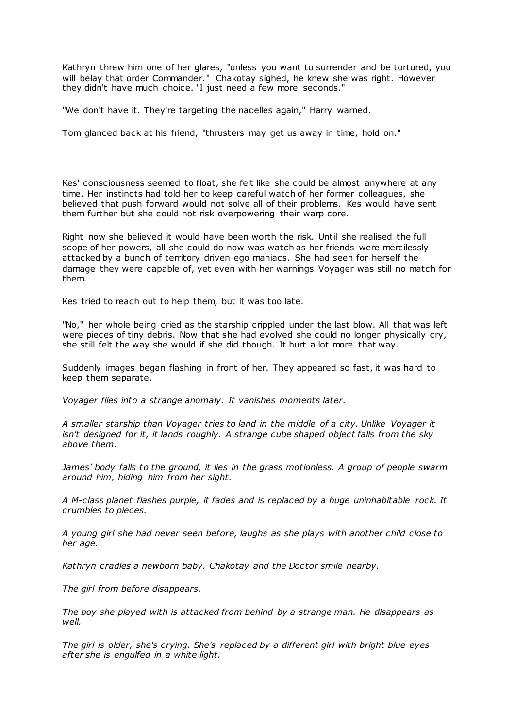Kathryn threw him one of her glares, "unless you want to surrender and be tortured, you will belay that order Commander." Chakotay sighed, he knew she was right. However they didn't have much choice. "I just need a few more seconds."

"We don't have it. They're targeting the nacelles again," Harry warned.

Tom glanced back at his friend, "thrusters may get us away in time, hold on."

Kes' consciousness seemed to float, she felt like she could be almost anywhere at any time. Her instincts had told her to keep careful watch of her former colleagues, she believed that push forward would not solve all of their problems. Kes would have sent them further but she could not risk overpowering their warp core.

Right now she believed it would have been worth the risk. Until she realised the full scope of her powers, all she could do now was watch as her friends were mercilessly attacked by a bunch of territory driven ego maniacs. She had seen for herself the damage they were capable of, yet even with her warnings Voyager was still no match for them.

Kes tried to reach out to help them, but it was too late.

"No," her whole being cried as the starship crippled under the last blow. All that was left were pieces of tiny debris. Now that she had evolved she could no longer physically cry, she still felt the way she would if she did though. It hurt a lot more that way.

Suddenly images began flashing in front of her. They appeared so fast, it was hard to keep them separate.

*Voyager flies into a strange anomaly. It vanishes moments later.*

*A smaller starship than Voyager tries to land in the middle of a city. Unlike Voyager it isn't designed for it, it lands roughly. A strange cube shaped object falls from the sky above them.*

*James' body falls to the ground, it lies in the grass motionless. A group of people swarm around him, hiding him from her sight.*

*A M-class planet flashes purple, it fades and is replaced by a huge uninhabitable rock. It crumbles to pieces.*

*A young girl she had never seen before, laughs as she plays with another child close to her age.*

*Kathryn cradles a newborn baby. Chakotay and the Doctor smile nearby.*

*The girl from before disappears.*

*The boy she played with is attacked from behind by a strange man. He disappears as well.*

*The girl is older, she's crying. She's replaced by a different girl with bright blue eyes after she is engulfed in a white light.*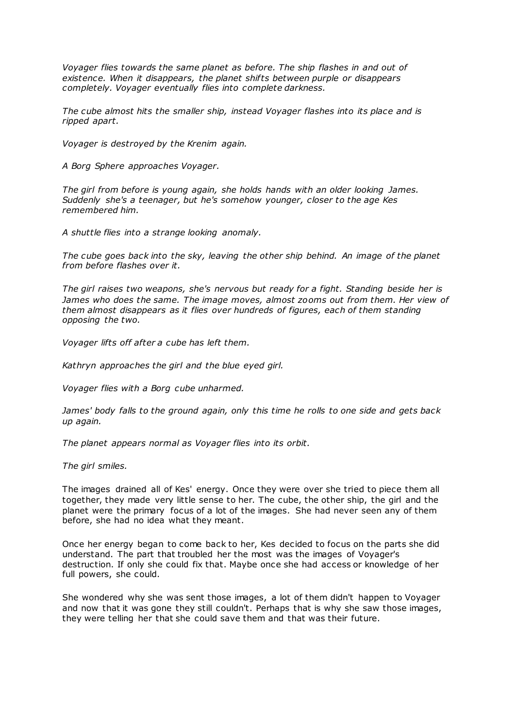*Voyager flies towards the same planet as before. The ship flashes in and out of existence. When it disappears, the planet shifts between purple or disappears completely. Voyager eventually flies into complete darkness.*

*The cube almost hits the smaller ship, instead Voyager flashes into its place and is ripped apart.*

*Voyager is destroyed by the Krenim again.*

*A Borg Sphere approaches Voyager.*

*The girl from before is young again, she holds hands with an older looking James. Suddenly she's a teenager, but he's somehow younger, closer to the age Kes remembered him.*

*A shuttle flies into a strange looking anomaly.*

*The cube goes back into the sky, leaving the other ship behind. An image of the planet from before flashes over it.*

*The girl raises two weapons, she's nervous but ready for a fight. Standing beside her is James who does the same. The image moves, almost zooms out from them. Her view of them almost disappears as it flies over hundreds of figures, each of them standing opposing the two.*

*Voyager lifts off after a cube has left them.*

*Kathryn approaches the girl and the blue eyed girl.*

*Voyager flies with a Borg cube unharmed.*

*James' body falls to the ground again, only this time he rolls to one side and gets back up again.*

*The planet appears normal as Voyager flies into its orbit.*

*The girl smiles.*

The images drained all of Kes' energy. Once they were over she tried to piece them all together, they made very little sense to her. The cube, the other ship, the girl and the planet were the primary focus of a lot of the images. She had never seen any of them before, she had no idea what they meant.

Once her energy began to come back to her, Kes decided to focus on the parts she did understand. The part that troubled her the most was the images of Voyager's destruction. If only she could fix that. Maybe once she had access or knowledge of her full powers, she could.

She wondered why she was sent those images, a lot of them didn't happen to Voyager and now that it was gone they still couldn't. Perhaps that is why she saw those images, they were telling her that she could save them and that was their future.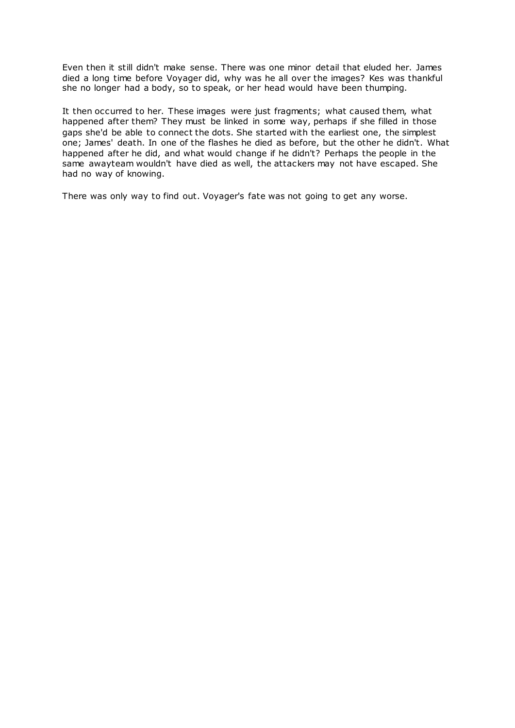Even then it still didn't make sense. There was one minor detail that eluded her. James died a long time before Voyager did, why was he all over the images? Kes was thankful she no longer had a body, so to speak, or her head would have been thumping.

It then occurred to her. These images were just fragments; what caused them, what happened after them? They must be linked in some way, perhaps if she filled in those gaps she'd be able to connect the dots. She started with the earliest one, the simplest one; James' death. In one of the flashes he died as before, but the other he didn't. What happened after he did, and what would change if he didn't? Perhaps the people in the same awayteam wouldn't have died as well, the attackers may not have escaped. She had no way of knowing.

There was only way to find out. Voyager's fate was not going to get any worse.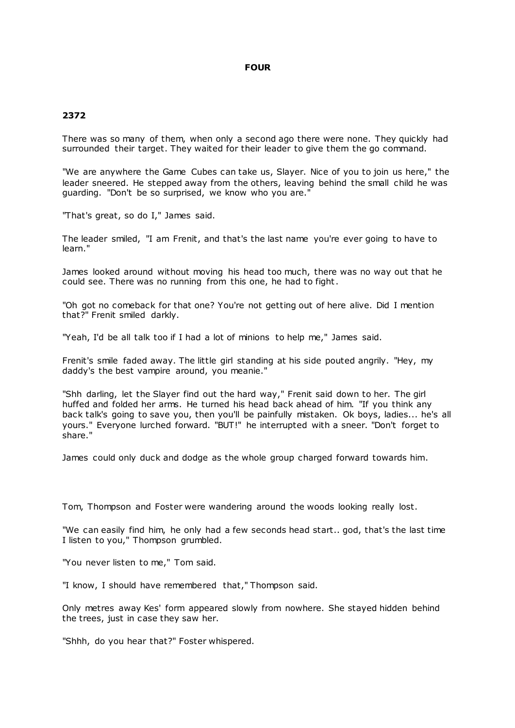# **FOUR**

# **2372**

There was so many of them, when only a second ago there were none. They quickly had surrounded their target. They waited for their leader to give them the go command.

"We are anywhere the Game Cubes can take us, Slayer. Nice of you to join us here," the leader sneered. He stepped away from the others, leaving behind the small child he was guarding. "Don't be so surprised, we know who you are."

"That's great, so do I," James said.

The leader smiled, "I am Frenit, and that's the last name you're ever going to have to learn."

James looked around without moving his head too much, there was no way out that he could see. There was no running from this one, he had to fight.

"Oh got no comeback for that one? You're not getting out of here alive. Did I mention that?" Frenit smiled darkly.

"Yeah, I'd be all talk too if I had a lot of minions to help me," James said.

Frenit's smile faded away. The little girl standing at his side pouted angrily. "Hey, my daddy's the best vampire around, you meanie."

"Shh darling, let the Slayer find out the hard way," Frenit said down to her. The girl huffed and folded her arms. He turned his head back ahead of him. "If you think any back talk's going to save you, then you'll be painfully mistaken. Ok boys, ladies... he's all yours." Everyone lurched forward. "BUT!" he interrupted with a sneer. "Don't forget to share."

James could only duck and dodge as the whole group charged forward towards him.

Tom, Thompson and Foster were wandering around the woods looking really lost.

"We can easily find him, he only had a few seconds head start.. god, that's the last time I listen to you," Thompson grumbled.

"You never listen to me," Tom said.

"I know, I should have remembered that," Thompson said.

Only metres away Kes' form appeared slowly from nowhere. She stayed hidden behind the trees, just in case they saw her.

"Shhh, do you hear that?" Foster whispered.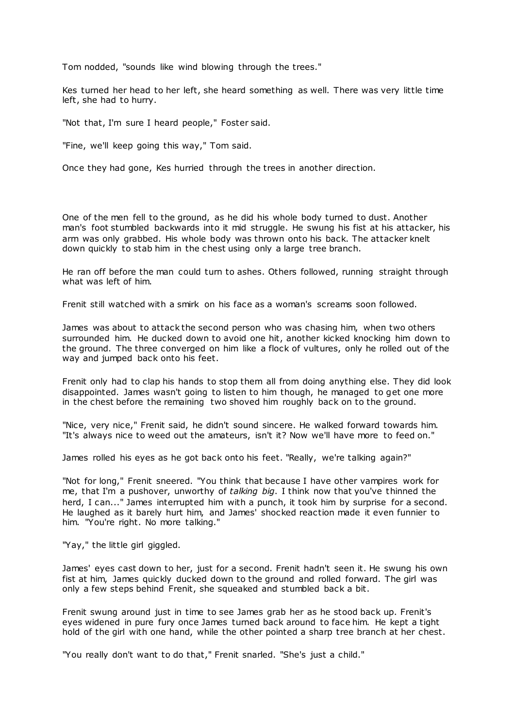Tom nodded, "sounds like wind blowing through the trees."

Kes turned her head to her left, she heard something as well. There was very little time left, she had to hurry.

"Not that, I'm sure I heard people," Foster said.

"Fine, we'll keep going this way," Tom said.

Once they had gone, Kes hurried through the trees in another direction.

One of the men fell to the ground, as he did his whole body turned to dust. Another man's foot stumbled backwards into it mid struggle. He swung his fist at his attacker, his arm was only grabbed. His whole body was thrown onto his back. The attacker knelt down quickly to stab him in the chest using only a large tree branch.

He ran off before the man could turn to ashes. Others followed, running straight through what was left of him.

Frenit still watched with a smirk on his face as a woman's screams soon followed.

James was about to attack the second person who was chasing him, when two others surrounded him. He ducked down to avoid one hit, another kicked knocking him down to the ground. The three converged on him like a flock of vultures, only he rolled out of the way and jumped back onto his feet.

Frenit only had to clap his hands to stop them all from doing anything else. They did look disappointed. James wasn't going to listen to him though, he managed to get one more in the chest before the remaining two shoved him roughly back on to the ground.

"Nice, very nice," Frenit said, he didn't sound sincere. He walked forward towards him. "It's always nice to weed out the amateurs, isn't it? Now we'll have more to feed on."

James rolled his eyes as he got back onto his feet. "Really, we're talking again?"

"Not for long," Frenit sneered. "You think that because I have other vampires work for me, that I'm a pushover, unworthy of *talking big*. I think now that you've thinned the herd, I can..." James interrupted him with a punch, it took him by surprise for a second. He laughed as it barely hurt him, and James' shocked reaction made it even funnier to him. "You're right. No more talking."

"Yay," the little girl giggled.

James' eyes cast down to her, just for a second. Frenit hadn't seen it. He swung his own fist at him, James quickly ducked down to the ground and rolled forward. The girl was only a few steps behind Frenit, she squeaked and stumbled back a bit.

Frenit swung around just in time to see James grab her as he stood back up. Frenit's eyes widened in pure fury once James turned back around to face him. He kept a tight hold of the girl with one hand, while the other pointed a sharp tree branch at her chest.

"You really don't want to do that," Frenit snarled. "She's just a child."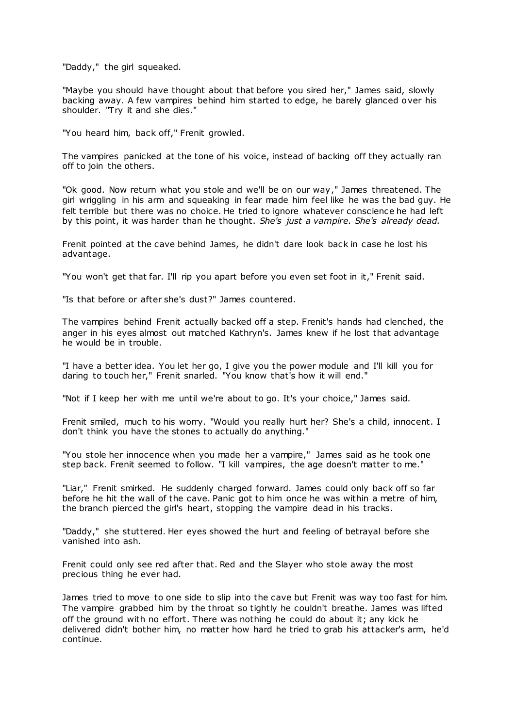"Daddy," the girl squeaked.

"Maybe you should have thought about that before you sired her," James said, slowly backing away. A few vampires behind him started to edge, he barely glanced over his shoulder. "Try it and she dies."

"You heard him, back off," Frenit growled.

The vampires panicked at the tone of his voice, instead of backing off they actually ran off to join the others.

"Ok good. Now return what you stole and we'll be on our way," James threatened. The girl wriggling in his arm and squeaking in fear made him feel like he was the bad guy. He felt terrible but there was no choice. He tried to ignore whatever conscience he had left by this point, it was harder than he thought. *She's just a vampire. She's already dead.*

Frenit pointed at the cave behind James, he didn't dare look back in case he lost his advantage.

"You won't get that far. I'll rip you apart before you even set foot in it," Frenit said.

"Is that before or after she's dust?" James countered.

The vampires behind Frenit actually backed off a step. Frenit's hands had clenched, the anger in his eyes almost out matched Kathryn's. James knew if he lost that advantage he would be in trouble.

"I have a better idea. You let her go, I give you the power module and I'll kill you for daring to touch her," Frenit snarled. "You know that's how it will end."

"Not if I keep her with me until we're about to go. It's your choice," James said.

Frenit smiled, much to his worry. "Would you really hurt her? She's a child, innocent. I don't think you have the stones to actually do anything."

"You stole her innocence when you made her a vampire," James said as he took one step back. Frenit seemed to follow. "I kill vampires, the age doesn't matter to me."

"Liar," Frenit smirked. He suddenly charged forward. James could only back off so far before he hit the wall of the cave. Panic got to him once he was within a metre of him, the branch pierced the girl's heart, stopping the vampire dead in his tracks.

"Daddy," she stuttered. Her eyes showed the hurt and feeling of betrayal before she vanished into ash.

Frenit could only see red after that. Red and the Slayer who stole away the most precious thing he ever had.

James tried to move to one side to slip into the cave but Frenit was way too fast for him. The vampire grabbed him by the throat so tightly he couldn't breathe. James was lifted off the ground with no effort. There was nothing he could do about it; any kick he delivered didn't bother him, no matter how hard he tried to grab his attacker's arm, he'd continue.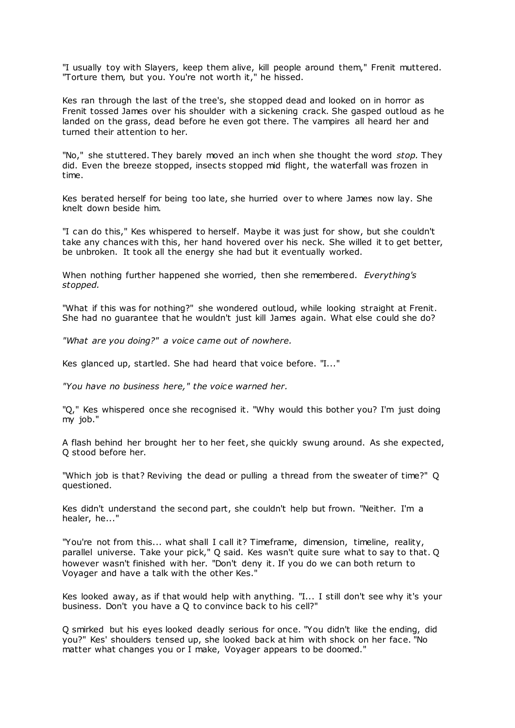"I usually toy with Slayers, keep them alive, kill people around them," Frenit muttered. "Torture them, but you. You're not worth it," he hissed.

Kes ran through the last of the tree's, she stopped dead and looked on in horror as Frenit tossed James over his shoulder with a sickening crack. She gasped outloud as he landed on the grass, dead before he even got there. The vampires all heard her and turned their attention to her.

"No," she stuttered. They barely moved an inch when she thought the word *stop.* They did. Even the breeze stopped, insects stopped mid flight, the waterfall was frozen in time.

Kes berated herself for being too late, she hurried over to where James now lay. She knelt down beside him.

"I can do this," Kes whispered to herself. Maybe it was just for show, but she couldn't take any chances with this, her hand hovered over his neck. She willed it to get better, be unbroken. It took all the energy she had but it eventually worked.

When nothing further happened she worried, then she remembered. *Everything's stopped.*

"What if this was for nothing?" she wondered outloud, while looking straight at Frenit. She had no guarantee that he wouldn't just kill James again. What else could she do?

*"What are you doing?" a voice came out of nowhere.*

Kes glanced up, startled. She had heard that voice before. "I..."

*"You have no business here," the voice warned her.*

"Q," Kes whispered once she recognised it. "Why would this bother you? I'm just doing my job."

A flash behind her brought her to her feet, she quickly swung around. As she expected, Q stood before her.

"Which job is that? Reviving the dead or pulling a thread from the sweater of time?" Q questioned.

Kes didn't understand the second part, she couldn't help but frown. "Neither. I'm a healer, he..."

"You're not from this... what shall I call it? Timeframe, dimension, timeline, reality, parallel universe. Take your pick," Q said. Kes wasn't quite sure what to say to that. Q however wasn't finished with her. "Don't deny it. If you do we can both return to Voyager and have a talk with the other Kes."

Kes looked away, as if that would help with anything. "I... I still don't see why it's your business. Don't you have a Q to convince back to his cell?"

Q smirked but his eyes looked deadly serious for once. "You didn't like the ending, did you?" Kes' shoulders tensed up, she looked back at him with shock on her face. "No matter what changes you or I make, Voyager appears to be doomed."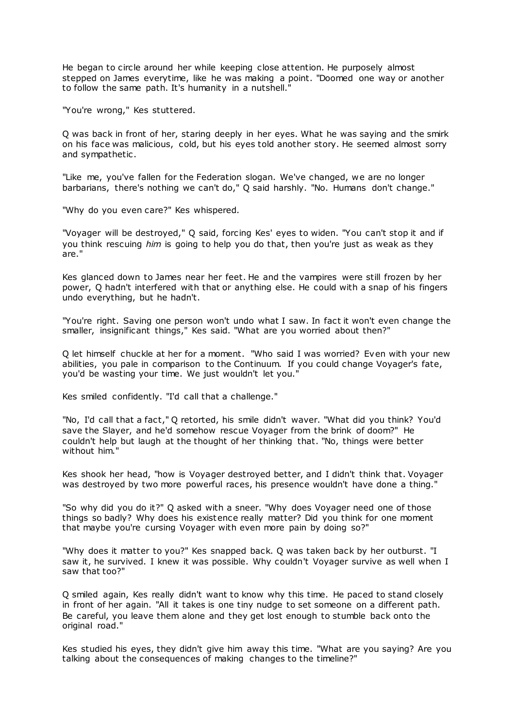He began to circle around her while keeping close attention. He purposely almost stepped on James everytime, like he was making a point. "Doomed one way or another to follow the same path. It's humanity in a nutshell."

"You're wrong," Kes stuttered.

Q was back in front of her, staring deeply in her eyes. What he was saying and the smirk on his face was malicious, cold, but his eyes told another story. He seemed almost sorry and sympathetic .

"Like me, you've fallen for the Federation slogan. We've changed, we are no longer barbarians, there's nothing we can't do," Q said harshly. "No. Humans don't change."

"Why do you even care?" Kes whispered.

"Voyager will be destroyed," Q said, forcing Kes' eyes to widen. "You can't stop it and if you think rescuing *him* is going to help you do that, then you're just as weak as they are."

Kes glanced down to James near her feet. He and the vampires were still frozen by her power, Q hadn't interfered with that or anything else. He could with a snap of his fingers undo everything, but he hadn't.

"You're right. Saving one person won't undo what I saw. In fact it won't even change the smaller, insignificant things," Kes said. "What are you worried about then?"

Q let himself chuckle at her for a moment. "Who said I was worried? Even with your new abilities, you pale in comparison to the Continuum. If you could change Voyager's fate, you'd be wasting your time. We just wouldn't let you."

Kes smiled confidently. "I'd call that a challenge."

"No, I'd call that a fact," Q retorted, his smile didn't waver. "What did you think? You'd save the Slayer, and he'd somehow rescue Voyager from the brink of doom?" He couldn't help but laugh at the thought of her thinking that. "No, things were better without him."

Kes shook her head, "how is Voyager destroyed better, and I didn't think that. Voyager was destroyed by two more powerful races, his presence wouldn't have done a thing."

"So why did you do it?" Q asked with a sneer. "Why does Voyager need one of those things so badly? Why does his existence really matter? Did you think for one moment that maybe you're cursing Voyager with even more pain by doing so?"

"Why does it matter to you?" Kes snapped back. Q was taken back by her outburst. "I saw it, he survived. I knew it was possible. Why couldn't Voyager survive as well when I saw that too?"

Q smiled again, Kes really didn't want to know why this time. He paced to stand closely in front of her again. "All it takes is one tiny nudge to set someone on a different path. Be careful, you leave them alone and they get lost enough to stumble back onto the original road."

Kes studied his eyes, they didn't give him away this time. "What are you saying? Are you talking about the consequences of making changes to the timeline?"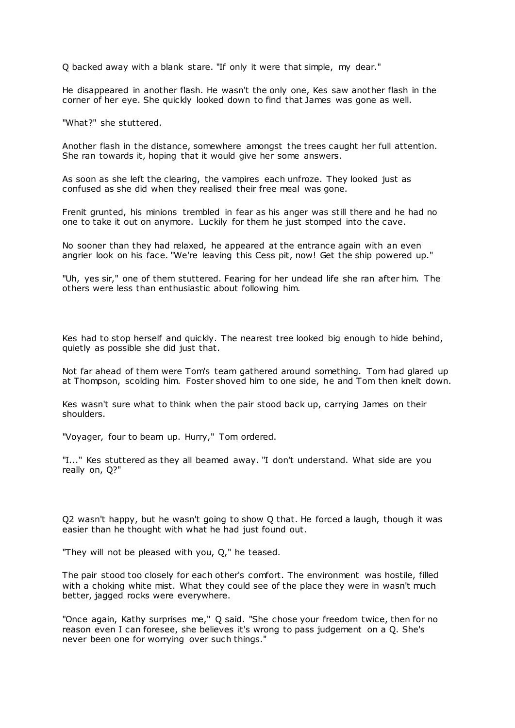Q backed away with a blank stare. "If only it were that simple, my dear."

He disappeared in another flash. He wasn't the only one, Kes saw another flash in the corner of her eye. She quickly looked down to find that James was gone as well.

"What?" she stuttered.

Another flash in the distance, somewhere amongst the trees caught her full attention. She ran towards it, hoping that it would give her some answers.

As soon as she left the clearing, the vampires each unfroze. They looked just as confused as she did when they realised their free meal was gone.

Frenit grunted, his minions trembled in fear as his anger was still there and he had no one to take it out on anymore. Luckily for them he just stomped into the cave.

No sooner than they had relaxed, he appeared at the entrance again with an even angrier look on his face. "We're leaving this Cess pit, now! Get the ship powered up."

"Uh, yes sir," one of them stuttered. Fearing for her undead life she ran after him. The others were less than enthusiastic about following him.

Kes had to stop herself and quickly. The nearest tree looked big enough to hide behind, quietly as possible she did just that.

Not far ahead of them were Tom's team gathered around something. Tom had glared up at Thompson, scolding him. Foster shoved him to one side, he and Tom then knelt down.

Kes wasn't sure what to think when the pair stood back up, carrying James on their shoulders.

"Voyager, four to beam up. Hurry," Tom ordered.

"I..." Kes stuttered as they all beamed away. "I don't understand. What side are you really on, Q?"

Q2 wasn't happy, but he wasn't going to show Q that. He forced a laugh, though it was easier than he thought with what he had just found out.

"They will not be pleased with you, Q," he teased.

The pair stood too closely for each other's comfort. The environment was hostile, filled with a choking white mist. What they could see of the place they were in wasn't much better, jagged rocks were everywhere.

"Once again, Kathy surprises me," Q said. "She chose your freedom twice, then for no reason even I can foresee, she believes it's wrong to pass judgement on a Q. She's never been one for worrying over such things."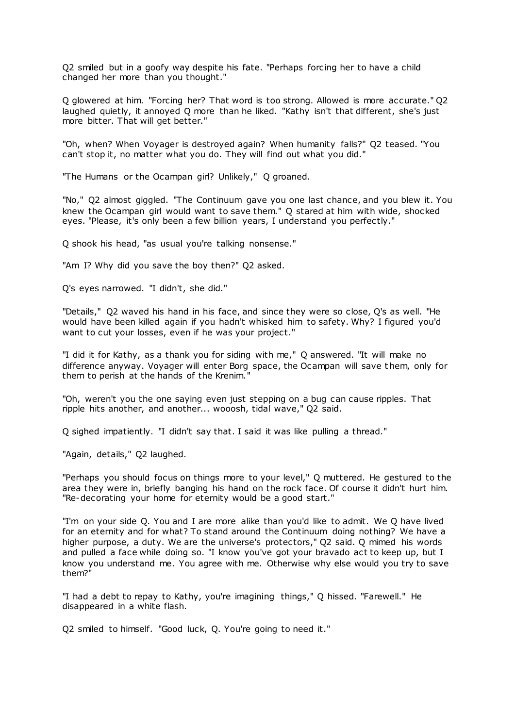Q2 smiled but in a goofy way despite his fate. "Perhaps forcing her to have a child changed her more than you thought."

Q glowered at him. "Forcing her? That word is too strong. Allowed is more accurate." Q2 laughed quietly, it annoyed Q more than he liked. "Kathy isn't that different, she's just more bitter. That will get better."

"Oh, when? When Voyager is destroyed again? When humanity falls?" Q2 teased. "You can't stop it, no matter what you do. They will find out what you did."

"The Humans or the Ocampan girl? Unlikely," Q groaned.

"No," Q2 almost giggled. "The Continuum gave you one last chance, and you blew it. You knew the Ocampan girl would want to save them." Q stared at him with wide, shocked eyes. "Please, it's only been a few billion years, I understand you perfectly."

Q shook his head, "as usual you're talking nonsense."

"Am I? Why did you save the boy then?" Q2 asked.

Q's eyes narrowed. "I didn't, she did."

"Details," Q2 waved his hand in his face, and since they were so close, Q's as well. "He would have been killed again if you hadn't whisked him to safety. Why? I figured you'd want to cut your losses, even if he was your project."

"I did it for Kathy, as a thank you for siding with me," Q answered. "It will make no difference anyway. Voyager will enter Borg space, the Ocampan will save t hem, only for them to perish at the hands of the Krenim."

"Oh, weren't you the one saying even just stepping on a bug can cause ripples. That ripple hits another, and another... wooosh, tidal wave," Q2 said.

Q sighed impatiently. "I didn't say that. I said it was like pulling a thread."

"Again, details," Q2 laughed.

"Perhaps you should focus on things more to your level," Q muttered. He gestured to the area they were in, briefly banging his hand on the rock face. Of course it didn't hurt him. "Re-decorating your home for eternity would be a good start."

"I'm on your side Q. You and I are more alike than you'd like to admit. We Q have lived for an eternity and for what? To stand around the Continuum doing nothing? We have a higher purpose, a duty. We are the universe's protectors," Q2 said. Q mimed his words and pulled a face while doing so. "I know you've got your bravado act to keep up, but I know you understand me. You agree with me. Otherwise why else would you try to save them?"

"I had a debt to repay to Kathy, you're imagining things," Q hissed. "Farewell." He disappeared in a white flash.

Q2 smiled to himself. "Good luck, Q. You're going to need it."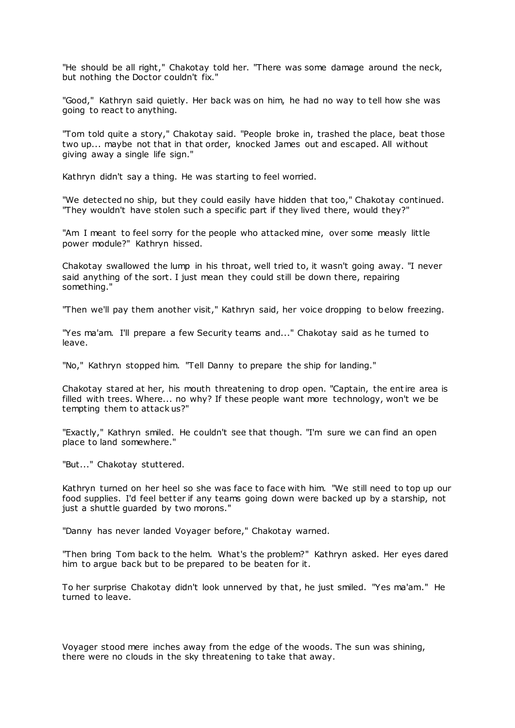"He should be all right," Chakotay told her. "There was some damage around the neck, but nothing the Doctor couldn't fix."

"Good," Kathryn said quietly. Her back was on him, he had no way to tell how she was going to react to anything.

"Tom told quite a story," Chakotay said. "People broke in, trashed the place, beat those two up... maybe not that in that order, knocked James out and escaped. All without giving away a single life sign."

Kathryn didn't say a thing. He was starting to feel worried.

"We detected no ship, but they could easily have hidden that too," Chakotay continued. "They wouldn't have stolen such a specific part if they lived there, would they?"

"Am I meant to feel sorry for the people who attacked mine, over some measly little power module?" Kathryn hissed.

Chakotay swallowed the lump in his throat, well tried to, it wasn't going away. "I never said anything of the sort. I just mean they could still be down there, repairing something."

"Then we'll pay them another visit," Kathryn said, her voice dropping to below freezing.

"Yes ma'am. I'll prepare a few Security teams and..." Chakotay said as he turned to leave.

"No," Kathryn stopped him. "Tell Danny to prepare the ship for landing."

Chakotay stared at her, his mouth threatening to drop open. "Captain, the entire area is filled with trees. Where... no why? If these people want more technology, won't we be tempting them to attack us?"

"Exactly," Kathryn smiled. He couldn't see that though. "I'm sure we can find an open place to land somewhere."

"But..." Chakotay stuttered.

Kathryn turned on her heel so she was face to face with him. "We still need to top up our food supplies. I'd feel better if any teams going down were backed up by a starship, not just a shuttle guarded by two morons."

"Danny has never landed Voyager before," Chakotay warned.

"Then bring Tom back to the helm. What's the problem?" Kathryn asked. Her eyes dared him to argue back but to be prepared to be beaten for it.

To her surprise Chakotay didn't look unnerved by that, he just smiled. "Yes ma'am." He turned to leave.

Voyager stood mere inches away from the edge of the woods. The sun was shining, there were no clouds in the sky threatening to take that away.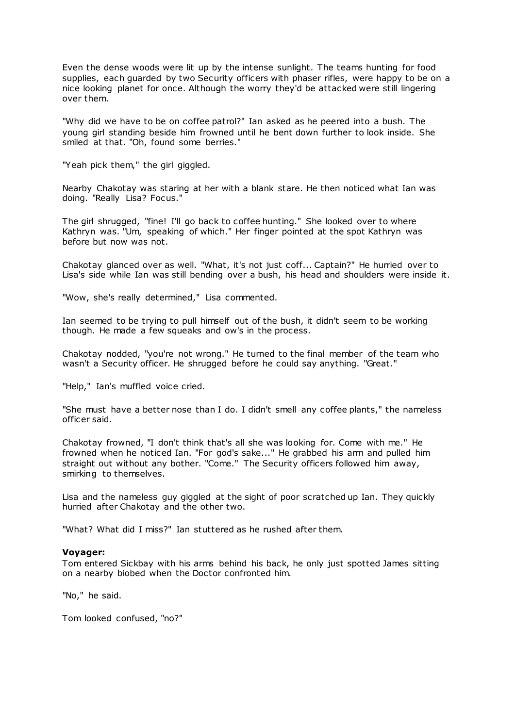Even the dense woods were lit up by the intense sunlight. The teams hunting for food supplies, each guarded by two Security officers with phaser rifles, were happy to be on a nice looking planet for once. Although the worry they'd be attacked were still lingering over them.

"Why did we have to be on coffee patrol?" Ian asked as he peered into a bush. The young girl standing beside him frowned until he bent down further to look inside. She smiled at that. "Oh, found some berries."

"Yeah pick them," the girl giggled.

Nearby Chakotay was staring at her with a blank stare. He then noticed what Ian was doing. "Really Lisa? Focus."

The girl shrugged, "fine! I'll go back to coffee hunting." She looked over to where Kathryn was. "Um, speaking of which." Her finger pointed at the spot Kathryn was before but now was not.

Chakotay glanced over as well. "What, it's not just coff... Captain?" He hurried over to Lisa's side while Ian was still bending over a bush, his head and shoulders were inside it.

"Wow, she's really determined," Lisa commented.

Ian seemed to be trying to pull himself out of the bush, it didn't seem to be working though. He made a few squeaks and ow's in the process.

Chakotay nodded, "you're not wrong." He turned to the final member of the team who wasn't a Security officer. He shrugged before he could say anything. "Great."

"Help," Ian's muffled voice cried.

"She must have a better nose than I do. I didn't smell any coffee plants," the nameless officer said.

Chakotay frowned, "I don't think that's all she was looking for. Come with me." He frowned when he noticed Ian. "For god's sake..." He grabbed his arm and pulled him straight out without any bother. "Come." The Security officers followed him away, smirking to themselves.

Lisa and the nameless guy giggled at the sight of poor scratched up Ian. They quickly hurried after Chakotay and the other two.

"What? What did I miss?" Ian stuttered as he rushed after them.

#### **Voyager:**

Tom entered Sickbay with his arms behind his back, he only just spotted James sitting on a nearby biobed when the Doctor confronted him.

"No," he said.

Tom looked confused, "no?"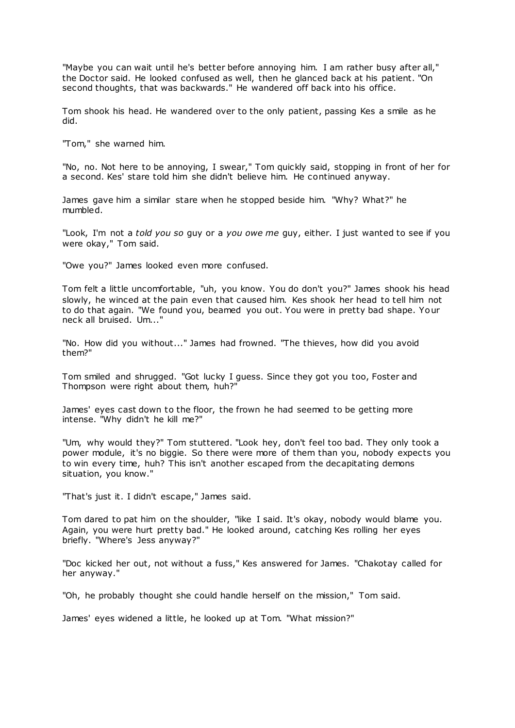"Maybe you can wait until he's better before annoying him. I am rather busy after all," the Doctor said. He looked confused as well, then he glanced back at his patient. "On second thoughts, that was backwards." He wandered off back into his office.

Tom shook his head. He wandered over to the only patient, passing Kes a smile as he did.

"Tom," she warned him.

"No, no. Not here to be annoying, I swear," Tom quickly said, stopping in front of her for a second. Kes' stare told him she didn't believe him. He continued anyway.

James gave him a similar stare when he stopped beside him. "Why? What?" he mumbled.

"Look, I'm not a *told you so* guy or a *you owe me* guy, either. I just wanted to see if you were okay," Tom said.

"Owe you?" James looked even more confused.

Tom felt a little uncomfortable, "uh, you know. You do don't you?" James shook his head slowly, he winced at the pain even that caused him. Kes shook her head to tell him not to do that again. "We found you, beamed you out. You were in pretty bad shape. Your neck all bruised. Um..."

"No. How did you without..." James had frowned. "The thieves, how did you avoid them?"

Tom smiled and shrugged. "Got lucky I guess. Since they got you too, Foster and Thompson were right about them, huh?"

James' eyes cast down to the floor, the frown he had seemed to be getting more intense. "Why didn't he kill me?"

"Um, why would they?" Tom stuttered. "Look hey, don't feel too bad. They only took a power module, it's no biggie. So there were more of them than you, nobody expects you to win every time, huh? This isn't another escaped from the decapitating demons situation, you know."

"That's just it. I didn't escape," James said.

Tom dared to pat him on the shoulder, "like I said. It's okay, nobody would blame you. Again, you were hurt pretty bad." He looked around, catching Kes rolling her eyes briefly. "Where's Jess anyway?"

"Doc kicked her out, not without a fuss," Kes answered for James. "Chakotay called for her anyway."

"Oh, he probably thought she could handle herself on the mission," Tom said.

James' eyes widened a little, he looked up at Tom. "What mission?"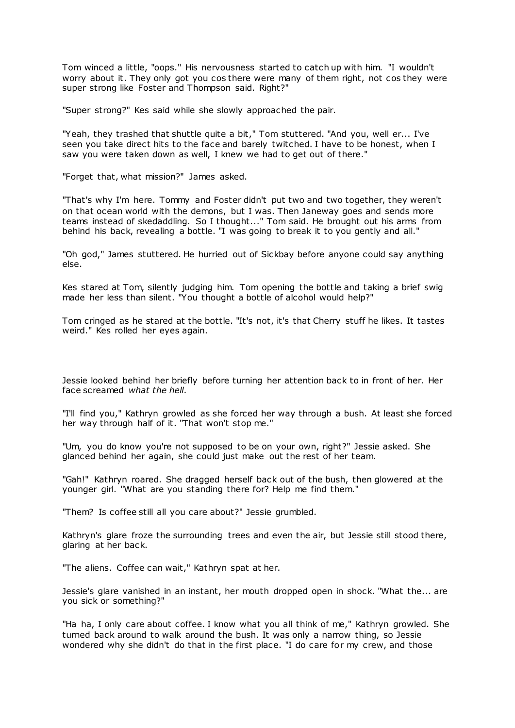Tom winced a little, "oops." His nervousness started to catch up with him. "I wouldn't worry about it. They only got you cos there were many of them right, not cos they were super strong like Foster and Thompson said. Right?"

"Super strong?" Kes said while she slowly approached the pair.

"Yeah, they trashed that shuttle quite a bit," Tom stuttered. "And you, well er... I've seen you take direct hits to the face and barely twitched. I have to be honest, when I saw you were taken down as well, I knew we had to get out of there."

"Forget that, what mission?" James asked.

"That's why I'm here. Tommy and Foster didn't put two and two together, they weren't on that ocean world with the demons, but I was. Then Janeway goes and sends more teams instead of skedaddling. So I thought..." Tom said. He brought out his arms from behind his back, revealing a bottle. "I was going to break it to you gently and all."

"Oh god," James stuttered. He hurried out of Sickbay before anyone could say anything else.

Kes stared at Tom, silently judging him. Tom opening the bottle and taking a brief swig made her less than silent. "You thought a bottle of alcohol would help?"

Tom cringed as he stared at the bottle. "It's not, it's that Cherry stuff he likes. It tastes weird." Kes rolled her eyes again.

Jessie looked behind her briefly before turning her attention back to in front of her. Her face screamed *what the hell*.

"I'll find you," Kathryn growled as she forced her way through a bush. At least she forced her way through half of it. "That won't stop me."

"Um, you do know you're not supposed to be on your own, right?" Jessie asked. She glanced behind her again, she could just make out the rest of her team.

"Gah!" Kathryn roared. She dragged herself back out of the bush, then glowered at the younger girl. "What are you standing there for? Help me find them."

"Them? Is coffee still all you care about?" Jessie grumbled.

Kathryn's glare froze the surrounding trees and even the air, but Jessie still stood there, glaring at her back.

"The aliens. Coffee can wait," Kathryn spat at her.

Jessie's glare vanished in an instant, her mouth dropped open in shock. "What the... are you sick or something?"

"Ha ha, I only care about coffee. I know what you all think of me," Kathryn growled. She turned back around to walk around the bush. It was only a narrow thing, so Jessie wondered why she didn't do that in the first place. "I do care for my crew, and those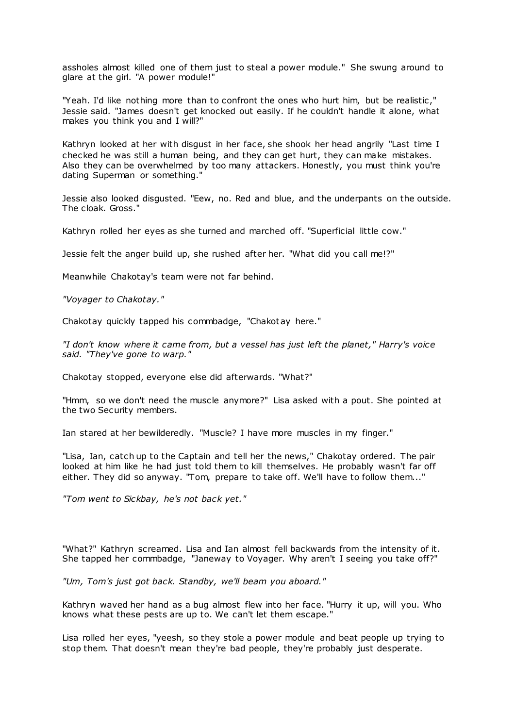assholes almost killed one of them just to steal a power module." She swung around to glare at the girl. "A power module!"

"Yeah. I'd like nothing more than to confront the ones who hurt him, but be realistic ," Jessie said. "James doesn't get knocked out easily. If he couldn't handle it alone, what makes you think you and I will?"

Kathryn looked at her with disgust in her face, she shook her head angrily "Last time I checked he was still a human being, and they can get hurt, they can make mistakes. Also they can be overwhelmed by too many attackers. Honestly, you must think you're dating Superman or something."

Jessie also looked disgusted. "Eew, no. Red and blue, and the underpants on the outside. The cloak. Gross."

Kathryn rolled her eyes as she turned and marched off. "Superficial little cow."

Jessie felt the anger build up, she rushed after her. "What did you call me!?"

Meanwhile Chakotay's team were not far behind.

*"Voyager to Chakotay."*

Chakotay quickly tapped his commbadge, "Chakotay here."

*"I don't know where it came from, but a vessel has just left the planet," Harry's voice said. "They've gone to warp."*

Chakotay stopped, everyone else did afterwards. "What?"

"Hmm, so we don't need the muscle anymore?" Lisa asked with a pout. She pointed at the two Security members.

Ian stared at her bewilderedly. "Muscle? I have more muscles in my finger."

"Lisa, Ian, catch up to the Captain and tell her the news," Chakotay ordered. The pair looked at him like he had just told them to kill themselves. He probably wasn't far off either. They did so anyway. "Tom, prepare to take off. We'll have to follow them..."

*"Tom went to Sickbay, he's not back yet."*

"What?" Kathryn screamed. Lisa and Ian almost fell backwards from the intensity of it. She tapped her commbadge, "Janeway to Voyager. Why aren't I seeing you take off?"

*"Um, Tom's just got back. Standby, we'll beam you aboard."*

Kathryn waved her hand as a bug almost flew into her face. "Hurry it up, will you. Who knows what these pests are up to. We can't let them escape."

Lisa rolled her eyes, "yeesh, so they stole a power module and beat people up trying to stop them. That doesn't mean they're bad people, they're probably just desperate.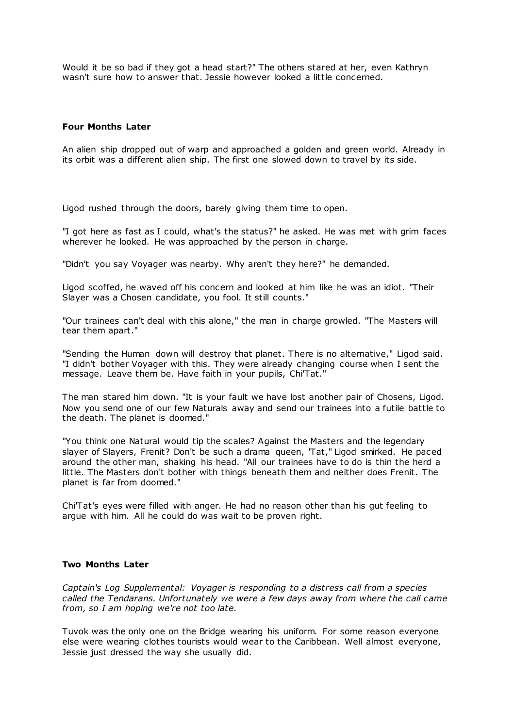Would it be so bad if they got a head start?" The others stared at her, even Kathryn wasn't sure how to answer that. Jessie however looked a little concerned.

### **Four Months Later**

An alien ship dropped out of warp and approached a golden and green world. Already in its orbit was a different alien ship. The first one slowed down to travel by its side.

Ligod rushed through the doors, barely giving them time to open.

"I got here as fast as I could, what's the status?" he asked. He was met with grim faces wherever he looked. He was approached by the person in charge.

"Didn't you say Voyager was nearby. Why aren't they here?" he demanded.

Ligod scoffed, he waved off his concern and looked at him like he was an idiot. "Their Slayer was a Chosen candidate, you fool. It still counts."

"Our trainees can't deal with this alone," the man in charge growled. "The Masters will tear them apart."

"Sending the Human down will destroy that planet. There is no alternative," Ligod said. "I didn't bother Voyager with this. They were already changing course when I sent the message. Leave them be. Have faith in your pupils, Chi'Tat."

The man stared him down. "It is your fault we have lost another pair of Chosens, Ligod. Now you send one of our few Naturals away and send our trainees into a futile battle to the death. The planet is doomed."

"You think one Natural would tip the scales? Against the Masters and the legendary slayer of Slayers, Frenit? Don't be such a drama queen, 'Tat," Ligod smirked. He paced around the other man, shaking his head. "All our trainees have to do is thin the herd a little. The Masters don't bother with things beneath them and neither does Frenit. The planet is far from doomed."

Chi'Tat's eyes were filled with anger. He had no reason other than his gut feeling to argue with him. All he could do was wait to be proven right.

# **Two Months Later**

*Captain's Log Supplemental: Voyager is responding to a distress call from a species called the Tendarans. Unfortunately we were a few days away from where the call came from, so I am hoping we're not too late.*

Tuvok was the only one on the Bridge wearing his uniform. For some reason everyone else were wearing clothes tourists would wear to the Caribbean. Well almost everyone, Jessie just dressed the way she usually did.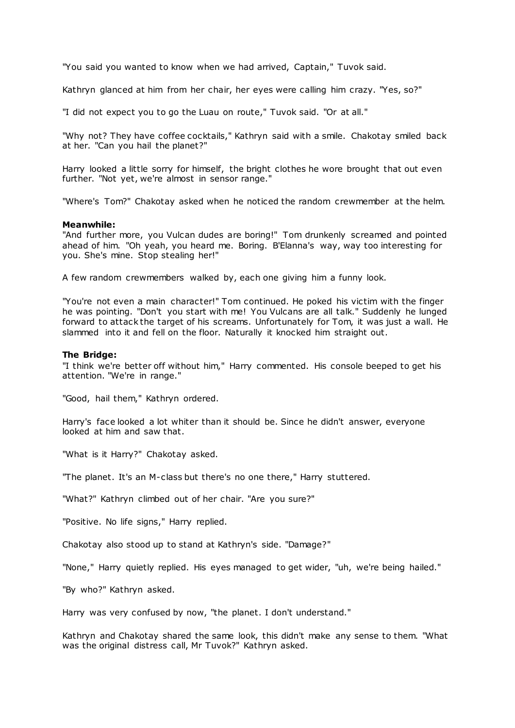"You said you wanted to know when we had arrived, Captain," Tuvok said.

Kathryn glanced at him from her chair, her eyes were calling him crazy. "Yes, so?"

"I did not expect you to go the Luau on route," Tuvok said. "Or at all."

"Why not? They have coffee cocktails," Kathryn said with a smile. Chakotay smiled back at her. "Can you hail the planet?"

Harry looked a little sorry for himself, the bright clothes he wore brought that out even further. "Not yet, we're almost in sensor range."

"Where's Tom?" Chakotay asked when he noticed the random crewmember at the helm.

### **Meanwhile:**

"And further more, you Vulcan dudes are boring!" Tom drunkenly screamed and pointed ahead of him. "Oh yeah, you heard me. Boring. B'Elanna's way, way too interesting for you. She's mine. Stop stealing her!"

A few random crewmembers walked by, each one giving him a funny look.

"You're not even a main character!" Tom continued. He poked his victim with the finger he was pointing. "Don't you start with me! You Vulcans are all talk." Suddenly he lunged forward to attack the target of his screams. Unfortunately for Tom, it was just a wall. He slammed into it and fell on the floor. Naturally it knocked him straight out.

#### **The Bridge:**

"I think we're better off without him," Harry commented. His console beeped to get his attention. "We're in range."

"Good, hail them," Kathryn ordered.

Harry's face looked a lot whiter than it should be. Since he didn't answer, everyone looked at him and saw that.

"What is it Harry?" Chakotay asked.

"The planet. It's an M-class but there's no one there," Harry stuttered.

"What?" Kathryn climbed out of her chair. "Are you sure?"

"Positive. No life signs," Harry replied.

Chakotay also stood up to stand at Kathryn's side. "Damage?"

"None," Harry quietly replied. His eyes managed to get wider, "uh, we're being hailed."

"By who?" Kathryn asked.

Harry was very confused by now, "the planet. I don't understand."

Kathryn and Chakotay shared the same look, this didn't make any sense to them. "What was the original distress call, Mr Tuvok?" Kathryn asked.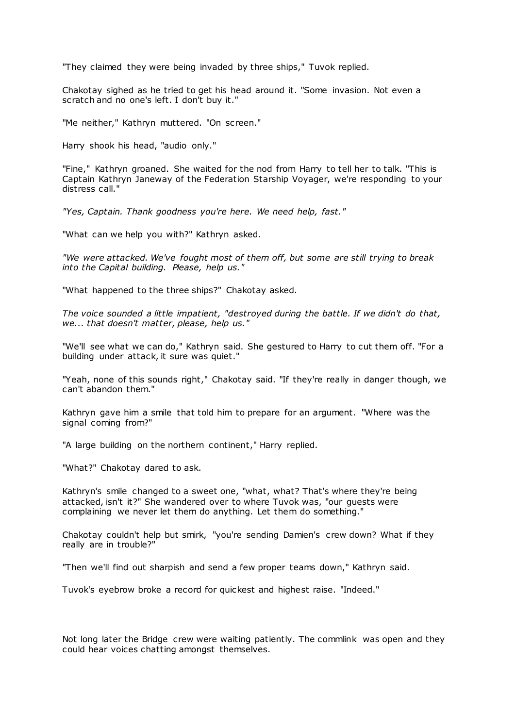"They claimed they were being invaded by three ships," Tuvok replied.

Chakotay sighed as he tried to get his head around it. "Some invasion. Not even a scratch and no one's left. I don't buy it."

"Me neither," Kathryn muttered. "On screen."

Harry shook his head, "audio only."

"Fine," Kathryn groaned. She waited for the nod from Harry to tell her to talk. "This is Captain Kathryn Janeway of the Federation Starship Voyager, we're responding to your distress call."

*"Yes, Captain. Thank goodness you're here. We need help, fast."*

"What can we help you with?" Kathryn asked.

*"We were attacked. We've fought most of them off, but some are still trying to break into the Capital building. Please, help us."*

"What happened to the three ships?" Chakotay asked.

*The voice sounded a little impatient, "destroyed during the battle. If we didn't do that, we... that doesn't matter, please, help us."*

"We'll see what we can do," Kathryn said. She gestured to Harry to cut them off. "For a building under attack, it sure was quiet."

"Yeah, none of this sounds right," Chakotay said. "If they're really in danger though, we can't abandon them."

Kathryn gave him a smile that told him to prepare for an argument. "Where was the signal coming from?"

"A large building on the northern continent," Harry replied.

"What?" Chakotay dared to ask.

Kathryn's smile changed to a sweet one, "what, what? That's where they're being attacked, isn't it?" She wandered over to where Tuvok was, "our guests were complaining we never let them do anything. Let them do something."

Chakotay couldn't help but smirk, "you're sending Damien's crew down? What if they really are in trouble?"

"Then we'll find out sharpish and send a few proper teams down," Kathryn said.

Tuvok's eyebrow broke a record for quickest and highest raise. "Indeed."

Not long later the Bridge crew were waiting patiently. The commlink was open and they could hear voices chatting amongst themselves.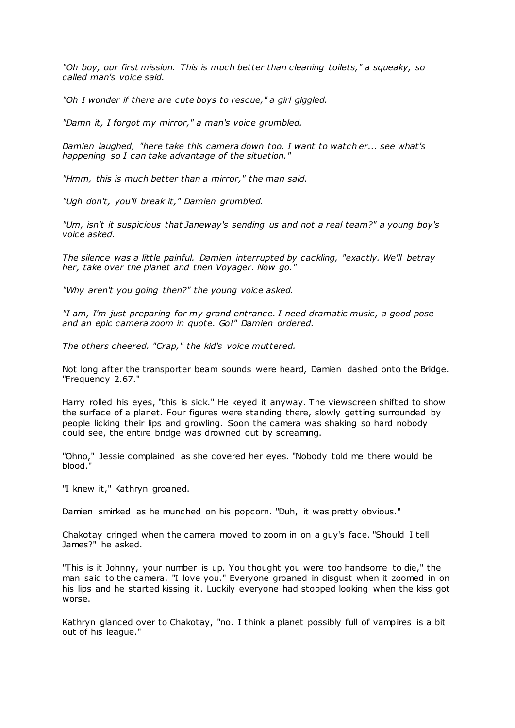*"Oh boy, our first mission. This is much better than cleaning toilets," a squeaky, so called man's voice said.*

*"Oh I wonder if there are cute boys to rescue," a girl giggled.*

*"Damn it, I forgot my mirror," a man's voice grumbled.*

*Damien laughed, "here take this camera down too. I want to watch er... see what's happening so I can take advantage of the situation."*

*"Hmm, this is much better than a mirror," the man said.*

*"Ugh don't, you'll break it," Damien grumbled.*

*"Um, isn't it suspicious that Janeway's sending us and not a real team?" a young boy's voice asked.*

*The silence was a little painful. Damien interrupted by cackling, "exactly. We'll betray her, take over the planet and then Voyager. Now go."*

*"Why aren't you going then?" the young voice asked.*

*"I am, I'm just preparing for my grand entrance. I need dramatic music , a good pose and an epic camera zoom in quote. Go!" Damien ordered.*

*The others cheered. "Crap," the kid's voice muttered.*

Not long after the transporter beam sounds were heard, Damien dashed onto the Bridge. "Frequency 2.67."

Harry rolled his eyes, "this is sick." He keyed it anyway. The viewscreen shifted to show the surface of a planet. Four figures were standing there, slowly getting surrounded by people licking their lips and growling. Soon the camera was shaking so hard nobody could see, the entire bridge was drowned out by screaming.

"Ohno," Jessie complained as she covered her eyes. "Nobody told me there would be blood."

"I knew it," Kathryn groaned.

Damien smirked as he munched on his popcorn. "Duh, it was pretty obvious."

Chakotay cringed when the camera moved to zoom in on a guy's face. "Should I tell James?" he asked.

"This is it Johnny, your number is up. You thought you were too handsome to die," the man said to the camera. "I love you." Everyone groaned in disgust when it zoomed in on his lips and he started kissing it. Luckily everyone had stopped looking when the kiss got worse.

Kathryn glanced over to Chakotay, "no. I think a planet possibly full of vampires is a bit out of his league."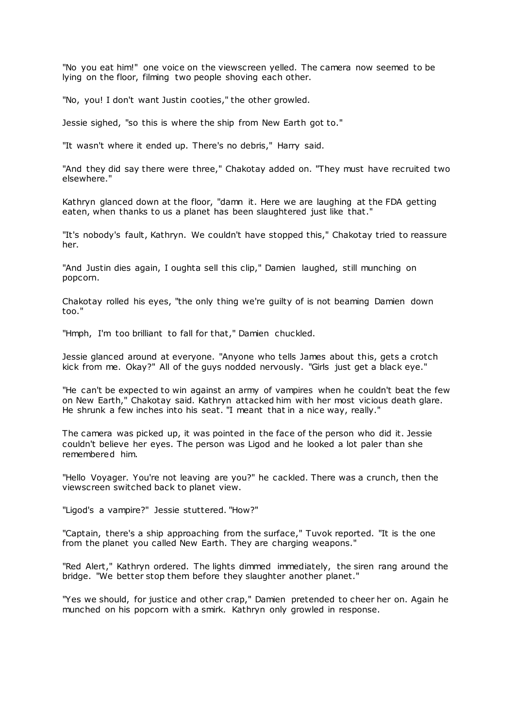"No you eat him!" one voice on the viewscreen yelled. The camera now seemed to be lying on the floor, filming two people shoving each other.

"No, you! I don't want Justin cooties," the other growled.

Jessie sighed, "so this is where the ship from New Earth got to."

"It wasn't where it ended up. There's no debris," Harry said.

"And they did say there were three," Chakotay added on. "They must have recruited two elsewhere."

Kathryn glanced down at the floor, "damn it. Here we are laughing at the FDA getting eaten, when thanks to us a planet has been slaughtered just like that."

"It's nobody's fault, Kathryn. We couldn't have stopped this," Chakotay tried to reassure her.

"And Justin dies again, I oughta sell this clip," Damien laughed, still munching on popcorn.

Chakotay rolled his eyes, "the only thing we're guilty of is not beaming Damien down too."

"Hmph, I'm too brilliant to fall for that," Damien chuckled.

Jessie glanced around at everyone. "Anyone who tells James about this, gets a crotch kick from me. Okay?" All of the guys nodded nervously. "Girls just get a black eye."

"He can't be expected to win against an army of vampires when he couldn't beat the few on New Earth," Chakotay said. Kathryn attacked him with her most vicious death glare. He shrunk a few inches into his seat. "I meant that in a nice way, really."

The camera was picked up, it was pointed in the face of the person who did it. Jessie couldn't believe her eyes. The person was Ligod and he looked a lot paler than she remembered him.

"Hello Voyager. You're not leaving are you?" he cackled. There was a crunch, then the viewscreen switched back to planet view.

"Ligod's a vampire?" Jessie stuttered. "How?"

"Captain, there's a ship approaching from the surface," Tuvok reported. "It is the one from the planet you called New Earth. They are charging weapons."

"Red Alert," Kathryn ordered. The lights dimmed immediately, the siren rang around the bridge. "We better stop them before they slaughter another planet."

"Yes we should, for justice and other crap," Damien pretended to cheer her on. Again he munched on his popcorn with a smirk. Kathryn only growled in response.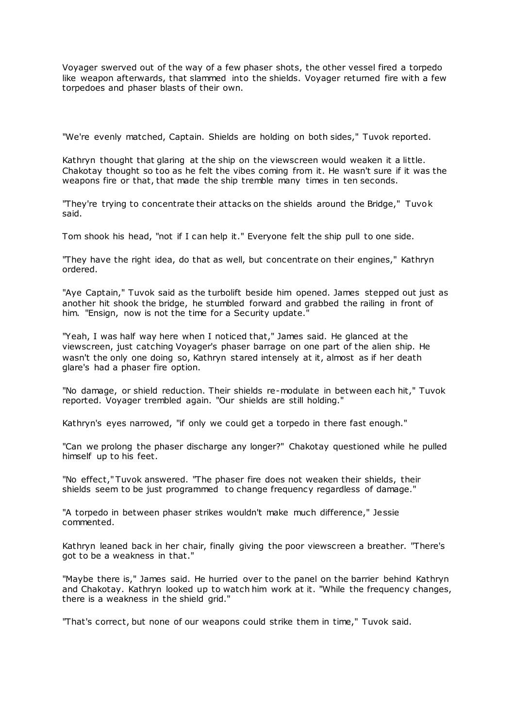Voyager swerved out of the way of a few phaser shots, the other vessel fired a torpedo like weapon afterwards, that slammed into the shields. Voyager returned fire with a few torpedoes and phaser blasts of their own.

"We're evenly matched, Captain. Shields are holding on both sides," Tuvok reported.

Kathryn thought that glaring at the ship on the viewscreen would weaken it a little. Chakotay thought so too as he felt the vibes coming from it. He wasn't sure if it was the weapons fire or that, that made the ship tremble many times in ten seconds.

"They're trying to concentrate their attacks on the shields around the Bridge," Tuvok said.

Tom shook his head, "not if I can help it." Everyone felt the ship pull to one side.

"They have the right idea, do that as well, but concentrate on their engines," Kathryn ordered.

"Aye Captain," Tuvok said as the turbolift beside him opened. James stepped out just as another hit shook the bridge, he stumbled forward and grabbed the railing in front of him. "Ensign, now is not the time for a Security update."

"Yeah, I was half way here when I noticed that," James said. He glanced at the viewscreen, just catching Voyager's phaser barrage on one part of the alien ship. He wasn't the only one doing so, Kathryn stared intensely at it, almost as if her death glare's had a phaser fire option.

"No damage, or shield reduction. Their shields re-modulate in between each hit," Tuvok reported. Voyager trembled again. "Our shields are still holding."

Kathryn's eyes narrowed, "if only we could get a torpedo in there fast enough."

"Can we prolong the phaser discharge any longer?" Chakotay questioned while he pulled himself up to his feet.

"No effect," Tuvok answered. "The phaser fire does not weaken their shields, their shields seem to be just programmed to change frequency regardless of damage."

"A torpedo in between phaser strikes wouldn't make much difference," Jessie commented.

Kathryn leaned back in her chair, finally giving the poor viewscreen a breather. "There's got to be a weakness in that."

"Maybe there is," James said. He hurried over to the panel on the barrier behind Kathryn and Chakotay. Kathryn looked up to watch him work at it. "While the frequency changes, there is a weakness in the shield grid."

"That's correct, but none of our weapons could strike them in time," Tuvok said.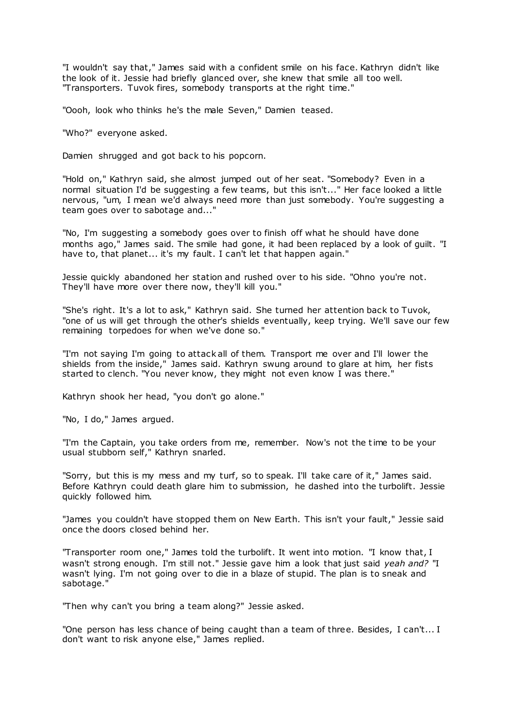"I wouldn't say that," James said with a confident smile on his face. Kathryn didn't like the look of it. Jessie had briefly glanced over, she knew that smile all too well. "Transporters. Tuvok fires, somebody transports at the right time."

"Oooh, look who thinks he's the male Seven," Damien teased.

"Who?" everyone asked.

Damien shrugged and got back to his popcorn.

"Hold on," Kathryn said, she almost jumped out of her seat. "Somebody? Even in a normal situation I'd be suggesting a few teams, but this isn't..." Her face looked a little nervous, "um, I mean we'd always need more than just somebody. You're suggesting a team goes over to sabotage and..."

"No, I'm suggesting a somebody goes over to finish off what he should have done months ago," James said. The smile had gone, it had been replaced by a look of guilt. "I have to, that planet... it's my fault. I can't let that happen again."

Jessie quickly abandoned her station and rushed over to his side. "Ohno you're not. They'll have more over there now, they'll kill you."

"She's right. It's a lot to ask," Kathryn said. She turned her attention back to Tuvok, "one of us will get through the other's shields eventually, keep trying. We'll save our few remaining torpedoes for when we've done so."

"I'm not saying I'm going to attack all of them. Transport me over and I'll lower the shields from the inside," James said. Kathryn swung around to glare at him, her fists started to clench. "You never know, they might not even know I was there."

Kathryn shook her head, "you don't go alone."

"No, I do," James argued.

"I'm the Captain, you take orders from me, remember. Now's not the time to be your usual stubborn self," Kathryn snarled.

"Sorry, but this is my mess and my turf, so to speak. I'll take care of it," James said. Before Kathryn could death glare him to submission, he dashed into the turbolift. Jessie quickly followed him.

"James you couldn't have stopped them on New Earth. This isn't your fault," Jessie said once the doors closed behind her.

"Transporter room one," James told the turbolift. It went into motion. "I know that, I wasn't strong enough. I'm still not." Jessie gave him a look that just said *yeah and?* "I wasn't lying. I'm not going over to die in a blaze of stupid. The plan is to sneak and sabotage."

"Then why can't you bring a team along?" Jessie asked.

"One person has less chance of being caught than a team of three. Besides, I can't... I don't want to risk anyone else," James replied.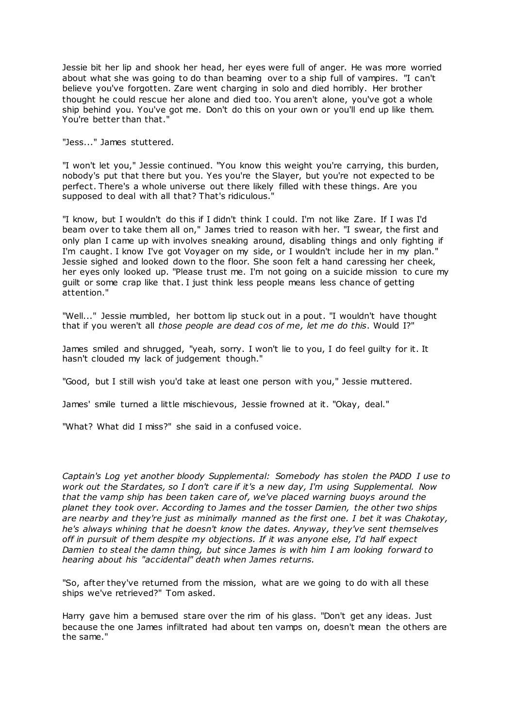Jessie bit her lip and shook her head, her eyes were full of anger. He was more worried about what she was going to do than beaming over to a ship full of vampires. "I can't believe you've forgotten. Zare went charging in solo and died horribly. Her brother thought he could rescue her alone and died too. You aren't alone, you've got a whole ship behind you. You've got me. Don't do this on your own or you'll end up like them. You're better than that."

"Jess..." James stuttered.

"I won't let you," Jessie continued. "You know this weight you're carrying, this burden, nobody's put that there but you. Yes you're the Slayer, but you're not expected to be perfect. There's a whole universe out there likely filled with these things. Are you supposed to deal with all that? That's ridiculous."

"I know, but I wouldn't do this if I didn't think I could. I'm not like Zare. If I was I'd beam over to take them all on," James tried to reason with her. "I swear, the first and only plan I came up with involves sneaking around, disabling things and only fighting if I'm caught. I know I've got Voyager on my side, or I wouldn't include her in my plan." Jessie sighed and looked down to the floor. She soon felt a hand caressing her cheek, her eyes only looked up. "Please trust me. I'm not going on a suicide mission to cure my guilt or some crap like that. I just think less people means less chance of getting attention."

"Well..." Jessie mumbled, her bottom lip stuck out in a pout. "I wouldn't have thought that if you weren't all *those people are dead cos of me, let me do this*. Would I?"

James smiled and shrugged, "yeah, sorry. I won't lie to you, I do feel guilty for it. It hasn't clouded my lack of judgement though."

"Good, but I still wish you'd take at least one person with you," Jessie muttered.

James' smile turned a little mischievous, Jessie frowned at it. "Okay, deal."

"What? What did I miss?" she said in a confused voice.

*Captain's Log yet another bloody Supplemental: Somebody has stolen the PADD I use to work out the Stardates, so I don't care if it's a new day, I'm using Supplemental. Now that the vamp ship has been taken care of, we've placed warning buoys around the planet they took over. According to James and the tosser Damien, the other two ships are nearby and they're just as minimally manned as the first one. I bet it was Chakotay, he's always whining that he doesn't know the dates. Anyway, they've sent themselves off in pursuit of them despite my objections. If it was anyone else, I'd half expect Damien to steal the damn thing, but since James is with him I am looking forward to hearing about his "accidental" death when James returns.*

"So, after they've returned from the mission, what are we going to do with all these ships we've retrieved?" Tom asked.

Harry gave him a bemused stare over the rim of his glass. "Don't get any ideas. Just because the one James infiltrated had about ten vamps on, doesn't mean the others are the same."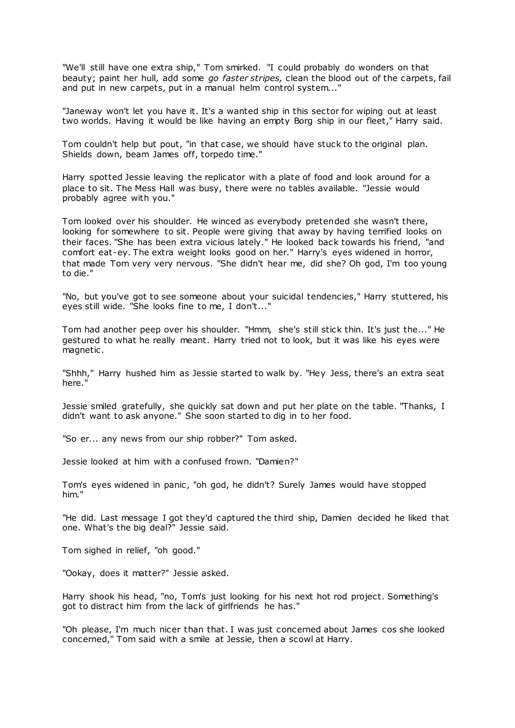"We'll still have one extra ship," Tom smirked. "I could probably do wonders on that beauty; paint her hull, add some *go faster stripes,* clean the blood out of the carpets, fail and put in new carpets, put in a manual helm control system..."

"Janeway won't let you have it. It's a wanted ship in this sector for wiping out at least two worlds. Having it would be like having an empty Borg ship in our fleet," Harry said.

Tom couldn't help but pout, "in that case, we should have stuck to the original plan. Shields down, beam James off, torpedo time."

Harry spotted Jessie leaving the replicator with a plate of food and look around for a place to sit. The Mess Hall was busy, there were no tables available. "Jessie would probably agree with you."

Tom looked over his shoulder. He winced as everybody pretended she wasn't there, looking for somewhere to sit. People were giving that away by having terrified looks on their faces. "She has been extra vicious lately." He looked back towards his friend, "and comfort eat-ey. The extra weight looks good on her." Harry's eyes widened in horror, that made Tom very very nervous. "She didn't hear me, did she? Oh god, I'm too young to die."

"No, but you've got to see someone about your suicidal tendencies," Harry stuttered, his eyes still wide. "She looks fine to me, I don't..."

Tom had another peep over his shoulder. "Hmm, she's still stick thin. It's just the..." He gestured to what he really meant. Harry tried not to look, but it was like his eyes were magnetic .

"Shhh," Harry hushed him as Jessie started to walk by. "Hey Jess, there's an extra seat here."

Jessie smiled gratefully, she quickly sat down and put her plate on the table. "Thanks, I didn't want to ask anyone." She soon started to dig in to her food.

"So er... any news from our ship robber?" Tom asked.

Jessie looked at him with a confused frown. "Damien?"

Tom's eyes widened in panic, "oh god, he didn't? Surely James would have stopped him."

"He did. Last message I got they'd captured the third ship, Damien decided he liked that one. What's the big deal?" Jessie said.

Tom sighed in relief, "oh good."

"Ookay, does it matter?" Jessie asked.

Harry shook his head, "no, Tom's just looking for his next hot rod project. Something's got to distract him from the lack of girlfriends he has."

"Oh please, I'm much nicer than that. I was just concerned about James cos she looked concerned," Tom said with a smile at Jessie, then a scowl at Harry.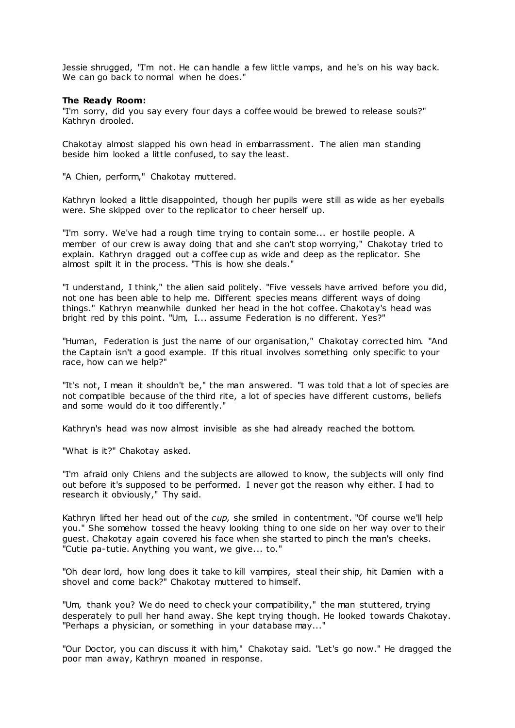Jessie shrugged, "I'm not. He can handle a few little vamps, and he's on his way back. We can go back to normal when he does."

### **The Ready Room:**

"I'm sorry, did you say every four days a coffee would be brewed to release souls?" Kathryn drooled.

Chakotay almost slapped his own head in embarrassment. The alien man standing beside him looked a little confused, to say the least.

"A Chien, perform," Chakotay muttered.

Kathryn looked a little disappointed, though her pupils were still as wide as her eyeballs were. She skipped over to the replicator to cheer herself up.

"I'm sorry. We've had a rough time trying to contain some... er hostile people. A member of our crew is away doing that and she can't stop worrying," Chakotay tried to explain. Kathryn dragged out a coffee cup as wide and deep as the replicator. She almost spilt it in the process. "This is how she deals."

"I understand, I think," the alien said politely. "Five vessels have arrived before you did, not one has been able to help me. Different species means different ways of doing things." Kathryn meanwhile dunked her head in the hot coffee. Chakotay's head was bright red by this point. "Um, I... assume Federation is no different. Yes?"

"Human, Federation is just the name of our organisation," Chakotay corrected him. "And the Captain isn't a good example. If this ritual involves something only specific to your race, how can we help?"

"It's not, I mean it shouldn't be," the man answered. "I was told that a lot of species are not compatible because of the third rite, a lot of species have different customs, beliefs and some would do it too differently."

Kathryn's head was now almost invisible as she had already reached the bottom.

"What is it?" Chakotay asked.

"I'm afraid only Chiens and the subjects are allowed to know, the subjects will only find out before it's supposed to be performed. I never got the reason why either. I had to research it obviously," Thy said.

Kathryn lifted her head out of the *cup,* she smiled in contentment. "Of course we'll help you." She somehow tossed the heavy looking thing to one side on her way over to their guest. Chakotay again covered his face when she started to pinch the man's cheeks. "Cutie pa-tutie. Anything you want, we give... to."

"Oh dear lord, how long does it take to kill vampires, steal their ship, hit Damien with a shovel and come back?" Chakotay muttered to himself.

"Um, thank you? We do need to check your compatibility," the man stuttered, trying desperately to pull her hand away. She kept trying though. He looked towards Chakotay. "Perhaps a physician, or something in your database may..."

"Our Doctor, you can discuss it with him," Chakotay said. "Let's go now." He dragged the poor man away, Kathryn moaned in response.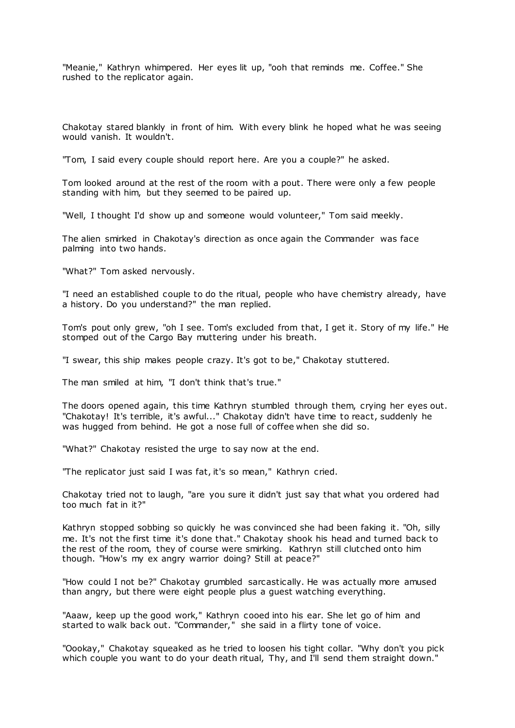"Meanie," Kathryn whimpered. Her eyes lit up, "ooh that reminds me. Coffee." She rushed to the replicator again.

Chakotay stared blankly in front of him. With every blink he hoped what he was seeing would vanish. It wouldn't.

"Tom, I said every couple should report here. Are you a couple?" he asked.

Tom looked around at the rest of the room with a pout. There were only a few people standing with him, but they seemed to be paired up.

"Well, I thought I'd show up and someone would volunteer," Tom said meekly.

The alien smirked in Chakotay's direction as once again the Commander was face palming into two hands.

"What?" Tom asked nervously.

"I need an established couple to do the ritual, people who have chemistry already, have a history. Do you understand?" the man replied.

Tom's pout only grew, "oh I see. Tom's excluded from that, I get it. Story of my life." He stomped out of the Cargo Bay muttering under his breath.

"I swear, this ship makes people crazy. It's got to be," Chakotay stuttered.

The man smiled at him, "I don't think that's true."

The doors opened again, this time Kathryn stumbled through them, crying her eyes out. "Chakotay! It's terrible, it's awful..." Chakotay didn't have time to react, suddenly he was hugged from behind. He got a nose full of coffee when she did so.

"What?" Chakotay resisted the urge to say now at the end.

"The replicator just said I was fat, it's so mean," Kathryn cried.

Chakotay tried not to laugh, "are you sure it didn't just say that what you ordered had too much fat in it?"

Kathryn stopped sobbing so quickly he was convinced she had been faking it. "Oh, silly me. It's not the first time it's done that." Chakotay shook his head and turned back to the rest of the room, they of course were smirking. Kathryn still clutched onto him though. "How's my ex angry warrior doing? Still at peace?"

"How could I not be?" Chakotay grumbled sarcastically. He was actually more amused than angry, but there were eight people plus a guest watching everything.

"Aaaw, keep up the good work," Kathryn cooed into his ear. She let go of him and started to walk back out. "Commander," she said in a flirty tone of voice.

"Oookay," Chakotay squeaked as he tried to loosen his tight collar. "Why don't you pick which couple you want to do your death ritual, Thy, and I'll send them straight down."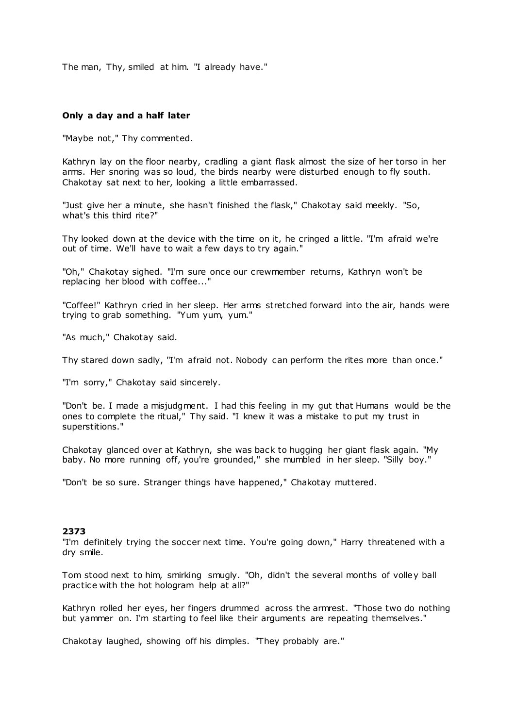The man, Thy, smiled at him. "I already have."

# **Only a day and a half later**

"Maybe not," Thy commented.

Kathryn lay on the floor nearby, cradling a giant flask almost the size of her torso in her arms. Her snoring was so loud, the birds nearby were disturbed enough to fly south. Chakotay sat next to her, looking a little embarrassed.

"Just give her a minute, she hasn't finished the flask," Chakotay said meekly. "So, what's this third rite?"

Thy looked down at the device with the time on it, he cringed a little. "I'm afraid we're out of time. We'll have to wait a few days to try again."

"Oh," Chakotay sighed. "I'm sure once our crewmember returns, Kathryn won't be replacing her blood with coffee..."

"Coffee!" Kathryn cried in her sleep. Her arms stretched forward into the air, hands were trying to grab something. "Yum yum, yum."

"As much," Chakotay said.

Thy stared down sadly, "I'm afraid not. Nobody can perform the rites more than once."

"I'm sorry," Chakotay said sincerely.

"Don't be. I made a misjudgment. I had this feeling in my gut that Humans would be the ones to complete the ritual," Thy said. "I knew it was a mistake to put my trust in superstitions."

Chakotay glanced over at Kathryn, she was back to hugging her giant flask again. "My baby. No more running off, you're grounded," she mumbled in her sleep. "Silly boy."

"Don't be so sure. Stranger things have happened," Chakotay muttered.

#### **2373**

"I'm definitely trying the soccer next time. You're going down," Harry threatened with a dry smile.

Tom stood next to him, smirking smugly. "Oh, didn't the several months of volley ball practice with the hot hologram help at all?"

Kathryn rolled her eyes, her fingers drummed across the armrest. "Those two do nothing but yammer on. I'm starting to feel like their arguments are repeating themselves."

Chakotay laughed, showing off his dimples. "They probably are."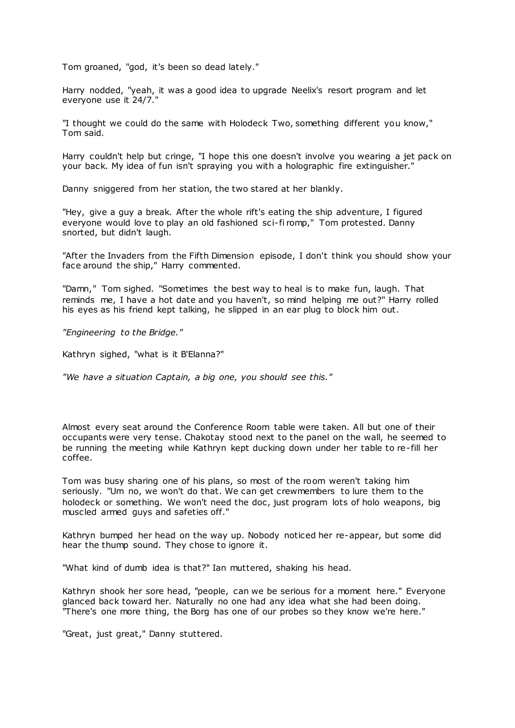Tom groaned, "god, it's been so dead lately."

Harry nodded, "yeah, it was a good idea to upgrade Neelix's resort program and let everyone use it 24/7."

"I thought we could do the same with Holodeck Two, something different you know," Tom said.

Harry couldn't help but cringe, "I hope this one doesn't involve you wearing a jet pack on your back. My idea of fun isn't spraying you with a holographic fire extinguisher."

Danny sniggered from her station, the two stared at her blankly.

"Hey, give a guy a break. After the whole rift's eating the ship adventure, I figured everyone would love to play an old fashioned sci-fi romp," Tom protested. Danny snorted, but didn't laugh.

"After the Invaders from the Fifth Dimension episode, I don't think you should show your face around the ship," Harry commented.

"Damn," Tom sighed. "Sometimes the best way to heal is to make fun, laugh. That reminds me, I have a hot date and you haven't, so mind helping me out?" Harry rolled his eyes as his friend kept talking, he slipped in an ear plug to block him out.

*"Engineering to the Bridge."*

Kathryn sighed, "what is it B'Elanna?"

*"We have a situation Captain, a big one, you should see this."*

Almost every seat around the Conference Room table were taken. All but one of their occupants were very tense. Chakotay stood next to the panel on the wall, he seemed to be running the meeting while Kathryn kept ducking down under her table to re-fill her coffee.

Tom was busy sharing one of his plans, so most of the room weren't taking him seriously. "Um no, we won't do that. We can get crewmembers to lure them to the holodeck or something. We won't need the doc, just program lots of holo weapons, big muscled armed guys and safeties off."

Kathryn bumped her head on the way up. Nobody noticed her re-appear, but some did hear the thump sound. They chose to ignore it.

"What kind of dumb idea is that?" Ian muttered, shaking his head.

Kathryn shook her sore head, "people, can we be serious for a moment here." Everyone glanced back toward her. Naturally no one had any idea what she had been doing. "There's one more thing, the Borg has one of our probes so they know we're here."

"Great, just great," Danny stuttered.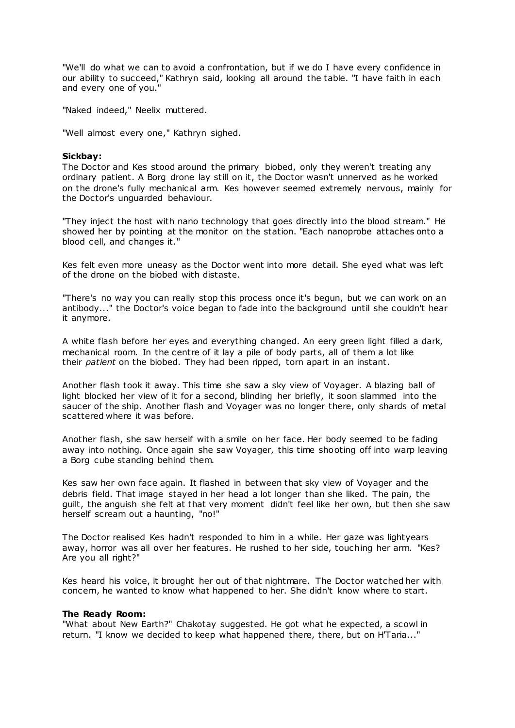"We'll do what we can to avoid a confrontation, but if we do I have every confidence in our ability to succeed," Kathryn said, looking all around the table. "I have faith in each and every one of you."

"Naked indeed," Neelix muttered.

"Well almost every one," Kathryn sighed.

### **Sickbay:**

The Doctor and Kes stood around the primary biobed, only they weren't treating any ordinary patient. A Borg drone lay still on it, the Doctor wasn't unnerved as he worked on the drone's fully mechanical arm. Kes however seemed extremely nervous, mainly for the Doctor's unguarded behaviour.

"They inject the host with nano technology that goes directly into the blood stream." He showed her by pointing at the monitor on the station. "Each nanoprobe attaches onto a blood cell, and changes it."

Kes felt even more uneasy as the Doctor went into more detail. She eyed what was left of the drone on the biobed with distaste.

"There's no way you can really stop this process once it's begun, but we can work on an antibody..." the Doctor's voice began to fade into the background until she couldn't hear it anymore.

A white flash before her eyes and everything changed. An eery green light filled a dark, mechanical room. In the centre of it lay a pile of body parts, all of them a lot like their *patient* on the biobed. They had been ripped, torn apart in an instant.

Another flash took it away. This time she saw a sky view of Voyager. A blazing ball of light blocked her view of it for a second, blinding her briefly, it soon slammed into the saucer of the ship. Another flash and Voyager was no longer there, only shards of metal scattered where it was before.

Another flash, she saw herself with a smile on her face. Her body seemed to be fading away into nothing. Once again she saw Voyager, this time shooting off into warp leaving a Borg cube standing behind them.

Kes saw her own face again. It flashed in between that sky view of Voyager and the debris field. That image stayed in her head a lot longer than she liked. The pain, the guilt, the anguish she felt at that very moment didn't feel like her own, but then she saw herself scream out a haunting, "no!"

The Doctor realised Kes hadn't responded to him in a while. Her gaze was lightyears away, horror was all over her features. He rushed to her side, touching her arm. "Kes? Are you all right?"

Kes heard his voice, it brought her out of that nightmare. The Doctor watched her with concern, he wanted to know what happened to her. She didn't know where to start.

## **The Ready Room:**

"What about New Earth?" Chakotay suggested. He got what he expected, a scowl in return. "I know we decided to keep what happened there, there, but on H'Taria..."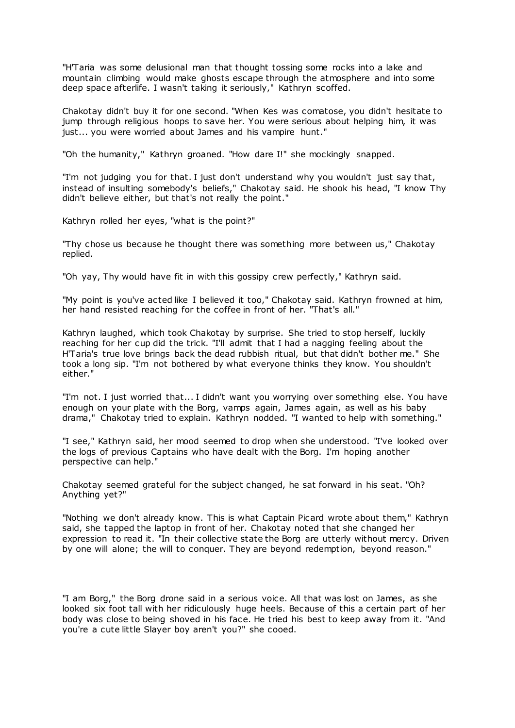"H'Taria was some delusional man that thought tossing some rocks into a lake and mountain climbing would make ghosts escape through the atmosphere and into some deep space afterlife. I wasn't taking it seriously," Kathryn scoffed.

Chakotay didn't buy it for one second. "When Kes was comatose, you didn't hesitate to jump through religious hoops to save her. You were serious about helping him, it was just... you were worried about James and his vampire hunt."

"Oh the humanity," Kathryn groaned. "How dare I!" she mockingly snapped.

"I'm not judging you for that. I just don't understand why you wouldn't just say that, instead of insulting somebody's beliefs," Chakotay said. He shook his head, "I know Thy didn't believe either, but that's not really the point."

Kathryn rolled her eyes, "what is the point?"

"Thy chose us because he thought there was something more between us," Chakotay replied.

"Oh yay, Thy would have fit in with this gossipy crew perfectly," Kathryn said.

"My point is you've acted like I believed it too," Chakotay said. Kathryn frowned at him, her hand resisted reaching for the coffee in front of her. "That's all."

Kathryn laughed, which took Chakotay by surprise. She tried to stop herself, luckily reaching for her cup did the trick. "I'll admit that I had a nagging feeling about the H'Taria's true love brings back the dead rubbish ritual, but that didn't bother me." She took a long sip. "I'm not bothered by what everyone thinks they know. You shouldn't either."

"I'm not. I just worried that... I didn't want you worrying over something else. You have enough on your plate with the Borg, vamps again, James again, as well as his baby drama," Chakotay tried to explain. Kathryn nodded. "I wanted to help with something."

"I see," Kathryn said, her mood seemed to drop when she understood. "I've looked over the logs of previous Captains who have dealt with the Borg. I'm hoping another perspective can help."

Chakotay seemed grateful for the subject changed, he sat forward in his seat. "Oh? Anything yet?"

"Nothing we don't already know. This is what Captain Picard wrote about them," Kathryn said, she tapped the laptop in front of her. Chakotay noted that she changed her expression to read it. "In their collective state the Borg are utterly without mercy. Driven by one will alone; the will to conquer. They are beyond redemption, beyond reason."

"I am Borg," the Borg drone said in a serious voice. All that was lost on James, as she looked six foot tall with her ridiculously huge heels. Because of this a certain part of her body was close to being shoved in his face. He tried his best to keep away from it. "And you're a cute little Slayer boy aren't you?" she cooed.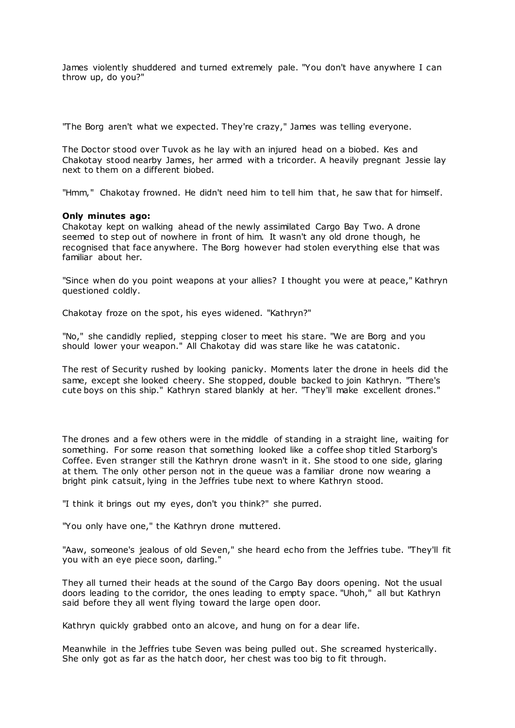James violently shuddered and turned extremely pale. "You don't have anywhere I can throw up, do you?"

"The Borg aren't what we expected. They're crazy," James was telling everyone.

The Doctor stood over Tuvok as he lay with an injured head on a biobed. Kes and Chakotay stood nearby James, her armed with a tricorder. A heavily pregnant Jessie lay next to them on a different biobed.

"Hmm," Chakotay frowned. He didn't need him to tell him that, he saw that for himself.

## **Only minutes ago:**

Chakotay kept on walking ahead of the newly assimilated Cargo Bay Two. A drone seemed to step out of nowhere in front of him. It wasn't any old drone though, he recognised that face anywhere. The Borg however had stolen everything else that was familiar about her.

"Since when do you point weapons at your allies? I thought you were at peace," Kathryn questioned coldly.

Chakotay froze on the spot, his eyes widened. "Kathryn?"

"No," she candidly replied, stepping closer to meet his stare. "We are Borg and you should lower your weapon." All Chakotay did was stare like he was catatonic .

The rest of Security rushed by looking panicky. Moments later the drone in heels did the same, except she looked cheery. She stopped, double backed to join Kathryn. "There's cute boys on this ship." Kathryn stared blankly at her. "They'll make excellent drones."

The drones and a few others were in the middle of standing in a straight line, waiting for something. For some reason that something looked like a coffee shop titled Starborg's Coffee. Even stranger still the Kathryn drone wasn't in it. She stood to one side, glaring at them. The only other person not in the queue was a familiar drone now wearing a bright pink catsuit, lying in the Jeffries tube next to where Kathryn stood.

"I think it brings out my eyes, don't you think?" she purred.

"You only have one," the Kathryn drone muttered.

"Aaw, someone's jealous of old Seven," she heard echo from the Jeffries tube. "They'll fit you with an eye piece soon, darling."

They all turned their heads at the sound of the Cargo Bay doors opening. Not the usual doors leading to the corridor, the ones leading to empty space. "Uhoh," all but Kathryn said before they all went flying toward the large open door.

Kathryn quickly grabbed onto an alcove, and hung on for a dear life.

Meanwhile in the Jeffries tube Seven was being pulled out. She screamed hysterically. She only got as far as the hatch door, her chest was too big to fit through.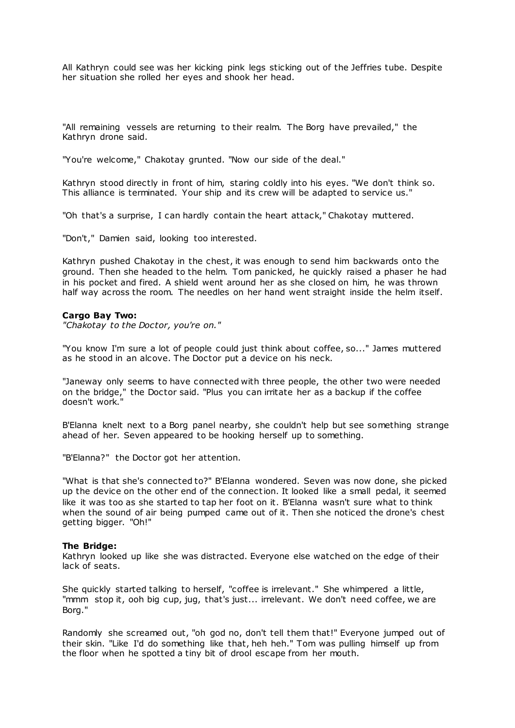All Kathryn could see was her kicking pink legs sticking out of the Jeffries tube. Despite her situation she rolled her eyes and shook her head.

"All remaining vessels are returning to their realm. The Borg have prevailed," the Kathryn drone said.

"You're welcome," Chakotay grunted. "Now our side of the deal."

Kathryn stood directly in front of him, staring coldly into his eyes. "We don't think so. This alliance is terminated. Your ship and its crew will be adapted to service us."

"Oh that's a surprise, I can hardly contain the heart attack," Chakotay muttered.

"Don't," Damien said, looking too interested.

Kathryn pushed Chakotay in the chest, it was enough to send him backwards onto the ground. Then she headed to the helm. Tom panicked, he quickly raised a phaser he had in his pocket and fired. A shield went around her as she closed on him, he was thrown half way across the room. The needles on her hand went straight inside the helm itself.

### **Cargo Bay Two:**

*"Chakotay to the Doctor, you're on."*

"You know I'm sure a lot of people could just think about coffee, so..." James muttered as he stood in an alcove. The Doctor put a device on his neck.

"Janeway only seems to have connected with three people, the other two were needed on the bridge," the Doctor said. "Plus you can irritate her as a backup if the coffee doesn't work."

B'Elanna knelt next to a Borg panel nearby, she couldn't help but see something strange ahead of her. Seven appeared to be hooking herself up to something.

"B'Elanna?" the Doctor got her attention.

"What is that she's connected to?" B'Elanna wondered. Seven was now done, she picked up the device on the other end of the connection. It looked like a small pedal, it seemed like it was too as she started to tap her foot on it. B'Elanna wasn't sure what to think when the sound of air being pumped came out of it. Then she noticed the drone's chest getting bigger. "Oh!"

#### **The Bridge:**

Kathryn looked up like she was distracted. Everyone else watched on the edge of their lack of seats.

She quickly started talking to herself, "coffee is irrelevant." She whimpered a little, "mmm stop it, ooh big cup, jug, that's just... irrelevant. We don't need coffee, we are Borg."

Randomly she screamed out, "oh god no, don't tell them that!" Everyone jumped out of their skin. "Like I'd do something like that, heh heh." Tom was pulling himself up from the floor when he spotted a tiny bit of drool escape from her mouth.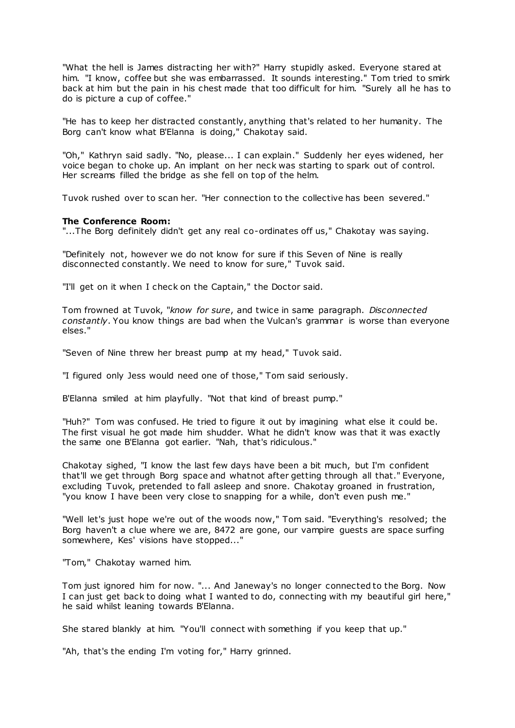"What the hell is James distracting her with?" Harry stupidly asked. Everyone stared at him. "I know, coffee but she was embarrassed. It sounds interesting." Tom tried to smirk back at him but the pain in his chest made that too difficult for him. "Surely all he has to do is picture a cup of coffee."

"He has to keep her distracted constantly, anything that's related to her humanity. The Borg can't know what B'Elanna is doing," Chakotay said.

"Oh," Kathryn said sadly. "No, please... I can explain." Suddenly her eyes widened, her voice began to choke up. An implant on her neck was starting to spark out of control. Her screams filled the bridge as she fell on top of the helm.

Tuvok rushed over to scan her. "Her connection to the collective has been severed."

### **The Conference Room:**

"...The Borg definitely didn't get any real co-ordinates off us," Chakotay was saying.

"Definitely not, however we do not know for sure if this Seven of Nine is really disconnected constantly. We need to know for sure," Tuvok said.

"I'll get on it when I check on the Captain," the Doctor said.

Tom frowned at Tuvok, "*know for sure*, and twice in same paragraph. *Disconnected constantly*. You know things are bad when the Vulcan's grammar is worse than everyone elses."

"Seven of Nine threw her breast pump at my head," Tuvok said.

"I figured only Jess would need one of those," Tom said seriously.

B'Elanna smiled at him playfully. "Not that kind of breast pump."

"Huh?" Tom was confused. He tried to figure it out by imagining what else it could be. The first visual he got made him shudder. What he didn't know was that it was exactly the same one B'Elanna got earlier. "Nah, that's ridiculous."

Chakotay sighed, "I know the last few days have been a bit much, but I'm confident that'll we get through Borg space and whatnot after getting through all that." Everyone, excluding Tuvok, pretended to fall asleep and snore. Chakotay groaned in frustration, "you know I have been very close to snapping for a while, don't even push me."

"Well let's just hope we're out of the woods now," Tom said. "Everything's resolved; the Borg haven't a clue where we are, 8472 are gone, our vampire guests are space surfing somewhere, Kes' visions have stopped..."

"Tom," Chakotay warned him.

Tom just ignored him for now. "... And Janeway's no longer connected to the Borg. Now I can just get back to doing what I wanted to do, connecting with my beautiful girl here," he said whilst leaning towards B'Elanna.

She stared blankly at him. "You'll connect with something if you keep that up."

"Ah, that's the ending I'm voting for," Harry grinned.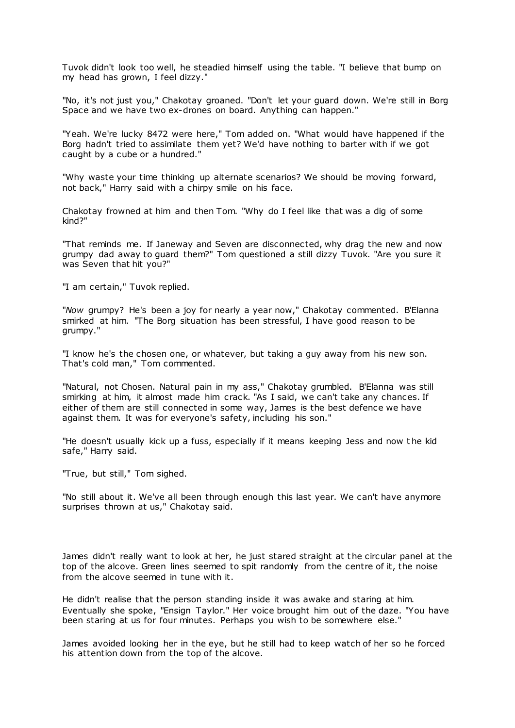Tuvok didn't look too well, he steadied himself using the table. "I believe that bump on my head has grown, I feel dizzy."

"No, it's not just you," Chakotay groaned. "Don't let your guard down. We're still in Borg Space and we have two ex-drones on board. Anything can happen."

"Yeah. We're lucky 8472 were here," Tom added on. "What would have happened if the Borg hadn't tried to assimilate them yet? We'd have nothing to barter with if we got caught by a cube or a hundred."

"Why waste your time thinking up alternate scenarios? We should be moving forward, not back," Harry said with a chirpy smile on his face.

Chakotay frowned at him and then Tom. "Why do I feel like that was a dig of some kind?"

"That reminds me. If Janeway and Seven are disconnected, why drag the new and now grumpy dad away to guard them?" Tom questioned a still dizzy Tuvok. "Are you sure it was Seven that hit you?"

"I am certain," Tuvok replied.

"*Now* grumpy? He's been a joy for nearly a year now," Chakotay commented. B'Elanna smirked at him. "The Borg situation has been stressful, I have good reason to be grumpy."

"I know he's the chosen one, or whatever, but taking a guy away from his new son. That's cold man," Tom commented.

"Natural, not Chosen. Natural pain in my ass," Chakotay grumbled. B'Elanna was still smirking at him, it almost made him crack. "As I said, we can't take any chances. If either of them are still connected in some way, James is the best defence we have against them. It was for everyone's safety, including his son."

"He doesn't usually kick up a fuss, especially if it means keeping Jess and now t he kid safe," Harry said.

"True, but still," Tom sighed.

"No still about it. We've all been through enough this last year. We can't have anymore surprises thrown at us," Chakotay said.

James didn't really want to look at her, he just stared straight at the circular panel at the top of the alcove. Green lines seemed to spit randomly from the centre of it, the noise from the alcove seemed in tune with it.

He didn't realise that the person standing inside it was awake and staring at him. Eventually she spoke, "Ensign Taylor." Her voice brought him out of the daze. "You have been staring at us for four minutes. Perhaps you wish to be somewhere else."

James avoided looking her in the eye, but he still had to keep watch of her so he forced his attention down from the top of the alcove.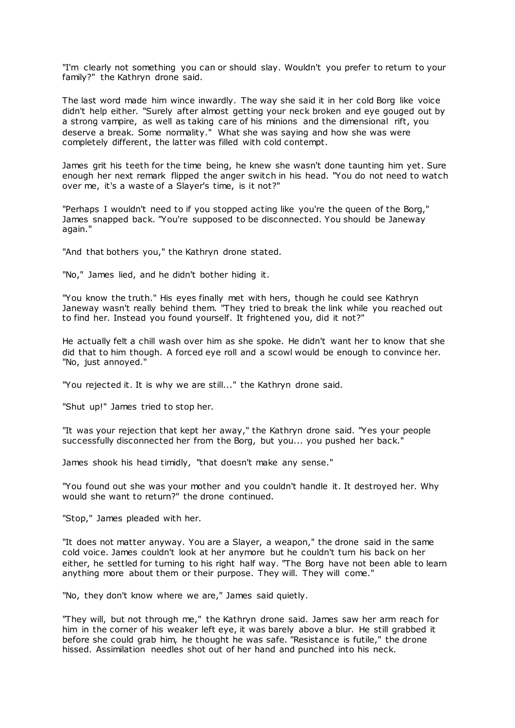"I'm clearly not something you can or should slay. Wouldn't you prefer to return to your family?" the Kathryn drone said.

The last word made him wince inwardly. The way she said it in her cold Borg like voice didn't help either. "Surely after almost getting your neck broken and eye gouged out by a strong vampire, as well as taking care of his minions and the dimensional rift, you deserve a break. Some normality." What she was saying and how she was were completely different, the latter was filled with cold contempt.

James grit his teeth for the time being, he knew she wasn't done taunting him yet. Sure enough her next remark flipped the anger switch in his head. "You do not need to watch over me, it's a waste of a Slayer's time, is it not?"

"Perhaps I wouldn't need to if you stopped acting like you're the queen of the Borg," James snapped back. "You're supposed to be disconnected. You should be Janeway again."

"And that bothers you," the Kathryn drone stated.

"No," James lied, and he didn't bother hiding it.

"You know the truth." His eyes finally met with hers, though he could see Kathryn Janeway wasn't really behind them. "They tried to break the link while you reached out to find her. Instead you found yourself. It frightened you, did it not?"

He actually felt a chill wash over him as she spoke. He didn't want her to know that she did that to him though. A forced eye roll and a scowl would be enough to convince her. "No, just annoyed."

"You rejected it. It is why we are still..." the Kathryn drone said.

"Shut up!" James tried to stop her.

"It was your rejection that kept her away," the Kathryn drone said. "Yes your people successfully disconnected her from the Borg, but you... you pushed her back."

James shook his head timidly, "that doesn't make any sense."

"You found out she was your mother and you couldn't handle it. It destroyed her. Why would she want to return?" the drone continued.

"Stop," James pleaded with her.

"It does not matter anyway. You are a Slayer, a weapon," the drone said in the same cold voice. James couldn't look at her anymore but he couldn't turn his back on her either, he settled for turning to his right half way. "The Borg have not been able to learn anything more about them or their purpose. They will. They will come."

"No, they don't know where we are," James said quietly.

"They will, but not through me," the Kathryn drone said. James saw her arm reach for him in the corner of his weaker left eye, it was barely above a blur. He still grabbed it before she could grab him, he thought he was safe. "Resistance is futile," the drone hissed. Assimilation needles shot out of her hand and punched into his neck.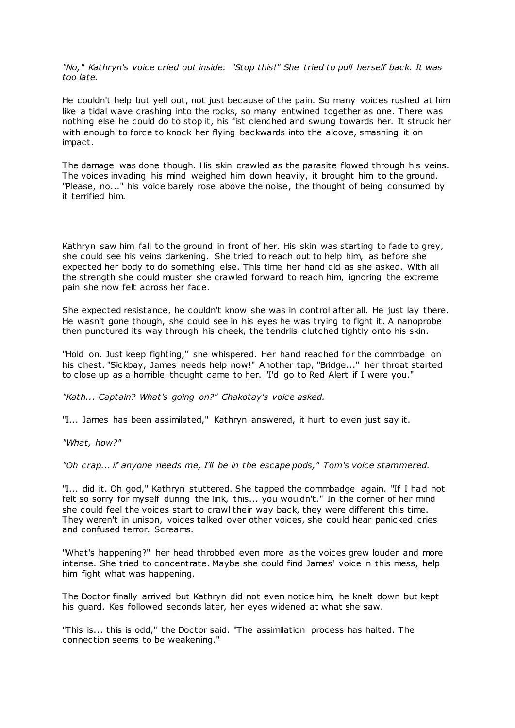*"No," Kathryn's voice cried out inside. "Stop this!" She tried to pull herself back. It was too late.*

He couldn't help but yell out, not just because of the pain. So many voic es rushed at him like a tidal wave crashing into the rocks, so many entwined together as one. There was nothing else he could do to stop it, his fist clenched and swung towards her. It struck her with enough to force to knock her flying backwards into the alcove, smashing it on impact.

The damage was done though. His skin crawled as the parasite flowed through his veins. The voices invading his mind weighed him down heavily, it brought him to the ground. "Please, no..." his voice barely rose above the noise, the thought of being consumed by it terrified him.

Kathryn saw him fall to the ground in front of her. His skin was starting to fade to grey, she could see his veins darkening. She tried to reach out to help him, as before she expected her body to do something else. This time her hand did as she asked. With all the strength she could muster she crawled forward to reach him, ignoring the extreme pain she now felt across her face.

She expected resistance, he couldn't know she was in control after all. He just lay there. He wasn't gone though, she could see in his eyes he was trying to fight it. A nanoprobe then punctured its way through his cheek, the tendrils clutched tightly onto his skin.

"Hold on. Just keep fighting," she whispered. Her hand reached for the commbadge on his chest. "Sickbay, James needs help now!" Another tap, "Bridge..." her throat started to close up as a horrible thought came to her. "I'd go to Red Alert if I were you."

*"Kath... Captain? What's going on?" Chakotay's voice asked.*

"I... James has been assimilated," Kathryn answered, it hurt to even just say it.

*"What, how?"*

*"Oh crap... if anyone needs me, I'll be in the escape pods," Tom's voice stammered.*

"I... did it. Oh god," Kathryn stuttered. She tapped the commbadge again. "If I had not felt so sorry for myself during the link, this... you wouldn't." In the corner of her mind she could feel the voices start to crawl their way back, they were different this time. They weren't in unison, voices talked over other voices, she could hear panicked cries and confused terror. Screams.

"What's happening?" her head throbbed even more as the voices grew louder and more intense. She tried to concentrate. Maybe she could find James' voice in this mess, help him fight what was happening.

The Doctor finally arrived but Kathryn did not even notice him, he knelt down but kept his guard. Kes followed seconds later, her eyes widened at what she saw.

"This is... this is odd," the Doctor said. "The assimilation process has halted. The connection seems to be weakening."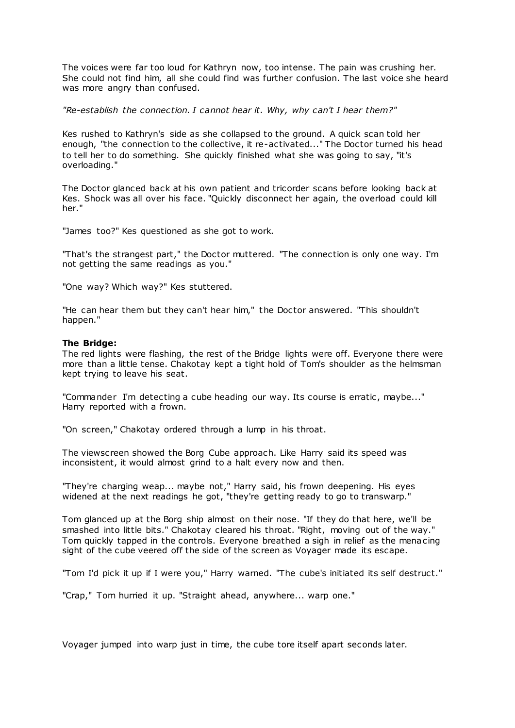The voices were far too loud for Kathryn now, too intense. The pain was crushing her. She could not find him, all she could find was further confusion. The last voice she heard was more angry than confused.

*"Re-establish the connection. I cannot hear it. Why, why can't I hear them?"*

Kes rushed to Kathryn's side as she collapsed to the ground. A quick scan told her enough, "the connection to the collective, it re-activated..." The Doctor turned his head to tell her to do something. She quickly finished what she was going to say, "it's overloading."

The Doctor glanced back at his own patient and tricorder scans before looking back at Kes. Shock was all over his face. "Quickly disconnect her again, the overload could kill her."

"James too?" Kes questioned as she got to work.

"That's the strangest part," the Doctor muttered. "The connection is only one way. I'm not getting the same readings as you."

"One way? Which way?" Kes stuttered.

"He can hear them but they can't hear him," the Doctor answered. "This shouldn't happen."

### **The Bridge:**

The red lights were flashing, the rest of the Bridge lights were off. Everyone there were more than a little tense. Chakotay kept a tight hold of Tom's shoulder as the helmsman kept trying to leave his seat.

"Commander I'm detecting a cube heading our way. Its course is erratic, maybe..." Harry reported with a frown.

"On screen," Chakotay ordered through a lump in his throat.

The viewscreen showed the Borg Cube approach. Like Harry said its speed was inconsistent, it would almost grind to a halt every now and then.

"They're charging weap... maybe not," Harry said, his frown deepening. His eyes widened at the next readings he got, "they're getting ready to go to transwarp."

Tom glanced up at the Borg ship almost on their nose. "If they do that here, we'll be smashed into little bits." Chakotay cleared his throat. "Right, moving out of the way." Tom quickly tapped in the controls. Everyone breathed a sigh in relief as the menacing sight of the cube veered off the side of the screen as Voyager made its escape.

"Tom I'd pick it up if I were you," Harry warned. "The cube's initiated its self destruct."

"Crap," Tom hurried it up. "Straight ahead, anywhere... warp one."

Voyager jumped into warp just in time, the cube tore itself apart seconds later.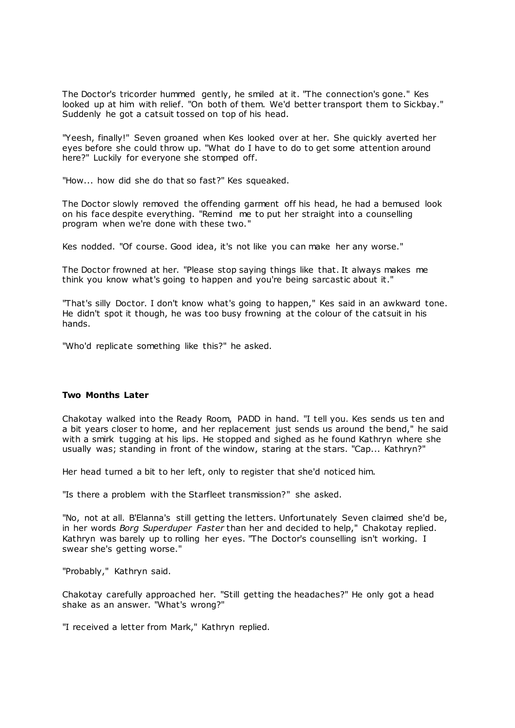The Doctor's tricorder hummed gently, he smiled at it. "The connection's gone." Kes looked up at him with relief. "On both of them. We'd better transport them to Sickbay." Suddenly he got a catsuit tossed on top of his head.

"Yeesh, finally!" Seven groaned when Kes looked over at her. She quickly averted her eyes before she could throw up. "What do I have to do to get some attention around here?" Luckily for everyone she stomped off.

"How... how did she do that so fast?" Kes squeaked.

The Doctor slowly removed the offending garment off his head, he had a bemused look on his face despite everything. "Remind me to put her straight into a counselling program when we're done with these two."

Kes nodded. "Of course. Good idea, it's not like you can make her any worse."

The Doctor frowned at her. "Please stop saying things like that. It always makes me think you know what's going to happen and you're being sarcastic about it."

"That's silly Doctor. I don't know what's going to happen," Kes said in an awkward tone. He didn't spot it though, he was too busy frowning at the colour of the catsuit in his hands.

"Who'd replicate something like this?" he asked.

## **Two Months Later**

Chakotay walked into the Ready Room, PADD in hand. "I tell you. Kes sends us ten and a bit years closer to home, and her replacement just sends us around the bend," he said with a smirk tugging at his lips. He stopped and sighed as he found Kathryn where she usually was; standing in front of the window, staring at the stars. "Cap... Kathryn?"

Her head turned a bit to her left, only to register that she'd noticed him.

"Is there a problem with the Starfleet transmission?" she asked.

"No, not at all. B'Elanna's still getting the letters. Unfortunately Seven claimed she'd be, in her words *Borg Superduper Faster* than her and decided to help," Chakotay replied. Kathryn was barely up to rolling her eyes. "The Doctor's counselling isn't working. I swear she's getting worse."

"Probably," Kathryn said.

Chakotay carefully approached her. "Still getting the headaches?" He only got a head shake as an answer. "What's wrong?"

"I received a letter from Mark," Kathryn replied.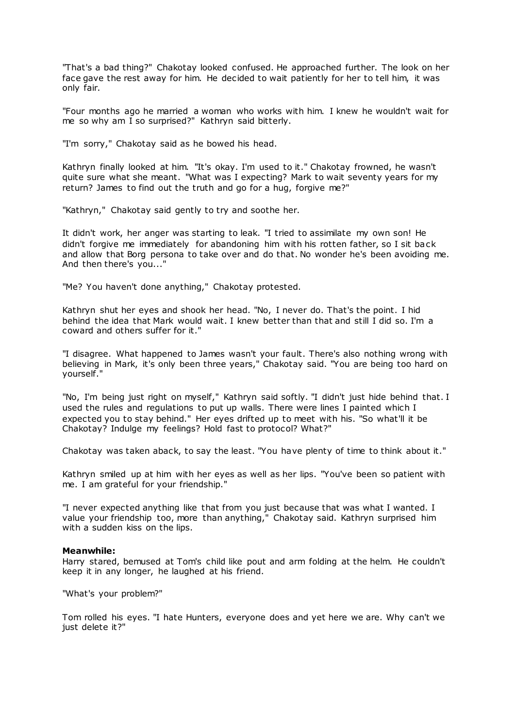"That's a bad thing?" Chakotay looked confused. He approached further. The look on her face gave the rest away for him. He decided to wait patiently for her to tell him, it was only fair.

"Four months ago he married a woman who works with him. I knew he wouldn't wait for me so why am I so surprised?" Kathryn said bitterly.

"I'm sorry," Chakotay said as he bowed his head.

Kathryn finally looked at him. "It's okay. I'm used to it." Chakotay frowned, he wasn't quite sure what she meant. "What was I expecting? Mark to wait seventy years for my return? James to find out the truth and go for a hug, forgive me?"

"Kathryn," Chakotay said gently to try and soothe her.

It didn't work, her anger was starting to leak. "I tried to assimilate my own son! He didn't forgive me immediately for abandoning him with his rotten father, so I sit back and allow that Borg persona to take over and do that. No wonder he's been avoiding me. And then there's you..."

"Me? You haven't done anything," Chakotay protested.

Kathryn shut her eyes and shook her head. "No, I never do. That's the point. I hid behind the idea that Mark would wait. I knew better than that and still I did so. I'm a coward and others suffer for it."

"I disagree. What happened to James wasn't your fault. There's also nothing wrong with believing in Mark, it's only been three years," Chakotay said. "You are being too hard on yourself."

"No, I'm being just right on myself," Kathryn said softly. "I didn't just hide behind that. I used the rules and regulations to put up walls. There were lines I painted which I expected you to stay behind." Her eyes drifted up to meet with his. "So what'll it be Chakotay? Indulge my feelings? Hold fast to protocol? What?"

Chakotay was taken aback, to say the least. "You have plenty of time to think about it."

Kathryn smiled up at him with her eyes as well as her lips. "You've been so patient with me. I am grateful for your friendship."

"I never expected anything like that from you just because that was what I wanted. I value your friendship too, more than anything," Chakotay said. Kathryn surprised him with a sudden kiss on the lips.

#### **Meanwhile:**

Harry stared, bemused at Tom's child like pout and arm folding at the helm. He couldn't keep it in any longer, he laughed at his friend.

"What's your problem?"

Tom rolled his eyes. "I hate Hunters, everyone does and yet here we are. Why can't we just delete it?"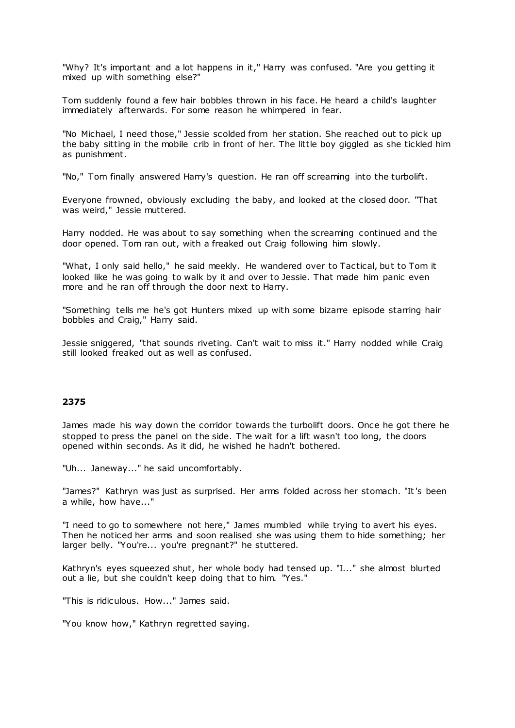"Why? It's important and a lot happens in it," Harry was confused. "Are you getting it mixed up with something else?"

Tom suddenly found a few hair bobbles thrown in his face. He heard a child's laughter immediately afterwards. For some reason he whimpered in fear.

"No Michael, I need those," Jessie scolded from her station. She reached out to pick up the baby sitting in the mobile crib in front of her. The little boy giggled as she tickled him as punishment.

"No," Tom finally answered Harry's question. He ran off screaming into the turbolift.

Everyone frowned, obviously excluding the baby, and looked at the closed door. "That was weird," Jessie muttered.

Harry nodded. He was about to say something when the screaming continued and the door opened. Tom ran out, with a freaked out Craig following him slowly.

"What, I only said hello," he said meekly. He wandered over to Tactical, but to Tom it looked like he was going to walk by it and over to Jessie. That made him panic even more and he ran off through the door next to Harry.

"Something tells me he's got Hunters mixed up with some bizarre episode starring hair bobbles and Craig," Harry said.

Jessie sniggered, "that sounds riveting. Can't wait to miss it." Harry nodded while Craig still looked freaked out as well as confused.

# **2375**

James made his way down the corridor towards the turbolift doors. Once he got there he stopped to press the panel on the side. The wait for a lift wasn't too long, the doors opened within seconds. As it did, he wished he hadn't bothered.

"Uh... Janeway..." he said uncomfortably.

"James?" Kathryn was just as surprised. Her arms folded across her stomach. "It's been a while, how have..."

"I need to go to somewhere not here," James mumbled while trying to avert his eyes. Then he noticed her arms and soon realised she was using them to hide something; her larger belly. "You're... you're pregnant?" he stuttered.

Kathryn's eyes squeezed shut, her whole body had tensed up. "I..." she almost blurted out a lie, but she couldn't keep doing that to him. "Yes."

"This is ridiculous. How..." James said.

"You know how," Kathryn regretted saying.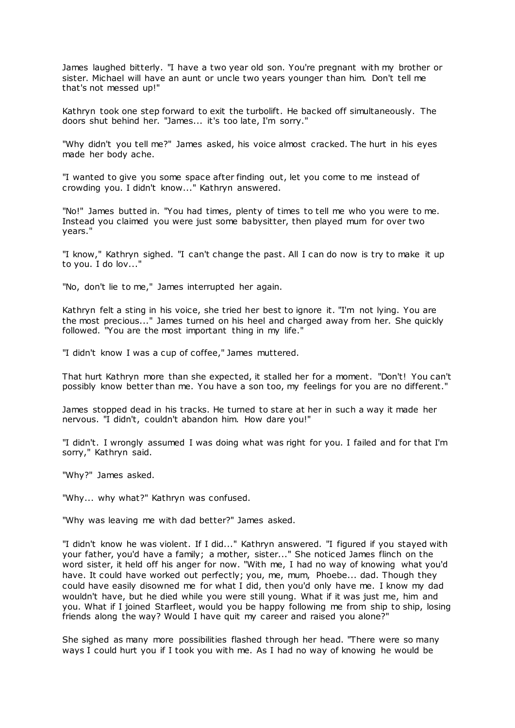James laughed bitterly. "I have a two year old son. You're pregnant with my brother or sister. Michael will have an aunt or uncle two years younger than him. Don't tell me that's not messed up!"

Kathryn took one step forward to exit the turbolift. He backed off simultaneously. The doors shut behind her. "James... it's too late, I'm sorry."

"Why didn't you tell me?" James asked, his voice almost cracked. The hurt in his eyes made her body ache.

"I wanted to give you some space after finding out, let you come to me instead of crowding you. I didn't know..." Kathryn answered.

"No!" James butted in. "You had times, plenty of times to tell me who you were to me. Instead you claimed you were just some babysitter, then played mum for over two years."

"I know," Kathryn sighed. "I can't change the past. All I can do now is try to make it up to you. I do lov..."

"No, don't lie to me," James interrupted her again.

Kathryn felt a sting in his voice, she tried her best to ignore it. "I'm not lying. You are the most precious..." James turned on his heel and charged away from her. She quickly followed. "You are the most important thing in my life."

"I didn't know I was a cup of coffee," James muttered.

That hurt Kathryn more than she expected, it stalled her for a moment. "Don't! You can't possibly know better than me. You have a son too, my feelings for you are no different."

James stopped dead in his tracks. He turned to stare at her in such a way it made her nervous. "I didn't, couldn't abandon him. How dare you!"

"I didn't. I wrongly assumed I was doing what was right for you. I failed and for that I'm sorry," Kathryn said.

"Why?" James asked.

"Why... why what?" Kathryn was confused.

"Why was leaving me with dad better?" James asked.

"I didn't know he was violent. If I did..." Kathryn answered. "I figured if you stayed with your father, you'd have a family; a mother, sister..." She noticed James flinch on the word sister, it held off his anger for now. "With me, I had no way of knowing what you'd have. It could have worked out perfectly; you, me, mum, Phoebe... dad. Though they could have easily disowned me for what I did, then you'd only have me. I know my dad wouldn't have, but he died while you were still young. What if it was just me, him and you. What if I joined Starfleet, would you be happy following me from ship to ship, losing friends along the way? Would I have quit my career and raised you alone?"

She sighed as many more possibilities flashed through her head. "There were so many ways I could hurt you if I took you with me. As I had no way of knowing he would be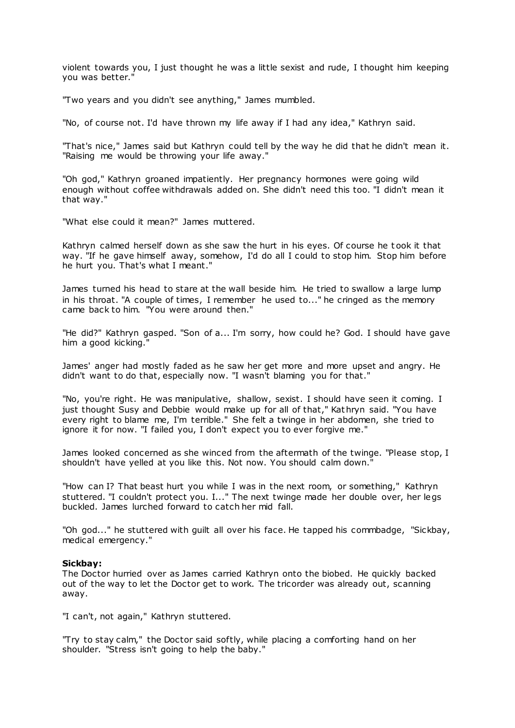violent towards you, I just thought he was a little sexist and rude, I thought him keeping you was better."

"Two years and you didn't see anything," James mumbled.

"No, of course not. I'd have thrown my life away if I had any idea," Kathryn said.

"That's nice," James said but Kathryn could tell by the way he did that he didn't mean it. "Raising me would be throwing your life away."

"Oh god," Kathryn groaned impatiently. Her pregnancy hormones were going wild enough without coffee withdrawals added on. She didn't need this too. "I didn't mean it that way."

"What else could it mean?" James muttered.

Kathryn calmed herself down as she saw the hurt in his eyes. Of course he t ook it that way. "If he gave himself away, somehow, I'd do all I could to stop him. Stop him before he hurt you. That's what I meant."

James turned his head to stare at the wall beside him. He tried to swallow a large lump in his throat. "A couple of times, I remember he used to..." he cringed as the memory came back to him. "You were around then."

"He did?" Kathryn gasped. "Son of a... I'm sorry, how could he? God. I should have gave him a good kicking."

James' anger had mostly faded as he saw her get more and more upset and angry. He didn't want to do that, especially now. "I wasn't blaming you for that."

"No, you're right. He was manipulative, shallow, sexist. I should have seen it coming. I just thought Susy and Debbie would make up for all of that," Kathryn said. "You have every right to blame me, I'm terrible." She felt a twinge in her abdomen, she tried to ignore it for now. "I failed you, I don't expect you to ever forgive me."

James looked concerned as she winced from the aftermath of the twinge. "Please stop, I shouldn't have yelled at you like this. Not now. You should calm down."

"How can I? That beast hurt you while I was in the next room, or something," Kathryn stuttered. "I couldn't protect you. I..." The next twinge made her double over, her legs buckled. James lurched forward to catch her mid fall.

"Oh god..." he stuttered with guilt all over his face. He tapped his commbadge, "Sickbay, medical emergency."

## **Sickbay:**

The Doctor hurried over as James carried Kathryn onto the biobed. He quickly backed out of the way to let the Doctor get to work. The tricorder was already out, scanning away.

"I can't, not again," Kathryn stuttered.

"Try to stay calm," the Doctor said softly, while placing a comforting hand on her shoulder. "Stress isn't going to help the baby."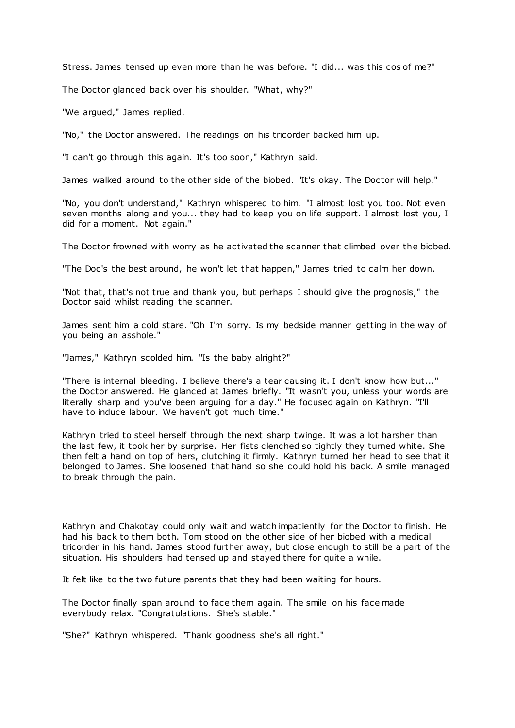Stress. James tensed up even more than he was before. "I did... was this cos of me?"

The Doctor glanced back over his shoulder. "What, why?"

"We argued," James replied.

"No," the Doctor answered. The readings on his tricorder backed him up.

"I can't go through this again. It's too soon," Kathryn said.

James walked around to the other side of the biobed. "It's okay. The Doctor will help."

"No, you don't understand," Kathryn whispered to him. "I almost lost you too. Not even seven months along and you... they had to keep you on life support. I almost lost you, I did for a moment. Not again."

The Doctor frowned with worry as he activated the scanner that climbed over the biobed.

"The Doc's the best around, he won't let that happen," James tried to calm her down.

"Not that, that's not true and thank you, but perhaps I should give the prognosis," the Doctor said whilst reading the scanner.

James sent him a cold stare. "Oh I'm sorry. Is my bedside manner getting in the way of you being an asshole."

"James," Kathryn scolded him. "Is the baby alright?"

"There is internal bleeding. I believe there's a tear causing it. I don't know how but..." the Doctor answered. He glanced at James briefly. "It wasn't you, unless your words are literally sharp and you've been arguing for a day." He focused again on Kathryn. "I'll have to induce labour. We haven't got much time."

Kathryn tried to steel herself through the next sharp twinge. It was a lot harsher than the last few, it took her by surprise. Her fists clenched so tightly they turned white. She then felt a hand on top of hers, clutching it firmly. Kathryn turned her head to see that it belonged to James. She loosened that hand so she could hold his back. A smile managed to break through the pain.

Kathryn and Chakotay could only wait and watch impatiently for the Doctor to finish. He had his back to them both. Tom stood on the other side of her biobed with a medical tricorder in his hand. James stood further away, but close enough to still be a part of the situation. His shoulders had tensed up and stayed there for quite a while.

It felt like to the two future parents that they had been waiting for hours.

The Doctor finally span around to face them again. The smile on his face made everybody relax. "Congratulations. She's stable."

"She?" Kathryn whispered. "Thank goodness she's all right."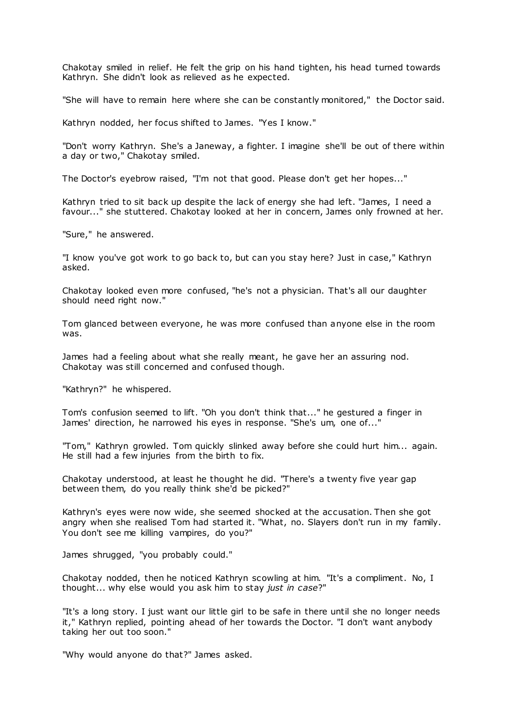Chakotay smiled in relief. He felt the grip on his hand tighten, his head turned towards Kathryn. She didn't look as relieved as he expected.

"She will have to remain here where she can be constantly monitored," the Doctor said.

Kathryn nodded, her focus shifted to James. "Yes I know."

"Don't worry Kathryn. She's a Janeway, a fighter. I imagine she'll be out of there within a day or two," Chakotay smiled.

The Doctor's eyebrow raised, "I'm not that good. Please don't get her hopes..."

Kathryn tried to sit back up despite the lack of energy she had left. "James, I need a favour..." she stuttered. Chakotay looked at her in concern, James only frowned at her.

"Sure," he answered.

"I know you've got work to go back to, but can you stay here? Just in case," Kathryn asked.

Chakotay looked even more confused, "he's not a physician. That's all our daughter should need right now."

Tom glanced between everyone, he was more confused than anyone else in the room was.

James had a feeling about what she really meant, he gave her an assuring nod. Chakotay was still concerned and confused though.

"Kathryn?" he whispered.

Tom's confusion seemed to lift. "Oh you don't think that..." he gestured a finger in James' direction, he narrowed his eyes in response. "She's um, one of..."

"Tom," Kathryn growled. Tom quickly slinked away before she could hurt him... again. He still had a few injuries from the birth to fix.

Chakotay understood, at least he thought he did. "There's a twenty five year gap between them, do you really think she'd be picked?"

Kathryn's eyes were now wide, she seemed shocked at the accusation. Then she got angry when she realised Tom had started it. "What, no. Slayers don't run in my family. You don't see me killing vampires, do you?"

James shrugged, "you probably could."

Chakotay nodded, then he noticed Kathryn scowling at him. "It's a compliment. No, I thought... why else would you ask him to stay *just in case*?"

"It's a long story. I just want our little girl to be safe in there until she no longer needs it," Kathryn replied, pointing ahead of her towards the Doctor. "I don't want anybody taking her out too soon."

"Why would anyone do that?" James asked.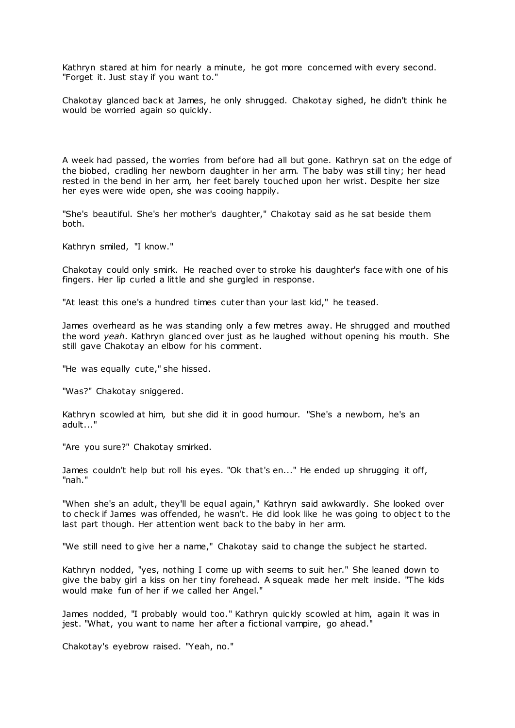Kathryn stared at him for nearly a minute, he got more concerned with every second. "Forget it. Just stay if you want to."

Chakotay glanced back at James, he only shrugged. Chakotay sighed, he didn't think he would be worried again so quickly.

A week had passed, the worries from before had all but gone. Kathryn sat on the edge of the biobed, cradling her newborn daughter in her arm. The baby was still tiny; her head rested in the bend in her arm, her feet barely touched upon her wrist. Despite her size her eyes were wide open, she was cooing happily.

"She's beautiful. She's her mother's daughter," Chakotay said as he sat beside them both.

Kathryn smiled, "I know."

Chakotay could only smirk. He reached over to stroke his daughter's face with one of his fingers. Her lip curled a little and she gurgled in response.

"At least this one's a hundred times cuter than your last kid," he teased.

James overheard as he was standing only a few metres away. He shrugged and mouthed the word *yeah*. Kathryn glanced over just as he laughed without opening his mouth. She still gave Chakotay an elbow for his comment.

"He was equally cute," she hissed.

"Was?" Chakotay sniggered.

Kathryn scowled at him, but she did it in good humour. "She's a newborn, he's an adult..."

"Are you sure?" Chakotay smirked.

James couldn't help but roll his eyes. "Ok that's en..." He ended up shrugging it off, "nah."

"When she's an adult, they'll be equal again," Kathryn said awkwardly. She looked over to check if James was offended, he wasn't. He did look like he was going to objec t to the last part though. Her attention went back to the baby in her arm.

"We still need to give her a name," Chakotay said to change the subject he started.

Kathryn nodded, "yes, nothing I come up with seems to suit her." She leaned down to give the baby girl a kiss on her tiny forehead. A squeak made her melt inside. "The kids would make fun of her if we called her Angel."

James nodded, "I probably would too." Kathryn quickly scowled at him, again it was in jest. "What, you want to name her after a fictional vampire, go ahead."

Chakotay's eyebrow raised. "Yeah, no."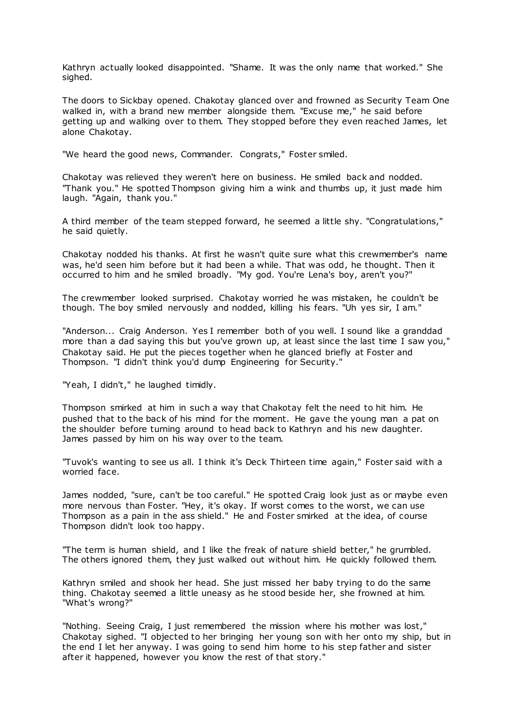Kathryn actually looked disappointed. "Shame. It was the only name that worked." She sighed.

The doors to Sickbay opened. Chakotay glanced over and frowned as Security Team One walked in, with a brand new member alongside them. "Excuse me," he said before getting up and walking over to them. They stopped before they even reached James, let alone Chakotay.

"We heard the good news, Commander. Congrats," Foster smiled.

Chakotay was relieved they weren't here on business. He smiled back and nodded. "Thank you." He spotted Thompson giving him a wink and thumbs up, it just made him laugh. "Again, thank you."

A third member of the team stepped forward, he seemed a little shy. "Congratulations," he said quietly.

Chakotay nodded his thanks. At first he wasn't quite sure what this crewmember's name was, he'd seen him before but it had been a while. That was odd, he thought. Then it occurred to him and he smiled broadly. "My god. You're Lena's boy, aren't you?"

The crewmember looked surprised. Chakotay worried he was mistaken, he couldn't be though. The boy smiled nervously and nodded, killing his fears. "Uh yes sir, I am."

"Anderson... Craig Anderson. Yes I remember both of you well. I sound like a granddad more than a dad saying this but you've grown up, at least since the last time I saw you," Chakotay said. He put the pieces together when he glanced briefly at Foster and Thompson. "I didn't think you'd dump Engineering for Security."

"Yeah, I didn't," he laughed timidly.

Thompson smirked at him in such a way that Chakotay felt the need to hit him. He pushed that to the back of his mind for the moment. He gave the young man a pat on the shoulder before turning around to head back to Kathryn and his new daughter. James passed by him on his way over to the team.

"Tuvok's wanting to see us all. I think it's Deck Thirteen time again," Foster said with a worried face.

James nodded, "sure, can't be too careful." He spotted Craig look just as or maybe even more nervous than Foster. "Hey, it's okay. If worst comes to the worst, we can use Thompson as a pain in the ass shield." He and Foster smirked at the idea, of course Thompson didn't look too happy.

"The term is human shield, and I like the freak of nature shield better," he grumbled. The others ignored them, they just walked out without him. He quickly followed them.

Kathryn smiled and shook her head. She just missed her baby trying to do the same thing. Chakotay seemed a little uneasy as he stood beside her, she frowned at him. "What's wrong?"

"Nothing. Seeing Craig, I just remembered the mission where his mother was lost," Chakotay sighed. "I objected to her bringing her young son with her onto my ship, but in the end I let her anyway. I was going to send him home to his step father and sister after it happened, however you know the rest of that story."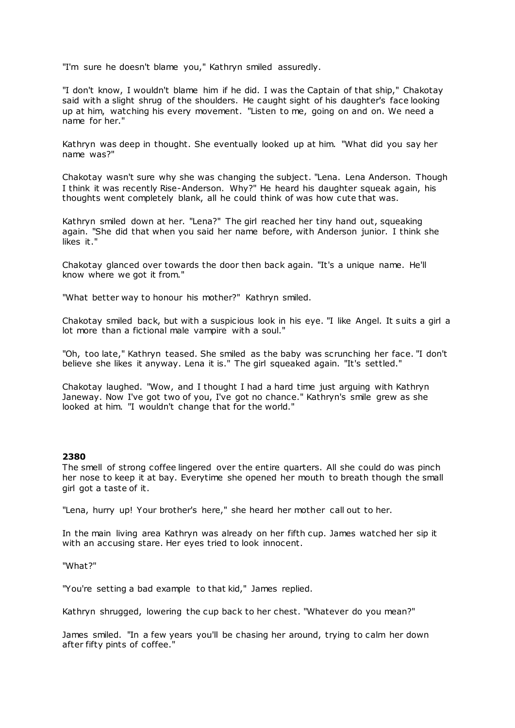"I'm sure he doesn't blame you," Kathryn smiled assuredly.

"I don't know, I wouldn't blame him if he did. I was the Captain of that ship," Chakotay said with a slight shrug of the shoulders. He caught sight of his daughter's face looking up at him, watching his every movement. "Listen to me, going on and on. We need a name for her."

Kathryn was deep in thought. She eventually looked up at him. "What did you say her name was?"

Chakotay wasn't sure why she was changing the subject. "Lena. Lena Anderson. Though I think it was recently Rise-Anderson. Why?" He heard his daughter squeak again, his thoughts went completely blank, all he could think of was how cute that was.

Kathryn smiled down at her. "Lena?" The girl reached her tiny hand out, squeaking again. "She did that when you said her name before, with Anderson junior. I think she likes it."

Chakotay glanced over towards the door then back again. "It's a unique name. He'll know where we got it from."

"What better way to honour his mother?" Kathryn smiled.

Chakotay smiled back, but with a suspicious look in his eye. "I like Angel. It suits a girl a lot more than a fictional male vampire with a soul."

"Oh, too late," Kathryn teased. She smiled as the baby was scrunching her face. "I don't believe she likes it anyway. Lena it is." The girl squeaked again. "It's settled."

Chakotay laughed. "Wow, and I thought I had a hard time just arguing with Kathryn Janeway. Now I've got two of you, I've got no chance." Kathryn's smile grew as she looked at him. "I wouldn't change that for the world."

## **2380**

The smell of strong coffee lingered over the entire quarters. All she could do was pinch her nose to keep it at bay. Everytime she opened her mouth to breath though the small girl got a taste of it.

"Lena, hurry up! Your brother's here," she heard her mother call out to her.

In the main living area Kathryn was already on her fifth cup. James watched her sip it with an accusing stare. Her eyes tried to look innocent.

## "What?"

"You're setting a bad example to that kid," James replied.

Kathryn shrugged, lowering the cup back to her chest. "Whatever do you mean?"

James smiled. "In a few years you'll be chasing her around, trying to calm her down after fifty pints of coffee."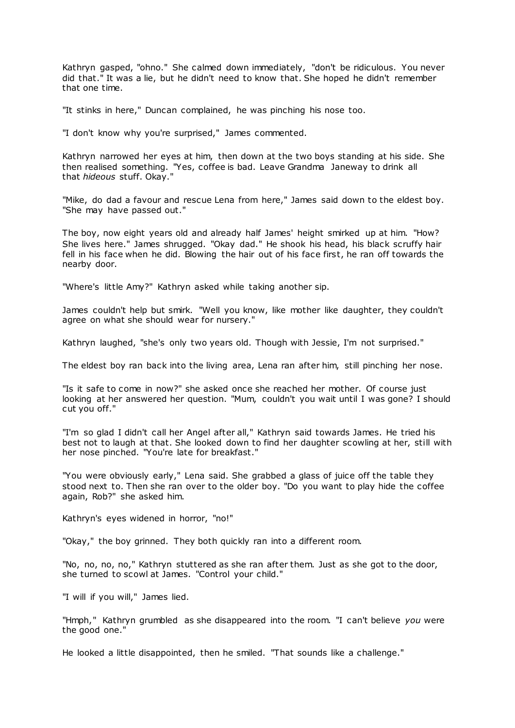Kathryn gasped, "ohno." She calmed down immediately, "don't be ridiculous. You never did that." It was a lie, but he didn't need to know that. She hoped he didn't remember that one time.

"It stinks in here," Duncan complained, he was pinching his nose too.

"I don't know why you're surprised," James commented.

Kathryn narrowed her eyes at him, then down at the two boys standing at his side. She then realised something. "Yes, coffee is bad. Leave Grandma Janeway to drink all that *hideous* stuff. Okay."

"Mike, do dad a favour and rescue Lena from here," James said down to the eldest boy. "She may have passed out."

The boy, now eight years old and already half James' height smirked up at him. "How? She lives here." James shrugged. "Okay dad." He shook his head, his black scruffy hair fell in his face when he did. Blowing the hair out of his face first, he ran off towards the nearby door.

"Where's little Amy?" Kathryn asked while taking another sip.

James couldn't help but smirk. "Well you know, like mother like daughter, they couldn't agree on what she should wear for nursery."

Kathryn laughed, "she's only two years old. Though with Jessie, I'm not surprised."

The eldest boy ran back into the living area, Lena ran after him, still pinching her nose.

"Is it safe to come in now?" she asked once she reached her mother. Of course just looking at her answered her question. "Mum, couldn't you wait until I was gone? I should cut you off."

"I'm so glad I didn't call her Angel after all," Kathryn said towards James. He tried his best not to laugh at that. She looked down to find her daughter scowling at her, still with her nose pinched. "You're late for breakfast."

"You were obviously early," Lena said. She grabbed a glass of juice off the table they stood next to. Then she ran over to the older boy. "Do you want to play hide the coffee again, Rob?" she asked him.

Kathryn's eyes widened in horror, "no!"

"Okay," the boy grinned. They both quickly ran into a different room.

"No, no, no, no," Kathryn stuttered as she ran after them. Just as she got to the door, she turned to scowl at James. "Control your child."

"I will if you will," James lied.

"Hmph," Kathryn grumbled as she disappeared into the room. "I can't believe *you* were the good one."

He looked a little disappointed, then he smiled. "That sounds like a challenge."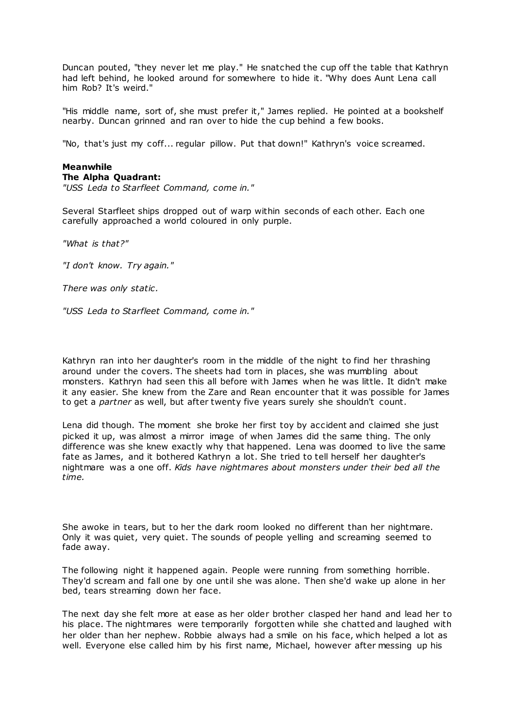Duncan pouted, "they never let me play." He snatched the cup off the table that Kathryn had left behind, he looked around for somewhere to hide it. "Why does Aunt Lena call him Rob? It's weird."

"His middle name, sort of, she must prefer it," James replied. He pointed at a bookshelf nearby. Duncan grinned and ran over to hide the cup behind a few books.

"No, that's just my coff... regular pillow. Put that down!" Kathryn's voice screamed.

#### **Meanwhile The Alpha Quadrant:**

*"USS Leda to Starfleet Command, come in."*

Several Starfleet ships dropped out of warp within seconds of each other. Each one carefully approached a world coloured in only purple.

*"What is that?"*

*"I don't know. Try again."*

*There was only static .*

*"USS Leda to Starfleet Command, come in."*

Kathryn ran into her daughter's room in the middle of the night to find her thrashing around under the covers. The sheets had torn in places, she was mumbling about monsters. Kathryn had seen this all before with James when he was little. It didn't make it any easier. She knew from the Zare and Rean encounter that it was possible for James to get a *partner* as well, but after twenty five years surely she shouldn't count.

Lena did though. The moment she broke her first toy by accident and claimed she just picked it up, was almost a mirror image of when James did the same thing. The only difference was she knew exactly why that happened. Lena was doomed to live the same fate as James, and it bothered Kathryn a lot. She tried to tell herself her daughter's nightmare was a one off. *Kids have nightmares about monsters under their bed all the time.*

She awoke in tears, but to her the dark room looked no different than her nightmare. Only it was quiet, very quiet. The sounds of people yelling and screaming seemed to fade away.

The following night it happened again. People were running from something horrible. They'd scream and fall one by one until she was alone. Then she'd wake up alone in her bed, tears streaming down her face.

The next day she felt more at ease as her older brother clasped her hand and lead her to his place. The nightmares were temporarily forgotten while she chatted and laughed with her older than her nephew. Robbie always had a smile on his face, which helped a lot as well. Everyone else called him by his first name, Michael, however after messing up his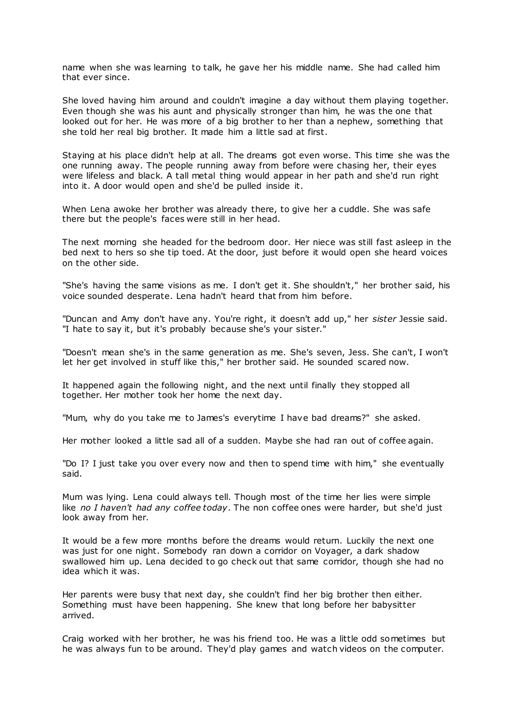name when she was learning to talk, he gave her his middle name. She had called him that ever since.

She loved having him around and couldn't imagine a day without them playing together. Even though she was his aunt and physically stronger than him, he was the one that looked out for her. He was more of a big brother to her than a nephew, something that she told her real big brother. It made him a little sad at first.

Staying at his place didn't help at all. The dreams got even worse. This time she was the one running away. The people running away from before were chasing her, their eyes were lifeless and black. A tall metal thing would appear in her path and she'd run right into it. A door would open and she'd be pulled inside it.

When Lena awoke her brother was already there, to give her a cuddle. She was safe there but the people's faces were still in her head.

The next morning she headed for the bedroom door. Her niece was still fast asleep in the bed next to hers so she tip toed. At the door, just before it would open she heard voices on the other side.

"She's having the same visions as me. I don't get it. She shouldn't," her brother said, his voice sounded desperate. Lena hadn't heard that from him before.

"Duncan and Amy don't have any. You're right, it doesn't add up," her *sister* Jessie said. "I hate to say it, but it's probably because she's your sister."

"Doesn't mean she's in the same generation as me. She's seven, Jess. She can't, I won't let her get involved in stuff like this," her brother said. He sounded scared now.

It happened again the following night, and the next until finally they stopped all together. Her mother took her home the next day.

"Mum, why do you take me to James's everytime I have bad dreams?" she asked.

Her mother looked a little sad all of a sudden. Maybe she had ran out of coffee again.

"Do I? I just take you over every now and then to spend time with him," she eventually said.

Mum was lying. Lena could always tell. Though most of the time her lies were simple like *no I haven't had any coffee today*. The non coffee ones were harder, but she'd just look away from her.

It would be a few more months before the dreams would return. Luckily the next one was just for one night. Somebody ran down a corridor on Voyager, a dark shadow swallowed him up. Lena decided to go check out that same corridor, though she had no idea which it was.

Her parents were busy that next day, she couldn't find her big brother then either. Something must have been happening. She knew that long before her babysitter arrived.

Craig worked with her brother, he was his friend too. He was a little odd sometimes but he was always fun to be around. They'd play games and watch videos on the computer.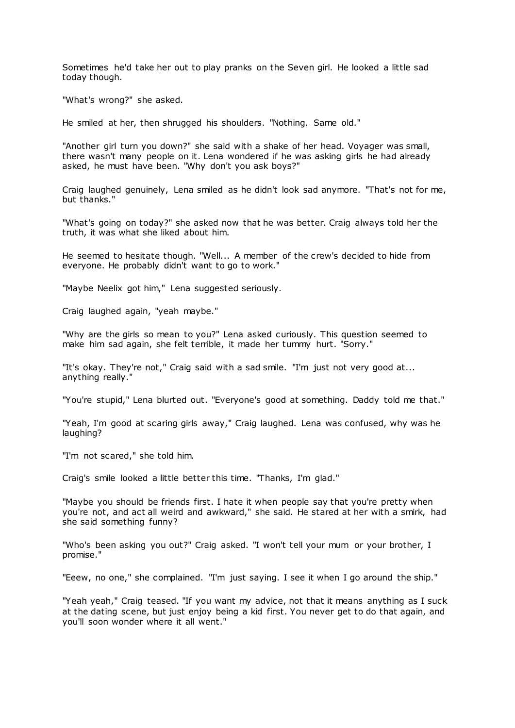Sometimes he'd take her out to play pranks on the Seven girl. He looked a little sad today though.

"What's wrong?" she asked.

He smiled at her, then shrugged his shoulders. "Nothing. Same old."

"Another girl turn you down?" she said with a shake of her head. Voyager was small, there wasn't many people on it. Lena wondered if he was asking girls he had already asked, he must have been. "Why don't you ask boys?"

Craig laughed genuinely, Lena smiled as he didn't look sad anymore. "That's not for me, but thanks."

"What's going on today?" she asked now that he was better. Craig always told her the truth, it was what she liked about him.

He seemed to hesitate though. "Well... A member of the crew's decided to hide from everyone. He probably didn't want to go to work."

"Maybe Neelix got him," Lena suggested seriously.

Craig laughed again, "yeah maybe."

"Why are the girls so mean to you?" Lena asked curiously. This question seemed to make him sad again, she felt terrible, it made her tummy hurt. "Sorry."

"It's okay. They're not," Craig said with a sad smile. "I'm just not very good at... anything really."

"You're stupid," Lena blurted out. "Everyone's good at something. Daddy told me that."

"Yeah, I'm good at scaring girls away," Craig laughed. Lena was confused, why was he laughing?

"I'm not scared," she told him.

Craig's smile looked a little better this time. "Thanks, I'm glad."

"Maybe you should be friends first. I hate it when people say that you're pretty when you're not, and act all weird and awkward," she said. He stared at her with a smirk, had she said something funny?

"Who's been asking you out?" Craig asked. "I won't tell your mum or your brother, I promise."

"Eeew, no one," she complained. "I'm just saying. I see it when I go around the ship."

"Yeah yeah," Craig teased. "If you want my advice, not that it means anything as I suck at the dating scene, but just enjoy being a kid first. You never get to do that again, and you'll soon wonder where it all went."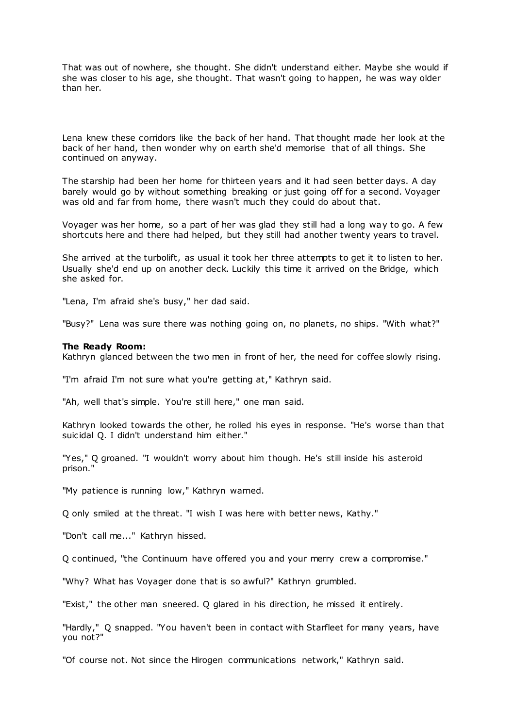That was out of nowhere, she thought. She didn't understand either. Maybe she would if she was closer to his age, she thought. That wasn't going to happen, he was way older than her.

Lena knew these corridors like the back of her hand. That thought made her look at the back of her hand, then wonder why on earth she'd memorise that of all things. She continued on anyway.

The starship had been her home for thirteen years and it had seen better days. A day barely would go by without something breaking or just going off for a second. Voyager was old and far from home, there wasn't much they could do about that.

Voyager was her home, so a part of her was glad they still had a long way to go. A few shortcuts here and there had helped, but they still had another twenty years to travel.

She arrived at the turbolift, as usual it took her three attempts to get it to listen to her. Usually she'd end up on another deck. Luckily this time it arrived on the Bridge, which she asked for.

"Lena, I'm afraid she's busy," her dad said.

"Busy?" Lena was sure there was nothing going on, no planets, no ships. "With what?"

### **The Ready Room:**

Kathryn glanced between the two men in front of her, the need for coffee slowly rising.

"I'm afraid I'm not sure what you're getting at," Kathryn said.

"Ah, well that's simple. You're still here," one man said.

Kathryn looked towards the other, he rolled his eyes in response. "He's worse than that suicidal Q. I didn't understand him either."

"Yes," Q groaned. "I wouldn't worry about him though. He's still inside his asteroid prison."

"My patience is running low," Kathryn warned.

Q only smiled at the threat. "I wish I was here with better news, Kathy."

"Don't call me..." Kathryn hissed.

Q continued, "the Continuum have offered you and your merry crew a compromise."

"Why? What has Voyager done that is so awful?" Kathryn grumbled.

"Exist," the other man sneered. Q glared in his direction, he missed it entirely.

"Hardly," Q snapped. "You haven't been in contact with Starfleet for many years, have you not?"

"Of course not. Not since the Hirogen communications network," Kathryn said.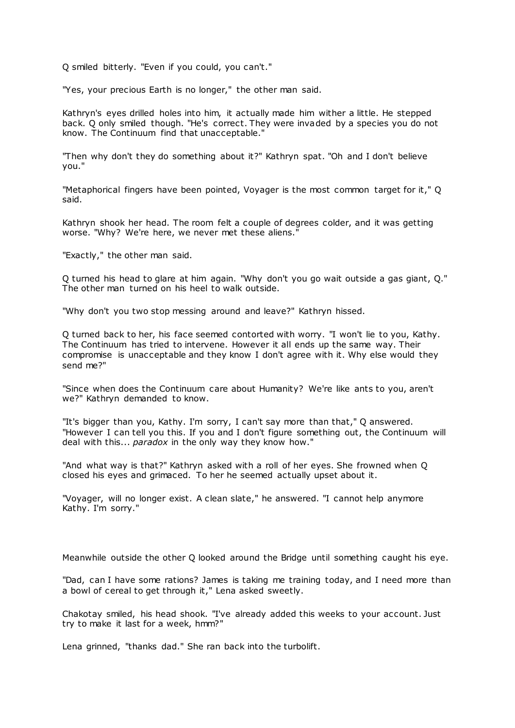Q smiled bitterly. "Even if you could, you can't."

"Yes, your precious Earth is no longer," the other man said.

Kathryn's eyes drilled holes into him, it actually made him wither a little. He stepped back. Q only smiled though. "He's correct. They were invaded by a species you do not know. The Continuum find that unacceptable."

"Then why don't they do something about it?" Kathryn spat. "Oh and I don't believe you."

"Metaphorical fingers have been pointed, Voyager is the most common target for it," Q said.

Kathryn shook her head. The room felt a couple of degrees colder, and it was getting worse. "Why? We're here, we never met these aliens."

"Exactly," the other man said.

Q turned his head to glare at him again. "Why don't you go wait outside a gas giant, Q." The other man turned on his heel to walk outside.

"Why don't you two stop messing around and leave?" Kathryn hissed.

Q turned back to her, his face seemed contorted with worry. "I won't lie to you, Kathy. The Continuum has tried to intervene. However it all ends up the same way. Their compromise is unacceptable and they know I don't agree with it. Why else would they send me?"

"Since when does the Continuum care about Humanity? We're like ants to you, aren't we?" Kathryn demanded to know.

"It's bigger than you, Kathy. I'm sorry, I can't say more than that," Q answered. "However I can tell you this. If you and I don't figure something out, the Continuum will deal with this... *paradox* in the only way they know how."

"And what way is that?" Kathryn asked with a roll of her eyes. She frowned when Q closed his eyes and grimaced. To her he seemed actually upset about it.

"Voyager, will no longer exist. A clean slate," he answered. "I cannot help anymore Kathy. I'm sorry."

Meanwhile outside the other Q looked around the Bridge until something caught his eye.

"Dad, can I have some rations? James is taking me training today, and I need more than a bowl of cereal to get through it," Lena asked sweetly.

Chakotay smiled, his head shook. "I've already added this weeks to your account. Just try to make it last for a week, hmm?"

Lena grinned, "thanks dad." She ran back into the turbolift.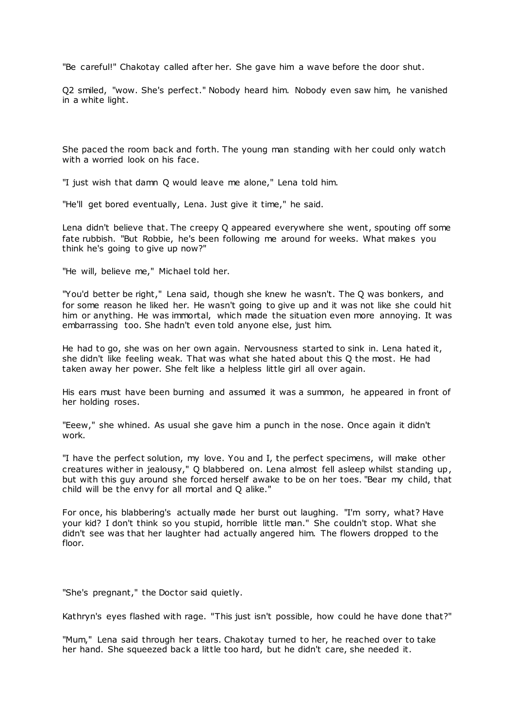"Be careful!" Chakotay called after her. She gave him a wave before the door shut.

Q2 smiled, "wow. She's perfect." Nobody heard him. Nobody even saw him, he vanished in a white light.

She paced the room back and forth. The young man standing with her could only watch with a worried look on his face.

"I just wish that damn Q would leave me alone," Lena told him.

"He'll get bored eventually, Lena. Just give it time," he said.

Lena didn't believe that. The creepy Q appeared everywhere she went, spouting off some fate rubbish. "But Robbie, he's been following me around for weeks. What makes you think he's going to give up now?"

"He will, believe me," Michael told her.

"You'd better be right," Lena said, though she knew he wasn't. The Q was bonkers, and for some reason he liked her. He wasn't going to give up and it was not like she could hit him or anything. He was immortal, which made the situation even more annoying. It was embarrassing too. She hadn't even told anyone else, just him.

He had to go, she was on her own again. Nervousness started to sink in. Lena hated it, she didn't like feeling weak. That was what she hated about this Q the most. He had taken away her power. She felt like a helpless little girl all over again.

His ears must have been burning and assumed it was a summon, he appeared in front of her holding roses.

"Eeew," she whined. As usual she gave him a punch in the nose. Once again it didn't work.

"I have the perfect solution, my love. You and I, the perfect specimens, will make other creatures wither in jealousy," Q blabbered on. Lena almost fell asleep whilst standing up, but with this guy around she forced herself awake to be on her toes. "Bear my child, that child will be the envy for all mortal and Q alike."

For once, his blabbering's actually made her burst out laughing. "I'm sorry, what? Have your kid? I don't think so you stupid, horrible little man." She couldn't stop. What she didn't see was that her laughter had actually angered him. The flowers dropped to the floor.

"She's pregnant," the Doctor said quietly.

Kathryn's eyes flashed with rage. "This just isn't possible, how could he have done that?"

"Mum," Lena said through her tears. Chakotay turned to her, he reached over to take her hand. She squeezed back a little too hard, but he didn't care, she needed it.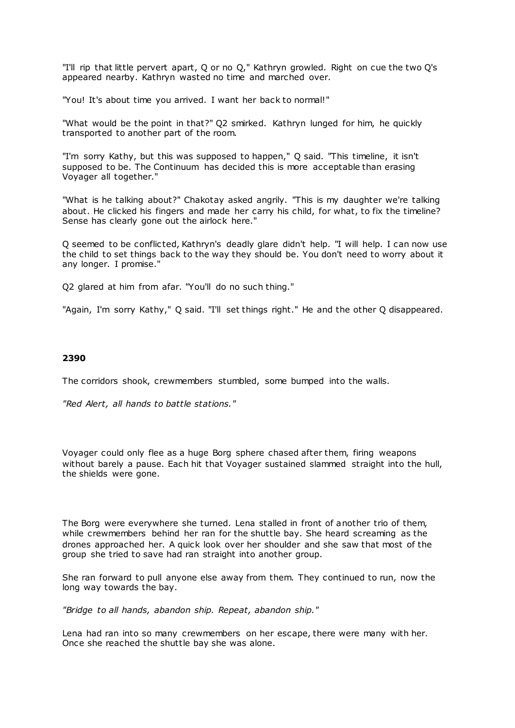"I'll rip that little pervert apart, Q or no Q," Kathryn growled. Right on cue the two Q's appeared nearby. Kathryn wasted no time and marched over.

"You! It's about time you arrived. I want her back to normal!"

"What would be the point in that?" Q2 smirked. Kathryn lunged for him, he quickly transported to another part of the room.

"I'm sorry Kathy, but this was supposed to happen," Q said. "This timeline, it isn't supposed to be. The Continuum has decided this is more acceptable than erasing Voyager all together."

"What is he talking about?" Chakotay asked angrily. "This is my daughter we're talking about. He clicked his fingers and made her carry his child, for what, to fix the timeline? Sense has clearly gone out the airlock here."

Q seemed to be conflicted, Kathryn's deadly glare didn't help. "I will help. I can now use the child to set things back to the way they should be. You don't need to worry about it any longer. I promise."

Q2 glared at him from afar. "You'll do no such thing."

"Again, I'm sorry Kathy," Q said. "I'll set things right." He and the other Q disappeared.

## **2390**

The corridors shook, crewmembers stumbled, some bumped into the walls.

*"Red Alert, all hands to battle stations."*

Voyager could only flee as a huge Borg sphere chased after them, firing weapons without barely a pause. Each hit that Voyager sustained slammed straight into the hull, the shields were gone.

The Borg were everywhere she turned. Lena stalled in front of another trio of them, while crewmembers behind her ran for the shuttle bay. She heard screaming as the drones approached her. A quick look over her shoulder and she saw that most of the group she tried to save had ran straight into another group.

She ran forward to pull anyone else away from them. They continued to run, now the long way towards the bay.

*"Bridge to all hands, abandon ship. Repeat, abandon ship."*

Lena had ran into so many crewmembers on her escape, there were many with her. Once she reached the shuttle bay she was alone.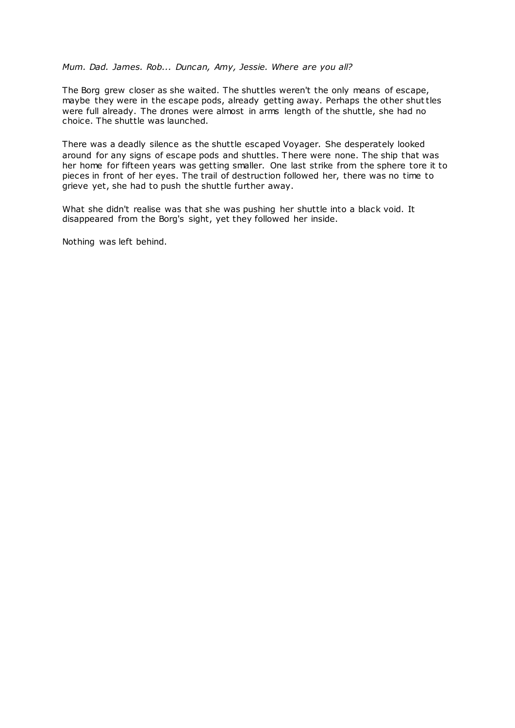# *Mum. Dad. James. Rob... Duncan, Amy, Jessie. Where are you all?*

The Borg grew closer as she waited. The shuttles weren't the only means of escape, maybe they were in the escape pods, already getting away. Perhaps the other shuttles were full already. The drones were almost in arms length of the shuttle, she had no choice. The shuttle was launched.

There was a deadly silence as the shuttle escaped Voyager. She desperately looked around for any signs of escape pods and shuttles. There were none. The ship that was her home for fifteen years was getting smaller. One last strike from the sphere tore it to pieces in front of her eyes. The trail of destruction followed her, there was no time to grieve yet, she had to push the shuttle further away.

What she didn't realise was that she was pushing her shuttle into a black void. It disappeared from the Borg's sight, yet they followed her inside.

Nothing was left behind.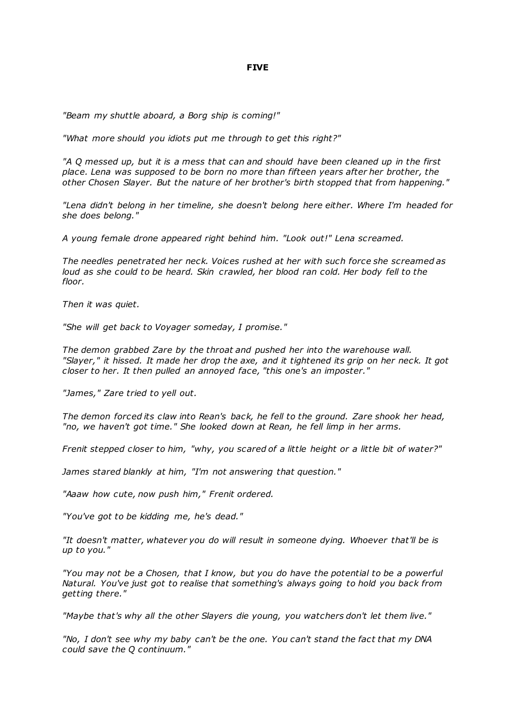# **FIVE**

*"Beam my shuttle aboard, a Borg ship is coming!"*

*"What more should you idiots put me through to get this right?"*

*"A Q messed up, but it is a mess that can and should have been cleaned up in the first place. Lena was supposed to be born no more than fifteen years after her brother, the other Chosen Slayer. But the nature of her brother's birth stopped that from happening."*

*"Lena didn't belong in her timeline, she doesn't belong here either. Where I'm headed for she does belong."*

*A young female drone appeared right behind him. "Look out!" Lena screamed.*

*The needles penetrated her neck. Voices rushed at her with such force she screamed as*  loud as she could to be heard. Skin crawled, her blood ran cold. Her body fell to the *floor.*

*Then it was quiet.*

*"She will get back to Voyager someday, I promise."*

*The demon grabbed Zare by the throat and pushed her into the warehouse wall. "Slayer," it hissed. It made her drop the axe, and it tightened its grip on her neck. It got closer to her. It then pulled an annoyed face, "this one's an imposter."*

*"James," Zare tried to yell out.*

*The demon forced its claw into Rean's back, he fell to the ground. Zare shook her head, "no, we haven't got time." She looked down at Rean, he fell limp in her arms.*

*Frenit stepped closer to him, "why, you scared of a little height or a little bit of water?"*

*James stared blankly at him, "I'm not answering that question."*

*"Aaaw how cute, now push him," Frenit ordered.*

*"You've got to be kidding me, he's dead."*

*"It doesn't matter, whatever you do will result in someone dying. Whoever that'll be is up to you."*

*"You may not be a Chosen, that I know, but you do have the potential to be a powerful Natural. You've just got to realise that something's always going to hold you back from getting there."*

*"Maybe that's why all the other Slayers die young, you watchers don't let them live."*

*"No, I don't see why my baby can't be the one. You can't stand the fact that my DNA could save the Q continuum."*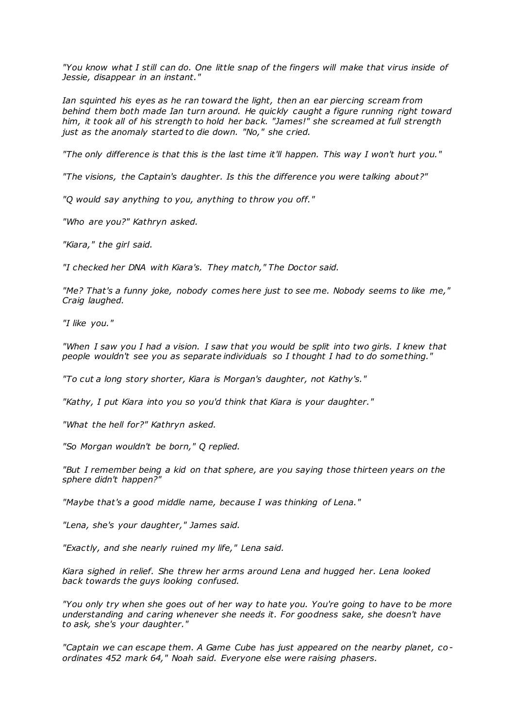*"You know what I still can do. One little snap of the fingers will make that virus inside of Jessie, disappear in an instant."*

*Ian squinted his eyes as he ran toward the light, then an ear piercing scream from behind them both made Ian turn around. He quickly caught a figure running right toward him, it took all of his strength to hold her back. "James!" she screamed at full strength just as the anomaly started to die down. "No," she cried.*

*"The only difference is that this is the last time it'll happen. This way I won't hurt you."*

*"The visions, the Captain's daughter. Is this the difference you were talking about?"*

*"Q would say anything to you, anything to throw you off."*

*"Who are you?" Kathryn asked.*

*"Kiara," the girl said.*

*"I checked her DNA with Kiara's. They match," The Doctor said.*

*"Me? That's a funny joke, nobody comes here just to see me. Nobody seems to like me," Craig laughed.*

*"I like you."*

*"When I saw you I had a vision. I saw that you would be split into two girls. I knew that people wouldn't see you as separate individuals so I thought I had to do something."*

*"To cut a long story shorter, Kiara is Morgan's daughter, not Kathy's."*

*"Kathy, I put Kiara into you so you'd think that Kiara is your daughter."*

*"What the hell for?" Kathryn asked.*

*"So Morgan wouldn't be born," Q replied.*

*"But I remember being a kid on that sphere, are you saying those thirteen years on the sphere didn't happen?"*

*"Maybe that's a good middle name, because I was thinking of Lena."*

*"Lena, she's your daughter," James said.*

*"Exactly, and she nearly ruined my life," Lena said.*

*Kiara sighed in relief. She threw her arms around Lena and hugged her. Lena looked back towards the guys looking confused.*

*"You only try when she goes out of her way to hate you. You're going to have to be more understanding and caring whenever she needs it. For goodness sake, she doesn't have to ask, she's your daughter."*

*"Captain we can escape them. A Game Cube has just appeared on the nearby planet, coordinates 452 mark 64," Noah said. Everyone else were raising phasers.*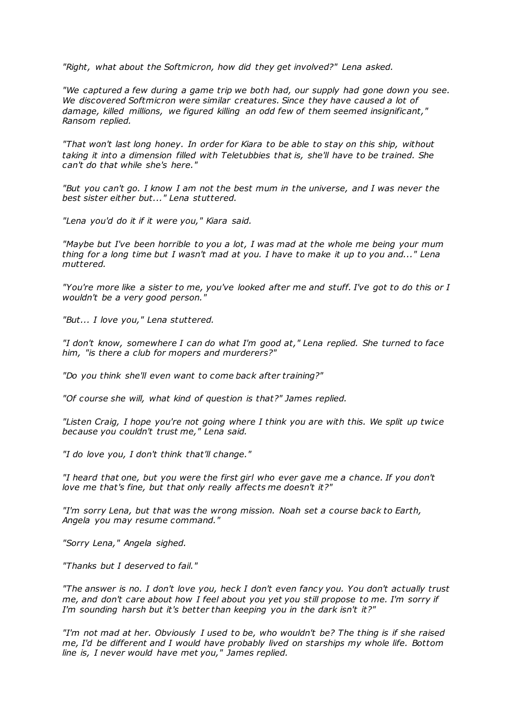*"Right, what about the Softmicron, how did they get involved?" Lena asked.*

*"We captured a few during a game trip we both had, our supply had gone down you see. We discovered Softmicron were similar creatures. Since they have caused a lot of damage, killed millions, we figured killing an odd few of them seemed insignificant," Ransom replied.*

*"That won't last long honey. In order for Kiara to be able to stay on this ship, without taking it into a dimension filled with Teletubbies that is, she'll have to be trained. She can't do that while she's here."*

*"But you can't go. I know I am not the best mum in the universe, and I was never the best sister either but..." Lena stuttered.*

*"Lena you'd do it if it were you," Kiara said.*

*"Maybe but I've been horrible to you a lot, I was mad at the whole me being your mum thing for a long time but I wasn't mad at you. I have to make it up to you and..." Lena muttered.*

*"You're more like a sister to me, you've looked after me and stuff. I've got to do this or I wouldn't be a very good person."*

*"But... I love you," Lena stuttered.*

*"I don't know, somewhere I can do what I'm good at," Lena replied. She turned to face him, "is there a club for mopers and murderers?"*

*"Do you think she'll even want to come back after training?"*

*"Of course she will, what kind of question is that?" James replied.*

*"Listen Craig, I hope you're not going where I think you are with this. We split up twice because you couldn't trust me," Lena said.*

*"I do love you, I don't think that'll change."*

*"I heard that one, but you were the first girl who ever gave me a chance. If you don't love me that's fine, but that only really affects me doesn't it?"*

*"I'm sorry Lena, but that was the wrong mission. Noah set a course back to Earth, Angela you may resume command."*

*"Sorry Lena," Angela sighed.*

*"Thanks but I deserved to fail."*

*"The answer is no. I don't love you, heck I don't even fancy you. You don't actually trust me, and don't care about how I feel about you yet you still propose to me. I'm sorry if I'm sounding harsh but it's better than keeping you in the dark isn't it?"*

*"I'm not mad at her. Obviously I used to be, who wouldn't be? The thing is if she raised me, I'd be different and I would have probably lived on starships my whole life. Bottom line is, I never would have met you," James replied.*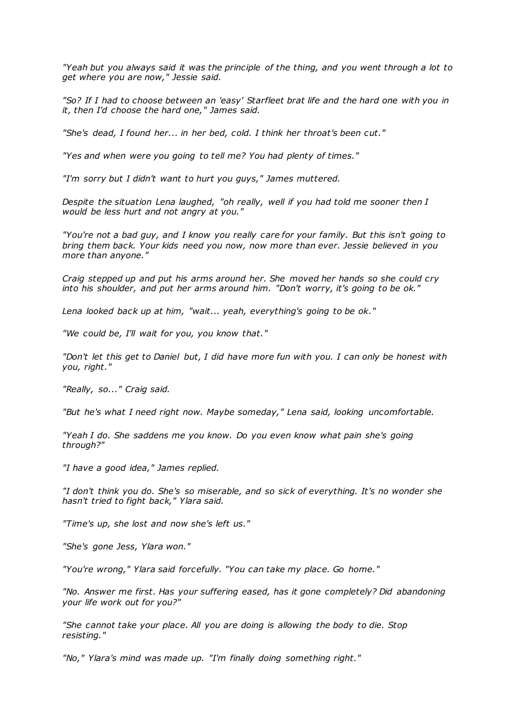*"Yeah but you always said it was the principle of the thing, and you went through a lot to get where you are now," Jessie said.*

*"So? If I had to choose between an 'easy' Starfleet brat life and the hard one with you in it, then I'd choose the hard one," James said.*

*"She's dead, I found her... in her bed, cold. I think her throat's been cut."*

*"Yes and when were you going to tell me? You had plenty of times."*

*"I'm sorry but I didn't want to hurt you guys," James muttered.*

*Despite the situation Lena laughed, "oh really, well if you had told me sooner then I would be less hurt and not angry at you."*

*"You're not a bad guy, and I know you really care for your family. But this isn't going to bring them back. Your kids need you now, now more than ever. Jessie believed in you more than anyone."*

*Craig stepped up and put his arms around her. She moved her hands so she could cry into his shoulder, and put her arms around him. "Don't worry, it's going to be ok."*

*Lena looked back up at him, "wait... yeah, everything's going to be ok."*

*"We could be, I'll wait for you, you know that."*

*"Don't let this get to Daniel but, I did have more fun with you. I can only be honest with you, right."*

*"Really, so..." Craig said.*

*"But he's what I need right now. Maybe someday," Lena said, looking uncomfortable.*

*"Yeah I do. She saddens me you know. Do you even know what pain she's going through?"*

*"I have a good idea," James replied.*

*"I don't think you do. She's so miserable, and so sick of everything. It's no wonder she hasn't tried to fight back," Ylara said.*

*"Time's up, she lost and now she's left us."*

*"She's gone Jess, Ylara won."*

*"You're wrong," Ylara said forcefully. "You can take my place. Go home."*

*"No. Answer me first. Has your suffering eased, has it gone completely? Did abandoning your life work out for you?"*

*"She cannot take your place. All you are doing is allowing the body to die. Stop resisting."*

*"No," Ylara's mind was made up. "I'm finally doing something right."*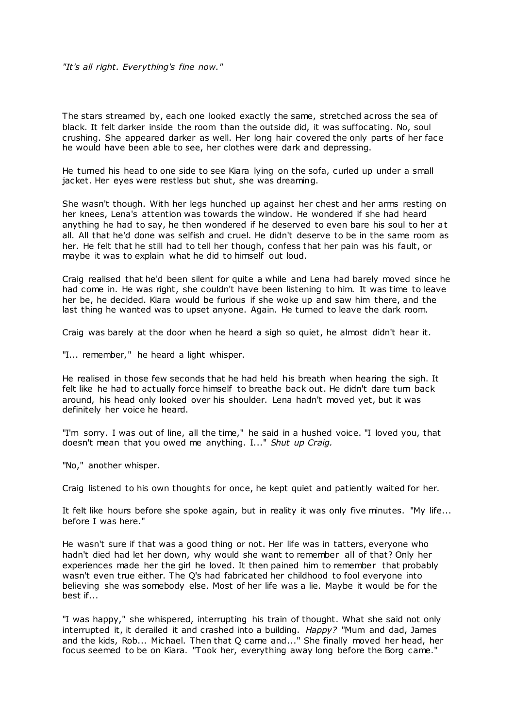The stars streamed by, each one looked exactly the same, stretched across the sea of black. It felt darker inside the room than the outside did, it was suffocating. No, soul crushing. She appeared darker as well. Her long hair covered the only parts of her face he would have been able to see, her clothes were dark and depressing.

He turned his head to one side to see Kiara lying on the sofa, curled up under a small jacket. Her eyes were restless but shut, she was dreaming.

She wasn't though. With her legs hunched up against her chest and her arms resting on her knees, Lena's attention was towards the window. He wondered if she had heard anything he had to say, he then wondered if he deserved to even bare his soul to her at all. All that he'd done was selfish and cruel. He didn't deserve to be in the same room as her. He felt that he still had to tell her though, confess that her pain was his fault, or maybe it was to explain what he did to himself out loud.

Craig realised that he'd been silent for quite a while and Lena had barely moved since he had come in. He was right, she couldn't have been listening to him. It was time to leave her be, he decided. Kiara would be furious if she woke up and saw him there, and the last thing he wanted was to upset anyone. Again. He turned to leave the dark room.

Craig was barely at the door when he heard a sigh so quiet, he almost didn't hear it.

"I... remember," he heard a light whisper.

He realised in those few seconds that he had held his breath when hearing the sigh. It felt like he had to actually force himself to breathe back out. He didn't dare turn back around, his head only looked over his shoulder. Lena hadn't moved yet, but it was definitely her voice he heard.

"I'm sorry. I was out of line, all the time," he said in a hushed voice. "I loved you, that doesn't mean that you owed me anything. I..." *Shut up Craig.*

"No," another whisper.

Craig listened to his own thoughts for once, he kept quiet and patiently waited for her.

It felt like hours before she spoke again, but in reality it was only five minutes. "My life... before I was here."

He wasn't sure if that was a good thing or not. Her life was in tatters, everyone who hadn't died had let her down, why would she want to remember all of that? Only her experiences made her the girl he loved. It then pained him to remember that probably wasn't even true either. The Q's had fabricated her childhood to fool everyone into believing she was somebody else. Most of her life was a lie. Maybe it would be for the best if...

"I was happy," she whispered, interrupting his train of thought. What she said not only interrupted it, it derailed it and crashed into a building. *Happy?* "Mum and dad, James and the kids, Rob... Michael. Then that Q came and..." She finally moved her head, her focus seemed to be on Kiara. "Took her, everything away long before the Borg came."